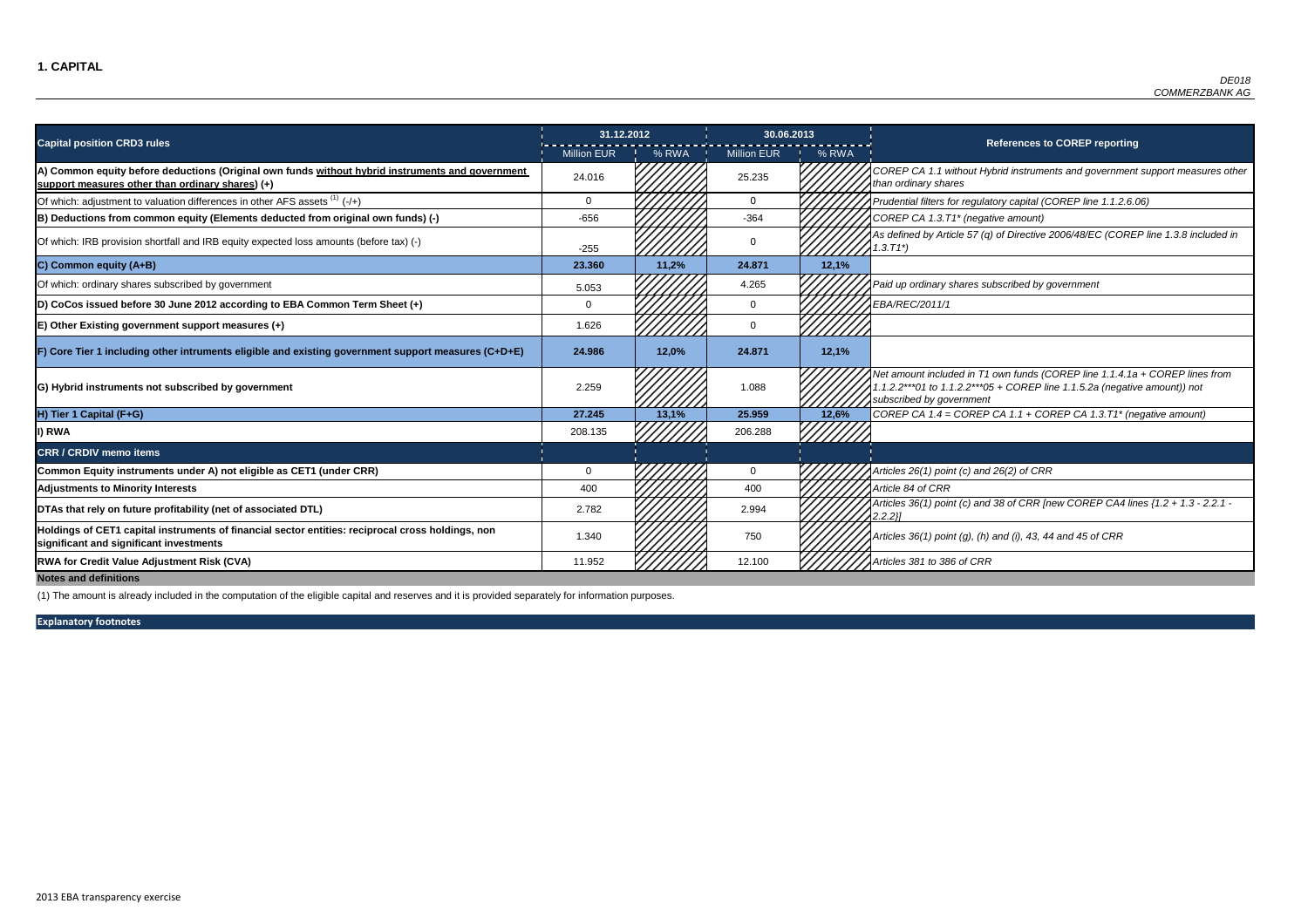FP CA 1.1 without Hybrid instruments and government support measures other *than ordinary shares*

of which: adjustment in their adjustmential to value the differences in the differences of the time in the time <br>In the 1.1.2.6.06) the state in the time regulators for regulators for the 1.1.2.6.06)

 $EP$  CA 1.3.T1\* (negative amount)

fined by Article 57 (q) of Directive 2006/48/EC (COREP line 1.3.8 included in

Of which: ordinary shares subscribed by government 5.053 4.265 *Paid up ordinary shares subscribed by government*

|                                                                                                                                                      | 31.12.2012         |       | 30.06.2013         |       |                                                                                      |
|------------------------------------------------------------------------------------------------------------------------------------------------------|--------------------|-------|--------------------|-------|--------------------------------------------------------------------------------------|
| <b>Capital position CRD3 rules</b>                                                                                                                   | <b>Million EUR</b> | % RWA | <b>Million EUR</b> | % RWA |                                                                                      |
| A) Common equity before deductions (Original own funds without hybrid instruments and government<br>support measures other than ordinary shares) (+) | 24.016             |       | 25.235             |       | COREP CA 1.1 without Hy<br>than ordinary shares                                      |
| Of which: adjustment to valuation differences in other AFS assets $(1)$ (-/+)                                                                        | 0                  |       | $\mathbf 0$        |       | Prudential filters for regulat                                                       |
| B) Deductions from common equity (Elements deducted from original own funds) (-)                                                                     | $-656$             |       | $-364$             |       | COREP CA 1.3.T1* (negati                                                             |
| Of which: IRB provision shortfall and IRB equity expected loss amounts (before tax) (-)                                                              | $-255$             |       | $\mathbf 0$        |       | As defined by Article 57 (q)<br>$1.3.71^{*}$                                         |
| C) Common equity (A+B)                                                                                                                               | 23.360             | 11,2% | 24.871             | 12,1% |                                                                                      |
| Of which: ordinary shares subscribed by government                                                                                                   | 5.053              |       | 4.265              |       | Paid up ordinary shares su                                                           |
| (D) CoCos issued before 30 June 2012 according to EBA Common Term Sheet (+)                                                                          | $\mathbf 0$        |       | 0                  |       | EBA/REC/2011/1                                                                       |
| $E$ ) Other Existing government support measures $(+)$                                                                                               | 1.626              |       | $\mathbf 0$        |       |                                                                                      |
| F) Core Tier 1 including other intruments eligible and existing government support measures (C+D+E)                                                  | 24.986             | 12,0% | 24.871             | 12,1% |                                                                                      |
| G) Hybrid instruments not subscribed by government                                                                                                   | 2.259              |       | 1.088              |       | Net amount included in T1<br>.1.2.2***01 to 1.1.2.2***05<br>subscribed by government |
| H) Tier 1 Capital (F+G)                                                                                                                              | 27.245             | 13,1% | 25.959             | 12,6% | COREP CA $1.4 = \text{COREP}$                                                        |
| I) RWA                                                                                                                                               | 208.135            |       | 206.288            |       |                                                                                      |
| <b>CRR / CRDIV memo items</b>                                                                                                                        |                    |       |                    |       |                                                                                      |
| Common Equity instruments under A) not eligible as CET1 (under CRR)                                                                                  | $\mathbf 0$        |       | 0                  |       | Articles 26(1) point (c) and                                                         |
| <b>Adjustments to Minority Interests</b>                                                                                                             | 400                |       | 400                |       | Article 84 of CRR                                                                    |
| DTAs that rely on future profitability (net of associated DTL)                                                                                       | 2.782              |       | 2.994              |       | Articles 36(1) point (c) and<br>2.2.2}]                                              |
| Holdings of CET1 capital instruments of financial sector entities: reciprocal cross holdings, non<br>significant and significant investments         | 1.340              |       | 750                |       | Articles 36(1) point (g), (h)                                                        |
| <b>RWA for Credit Value Adjustment Risk (CVA)</b>                                                                                                    | 11.952             |       | 12.100             |       | Articles 381 to 386 of CRR                                                           |

*Net amount included in T1 own funds (COREP line 1.1.4.1a + COREP lines from 1.1.2.2\*\*\*01 to 1.1.2.2\*\*\*05 + COREP line 1.1.5.2a (negative amount)) not subscribed by government*

**H) Tier 1 Capital (F+G) 27.245 13,1% 25.959 12,6%** *COREP CA 1.4 = COREP CA 1.1 + COREP CA 1.3.T1\* (negative amount)*

**Common Equity instruments under A) not eligible as CET1 (under CRR)** 0 0 *Articles 26(1) point (c) and 26(2) of CRR*

**S** 36(1) point (c) and 38 of CRR [new COREP CA4 lines {1.2 + 1.3 - 2.2.1 -

**significant and significant investments** 1.340 <sup>750</sup> *Articles 36(1) point (g), (h) and (i), 43, 44 and 45 of CRR*

**Notes and definitions**

(1) The amount is already included in the computation of the eligible capital and reserves and it is provided separately for information purposes.

#### **References to COREP reporting**

**Explanatory footnotes**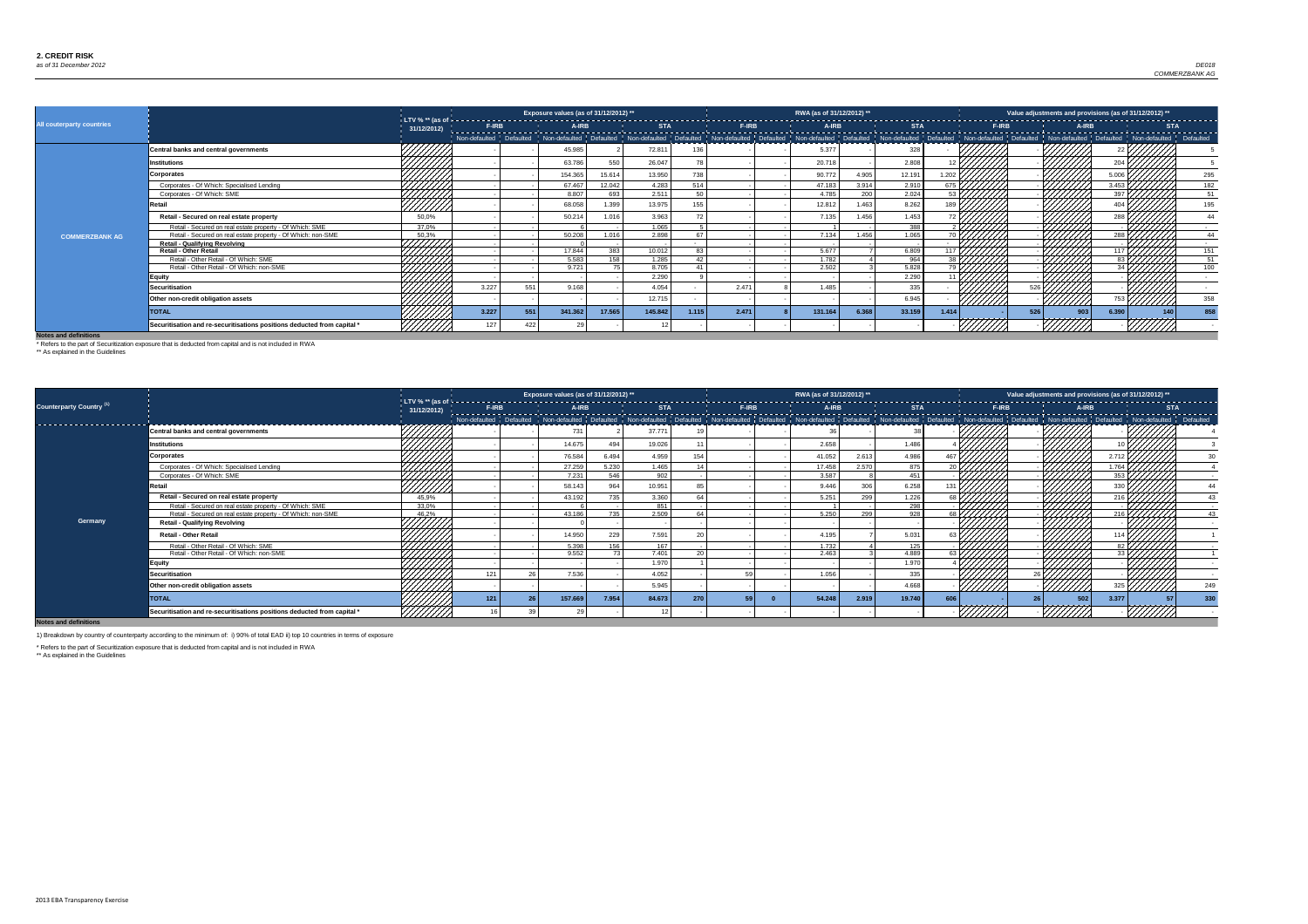

|                           |                                                                         |                       |              |     | Exposure values (as of 31/12/2012) ** |        |            |                 |              | RWA (as of 31/12/2012) ** |       |                                                                                                                                                                                                                                |                  |         |              | Value adjustments and provisions (as of 31/12/2012) ** |        |                  |            |     |
|---------------------------|-------------------------------------------------------------------------|-----------------------|--------------|-----|---------------------------------------|--------|------------|-----------------|--------------|---------------------------|-------|--------------------------------------------------------------------------------------------------------------------------------------------------------------------------------------------------------------------------------|------------------|---------|--------------|--------------------------------------------------------|--------|------------------|------------|-----|
| All couterparty countries |                                                                         | 31/12/2012)           | <b>F-IRB</b> |     | <b>A-IRB</b>                          |        | <b>STA</b> |                 | <b>F-IRB</b> | A-IRB                     |       | <b>STA</b>                                                                                                                                                                                                                     |                  |         | <b>F-IRB</b> |                                                        | A-IRB  |                  | <b>STA</b> |     |
|                           |                                                                         |                       |              |     |                                       |        |            |                 |              |                           |       | Non-defaulted   Defaulted   Non-defaulted   Defaulted   Non-defaulted   Non-defaulted   Non-defaulted   Non-defaulted   Non-defaulted   Non-defaulted   Non-defaulted   Non-defaulted   Non-defaulted   Non-defaulted   Non-de |                  |         |              |                                                        |        |                  |            |     |
|                           | Central banks and central governments                                   | 777777                |              |     | 45.985                                |        | 72.811     | 136             |              | 5.377                     |       | 328                                                                                                                                                                                                                            |                  |         |              |                                                        |        |                  |            |     |
|                           | <b>Institutions</b>                                                     |                       |              |     | 63.786                                | 550    | 26.047     | 78              |              | 20.718                    |       | 2.808                                                                                                                                                                                                                          |                  |         |              |                                                        |        |                  |            |     |
|                           | <b>Corporates</b>                                                       |                       |              |     | 154.365                               | 15.614 | 13.950     | 738             |              | 90.772                    | 4.905 | 12.191                                                                                                                                                                                                                         | 1.202 $\sqrt{ }$ |         |              |                                                        |        | 006              |            | 295 |
|                           | Corporates - Of Which: Specialised Lending                              |                       |              |     | 67.467                                | 12.042 | 4.283      | 514             |              | 47.183                    | 3.914 | 2.910                                                                                                                                                                                                                          |                  |         |              |                                                        |        | 3.453            |            | 182 |
|                           | Corporates - Of Which: SME                                              | HHHHH                 |              |     | 8.807                                 | 693    | 2.511      | 50 <sup>1</sup> |              | 4.785                     | 200   | 2.024                                                                                                                                                                                                                          |                  |         |              |                                                        |        | 397              |            | 51  |
|                           | ≀etail                                                                  | <u>///////</u>        |              |     | 68.058                                | 1.399  | 13.975     | 155             |              | 12.812                    | 1.463 | 8.262                                                                                                                                                                                                                          | 189              |         |              |                                                        |        |                  |            | 195 |
|                           | Retail - Secured on real estate property                                | 50,0%                 |              |     | 50.214                                | 1.016  | 3.963      |                 |              | 7.135                     | 1.456 | 1.453                                                                                                                                                                                                                          |                  |         |              |                                                        |        |                  |            | 44  |
|                           | Retail - Secured on real estate property - Of Which: SME                | 37.0%                 |              |     |                                       |        | 1.065      |                 |              |                           |       | 388                                                                                                                                                                                                                            |                  |         |              |                                                        |        |                  |            |     |
| <b>COMMERZBANK AG</b>     | Retail - Secured on real estate property - Of Which: non-SME            | 50,3%                 |              |     | 50.208                                | 1.016  | 2.898      | 67              |              | 7.134                     | 1.456 | 1.065                                                                                                                                                                                                                          |                  |         |              |                                                        |        | $288\frac{1}{1}$ |            | 44  |
|                           | <b>Retail - Qualifying Revolving</b>                                    | <i><b>444745.</b></i> |              |     |                                       |        |            |                 |              |                           |       |                                                                                                                                                                                                                                |                  |         |              |                                                        | 44444  |                  |            |     |
|                           | <b>Retail - Other Retail</b>                                            |                       |              |     | 17.844                                | 383    | 10.012     | 83              |              | 5.677                     |       | 6.809                                                                                                                                                                                                                          |                  |         |              |                                                        |        |                  |            | 151 |
|                           | Retail - Other Retail - Of Which: SME                                   | 44444                 |              |     | 5.583                                 | 158    | 1.285      | 42              |              | 1.782                     |       | 964                                                                                                                                                                                                                            |                  |         |              |                                                        |        |                  |            | 51  |
|                           | Retail - Other Retail - Of Which: non-SME                               | 444441                |              |     | 9.721                                 |        | 8.705      | 41              |              | 2.502                     |       | 5.828                                                                                                                                                                                                                          |                  |         |              |                                                        |        |                  |            | 100 |
|                           | <b>Equity</b>                                                           |                       |              |     |                                       |        | 2.290      |                 |              |                           |       | 2.290                                                                                                                                                                                                                          |                  |         |              |                                                        |        |                  |            |     |
|                           | <b>Securitisation</b>                                                   |                       | 3.227        | 55  | 9.168                                 |        | 4.054      |                 | 2.471        | 1.485                     |       | 335                                                                                                                                                                                                                            |                  |         |              |                                                        |        |                  |            |     |
|                           | Other non-credit obligation assets                                      |                       |              |     |                                       |        | 12.715     |                 |              |                           |       | 6.945                                                                                                                                                                                                                          |                  | /////// |              |                                                        | 777777 |                  |            | 358 |
|                           | <b>TOTAL</b>                                                            |                       | 3.227        | 551 | 341.362                               | 17.565 | 145.842    | 1.115           | 2.471        | 131.164                   | 6.368 | 33.159                                                                                                                                                                                                                         | 1.414            |         |              |                                                        |        | 6.390            | 140        | 858 |
|                           | Securitisation and re-securitisations positions deducted from capital * |                       |              |     |                                       |        |            |                 |              |                           |       |                                                                                                                                                                                                                                |                  |         |              |                                                        |        |                  |            |     |

|                                     |                                                                         |                    |       | Exposure values (as of 31/12/2012) ** |       |            |     |              | RWA (as of 31/12/2012) ** |       |            |                 |                                    |              | Value adjustments and provisions (as of 31/12/2012) ** |       |            |     |
|-------------------------------------|-------------------------------------------------------------------------|--------------------|-------|---------------------------------------|-------|------------|-----|--------------|---------------------------|-------|------------|-----------------|------------------------------------|--------------|--------------------------------------------------------|-------|------------|-----|
| Counterparty Country <sup>(1)</sup> |                                                                         | 31/12/2012)        | F-IRB | A-IRB                                 |       | <b>STA</b> |     | <b>F-IRB</b> | A-IRB                     |       | <b>STA</b> |                 |                                    | <b>F-IRB</b> | A-IRB                                                  |       | <b>STA</b> |     |
| -----------------------             |                                                                         |                    |       |                                       |       |            |     |              |                           |       |            |                 |                                    |              |                                                        |       |            |     |
|                                     | <b>Central banks and central governments</b>                            |                    |       | 731                                   |       | 37.771     |     |              |                           |       |            |                 |                                    |              |                                                        |       |            |     |
|                                     | <b>Institutions</b>                                                     |                    |       | 14.675                                | 494   | 19.026     |     |              | 2.658                     |       | 1.486      |                 |                                    |              |                                                        |       |            |     |
|                                     | <b>Corporates</b>                                                       |                    |       | 76.584                                | 6.494 | 4.959      | 154 |              | 41.052                    | 2.613 | 4.986      | 467             |                                    |              |                                                        |       |            |     |
|                                     | Corporates - Of Which: Specialised Lending                              |                    |       | 27.259                                | 5.230 | 1.465      |     |              | 17.458                    | 2.570 | 875        | $\overline{20}$ |                                    |              |                                                        | 1.764 |            |     |
|                                     | Corporates - Of Which: SME                                              | ///////            |       | 7.231                                 | 546   | 902        |     |              | 3.587                     |       | 451        |                 |                                    |              |                                                        |       |            |     |
|                                     | Retail                                                                  | //////             |       | 58.143                                | 964   | 10.951     |     |              | 9.446                     | 306   | 6.258      |                 |                                    |              |                                                        |       |            |     |
|                                     | Retail - Secured on real estate property                                | 45,9%              |       | 43.192                                | 735   | 3.360      |     |              | 5.251                     | 299   | 1.226      |                 | $_{68}$ $\gamma$ ////// $\gamma$ . |              |                                                        | 216   |            |     |
|                                     | Retail - Secured on real estate property - Of Which: SME                | 33.0%              |       |                                       |       | 851        |     |              |                           |       | 298        |                 |                                    |              |                                                        |       |            |     |
|                                     | Retail - Secured on real estate property - Of Which: non-SME            | 46.2%              |       | 43 186                                | 735   | 2.509      |     |              | 5.250                     | 299   | 928        |                 |                                    |              |                                                        |       |            |     |
| Germany                             | <b>Retail - Qualifying Revolving</b>                                    | <del>///////</del> |       |                                       |       |            |     |              |                           |       |            |                 |                                    |              |                                                        |       |            |     |
|                                     | <b>Retail - Other Retail</b>                                            |                    |       | 14.95                                 | 229   | 7.591      |     |              | 4.195                     |       | 5.031      |                 |                                    |              |                                                        |       |            |     |
|                                     | Retail - Other Retail - Of Which: SME                                   | ,,,,,,,,,          |       | 5.398                                 | 156   | 167        |     |              | 1.732                     |       | 125        |                 |                                    |              |                                                        |       |            |     |
|                                     | Retail - Other Retail - Of Which: non-SME                               |                    |       | 9.552                                 | 72    | 7.401      |     |              | 2.463                     |       | 4.889      |                 |                                    |              | 7777777                                                |       |            |     |
|                                     | Equity                                                                  |                    |       |                                       |       | 1.970      |     |              |                           |       | 1.970      |                 |                                    |              |                                                        |       |            |     |
|                                     | <b>Securitisation</b>                                                   |                    | 121   | 7.536                                 |       | 4.052      |     |              | 1.056                     |       | 335        |                 |                                    |              |                                                        |       |            |     |
|                                     | Other non-credit obligation assets                                      | 44444              |       |                                       |       | 5.945      |     |              |                           |       | 4.668      |                 | <u>///////</u>                     |              |                                                        | 325   |            | 249 |
|                                     | <b>TOTAL</b>                                                            |                    | 121   | 157.66                                | 7.954 | 84.673     | 270 |              | 54.248                    | 2.919 | 19.740     |                 |                                    |              | 502                                                    | 3.377 |            | 330 |
|                                     | Securitisation and re-securitisations positions deducted from capital * |                    |       |                                       |       |            |     |              |                           |       |            |                 |                                    |              |                                                        |       |            |     |

**Notes and definitions**

\* Refers to the part of Securitization exposure that is deducted from capital and is not included in RWA

\*\* As explained in the Guidelines

1) Breakdown by country of counterparty according to the minimum of: i) 90% of total EAD ii) top 10 countries in terms of exposure

\* Refers to the part of Securitization exposure that is deducted from capital and is not included in RWA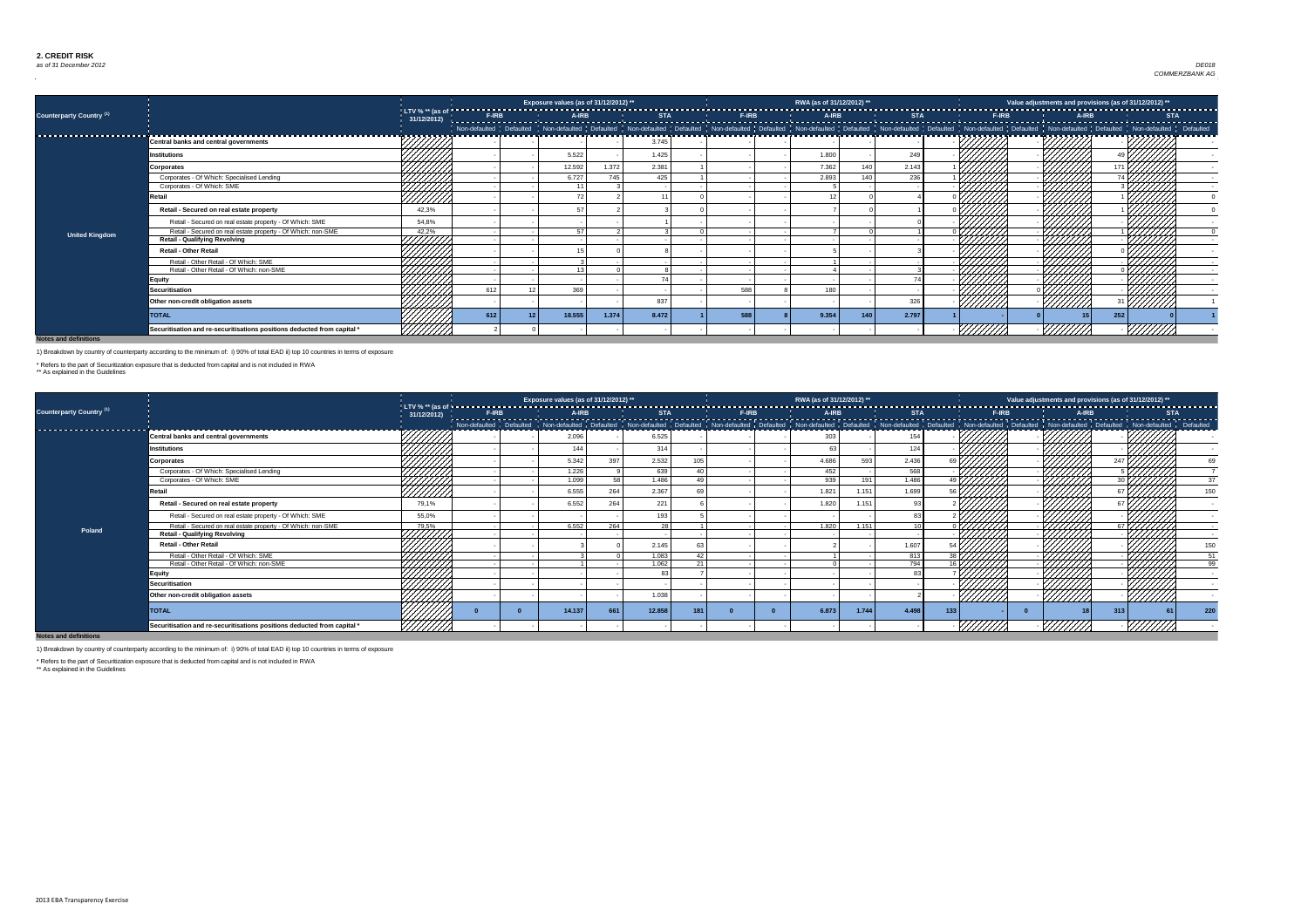### *as of 31 December 2012* Dez 12 Country 0 Exposure 0 *DE018 COMMERZBANK AG*

**Notes and definitions**

|                                     |                                                                         |        |     | Exposure values (as of 31/12/2012) ** |       |       |     | RWA (as of 31/12/2012) ** |     |       |                |        | Value adjustments and provisions (as of 31/12/2012) ** |  |
|-------------------------------------|-------------------------------------------------------------------------|--------|-----|---------------------------------------|-------|-------|-----|---------------------------|-----|-------|----------------|--------|--------------------------------------------------------|--|
| Counterparty Country <sup>(1)</sup> |                                                                         |        |     |                                       |       |       |     |                           |     |       |                |        |                                                        |  |
|                                     |                                                                         |        |     |                                       |       |       |     |                           |     |       |                |        |                                                        |  |
|                                     | Central banks and central governments                                   |        |     |                                       |       | 3.745 |     |                           |     |       |                |        |                                                        |  |
|                                     | <b>Institutions</b>                                                     | 444444 |     | 5.522                                 |       | 1.425 |     | 1.800                     |     | 249   |                |        |                                                        |  |
|                                     | <b>Corporates</b>                                                       |        |     | 12.592                                | 1.372 | 2.381 |     | 7.362                     | 140 | 2.143 |                |        |                                                        |  |
|                                     | Corporates - Of Which: Specialised Lending                              |        |     | 6.727                                 | 745   | 425   |     | 2.893                     | 140 | 236   |                |        |                                                        |  |
|                                     | Corporates - Of Which: SME                                              |        |     |                                       |       |       |     |                           |     |       |                | 444411 |                                                        |  |
|                                     | Retail                                                                  |        |     |                                       |       |       |     |                           |     |       |                |        |                                                        |  |
|                                     | Retail - Secured on real estate property                                | 42,3%  |     |                                       |       |       |     |                           |     |       |                |        |                                                        |  |
|                                     | Retail - Secured on real estate property - Of Which: SME                | 54,8%  |     |                                       |       |       |     |                           |     |       |                |        |                                                        |  |
| <b>United Kingdom</b>               | Retail - Secured on real estate property - Of Which: non-SME            | 42,2%  |     | E7                                    |       |       |     |                           |     |       |                |        |                                                        |  |
|                                     | <b>Retail - Qualifying Revolving</b>                                    | +HHH++ |     |                                       |       |       |     |                           |     |       |                |        |                                                        |  |
|                                     | <b>Retail - Other Retail</b>                                            |        |     |                                       |       |       |     |                           |     |       |                |        |                                                        |  |
|                                     | Retail - Other Retail - Of Which: SME                                   |        |     |                                       |       |       |     |                           |     |       |                |        |                                                        |  |
|                                     | Retail - Other Retail - Of Which: non-SME                               |        |     | $\sqrt{2}$                            |       |       |     |                           |     |       |                |        |                                                        |  |
|                                     | <b>Equity</b>                                                           |        |     |                                       |       |       |     |                           |     |       |                |        |                                                        |  |
|                                     | <b>Securitisation</b>                                                   |        | 612 | 369                                   |       |       | 588 | 180                       |     |       |                |        |                                                        |  |
|                                     | Other non-credit obligation assets                                      |        |     |                                       |       | 837   |     |                           |     | 326   | <u>///////</u> |        | ' <u>UWW</u>                                           |  |
|                                     | <b>TOTAL</b>                                                            |        | 612 | 18.555                                | 1.374 | 8.472 | 588 | 9.354                     | 140 | 2.797 |                |        | 252                                                    |  |
|                                     | Securitisation and re-securitisations positions deducted from capital * |        |     |                                       |       |       |     |                           |     |       |                | 777,   |                                                        |  |

|                                     |                                                                         |                         |              |        | Exposure values (as of 31/12/2012) ** |            |                 |       | RWA (as of 31/12/2012) ** |       |            |       |              |                                    | Value adjustments and provisions (as of $31/12/2012)$ **                                                                                                                                                                                                                                                                                                                                                                          |                 |
|-------------------------------------|-------------------------------------------------------------------------|-------------------------|--------------|--------|---------------------------------------|------------|-----------------|-------|---------------------------|-------|------------|-------|--------------|------------------------------------|-----------------------------------------------------------------------------------------------------------------------------------------------------------------------------------------------------------------------------------------------------------------------------------------------------------------------------------------------------------------------------------------------------------------------------------|-----------------|
| Counterparty Country <sup>(1)</sup> |                                                                         | 31/12/2012              | <b>F-IRB</b> | A-IRB  |                                       | <b>STA</b> |                 | F-IRB | A-IRB                     |       | <b>STA</b> |       | <b>F-IRB</b> | A-IRB                              |                                                                                                                                                                                                                                                                                                                                                                                                                                   | <b>STA</b>      |
|                                     |                                                                         |                         |              |        |                                       |            |                 |       |                           |       |            |       |              |                                    |                                                                                                                                                                                                                                                                                                                                                                                                                                   |                 |
|                                     | <b>Central banks and central governments</b>                            |                         |              | 2.096  |                                       | 6.525      |                 |       | 303                       |       | 154        |       |              |                                    |                                                                                                                                                                                                                                                                                                                                                                                                                                   |                 |
|                                     | <b>Institutions</b>                                                     |                         |              | 144    |                                       | 314        |                 |       |                           |       | 124        |       |              |                                    |                                                                                                                                                                                                                                                                                                                                                                                                                                   |                 |
|                                     | <b>Corporates</b>                                                       | <del>-+</del> ///////** |              | 5.342  | 397                                   | 2.532      |                 |       | 4.686                     | 593   | 2.436      |       |              |                                    |                                                                                                                                                                                                                                                                                                                                                                                                                                   |                 |
|                                     | Corporates - Of Which: Specialised Lending                              | HAHH<br>HAHHH           |              | 1.226  |                                       | 639        | $\sqrt{2}$      |       | 452                       |       | 568        |       |              |                                    |                                                                                                                                                                                                                                                                                                                                                                                                                                   |                 |
|                                     | Corporates - Of Which: SME                                              |                         |              | 1.099  | 58                                    | 1.486      | 49 <sub>l</sub> |       | 939                       | 191   | 1.486      |       |              | :HH                                |                                                                                                                                                                                                                                                                                                                                                                                                                                   | 37              |
|                                     | <b>ctail</b>                                                            | <u>///////</u>          |              | 6.555  | 264                                   | 2.367      |                 |       | 1.821                     | 1.151 | 1.699      |       | 444444       |                                    |                                                                                                                                                                                                                                                                                                                                                                                                                                   | 150             |
|                                     | Retail - Secured on real estate property                                | 79,1%                   |              | 6.552  | 264                                   | 221        |                 |       | 1.820                     | 1.151 | 93         |       |              |                                    | 7777777                                                                                                                                                                                                                                                                                                                                                                                                                           |                 |
|                                     | Retail - Secured on real estate property - Of Which: SME                | 55,0%                   |              |        |                                       | 193        |                 |       |                           |       | 83         |       |              |                                    |                                                                                                                                                                                                                                                                                                                                                                                                                                   |                 |
| Poland                              | Retail - Secured on real estate property - Of Which: non-SME            | 79,5%                   |              | 6.552  | 264                                   | 28         |                 |       | 1.820                     | 1.151 |            |       |              |                                    | $\overline{ }$ $\overline{ }$ $\overline{ }$ $\overline{ }$ $\overline{ }$ $\overline{ }$ $\overline{ }$ $\overline{ }$ $\overline{ }$ $\overline{ }$ $\overline{ }$ $\overline{ }$ $\overline{ }$ $\overline{ }$ $\overline{ }$ $\overline{ }$ $\overline{ }$ $\overline{ }$ $\overline{ }$ $\overline{ }$ $\overline{ }$ $\overline{ }$ $\overline{ }$ $\overline{ }$ $\overline{ }$ $\overline{ }$ $\overline{ }$ $\overline{$ |                 |
|                                     | <b>Retail - Qualifying Revolving</b>                                    | FHHHH,                  |              |        |                                       |            |                 |       |                           |       |            |       |              |                                    |                                                                                                                                                                                                                                                                                                                                                                                                                                   |                 |
|                                     | <b>Retail - Other Retail</b>                                            |                         |              |        |                                       | 2.145      |                 |       |                           |       | 1.607      |       |              |                                    |                                                                                                                                                                                                                                                                                                                                                                                                                                   | 150             |
|                                     | Retail - Other Retail - Of Which: SME                                   | HAHA<br>HAHAHA          |              |        |                                       | 1.083      | $\Delta$ 2      |       |                           |       | 813        | 39 L. |              | 77777777                           |                                                                                                                                                                                                                                                                                                                                                                                                                                   | 51              |
|                                     | Retail - Other Retail - Of Which: non-SME                               |                         |              |        |                                       | 1.062      | 21              |       |                           |       | 794        |       |              | 44444                              |                                                                                                                                                                                                                                                                                                                                                                                                                                   | $\overline{99}$ |
|                                     | <b>Equity</b>                                                           | 44444                   |              |        |                                       | -83        |                 |       |                           |       | 83         |       |              |                                    |                                                                                                                                                                                                                                                                                                                                                                                                                                   |                 |
|                                     | <b>Securitisation</b>                                                   |                         |              |        |                                       |            |                 |       |                           |       |            |       |              |                                    |                                                                                                                                                                                                                                                                                                                                                                                                                                   |                 |
|                                     | Other non-credit obligation assets                                      |                         |              |        |                                       | 1.038      |                 |       |                           |       |            |       | 777777       | $\overline{\mathscr{H}}$<br>777777 | //////                                                                                                                                                                                                                                                                                                                                                                                                                            |                 |
|                                     | <b>TOTAL</b>                                                            |                         |              | 14.137 | 661                                   | 12.858     |                 |       | 6.873                     | 1.744 | 4.498      | 133   |              |                                    | 313                                                                                                                                                                                                                                                                                                                                                                                                                               | 220             |
|                                     | Securitisation and re-securitisations positions deducted from capital * | <u> Hittill</u>         |              |        |                                       |            |                 |       |                           |       |            |       |              |                                    |                                                                                                                                                                                                                                                                                                                                                                                                                                   |                 |

**Notes and definitions**

\*\* As explained in the Guidelines

1) Breakdown by country of counterparty according to the minimum of: i) 90% of total EAD ii) top 10 countries in terms of exposure

\* Refers to the part of Securitization exposure that is deducted from capital and is not included in RWA

1) Breakdown by country of counterparty according to the minimum of: i) 90% of total EAD ii) top 10 countries in terms of exposure

\* Refers to the part of Securitization exposure that is deducted from capital and is not included in RWA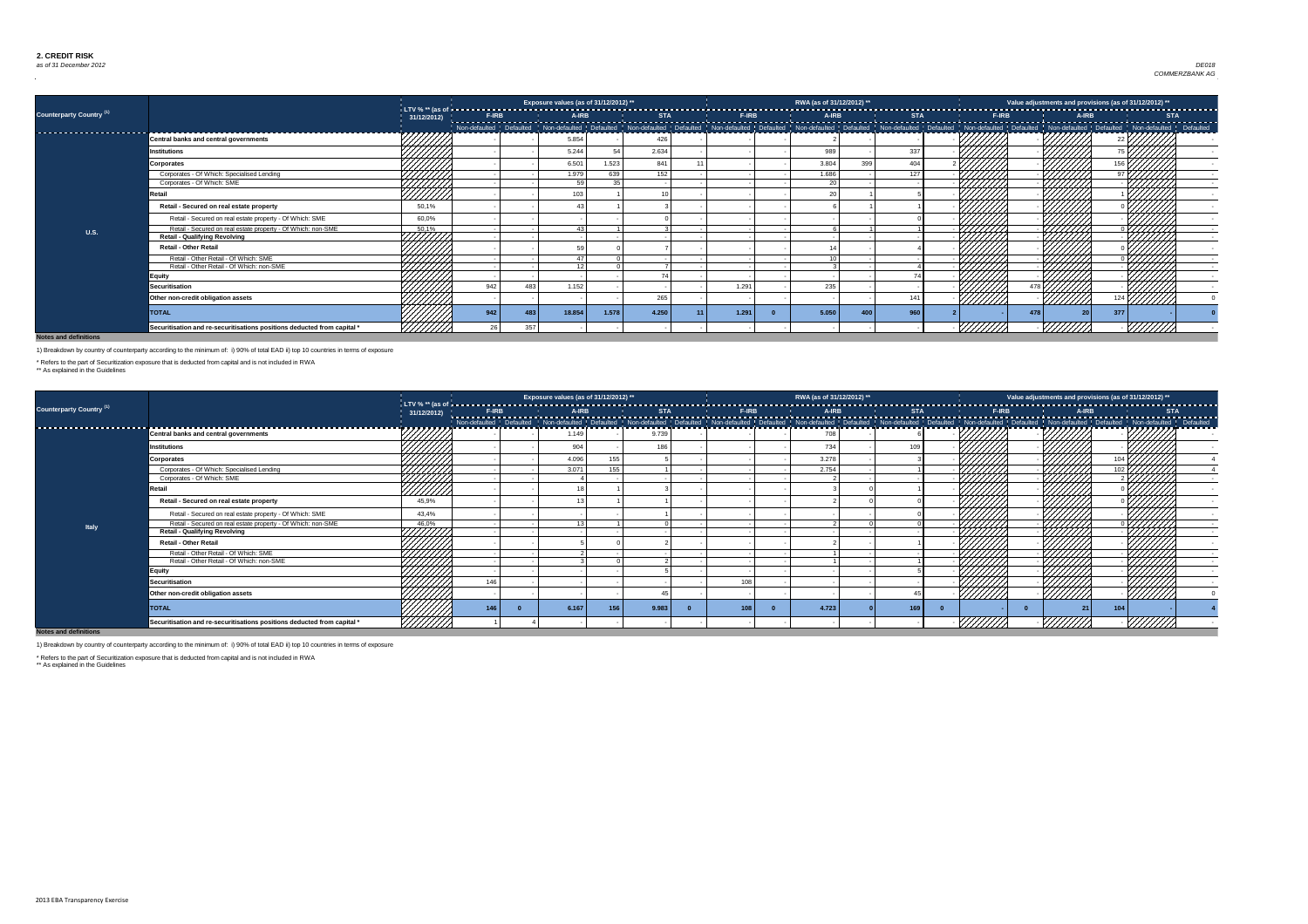

|                                     |                                                                         |                           |     |                 | Exposure values (as of 31/12/2012) ** |       |       |       | RWA (as of 31/12/2012) ** |     |     |                |     |      | Value adjustments and provisions (as of 31/12/2012) **                                                                                                                                                                         |  |
|-------------------------------------|-------------------------------------------------------------------------|---------------------------|-----|-----------------|---------------------------------------|-------|-------|-------|---------------------------|-----|-----|----------------|-----|------|--------------------------------------------------------------------------------------------------------------------------------------------------------------------------------------------------------------------------------|--|
| Counterparty Country <sup>(1)</sup> |                                                                         | 31/12/2012)               |     |                 |                                       |       |       |       |                           |     |     |                |     |      |                                                                                                                                                                                                                                |  |
|                                     |                                                                         |                           |     |                 |                                       |       |       |       |                           |     |     |                |     |      | response to the state of the state of the state of the state of the state of the state of the state of the state of the state of the state of the state of the state of the state of the state of the state of the state of th |  |
|                                     | <b>Central banks and central governments</b>                            |                           |     |                 | 5.854                                 |       | 42    |       |                           |     |     |                |     |      |                                                                                                                                                                                                                                |  |
|                                     | <b>Institutions</b>                                                     |                           |     |                 | 5.244                                 |       | 2.634 |       | 989                       |     | 337 |                |     |      |                                                                                                                                                                                                                                |  |
|                                     | <b>Corporates</b>                                                       |                           |     |                 | 6.501                                 | 1.523 | 841   |       | 3.804                     | 399 | 404 |                |     |      |                                                                                                                                                                                                                                |  |
|                                     | Corporates - Of Which: Specialised Lending                              |                           |     |                 | 1.979                                 | 639   | 152   |       | 1.686                     |     | 127 |                |     |      |                                                                                                                                                                                                                                |  |
|                                     | Corporates - Of Which: SME                                              |                           |     |                 | <b>EQ</b>                             | っち    |       |       | - 20                      |     |     |                |     |      |                                                                                                                                                                                                                                |  |
|                                     | <b>Retail</b>                                                           | HHH<br>HHH                |     |                 | 103                                   |       |       |       |                           |     |     |                |     |      |                                                                                                                                                                                                                                |  |
|                                     | Retail - Secured on real estate property                                | 50,1%                     |     |                 |                                       |       |       |       |                           |     |     |                |     |      |                                                                                                                                                                                                                                |  |
|                                     | Retail - Secured on real estate property - Of Which: SME                | 60,0%                     |     |                 |                                       |       |       |       |                           |     |     |                |     |      |                                                                                                                                                                                                                                |  |
| <b>U.S.</b>                         | Retail - Secured on real estate property - Of Which: non-SME            | 50,1%                     |     |                 |                                       |       |       |       |                           |     |     |                |     |      |                                                                                                                                                                                                                                |  |
|                                     | <b>Retail - Qualifying Revolving</b>                                    | HHHH                      |     |                 |                                       |       |       |       |                           |     |     |                |     |      |                                                                                                                                                                                                                                |  |
|                                     | <b>Retail - Other Retail</b>                                            |                           |     |                 |                                       |       |       |       |                           |     |     |                |     |      |                                                                                                                                                                                                                                |  |
|                                     | Retail - Other Retail - Of Which: SME                                   | ,,,,,,,,,<br>,,,,,,,,,,,, |     |                 | $\overline{A}$                        |       |       |       |                           |     |     |                |     | 444, | 1777                                                                                                                                                                                                                           |  |
|                                     | Retail - Other Retail - Of Which: non-SME                               |                           |     |                 | $\overline{A}$                        |       |       |       |                           |     |     |                |     |      |                                                                                                                                                                                                                                |  |
|                                     | Equity                                                                  |                           |     |                 |                                       |       |       |       |                           |     |     |                |     |      |                                                                                                                                                                                                                                |  |
|                                     | <b>Securitisation</b>                                                   |                           | 942 | 483             | 1.152                                 |       |       | 1.291 | 235                       |     |     |                |     |      |                                                                                                                                                                                                                                |  |
|                                     | Other non-credit obligation assets                                      |                           |     |                 |                                       |       | 265   |       |                           |     | 141 | <u>///////</u> |     |      | <u>///////</u>                                                                                                                                                                                                                 |  |
|                                     | <b>TOTAL</b>                                                            | 4111111.                  | 942 | $\overline{AB}$ | 18.854                                | 1.578 | 4.250 | 1.291 | 5.050                     | 400 | 960 |                | 478 |      | 377                                                                                                                                                                                                                            |  |
|                                     | Securitisation and re-securitisations positions deducted from capital * |                           |     | 357             |                                       |       |       |       |                           |     |     |                |     |      |                                                                                                                                                                                                                                |  |

|                                     |                                                                         |                  |              | Exposure values (as of 31/12/2012) ** |     |            |                                                                                                                                                                                                                                | RWA (as of 31/12/2012) ** |            |  |              |      |       | Value adjustments and provisions (as of 31/12/2012) ** |  |
|-------------------------------------|-------------------------------------------------------------------------|------------------|--------------|---------------------------------------|-----|------------|--------------------------------------------------------------------------------------------------------------------------------------------------------------------------------------------------------------------------------|---------------------------|------------|--|--------------|------|-------|--------------------------------------------------------|--|
| Counterparty Country <sup>(1)</sup> |                                                                         | 31/12/2012)      | <b>F-IRB</b> | A-IRB                                 |     | <b>STA</b> | <b>F-IRB</b>                                                                                                                                                                                                                   | A-IRB                     | <b>STA</b> |  | <b>F-IRB</b> |      | A-IRB | <b>STA</b>                                             |  |
|                                     |                                                                         | (アフェアフェアフェア)     |              |                                       |     |            | Non-defaulted   Defaulted   Non-defaulted   Non-defaulted   Defaulted   Non-defaulted   Non-defaulted   Non-defaulted   Non-defaulted   Non-defaulted   Non-defaulted   Non-defaulted   Non-defaulted   Non-defaulted   Non-de |                           |            |  |              |      |       |                                                        |  |
|                                     | <b>Central banks and central governments</b>                            |                  |              | 1.149                                 |     | 9.739      |                                                                                                                                                                                                                                |                           |            |  |              |      |       |                                                        |  |
|                                     | Institutions                                                            |                  |              | 904                                   |     | 186        |                                                                                                                                                                                                                                | 734                       | 109        |  |              |      |       |                                                        |  |
|                                     | <b>Corporates</b>                                                       |                  |              | 4.096                                 | 155 |            |                                                                                                                                                                                                                                | 3.278                     |            |  |              |      |       |                                                        |  |
|                                     | Corporates - Of Which: Specialised Lending                              | 44444            |              | 3.071                                 | 155 |            |                                                                                                                                                                                                                                | 2.754                     |            |  |              |      |       |                                                        |  |
|                                     | Corporates - Of Which: SME                                              | HHH).            |              |                                       |     |            |                                                                                                                                                                                                                                |                           |            |  |              |      |       |                                                        |  |
|                                     | <b>Retail</b>                                                           | ////////         |              |                                       |     |            |                                                                                                                                                                                                                                |                           |            |  |              |      |       |                                                        |  |
|                                     | Retail - Secured on real estate property                                | 45,9%            |              |                                       |     |            |                                                                                                                                                                                                                                |                           |            |  |              |      |       |                                                        |  |
|                                     | Retail - Secured on real estate property - Of Which: SME                | 43,4%            |              |                                       |     |            |                                                                                                                                                                                                                                |                           |            |  |              |      |       |                                                        |  |
| <b>Italy</b>                        | Retail - Secured on real estate property - Of Which: non-SME            | 46,0%            |              |                                       |     |            |                                                                                                                                                                                                                                |                           |            |  |              | 7777 |       |                                                        |  |
|                                     | <b>Retail - Qualifying Revolving</b>                                    | 7777777<br>44444 |              |                                       |     |            |                                                                                                                                                                                                                                |                           |            |  |              |      |       |                                                        |  |
|                                     | <b>Retail - Other Retail</b>                                            |                  |              |                                       |     |            |                                                                                                                                                                                                                                |                           |            |  |              |      |       |                                                        |  |
|                                     | Retail - Other Retail - Of Which: SME                                   | ,,,,,,,,,,       |              |                                       |     |            |                                                                                                                                                                                                                                |                           |            |  |              |      |       |                                                        |  |
|                                     | Retail - Other Retail - Of Which: non-SME                               |                  |              |                                       |     |            |                                                                                                                                                                                                                                |                           |            |  |              |      |       |                                                        |  |
|                                     | Equity                                                                  |                  |              |                                       |     |            |                                                                                                                                                                                                                                |                           |            |  |              |      |       |                                                        |  |
|                                     | <b>Securitisation</b>                                                   |                  | 146          |                                       |     |            | 108                                                                                                                                                                                                                            |                           |            |  |              |      |       |                                                        |  |
|                                     | Other non-credit obligation assets                                      |                  |              |                                       |     |            |                                                                                                                                                                                                                                |                           |            |  |              |      |       | 777777                                                 |  |
|                                     | <b>TOTAL</b>                                                            |                  | 14           | 6.167                                 | 156 | 9.983      | 108                                                                                                                                                                                                                            | 4.723                     | 169        |  |              |      | 104   |                                                        |  |
| Naton and definitions               | Securitisation and re-securitisations positions deducted from capital * | <u> XIIIIII</u>  |              |                                       |     |            |                                                                                                                                                                                                                                |                           |            |  |              | 7777 |       |                                                        |  |

**Notes and definitions**

1) Breakdown by country of counterparty according to the minimum of: i) 90% of total EAD ii) top 10 countries in terms of exposure

\* Refers to the part of Securitization exposure that is deducted from capital and is not included in RWA

\*\* As explained in the Guidelines

1) Breakdown by country of counterparty according to the minimum of: i) 90% of total EAD ii) top 10 countries in terms of exposure

\* Refers to the part of Securitization exposure that is deducted from capital and is not included in RWA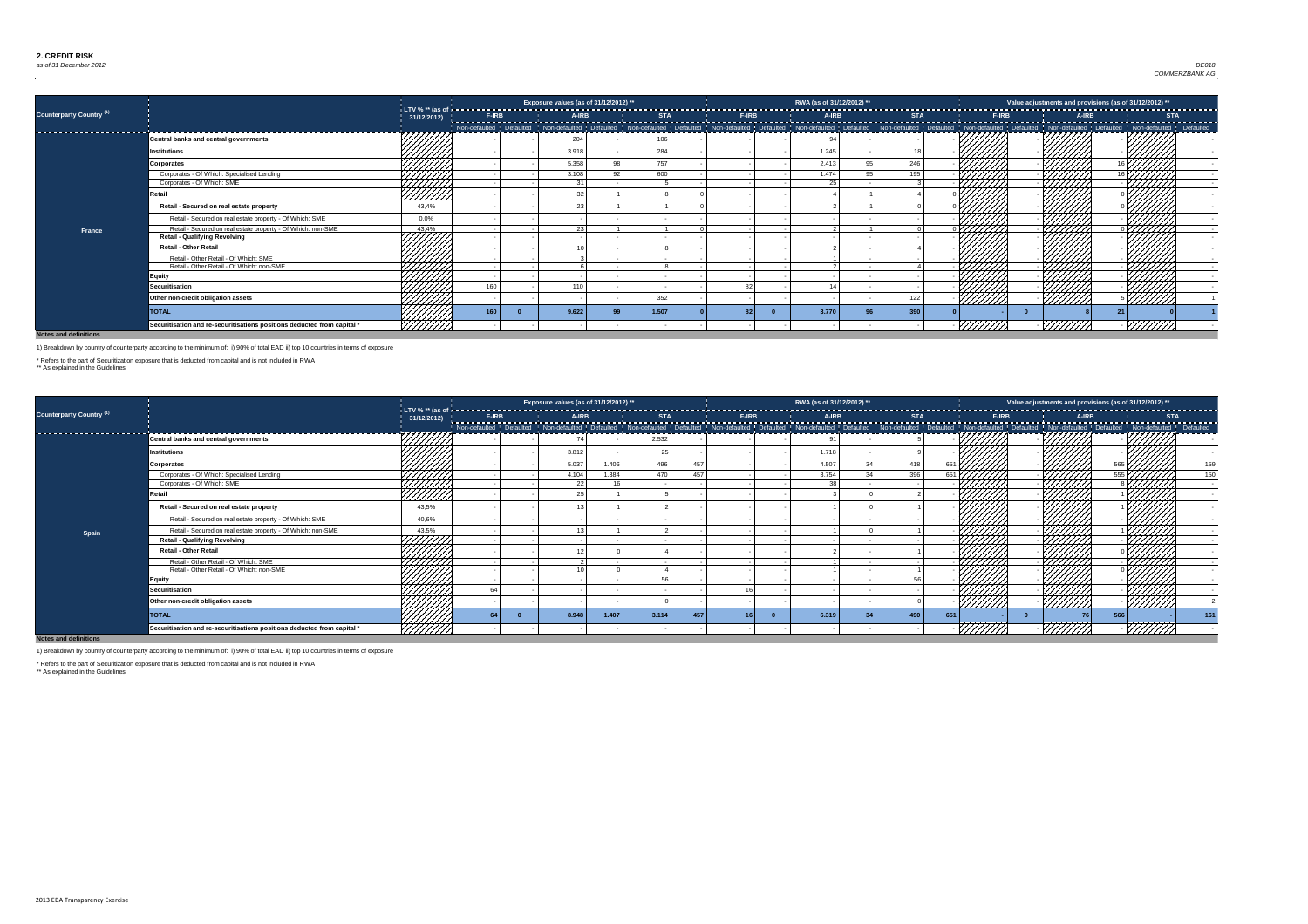

|                                     |                                                                         |                         |     | Exposure values (as of 31/12/2012) **                                                                                                                                                                                        |       |                 | RWA (as of 31/12/2012) ** |     |          |                | Value adjustments and provisions (as of 31/12/2012) ** |  |
|-------------------------------------|-------------------------------------------------------------------------|-------------------------|-----|------------------------------------------------------------------------------------------------------------------------------------------------------------------------------------------------------------------------------|-------|-----------------|---------------------------|-----|----------|----------------|--------------------------------------------------------|--|
| Counterparty Country <sup>(1)</sup> |                                                                         |                         |     |                                                                                                                                                                                                                              |       |                 |                           |     |          |                |                                                        |  |
|                                     |                                                                         |                         |     | Non-defaulted   Defaulted   Non-defaulted   Defaulted   Non-defaulted   Non-defaulted   Non-defaulted   Non-defaulted   Non-defaulted   Non-defaulted   Non-defaulted   Non-defaulted   Non-defaulted   Non-defaulted   Non- |       |                 |                           |     |          |                |                                                        |  |
| ----------------------------        | <b>Central banks and central governments</b>                            | 77777777                |     | 204                                                                                                                                                                                                                          | 106   |                 |                           |     |          |                |                                                        |  |
|                                     | Institutions                                                            | HHHH                    |     | 3.918                                                                                                                                                                                                                        | 284   |                 | 1.245                     |     |          |                |                                                        |  |
|                                     | <b>Corporates</b>                                                       |                         |     | 5.358                                                                                                                                                                                                                        | 757   |                 | 2.413                     | 246 |          |                |                                                        |  |
|                                     | Corporates - Of Which: Specialised Lending                              |                         |     | 3.108                                                                                                                                                                                                                        | 600   |                 | 1.474                     | 195 |          |                |                                                        |  |
|                                     | Corporates - Of Which: SME                                              |                         |     | $\Omega$                                                                                                                                                                                                                     |       |                 | 25                        |     |          |                |                                                        |  |
|                                     | Retail                                                                  | UMM.                    |     |                                                                                                                                                                                                                              |       |                 |                           |     |          |                |                                                        |  |
|                                     | Retail - Secured on real estate property                                | 43,4%                   |     |                                                                                                                                                                                                                              |       |                 |                           |     |          |                |                                                        |  |
|                                     | Retail - Secured on real estate property - Of Which: SME                | 0,0%                    |     |                                                                                                                                                                                                                              |       |                 |                           |     |          |                |                                                        |  |
| <b>France</b>                       | Retail - Secured on real estate property - Of Which: non-SME            |                         |     | ററ I                                                                                                                                                                                                                         |       |                 |                           |     |          | 4444           |                                                        |  |
|                                     | <b>Retail - Qualifying Revolving</b>                                    | $\frac{43.4\%}{111111}$ |     |                                                                                                                                                                                                                              |       |                 |                           |     |          |                |                                                        |  |
|                                     | <b>Retail - Other Retail</b>                                            |                         |     |                                                                                                                                                                                                                              |       |                 |                           |     |          |                |                                                        |  |
|                                     | Retail - Other Retail - Of Which: SME                                   | HHHH                    |     |                                                                                                                                                                                                                              |       |                 |                           |     |          |                |                                                        |  |
|                                     | Retail - Other Retail - Of Which: non-SME                               | 44444                   |     |                                                                                                                                                                                                                              |       |                 |                           |     |          |                |                                                        |  |
|                                     | <b>Equity</b>                                                           |                         |     |                                                                                                                                                                                                                              |       |                 |                           |     |          |                |                                                        |  |
|                                     | <b>Securitisation</b>                                                   |                         | 160 | 110                                                                                                                                                                                                                          |       |                 |                           |     |          |                |                                                        |  |
|                                     | Other non-credit obligation assets                                      | ////////                |     |                                                                                                                                                                                                                              | 352   |                 |                           | 122 | ///////  | <u>VIIIII.</u> | 777777                                                 |  |
|                                     | <b>TOTAL</b>                                                            | 777777,                 | 160 | 9.622                                                                                                                                                                                                                        | 1.507 | 82 <sup>1</sup> | 3.770                     | 390 |          |                |                                                        |  |
|                                     | Securitisation and re-securitisations positions deducted from capital * | 9777777                 |     |                                                                                                                                                                                                                              |       |                 |                           |     | 7777777X | <i>ШШЛЛ</i>    | - <i>VIIIIII</i>                                       |  |

|                                 |                                                                         |                   |              | Exposure values (as of 31/12/2012) ** |       |            |     |              | RWA (as of 31/12/2012) ** |            |               |                |              |        | Value adjustments and provisions (as of 31/12/2012) ** |                  |
|---------------------------------|-------------------------------------------------------------------------|-------------------|--------------|---------------------------------------|-------|------------|-----|--------------|---------------------------|------------|---------------|----------------|--------------|--------|--------------------------------------------------------|------------------|
| <b>Counterparty Country (1)</b> |                                                                         | 31/12/2012)       | <b>F-IRB</b> | A-IRB                                 |       | <b>STA</b> |     | <b>F-IRB</b> | A-IRB                     | <b>STA</b> |               |                | <b>F-IRB</b> | A-IRB  | <b>STA</b>                                             | ---------------- |
| ------------------------        |                                                                         | マフフフフフフつ          |              |                                       |       |            |     |              |                           |            |               |                |              |        |                                                        |                  |
|                                 | <b>Central banks and central governments</b>                            |                   |              |                                       |       | 2.532      |     |              |                           |            |               |                |              |        |                                                        |                  |
|                                 | <b>Institutions</b>                                                     |                   |              | 3.812                                 |       |            |     |              | 1.718                     |            |               |                |              |        |                                                        |                  |
|                                 | Corporates                                                              |                   |              | 5.037                                 | 1.406 | 496        | 457 |              | 4.507                     | 418        | 651           |                |              |        |                                                        | 159              |
|                                 | Corporates - Of Which: Specialised Lending                              | 444444            |              | 4.104                                 | 1.384 | 470        | 457 |              | 3.754                     | 396        | 651 $\lfloor$ |                |              |        | 555                                                    | 150              |
|                                 | Corporates - Of Which: SME                                              |                   |              | 22                                    |       |            |     |              | ົດ                        |            |               |                |              |        |                                                        |                  |
|                                 | <b>Retail</b>                                                           | HIIII)<br>IIIIII) |              |                                       |       |            |     |              |                           |            |               |                |              |        |                                                        |                  |
|                                 | Retail - Secured on real estate property                                | 43,5%             |              |                                       |       |            |     |              |                           |            |               |                |              |        | 77777                                                  |                  |
|                                 | Retail - Secured on real estate property - Of Which: SME                | 40,6%             |              |                                       |       |            |     |              |                           |            |               |                |              |        |                                                        |                  |
| Spain                           | Retail - Secured on real estate property - Of Which: non-SME            | 43,5%             |              |                                       |       |            |     |              |                           |            |               |                |              |        |                                                        |                  |
|                                 | <b>Retail - Qualifying Revolving</b>                                    | 7777777           |              |                                       |       |            |     |              |                           |            |               |                |              |        |                                                        |                  |
|                                 | <b>Retail - Other Retail</b>                                            |                   |              |                                       |       |            |     |              |                           |            |               |                |              |        |                                                        |                  |
|                                 | Retail - Other Retail - Of Which: SME                                   | HIIII.            |              |                                       |       |            |     |              |                           |            |               |                |              |        |                                                        |                  |
|                                 | Retail - Other Retail - Of Which: non-SME                               |                   |              |                                       |       |            |     |              |                           |            |               |                |              |        |                                                        |                  |
|                                 | <b>Equity</b>                                                           |                   |              |                                       |       |            |     |              |                           |            |               |                |              |        |                                                        |                  |
|                                 | <b>Securitisation</b>                                                   |                   |              |                                       |       |            |     |              |                           |            |               |                |              |        |                                                        |                  |
|                                 | Other non-credit obligation assets                                      |                   |              |                                       |       |            |     |              |                           |            |               | <u>///////</u> |              |        | ''UШv                                                  |                  |
|                                 | <b>TOTAL</b>                                                            | 44444             |              | 8.948                                 | 1.407 | 3.114      |     |              | 6.319                     | 490        |               |                |              |        | 566                                                    | 161              |
|                                 | Securitisation and re-securitisations positions deducted from capital * | /////////         |              |                                       |       |            |     |              |                           |            |               |                |              | 77777. | 77777777                                               |                  |

**Notes and definitions**

1) Breakdown by country of counterparty according to the minimum of: i) 90% of total EAD ii) top 10 countries in terms of exposure

\* Refers to the part of Securitization exposure that is deducted from capital and is not included in RWA

\*\* As explained in the Guidelines

1) Breakdown by country of counterparty according to the minimum of: i) 90% of total EAD ii) top 10 countries in terms of exposure

\* Refers to the part of Securitization exposure that is deducted from capital and is not included in RWA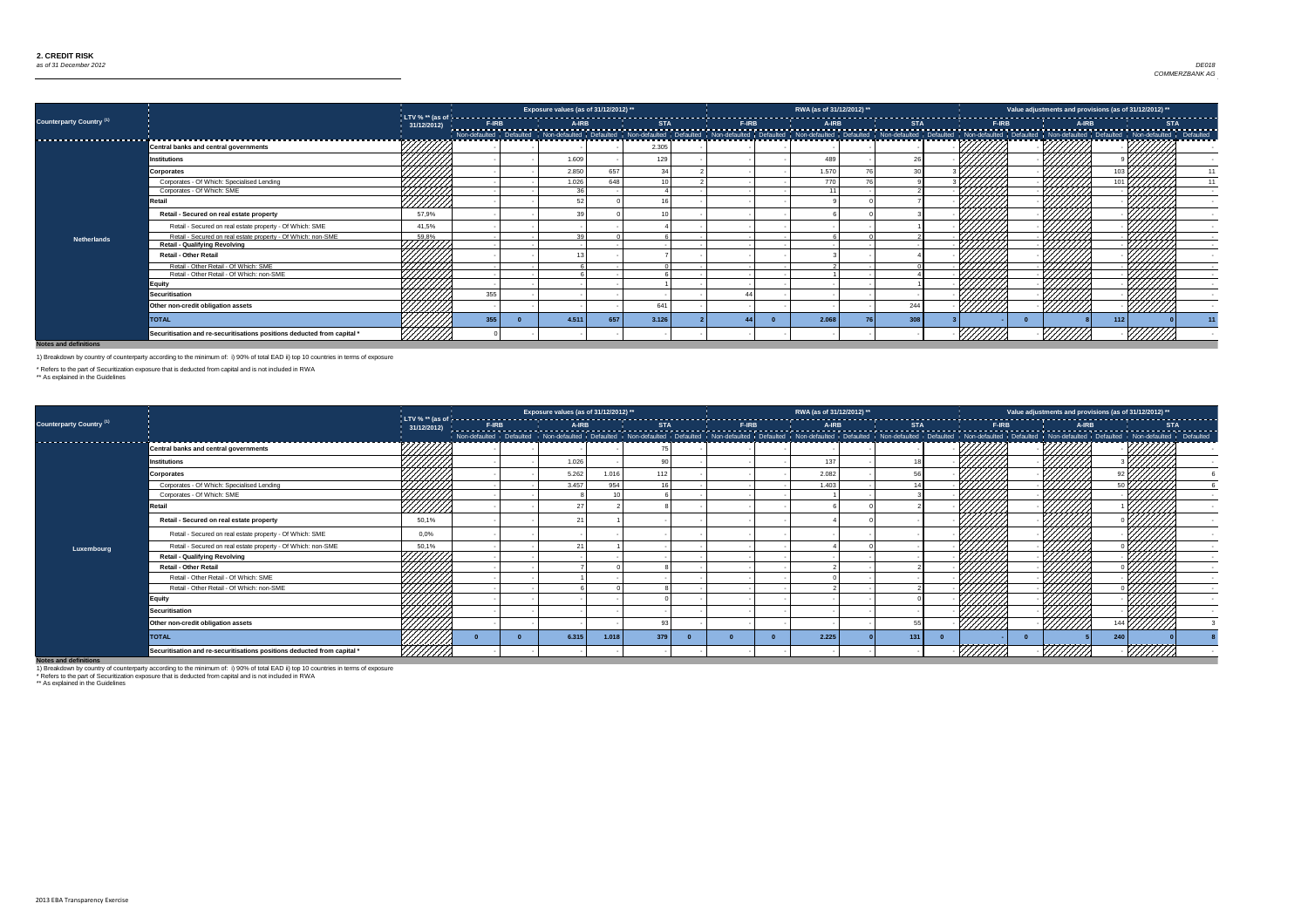### *as of 31 December 2012* Dez 12 Country 0 Exposure 0 *DE018 COMMERZBANK AG*

**Notes and definitions**

|                                     |                                                                         |            |     | Exposure values (as of 31/12/2012) ** |     |                 |  | RWA (as of 31/12/2012) ** |     |        |         | Value adjustments and provisions (as of 31/12/2012) ** |  |
|-------------------------------------|-------------------------------------------------------------------------|------------|-----|---------------------------------------|-----|-----------------|--|---------------------------|-----|--------|---------|--------------------------------------------------------|--|
| Counterparty Country <sup>(1)</sup> |                                                                         | 31/12/2012 |     |                                       |     |                 |  |                           |     |        |         |                                                        |  |
|                                     |                                                                         |            |     |                                       |     |                 |  |                           |     |        |         |                                                        |  |
|                                     | <b>Central banks and central governments</b>                            |            |     |                                       |     | 2.305           |  |                           |     |        |         |                                                        |  |
|                                     | <b>Institutions</b>                                                     |            |     | 1.609                                 |     | 12 <sub>3</sub> |  | 489                       |     |        |         |                                                        |  |
|                                     | <b>Corporates</b>                                                       |            |     | 2.850                                 | 657 |                 |  | 1.570                     |     |        |         |                                                        |  |
|                                     | Corporates - Of Which: Specialised Lending                              | 7777777    |     | 1.026                                 | 648 |                 |  | 770                       |     |        |         |                                                        |  |
|                                     | Corporates - Of Which: SME                                              | HHHT.      |     | 36                                    |     |                 |  |                           |     |        | /////   |                                                        |  |
|                                     | <b>Retail</b>                                                           | /////      |     |                                       |     |                 |  |                           |     |        |         |                                                        |  |
|                                     | Retail - Secured on real estate property                                | 57,9%      |     |                                       |     |                 |  |                           |     |        |         |                                                        |  |
|                                     | Retail - Secured on real estate property - Of Which: SME                | 41,5%      |     |                                       |     |                 |  |                           |     |        |         |                                                        |  |
| <b>Netherlands</b>                  | Retail - Secured on real estate property - Of Which: non-SME            | 59,8%      |     |                                       |     |                 |  |                           |     |        |         |                                                        |  |
|                                     | <b>Retail - Qualifying Revolving</b>                                    | HHHH       |     |                                       |     |                 |  |                           |     |        | VIII).  |                                                        |  |
|                                     | <b>Retail - Other Retail</b>                                            |            |     |                                       |     |                 |  |                           |     |        |         |                                                        |  |
|                                     | Retail - Other Retail - Of Which: SME                                   |            |     |                                       |     |                 |  |                           |     |        |         |                                                        |  |
|                                     | Retail - Other Retail - Of Which: non-SME                               |            |     |                                       |     |                 |  |                           |     |        |         |                                                        |  |
|                                     | <b>Equity</b>                                                           |            |     |                                       |     |                 |  |                           |     |        |         |                                                        |  |
|                                     | <b>Securitisation</b>                                                   |            | 355 |                                       |     |                 |  |                           |     |        |         |                                                        |  |
|                                     | Other non-credit obligation assets                                      |            |     |                                       |     | 641             |  |                           | 244 | ////// | /////// | //////                                                 |  |
|                                     | <b>TOTAL</b>                                                            |            | 355 | 4.511                                 | 657 | 3.126           |  | 2.068                     | 308 |        |         | 112                                                    |  |
|                                     | Securitisation and re-securitisations positions deducted from capital * |            |     |                                       |     |                 |  |                           |     |        |         |                                                        |  |

|                                     |                                                                         |               |  | Exposure values (as of 31/12/2012) ** |       |     |  | RWA (as of 31/12/2012) ** |     |         | Value adjustments and provisions (as of 31/12/2012) ** |  |
|-------------------------------------|-------------------------------------------------------------------------|---------------|--|---------------------------------------|-------|-----|--|---------------------------|-----|---------|--------------------------------------------------------|--|
| Counterparty Country <sup>(1)</sup> |                                                                         |               |  |                                       |       |     |  |                           |     |         |                                                        |  |
| --------------------------          |                                                                         |               |  |                                       |       |     |  |                           |     |         |                                                        |  |
|                                     | Central banks and central governments                                   |               |  |                                       |       |     |  |                           |     |         |                                                        |  |
|                                     | <b>Institutions</b>                                                     |               |  | 1.026                                 |       |     |  | 137                       |     |         |                                                        |  |
|                                     | <b>Corporates</b>                                                       |               |  | 5.262                                 | 1.016 | 112 |  | 2.082                     |     |         |                                                        |  |
|                                     | Corporates - Of Which: Specialised Lending                              |               |  | 3.457                                 | 954   |     |  | 1.403                     |     |         |                                                        |  |
|                                     | Corporates - Of Which: SME                                              | ///////       |  |                                       |       |     |  |                           |     |         |                                                        |  |
|                                     | Retail                                                                  | <u>//////</u> |  |                                       |       |     |  |                           |     |         |                                                        |  |
|                                     | Retail - Secured on real estate property                                | 50,1%         |  |                                       |       |     |  |                           |     |         |                                                        |  |
|                                     | Retail - Secured on real estate property - Of Which: SME                | 0,0%          |  |                                       |       |     |  |                           |     |         |                                                        |  |
| Luxembourg                          | Retail - Secured on real estate property - Of Which: non-SME            | 50,1%         |  |                                       |       |     |  |                           |     |         |                                                        |  |
|                                     | <b>Retail - Qualifying Revolving</b>                                    |               |  |                                       |       |     |  |                           |     |         |                                                        |  |
|                                     | <b>Retail - Other Retail</b>                                            | .<br>MMT      |  |                                       |       |     |  |                           |     |         |                                                        |  |
|                                     | Retail - Other Retail - Of Which: SME                                   |               |  |                                       |       |     |  |                           |     |         |                                                        |  |
|                                     | Retail - Other Retail - Of Which: non-SME                               | HHHH,         |  |                                       |       |     |  |                           |     |         |                                                        |  |
|                                     | <b>Equity</b>                                                           |               |  |                                       |       |     |  |                           |     |         |                                                        |  |
|                                     | <b>Securitisation</b>                                                   |               |  |                                       |       |     |  |                           |     |         |                                                        |  |
|                                     | Other non-credit obligation assets                                      |               |  |                                       |       |     |  |                           |     |         | 144 $\mathsf{l}$                                       |  |
|                                     | <b>TOTAL</b>                                                            |               |  | 6.315                                 | 1.018 | 379 |  | 2.225                     | 131 |         | 240                                                    |  |
| Natos and definitions               | Securitisation and re-securitisations positions deducted from capital * | ,,,,,,,,,,,   |  |                                       |       |     |  |                           |     | /////// |                                                        |  |

**Notes and definitions**

1) Breakdown by country of counterparty according to the minimum of: i) 90% of total EAD ii) top 10 countries in terms of exposure

\* Refers to the part of Securitization exposure that is deducted from capital and is not included in RWA

\*\* As explained in the Guidelines

1) Breakdown by country of counterparty according to the minimum of: i) 90% of total EAD ii) top 10 countries in terms of exposure

\* Refers to the part of Securitization exposure that is deducted from capital and is not included in RWA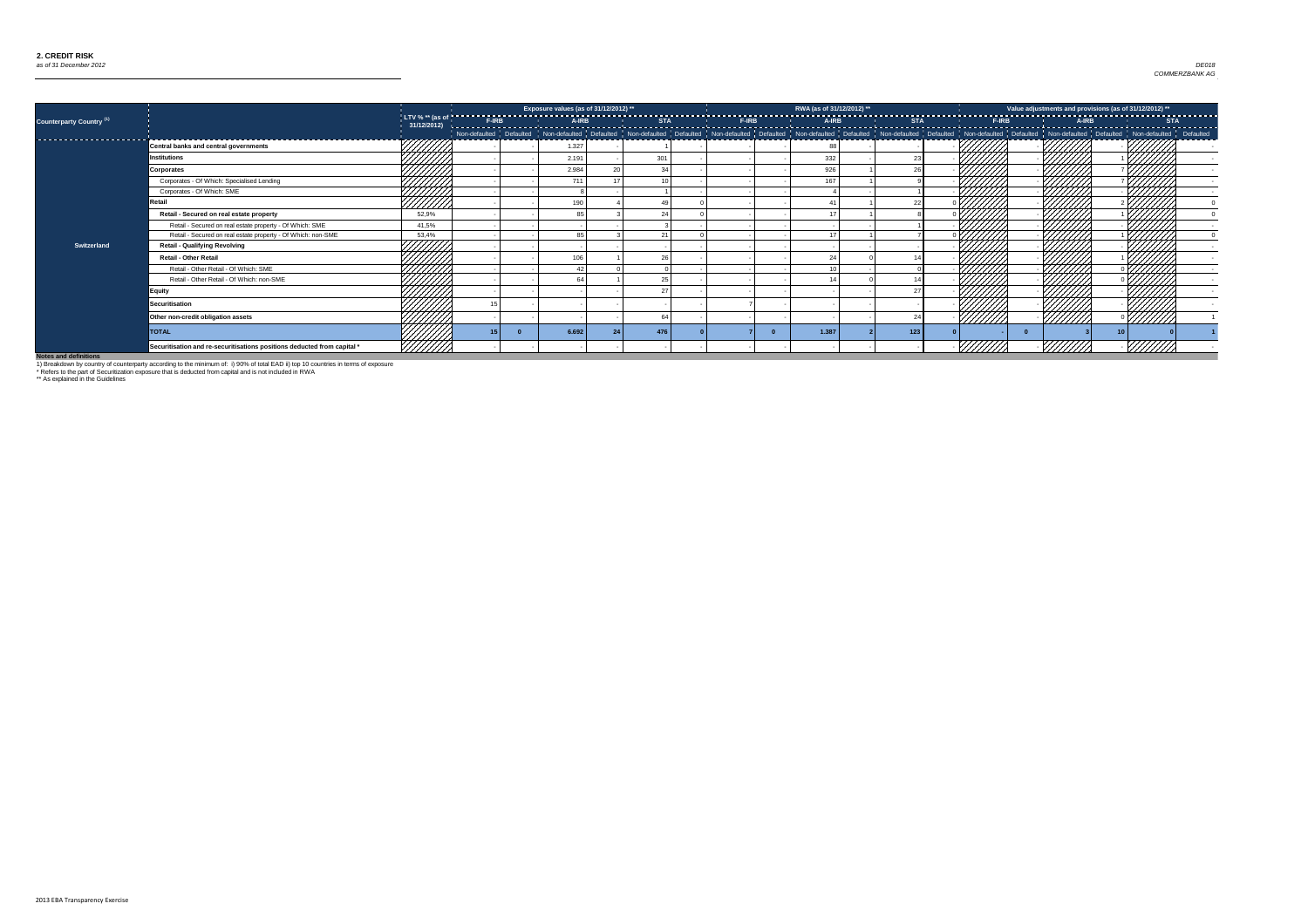

|                                     |                                                                         |                  | Exposure values (as of 31/12/2012) ** |     |  | RWA (as of 31/12/2012) ** |     |                | Value adjustments and provisions (as of 31/12/2012) ** |                 |
|-------------------------------------|-------------------------------------------------------------------------|------------------|---------------------------------------|-----|--|---------------------------|-----|----------------|--------------------------------------------------------|-----------------|
| Counterparty Country <sup>(1)</sup> |                                                                         |                  |                                       |     |  |                           |     |                |                                                        |                 |
|                                     |                                                                         |                  |                                       |     |  |                           |     |                |                                                        |                 |
|                                     | <b>Central banks and central governments</b>                            |                  | 1.327                                 |     |  |                           |     |                |                                                        |                 |
|                                     | <b>Institutions</b>                                                     | 7777777          | 2.191                                 | 301 |  | 332                       |     |                |                                                        |                 |
|                                     | <b>Corporates</b>                                                       |                  | 2.984                                 | 34  |  | 926                       |     |                |                                                        |                 |
|                                     | Corporates - Of Which: Specialised Lending                              | HAAN<br>HAAN     | 711                                   |     |  | 167                       |     |                |                                                        |                 |
|                                     | Corporates - Of Which: SME                                              |                  |                                       |     |  |                           |     |                |                                                        |                 |
|                                     | Retail                                                                  |                  | 190                                   |     |  |                           |     |                |                                                        |                 |
|                                     | Retail - Secured on real estate property                                | 52,9%            |                                       | 24  |  |                           |     |                |                                                        |                 |
|                                     | Retail - Secured on real estate property - Of Which: SME                | 41,5%            |                                       |     |  |                           |     |                |                                                        | $\mathbb{Z}$    |
|                                     | Retail - Secured on real estate property - Of Which: non-SME            | 53,4%            | 85                                    | 21  |  | $\overline{A}$            |     |                |                                                        |                 |
| <b>Switzerland</b>                  | <b>Retail - Qualifying Revolving</b>                                    | 44444            |                                       |     |  |                           |     |                |                                                        |                 |
|                                     | <b>Retail - Other Retail</b>                                            |                  | 106                                   | 26  |  |                           |     |                |                                                        |                 |
|                                     | Retail - Other Retail - Of Which: SME                                   | ШШ<br>ШШШ        |                                       |     |  |                           |     |                | 7777                                                   |                 |
|                                     | Retail - Other Retail - Of Which: non-SME                               |                  |                                       | 25  |  |                           |     |                |                                                        |                 |
|                                     | Equity                                                                  |                  |                                       | 27  |  |                           |     |                |                                                        |                 |
|                                     | <b>Securitisation</b>                                                   |                  |                                       |     |  |                           |     |                |                                                        |                 |
|                                     | Other non-credit obligation assets                                      |                  |                                       | -64 |  |                           | 24  | <u> //////</u> |                                                        | //////          |
|                                     | <b>TOTAL</b>                                                            |                  | 6.692                                 | 476 |  | 1.387                     | 123 |                |                                                        | 10 <sup>1</sup> |
| Notos and definitions               | Securitisation and re-securitisations positions deducted from capital * | <u>VIIIIII I</u> |                                       |     |  |                           |     |                | VIIIIII                                                |                 |

1) Breakdown by country of counterparty according to the minimum of: i) 90% of total EAD ii) top 10 countries in terms of exposure

\* Refers to the part of Securitization exposure that is deducted from capital and is not included in RWA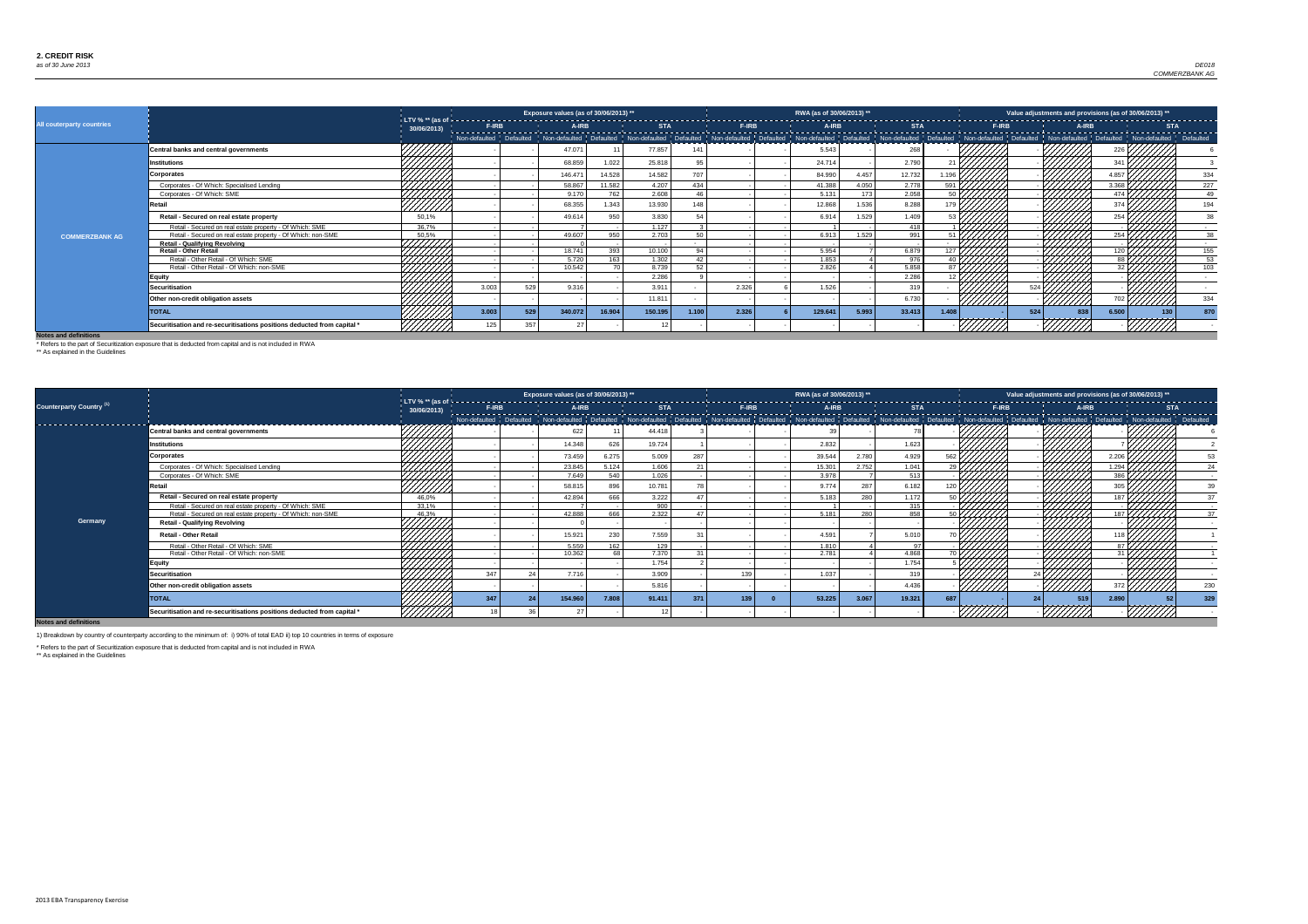

|                                  |                                                                         |                    |              | Exposure values (as of 30/06/2013) ** |        |            |       |              | RWA (as of 30/06/2013) ** |       |                 |                     |         | Value adjustments and provisions (as of 30/06/2013) **                                                                                                                                                                         |       |            |
|----------------------------------|-------------------------------------------------------------------------|--------------------|--------------|---------------------------------------|--------|------------|-------|--------------|---------------------------|-------|-----------------|---------------------|---------|--------------------------------------------------------------------------------------------------------------------------------------------------------------------------------------------------------------------------------|-------|------------|
| <b>All couterparty countries</b> |                                                                         | 30/06/2013)        | F-IRB        | A-IRB                                 |        | <b>STA</b> |       | <b>F-IRB</b> | A-IRB                     |       | <b>STA</b>      |                     |         | A-IRB<br><b>F-IRB</b>                                                                                                                                                                                                          |       | <b>STA</b> |
|                                  |                                                                         |                    |              |                                       |        |            |       |              |                           |       |                 |                     |         | Non-defaulted Pefaulted Non-defaulted Defaulted Non-defaulted Defaulted Non-defaulted Defaulted Non-defaulted Defaulted Non-defaulted Defaulted Non-defaulted Non-defaulted Non-defaulted Non-defaulted Non-defaulted Non-defa |       |            |
|                                  | <b>Central banks and central governments</b>                            | 7777777            |              | 47.071                                |        | 77.857     | 141   |              | 5.543                     |       | 268             |                     |         |                                                                                                                                                                                                                                |       |            |
|                                  | <b>Institutions</b>                                                     | 7777777            |              | 68.859                                | 1.022  | 25.818     |       |              | 24.714                    |       | 2.790           |                     |         |                                                                                                                                                                                                                                |       |            |
|                                  | Corporates                                                              |                    |              | 146.47                                | 14.528 | 14.582     | 707   |              | 84.990                    | 4.457 | 12.732          |                     |         |                                                                                                                                                                                                                                |       | 334        |
|                                  | Corporates - Of Which: Specialised Lending                              |                    |              | 58.867                                | 11.582 | 4.207      | 434   |              | 41.388                    | 4.050 | 2.778           | 591 <sup>2</sup>    |         |                                                                                                                                                                                                                                | 3.368 | 227        |
|                                  | Corporates - Of Which: SME                                              | ////////           |              | 9.170                                 | 762    | 2.608      | 46    |              | 5.131                     | 173   | 2.058           | 50 <sub>1</sub>     |         |                                                                                                                                                                                                                                |       | 49         |
|                                  | Retail                                                                  | 7777777            |              | 68.355                                | 1.343  | 13.930     | 148   |              | 12.868                    | 1.536 | 8.288           |                     |         |                                                                                                                                                                                                                                |       | 194        |
|                                  | Retail - Secured on real estate property                                | 50,1%              |              | 49.614                                | 950    | 3.830      |       |              | 6.914                     | 1.529 | 1.409           |                     |         |                                                                                                                                                                                                                                |       |            |
|                                  | Retail - Secured on real estate property - Of Which: SME                | 36.7%              |              |                                       |        | 1.127      |       |              |                           |       | 418             |                     |         |                                                                                                                                                                                                                                |       |            |
| <b>COMMERZBANK AG</b>            | Retail - Secured on real estate property - Of Which: non-SME            | 50,5%              |              | 49.607                                | 950    | 2.703      | 50    |              | 6.913                     | 1.529 | 991             |                     |         |                                                                                                                                                                                                                                |       | 38         |
|                                  | <b>Retail - Qualifying Revolving</b>                                    |                    |              |                                       |        |            |       |              |                           |       |                 |                     |         |                                                                                                                                                                                                                                |       |            |
|                                  | <b>Retail - Other Retail</b>                                            | NAN<br>MANA        |              | 18.741                                | 393    | 10.100     | 94    |              | 5.954                     |       | 6.879           | $127$ $\frac{1}{2}$ |         |                                                                                                                                                                                                                                |       | 155        |
|                                  | Retail - Other Retail - Of Which: SME                                   |                    |              | 5.720                                 | 163    | 1.302      | 42    |              | 1.853                     |       | 976             | $40\sqrt{7}$        |         |                                                                                                                                                                                                                                |       | 53         |
|                                  | Retail - Other Retail - Of Which: non-SME                               |                    |              | 10.542                                |        | 8.739      | 52    |              | 2.826                     |       | 5.858           | $\frac{1}{87}$      |         |                                                                                                                                                                                                                                |       | 103        |
|                                  | Equity                                                                  | 44447.<br>,,,,,,,, |              |                                       |        | 2.286      |       |              |                           |       | 2.286           |                     |         |                                                                                                                                                                                                                                |       |            |
|                                  | Securitisation                                                          |                    | 3.003<br>529 | 9.316                                 |        | 3.911      |       | 2.326        | 1.526                     |       | 319             |                     |         |                                                                                                                                                                                                                                |       |            |
|                                  | Other non-credit obligation assets                                      | 44fffffn.          |              |                                       |        | 11.811     |       |              |                           |       | 6.730           |                     | /////// |                                                                                                                                                                                                                                |       | 334        |
|                                  | <b>TOTAL</b>                                                            |                    | 3.003<br>529 | 340.072                               | 16.904 | 150.195    | 1.100 | 2.326        | 129.641                   | 5.993 | 33.413<br>1.408 |                     |         | 524<br>-838                                                                                                                                                                                                                    | 6.500 | 870<br>130 |
|                                  | Securitisation and re-securitisations positions deducted from capital * |                    | 357          |                                       |        |            |       |              |                           |       |                 |                     |         |                                                                                                                                                                                                                                |       |            |

|                                     |                                                                         |             |                                                                                                                                                                                                                                 | Exposure values (as of 30/06/2013) ** |       |        |     |  | RWA (as of 30/06/2013) ** |       |        |                    | Value adjustments and provisions (as of 30/06/2013) ** |  |       |     |
|-------------------------------------|-------------------------------------------------------------------------|-------------|---------------------------------------------------------------------------------------------------------------------------------------------------------------------------------------------------------------------------------|---------------------------------------|-------|--------|-----|--|---------------------------|-------|--------|--------------------|--------------------------------------------------------|--|-------|-----|
| Counterparty Country <sup>(1)</sup> |                                                                         | 30/06/2013) | F-IRB   A-IRB   A-IRB   STA   F-IRB   A-IRB   A-IRB   STA   F-IRB   STA   STA   F-IRB   A-IRB   A-IRB   A-IRB<br>  Non-defaulted   Defaulted   Non-defaulted   Non-defaulted   Non-defaulted   Defaulted   Defaulted   Defaulte |                                       |       |        |     |  |                           |       |        |                    |                                                        |  |       |     |
| ----------------------              |                                                                         |             |                                                                                                                                                                                                                                 |                                       |       |        |     |  |                           |       |        |                    |                                                        |  |       |     |
|                                     | <b>Central banks and central governments</b>                            |             |                                                                                                                                                                                                                                 | 622                                   |       | 44.418 |     |  |                           |       |        |                    |                                                        |  |       |     |
|                                     | <b>Institutions</b>                                                     |             |                                                                                                                                                                                                                                 | 14.348                                | 626   | 19.724 |     |  | 2.832                     |       | 1.623  |                    |                                                        |  |       |     |
|                                     | <b>Corporates</b>                                                       |             |                                                                                                                                                                                                                                 | 73.459                                | 6.275 | 5.009  | 287 |  | 39.544                    | 2.780 | 4.929  | $562 \mid$         |                                                        |  |       |     |
|                                     | Corporates - Of Which: Specialised Lending                              |             |                                                                                                                                                                                                                                 | 23.845                                | 5.124 | 1.606  | 21  |  | 15.301                    | 2.752 | 1.041  | $29\sqrt{ }$       |                                                        |  | 1.294 | 24  |
|                                     | Corporates - Of Which: SME                                              | ////////    |                                                                                                                                                                                                                                 | 7.649                                 | 540   | 1.026  |     |  | 3.978                     |       | 513    |                    |                                                        |  |       |     |
|                                     | Retail                                                                  | //////      |                                                                                                                                                                                                                                 | 58.815                                | 896   | 10.781 |     |  | 9.774                     | 287   | 6.182  |                    |                                                        |  |       |     |
|                                     | Retail - Secured on real estate property                                | 46,0%       |                                                                                                                                                                                                                                 | 42.894                                | 666   | 3.222  | 47  |  | 5.183                     | 280   | 1.172  | $_{50}$ $V$ ////// |                                                        |  | 107   | 37  |
|                                     | Retail - Secured on real estate property - Of Which: SME                | 33.1%       |                                                                                                                                                                                                                                 |                                       |       | 900    |     |  |                           |       | 315    |                    |                                                        |  |       |     |
|                                     | Retail - Secured on real estate property - Of Which: non-SME            | 46.3%       |                                                                                                                                                                                                                                 | 42.888                                | 666   | 2.322  | 47  |  | 5.181                     | 280   | 858    |                    |                                                        |  |       |     |
| Germany                             | <b>Retail - Qualifying Revolving</b>                                    | 777777      |                                                                                                                                                                                                                                 |                                       |       |        |     |  |                           |       |        |                    |                                                        |  |       |     |
|                                     | <b>Retail - Other Retail</b>                                            |             |                                                                                                                                                                                                                                 | $15.92^{\circ}$                       | 230   | 7.559  |     |  | 4.591                     |       | 5.010  |                    |                                                        |  |       |     |
|                                     | Retail - Other Retail - Of Which: SME                                   | 44444       |                                                                                                                                                                                                                                 | 5.559                                 | 162   | 129    |     |  | 1.810                     |       | - 07   |                    |                                                        |  |       |     |
|                                     | Retail - Other Retail - Of Which: non-SME                               |             |                                                                                                                                                                                                                                 | 10.362                                | 68    | 7.370  | 21  |  | 2.781                     |       | 4.868  |                    |                                                        |  |       |     |
|                                     | Equity                                                                  |             |                                                                                                                                                                                                                                 |                                       |       | 1.754  |     |  |                           |       | 1.754  |                    |                                                        |  |       |     |
|                                     | <b>Securitisation</b>                                                   | 44444       | 347                                                                                                                                                                                                                             | 7.716                                 |       | 3.909  |     |  | 1.037                     |       | 319    |                    |                                                        |  |       |     |
|                                     | Other non-credit obligation assets                                      |             |                                                                                                                                                                                                                                 |                                       |       | 5.816  |     |  |                           |       | 4.436  |                    |                                                        |  |       | 230 |
|                                     | <b>TOTAL</b>                                                            | 44444       | -347                                                                                                                                                                                                                            | 154.96                                | 7.808 | 91.411 | 371 |  | 53.225                    | 3.067 | 19.321 | 687                |                                                        |  | 2.890 | 329 |
|                                     | Securitisation and re-securitisations positions deducted from capital * |             |                                                                                                                                                                                                                                 |                                       |       |        |     |  |                           |       |        |                    |                                                        |  |       |     |

**Notes and definitions**

\* Refers to the part of Securitization exposure that is deducted from capital and is not included in RWA

\*\* As explained in the Guidelines

1) Breakdown by country of counterparty according to the minimum of: i) 90% of total EAD ii) top 10 countries in terms of exposure

\* Refers to the part of Securitization exposure that is deducted from capital and is not included in RWA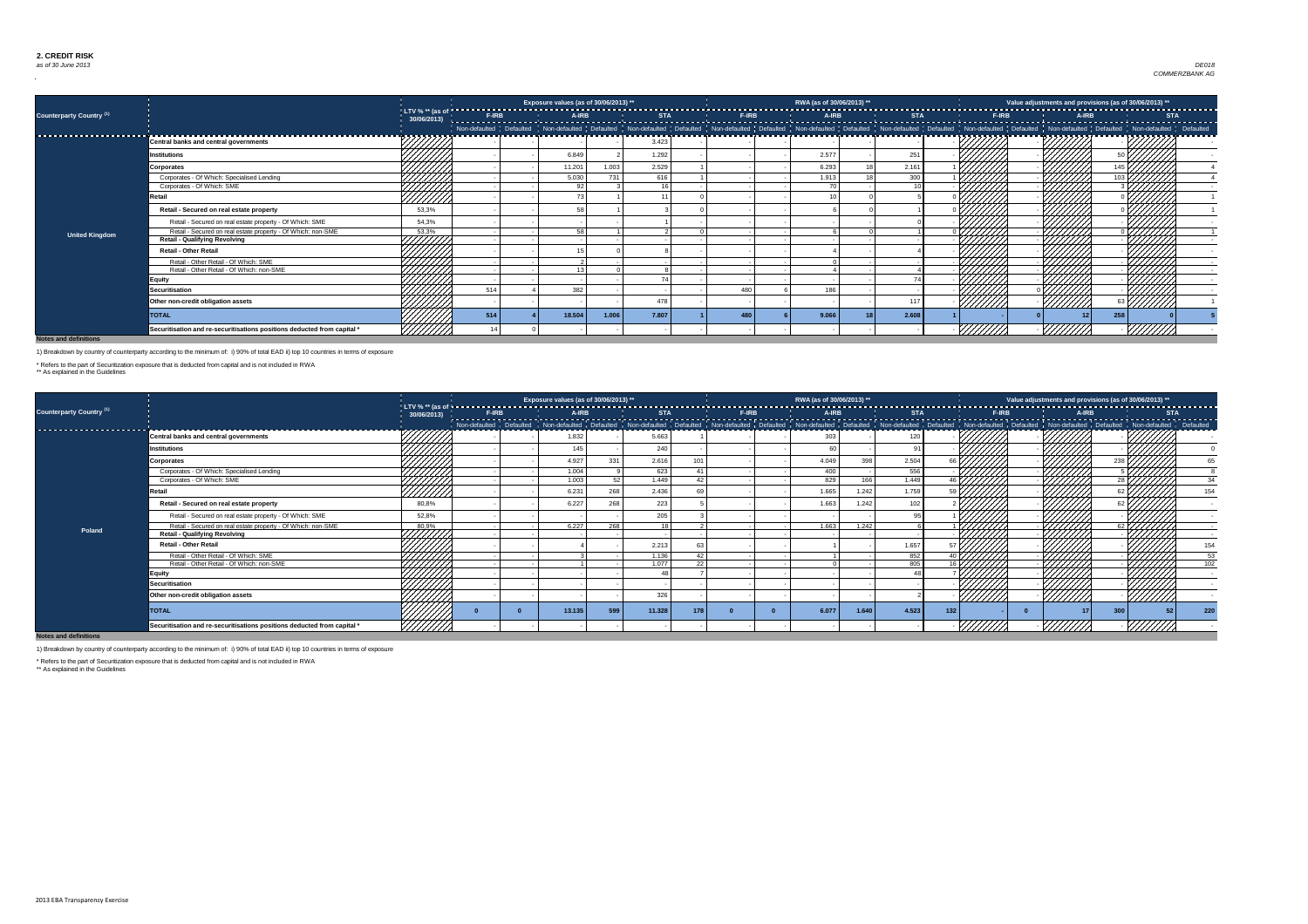

|                                     |                                                                         |              |     | Exposure values (as of 30/06/2013) ** |       |       |     | RWA (as of 30/06/2013) ** |       |       | Value adjustments and provisions (as of 30/06/2013) ** |        |  |
|-------------------------------------|-------------------------------------------------------------------------|--------------|-----|---------------------------------------|-------|-------|-----|---------------------------|-------|-------|--------------------------------------------------------|--------|--|
| Counterparty Country <sup>(1)</sup> |                                                                         | 30/06/2013)  |     |                                       |       |       |     |                           |       |       |                                                        |        |  |
|                                     |                                                                         |              |     |                                       |       |       |     |                           |       |       |                                                        |        |  |
|                                     | <b>Central banks and central governments</b>                            |              |     |                                       |       | 3.423 |     |                           |       |       |                                                        |        |  |
|                                     | <b>Institutions</b>                                                     |              |     | 6.849                                 |       | 1.292 |     | 2.577                     | 251   |       |                                                        |        |  |
|                                     | <b>Corporates</b>                                                       |              |     | 11.201                                | 1.003 | 2.529 |     | 6.293                     | 2.161 |       |                                                        |        |  |
|                                     | Corporates - Of Which: Specialised Lending                              |              |     | 5.030                                 | 731   | 616   |     | 1.913                     | 300   |       |                                                        |        |  |
|                                     | Corporates - Of Which: SME                                              |              |     | 92 <sub>1</sub>                       |       | AC    |     | 70 l                      |       |       |                                                        |        |  |
|                                     | Retail                                                                  |              |     |                                       |       |       |     |                           |       |       |                                                        |        |  |
|                                     | Retail - Secured on real estate property                                | 53,3%        |     | 58                                    |       |       |     |                           |       |       |                                                        |        |  |
|                                     | Retail - Secured on real estate property - Of Which: SME                | 54,3%        |     |                                       |       |       |     |                           |       |       |                                                        |        |  |
| <b>United Kingdom</b>               | Retail - Secured on real estate property - Of Which: non-SME            | 53.3%        |     | EΩ                                    |       |       |     |                           |       |       |                                                        |        |  |
|                                     | <b>Retail - Qualifying Revolving</b>                                    | 1111111      |     |                                       |       |       |     |                           |       |       |                                                        |        |  |
|                                     | <b>Retail - Other Retail</b>                                            |              |     |                                       |       |       |     |                           |       |       |                                                        |        |  |
|                                     | Retail - Other Retail - Of Which: SME                                   | HHHH<br>HHHH |     |                                       |       |       |     |                           |       |       |                                                        |        |  |
|                                     | Retail - Other Retail - Of Which: non-SME                               |              |     | 13.                                   |       |       |     |                           |       |       | 444                                                    |        |  |
|                                     | <b>Equity</b>                                                           |              |     |                                       |       |       |     |                           |       |       |                                                        |        |  |
|                                     | <b>Securitisation</b>                                                   |              | 514 | 382                                   |       |       | 480 | 186                       |       |       |                                                        |        |  |
|                                     | Other non-credit obligation assets                                      | 44444        |     |                                       |       | 478   |     |                           | 117   | 77777 | <u>VIIIIM</u>                                          | ////// |  |
|                                     | <b>TOTAL</b>                                                            |              | 514 | 18.50                                 | 1.006 | 7.807 |     | 9.06                      | 2.608 |       |                                                        | 258    |  |
|                                     | Securitisation and re-securitisations positions deducted from capital * |              |     |                                       |       |       |     |                           |       |       |                                                        |        |  |

|                                     |                                                                         |                            |       | Exposure values (as of 30/06/2013) ** |     |            |     |       | RWA (as of 30/06/2013) ** |       |            |      |       | Value adjustments and provisions (as of 30/06/2013) ** |       |               |                  |
|-------------------------------------|-------------------------------------------------------------------------|----------------------------|-------|---------------------------------------|-----|------------|-----|-------|---------------------------|-------|------------|------|-------|--------------------------------------------------------|-------|---------------|------------------|
| Counterparty Country <sup>(1)</sup> |                                                                         | $30/06/2013$ $\frac{1}{1}$ | F-IRB | A-IRB                                 |     | <b>STA</b> |     | F-IRB | A-IRB                     |       | <b>STA</b> |      | F-IRB |                                                        | A-IRB |               | <b>STA</b>       |
|                                     |                                                                         |                            |       |                                       |     |            |     |       |                           |       |            |      |       |                                                        |       |               |                  |
|                                     | <b>Central banks and central governments</b>                            |                            |       | 1.832                                 |     | 5.663      |     |       | 303                       |       |            |      |       |                                                        |       |               |                  |
|                                     | Institutions                                                            | - <del>+//////</del>       |       | 145                                   |     | 240        |     |       |                           |       |            |      |       |                                                        |       |               |                  |
|                                     | <b>Corporates</b>                                                       |                            |       | 4.927                                 | 331 | 2.616      | 101 |       | 4.049                     | 398   | 2.504      |      |       |                                                        | 238   |               |                  |
|                                     | Corporates - Of Which: Specialised Lending                              | 44447                      |       | 1.004                                 |     | 623        |     |       | 400                       |       | 556        |      |       |                                                        |       |               |                  |
|                                     | Corporates - Of Which: SME                                              | ///////                    |       | 1.003                                 | 52  | 1.449      |     |       | 829                       | 166   | 1.449      | 46 L |       | У///////                                               |       |               |                  |
|                                     | etail                                                                   | 77777                      |       | 6.231                                 | 268 | 2.436      |     |       | 1.665                     | 1.242 | 1.759      |      |       |                                                        |       |               | 154              |
|                                     | Retail - Secured on real estate property                                | 80,8%                      |       | 6.227                                 | 268 | 223        |     |       | 1.663                     | 1.242 | 102        |      |       |                                                        |       |               |                  |
|                                     | Retail - Secured on real estate property - Of Which: SME                | 52,8%                      |       |                                       |     | 205        |     |       |                           |       |            |      |       |                                                        |       |               |                  |
| Poland                              | Retail - Secured on real estate property - Of Which: non-SME            | 80,9%                      |       | 6.227                                 | 268 | 1 Q I      |     |       | 1.663                     | 1.242 |            |      |       | 7777                                                   |       |               |                  |
|                                     | <b>Retail - Qualifying Revolving</b>                                    | Ч∰∰,                       |       |                                       |     |            |     |       |                           |       |            |      |       |                                                        |       | $\mathscr{H}$ |                  |
|                                     | <b>Retail - Other Retail</b>                                            |                            |       |                                       |     | 2.213      |     |       |                           |       | 1.657      |      |       |                                                        |       |               | 154              |
|                                     | Retail - Other Retail - Of Which: SME                                   |                            |       |                                       |     | 1.136      |     |       |                           |       | 852        |      |       |                                                        |       |               | $\frac{53}{102}$ |
|                                     | Retail - Other Retail - Of Which: non-SME                               |                            |       |                                       |     | 1.077      | ົດດ |       |                           |       | 805        | 16   |       | /////                                                  |       |               |                  |
|                                     | <b>Equity</b>                                                           |                            |       |                                       |     |            |     |       |                           |       |            |      |       |                                                        |       |               |                  |
|                                     | <b>Securitisation</b>                                                   |                            |       |                                       |     |            |     |       |                           |       |            |      |       |                                                        |       |               |                  |
|                                     | Other non-credit obligation assets                                      |                            |       |                                       |     | 326        |     |       |                           |       |            |      |       |                                                        |       |               |                  |
|                                     | <b>TOTAL</b>                                                            |                            |       | 13.135                                | 599 | 11.328     | 178 |       | 6.077                     | 1.640 | 4.523      | 132  |       |                                                        | 300   |               | 220              |
|                                     | Securitisation and re-securitisations positions deducted from capital * |                            |       |                                       |     |            |     |       |                           |       |            |      |       |                                                        |       |               |                  |

**Notes and definitions**

1) Breakdown by country of counterparty according to the minimum of: i) 90% of total EAD ii) top 10 countries in terms of exposure

\* Refers to the part of Securitization exposure that is deducted from capital and is not included in RWA

\*\* As explained in the Guidelines

\*\* As explained in the Guidelines

1) Breakdown by country of counterparty according to the minimum of: i) 90% of total EAD ii) top 10 countries in terms of exposure

\* Refers to the part of Securitization exposure that is deducted from capital and is not included in RWA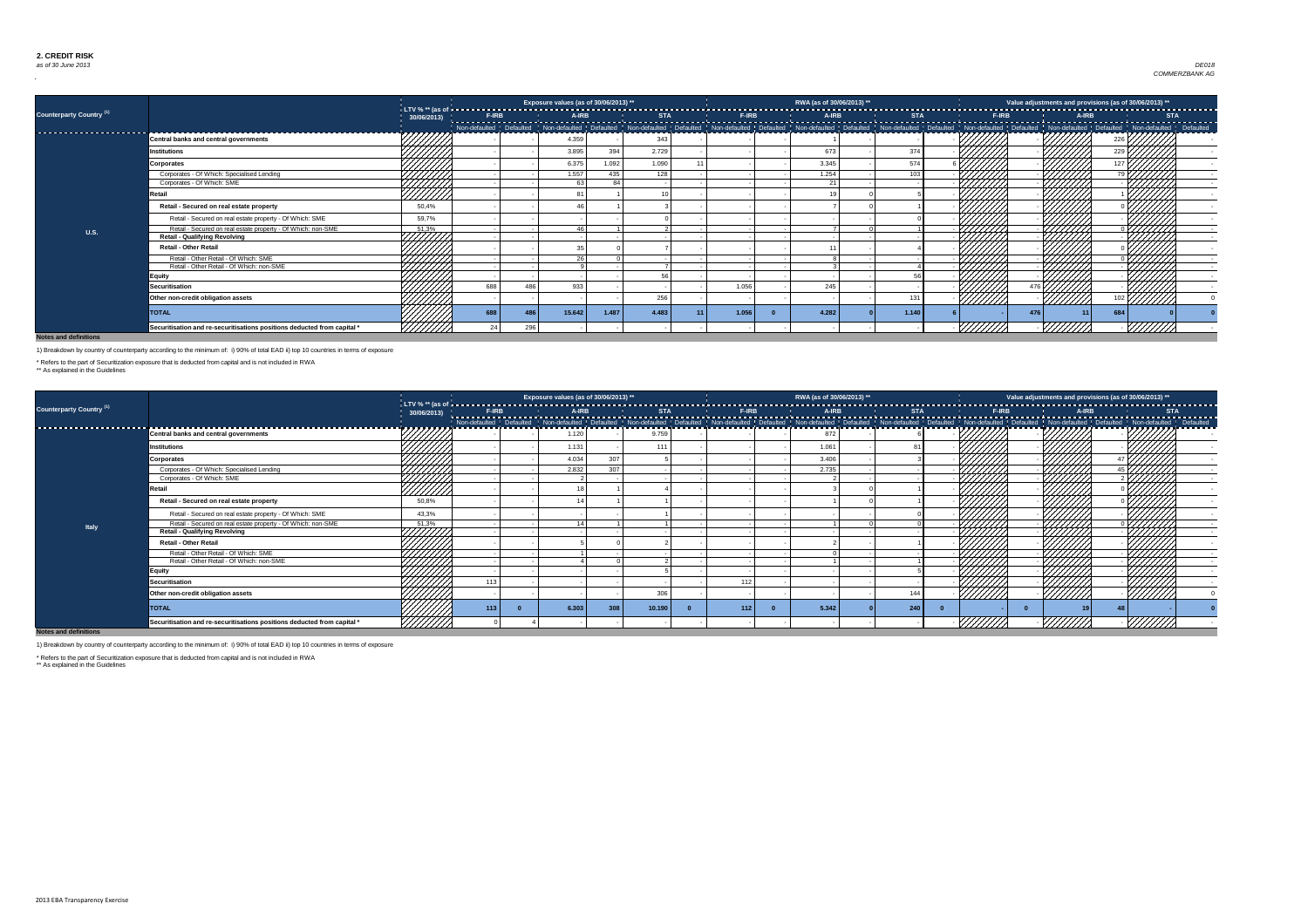

|                                     |                                                                         |                |     |     | Exposure values (as of 30/06/2013) ** |       |       |       | RWA (as of 30/06/2013) ** |       |         |                  |     | Value adjustments and provisions (as of 30/06/2013) ** |  |
|-------------------------------------|-------------------------------------------------------------------------|----------------|-----|-----|---------------------------------------|-------|-------|-------|---------------------------|-------|---------|------------------|-----|--------------------------------------------------------|--|
| Counterparty Country <sup>(1)</sup> |                                                                         | 30/06/2013)    |     |     |                                       |       |       |       |                           |       |         |                  |     |                                                        |  |
| ---------------------------         |                                                                         |                |     |     |                                       |       |       |       |                           |       |         |                  |     |                                                        |  |
|                                     | <b>Central banks and central governments</b>                            |                |     |     | 4.359                                 |       | 343   |       |                           |       |         |                  |     |                                                        |  |
|                                     | <b>Institutions</b>                                                     |                |     |     | 3.895                                 | 394   | 2.729 |       | 673                       | 374   |         |                  |     |                                                        |  |
|                                     | <b>Corporates</b>                                                       |                |     |     | 6.375                                 | 1.092 | 1.090 |       | 3.345                     | 574   |         |                  |     |                                                        |  |
|                                     | Corporates - Of Which: Specialised Lending                              | HAHA.<br>MAHA  |     |     | 1.557                                 | 435   | 128   |       | 1.254                     | 103   |         |                  |     |                                                        |  |
|                                     | Corporates - Of Which: SME                                              |                |     |     | 63                                    | 84    |       |       | 21                        |       |         |                  |     |                                                        |  |
|                                     | रेetail                                                                 | <u>///////</u> |     |     |                                       |       |       |       |                           |       |         |                  |     |                                                        |  |
|                                     | Retail - Secured on real estate property                                | 50,4%          |     |     |                                       |       |       |       |                           |       |         |                  |     |                                                        |  |
|                                     | Retail - Secured on real estate property - Of Which: SME                | 59,7%          |     |     |                                       |       |       |       |                           |       |         |                  |     |                                                        |  |
| <b>U.S.</b>                         | Retail - Secured on real estate property - Of Which: non-SME            | 51,3%          |     |     |                                       |       |       |       |                           |       |         |                  |     |                                                        |  |
|                                     | <b>Retail - Qualifying Revolving</b>                                    | HHHH           |     |     |                                       |       |       |       |                           |       |         |                  |     |                                                        |  |
|                                     | <b>Retail - Other Retail</b>                                            |                |     |     |                                       |       |       |       |                           |       |         |                  |     |                                                        |  |
|                                     | Retail - Other Retail - Of Which: SME                                   | ,,,,,,,,,,,    |     |     | 26                                    |       |       |       |                           |       |         |                  | 444 |                                                        |  |
|                                     | Retail - Other Retail - Of Which: non-SME                               |                |     |     |                                       |       |       |       |                           |       |         |                  |     |                                                        |  |
|                                     | Equity                                                                  |                |     |     |                                       |       | -56   |       |                           |       |         |                  |     |                                                        |  |
|                                     | <b>Securitisation</b>                                                   |                | 688 |     | 933                                   |       |       | 1.056 | 245                       |       |         |                  |     |                                                        |  |
|                                     | Other non-credit obligation assets                                      | 7777777        |     |     |                                       |       | 256   |       |                           | 131   | /////// |                  |     |                                                        |  |
|                                     | <b>TOTAL</b>                                                            |                | 688 |     | 15.642                                | 1.487 | 4.483 | 1.056 | 4.282                     | 1.140 |         | $\overline{476}$ |     | 684                                                    |  |
|                                     | Securitisation and re-securitisations positions deducted from capital * |                |     | 296 |                                       |       |       |       |                           |       |         |                  | WW  |                                                        |  |

|                                     |                                                                         |                                                                                                                                                                                                                                 |              | Exposure values (as of 30/06/2013) ** |     |            |              | RWA (as of 30/06/2013) ** |                                                                                                                                                                                                                                |               |       | Value adjustments and provisions (as of 30/06/2013) ** |            |
|-------------------------------------|-------------------------------------------------------------------------|---------------------------------------------------------------------------------------------------------------------------------------------------------------------------------------------------------------------------------|--------------|---------------------------------------|-----|------------|--------------|---------------------------|--------------------------------------------------------------------------------------------------------------------------------------------------------------------------------------------------------------------------------|---------------|-------|--------------------------------------------------------|------------|
| Counterparty Country <sup>(1)</sup> |                                                                         | 30/06/2013)                                                                                                                                                                                                                     | <b>F-IRB</b> | A-IRB                                 |     | <b>STA</b> | <b>F-IRB</b> | A-IRB                     | <b>STA</b>                                                                                                                                                                                                                     | <b>F-IRB</b>  | A-IRB |                                                        | <b>STA</b> |
| ---------------------               |                                                                         | ニクフフフランファン                                                                                                                                                                                                                      |              |                                       |     |            |              |                           | Non-defaulted Defaulted Non-defaulted Defaulted Defaulted Defaulted Non-defaulted Non-defaulted Non-defaulted Non-defaulted Defaulted Non-defaulted Defaulted Defaulted Non-defaulted Defaulted Non-defaulted Defaulted Defaul |               |       |                                                        |            |
|                                     | Central banks and central governments                                   |                                                                                                                                                                                                                                 |              | 1.120                                 |     | 9.759      |              | 872                       |                                                                                                                                                                                                                                |               |       |                                                        |            |
|                                     | Institutions                                                            | 444444                                                                                                                                                                                                                          |              | 1.131                                 |     | 111        |              | 1.061                     |                                                                                                                                                                                                                                |               |       |                                                        |            |
|                                     | <b>Corporates</b>                                                       |                                                                                                                                                                                                                                 |              | 4.034                                 | 307 |            |              | 3.406                     |                                                                                                                                                                                                                                |               |       | 777777                                                 |            |
|                                     | Corporates - Of Which: Specialised Lending                              |                                                                                                                                                                                                                                 |              | 2.832                                 | 307 |            |              | 2.735                     |                                                                                                                                                                                                                                |               | 444   |                                                        |            |
|                                     | Corporates - Of Which: SME                                              |                                                                                                                                                                                                                                 |              |                                       |     |            |              |                           |                                                                                                                                                                                                                                |               |       |                                                        |            |
|                                     | Retail                                                                  | HIJOHO<br>MAANI                                                                                                                                                                                                                 |              |                                       |     |            |              |                           |                                                                                                                                                                                                                                |               |       |                                                        |            |
|                                     | Retail - Secured on real estate property                                | 50,8%                                                                                                                                                                                                                           |              |                                       |     |            |              |                           |                                                                                                                                                                                                                                |               |       |                                                        |            |
|                                     | Retail - Secured on real estate property - Of Which: SME                | 43,3%                                                                                                                                                                                                                           |              |                                       |     |            |              |                           |                                                                                                                                                                                                                                |               |       |                                                        |            |
| <b>Italy</b>                        | Retail - Secured on real estate property - Of Which: non-SME            |                                                                                                                                                                                                                                 |              |                                       |     |            |              |                           |                                                                                                                                                                                                                                |               | ШНА.  |                                                        |            |
|                                     | <b>Retail - Qualifying Revolving</b>                                    |                                                                                                                                                                                                                                 |              |                                       |     |            |              |                           |                                                                                                                                                                                                                                |               |       |                                                        |            |
|                                     | <b>Retail - Other Retail</b>                                            | a singa di pangalangan dan kalimannya dan kalimannya dan dalam dan dalam dan dalam dalam dan dalam dan dalam d<br>Kabupatèn Kabupatèn Kabupatèn Kabupatèn Kabupatèn Kabupatèn Kabupatèn Kabupatèn Kabupatèn Kabupatèn Kabupatèn |              |                                       |     |            |              |                           |                                                                                                                                                                                                                                |               |       |                                                        |            |
|                                     | Retail - Other Retail - Of Which: SME                                   |                                                                                                                                                                                                                                 |              |                                       |     |            |              |                           |                                                                                                                                                                                                                                |               |       |                                                        |            |
|                                     | Retail - Other Retail - Of Which: non-SME                               |                                                                                                                                                                                                                                 |              |                                       |     |            |              |                           |                                                                                                                                                                                                                                |               |       |                                                        |            |
|                                     | Equity                                                                  | HHHH                                                                                                                                                                                                                            |              |                                       |     |            |              |                           |                                                                                                                                                                                                                                |               |       |                                                        |            |
|                                     | <b>Securitisation</b>                                                   |                                                                                                                                                                                                                                 |              |                                       |     |            | 112          |                           |                                                                                                                                                                                                                                |               |       |                                                        |            |
|                                     | Other non-credit obligation assets                                      | 44444                                                                                                                                                                                                                           |              |                                       |     | 306        |              |                           | 144                                                                                                                                                                                                                            | <u>//////</u> |       |                                                        |            |
|                                     | <b>TOTAL</b>                                                            |                                                                                                                                                                                                                                 | 113          | 6.303                                 | 308 | 10.190     | 112          | 5.342                     | 240                                                                                                                                                                                                                            |               |       |                                                        |            |
| Naton and definitions               | Securitisation and re-securitisations positions deducted from capital * | <u> УНИН</u>                                                                                                                                                                                                                    |              |                                       |     |            |              |                           |                                                                                                                                                                                                                                |               |       |                                                        |            |

**Notes and definitions**

1) Breakdown by country of counterparty according to the minimum of: i) 90% of total EAD ii) top 10 countries in terms of exposure

\* Refers to the part of Securitization exposure that is deducted from capital and is not included in RWA

\*\* As explained in the Guidelines

1) Breakdown by country of counterparty according to the minimum of: i) 90% of total EAD ii) top 10 countries in terms of exposure

\* Refers to the part of Securitization exposure that is deducted from capital and is not included in RWA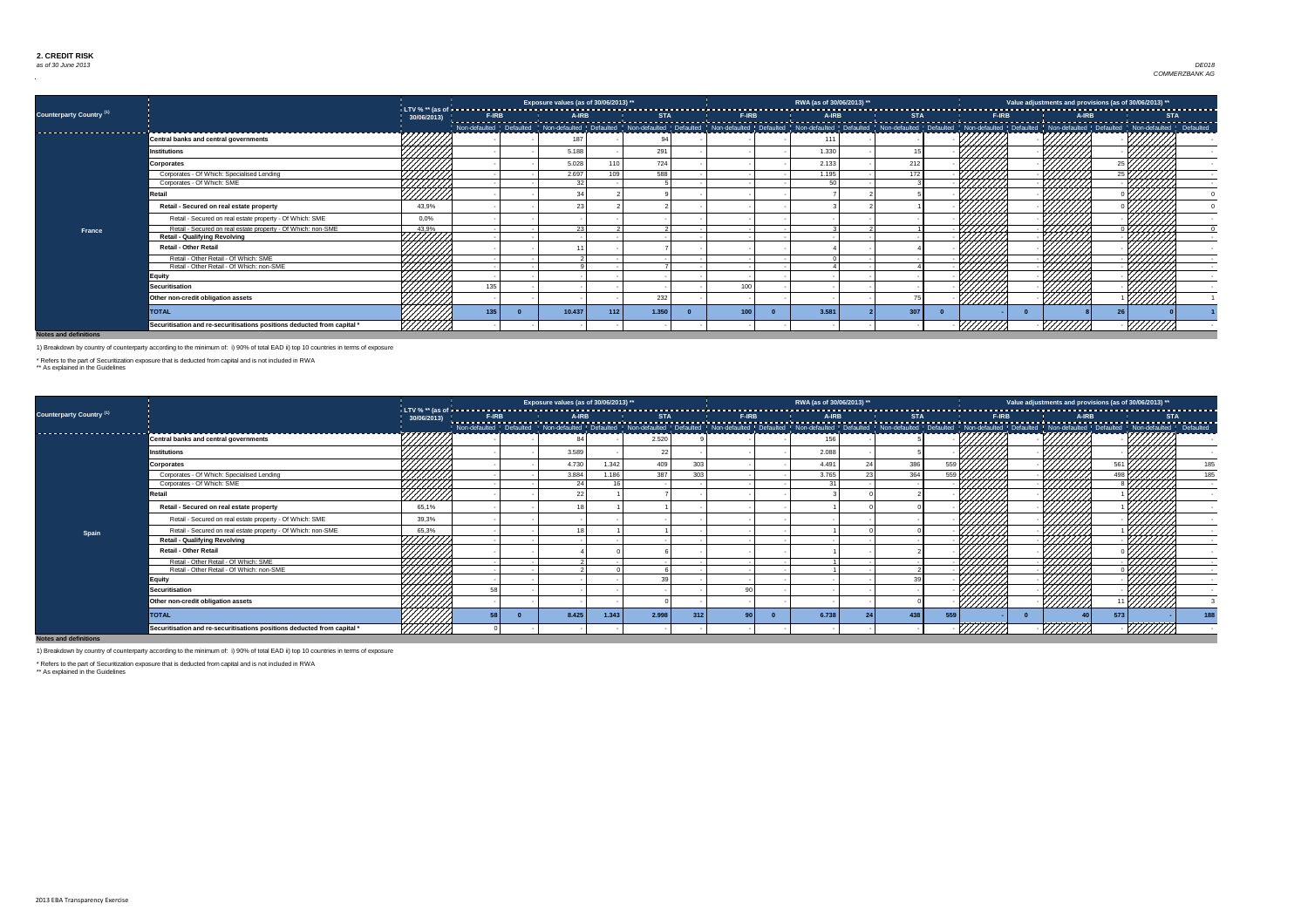

|                                     |                                                                         |                   |     |        | Exposure values (as of 30/06/2013) ** |       |     | RWA (as of 30/06/2013) ** |     |  |                | Value adjustments and provisions (as of 30/06/2013) ** |  |
|-------------------------------------|-------------------------------------------------------------------------|-------------------|-----|--------|---------------------------------------|-------|-----|---------------------------|-----|--|----------------|--------------------------------------------------------|--|
| Counterparty Country <sup>(1)</sup> |                                                                         | 30/06/2013        |     |        |                                       |       |     |                           |     |  |                |                                                        |  |
|                                     |                                                                         |                   |     |        |                                       |       |     |                           |     |  |                |                                                        |  |
| --------------------------------    | <b>Central banks and central governments</b>                            | スプレントプレント         |     | 187    |                                       |       |     | 111                       |     |  |                |                                                        |  |
|                                     | <b>Institutions</b>                                                     | 44444             |     | 5.188  |                                       | 291   |     | 1.330                     |     |  |                |                                                        |  |
|                                     | Corporates                                                              |                   |     | 5.028  | 11(                                   | 724   |     | 2.133                     | 212 |  |                |                                                        |  |
|                                     | Corporates - Of Which: Specialised Lending                              | HAHH<br>HAHH      |     | 2.697  |                                       | 588   |     | 1.195                     | 172 |  |                |                                                        |  |
|                                     | Corporates - Of Which: SME                                              |                   |     | 32     |                                       |       |     | .50 l                     |     |  |                |                                                        |  |
|                                     | रेetail                                                                 | ///////           |     |        |                                       |       |     |                           |     |  |                |                                                        |  |
|                                     | Retail - Secured on real estate property                                | 43,9%             |     |        |                                       |       |     |                           |     |  |                |                                                        |  |
|                                     | Retail - Secured on real estate property - Of Which: SME                | 0,0%              |     |        |                                       |       |     |                           |     |  |                |                                                        |  |
| <b>France</b>                       | Retail - Secured on real estate property - Of Which: non-SME            | 43,9%             |     | ົດລ    |                                       |       |     |                           |     |  | 7777777        |                                                        |  |
|                                     | <b>Retail - Qualifying Revolving</b>                                    | HTTTTT            |     |        |                                       |       |     |                           |     |  |                |                                                        |  |
|                                     | <b>Retail - Other Retail</b>                                            |                   |     |        |                                       |       |     |                           |     |  |                |                                                        |  |
|                                     | Retail - Other Retail - Of Which: SME                                   | HAHHA<br>MAHHA    |     |        |                                       |       |     |                           |     |  | 7777777        |                                                        |  |
|                                     | Retail - Other Retail - Of Which: non-SME                               |                   |     |        |                                       |       |     |                           |     |  |                |                                                        |  |
|                                     | Equity                                                                  |                   |     |        |                                       |       |     |                           |     |  |                |                                                        |  |
|                                     | <b>Securitisation</b>                                                   | 7777777<br>777777 | 135 |        |                                       |       | 100 |                           |     |  |                |                                                        |  |
|                                     | Other non-credit obligation assets                                      |                   |     |        |                                       | 232   |     |                           |     |  | <u>VIIIIIA</u> | <u>///////</u>                                         |  |
|                                     | <b>TOTAL</b>                                                            |                   | 135 | 10.437 | 112                                   | 1.350 | 100 | 3.581                     | 307 |  |                |                                                        |  |
|                                     | Securitisation and re-securitisations positions deducted from capital * |                   |     |        |                                       |       |     |                           |     |  |                |                                                        |  |

|                                 |                                                                         |              |              | Exposure values (as of 30/06/2013) ** |       |            |     |                                                                                                                                                                                                                                                | RWA (as of 30/06/2013) ** |            |      |                |              |       | Value adjustments and provisions (as of 30/06/2013) ** |                                       |
|---------------------------------|-------------------------------------------------------------------------|--------------|--------------|---------------------------------------|-------|------------|-----|------------------------------------------------------------------------------------------------------------------------------------------------------------------------------------------------------------------------------------------------|---------------------------|------------|------|----------------|--------------|-------|--------------------------------------------------------|---------------------------------------|
| <b>Counterparty Country (1)</b> |                                                                         | 30/06/2013)  | <b>F-IRB</b> | A-IRB                                 |       | <b>STA</b> |     | <b>F-IRB</b><br>Non-defaulted Defaulted Non-defaulted Defaulted Non-defaulted Defaulted Non-defaulted Defaulted Defaulted Non-defaulted Non-defaulted Non-defaulted Non-defaulted Non-defaulted Non-defaulted Non-defaulted Non-defaulted Non- | A-IRB                     | <b>STA</b> |      |                | <b>F-IRB</b> | A-IRB |                                                        | -----------------------<br><b>STA</b> |
|                                 | <b>Central banks and central governments</b>                            | 7777777      |              |                                       |       | 2.520      |     |                                                                                                                                                                                                                                                | 156                       |            |      |                |              |       |                                                        |                                       |
|                                 | Institutions                                                            | 44444        |              | 3.589                                 |       | 22         |     |                                                                                                                                                                                                                                                | 2.088                     |            |      |                |              |       |                                                        |                                       |
|                                 | <b>Corporates</b>                                                       |              |              | 4.730                                 | 1.342 | 409        | 303 |                                                                                                                                                                                                                                                | 4.491                     | 386        |      |                |              |       |                                                        | 185                                   |
|                                 | Corporates - Of Which: Specialised Lending                              |              |              | 3.884                                 | 1.186 | 387        | 303 |                                                                                                                                                                                                                                                | 3.765                     | 364        | 559L |                |              |       |                                                        | 185                                   |
|                                 | Corporates - Of Which: SME                                              |              |              | 24                                    |       |            |     |                                                                                                                                                                                                                                                | 21                        |            |      |                |              |       |                                                        |                                       |
|                                 | Retail                                                                  | HAHH<br>HAHH |              |                                       |       |            |     |                                                                                                                                                                                                                                                |                           |            |      |                |              |       |                                                        |                                       |
|                                 | Retail - Secured on real estate property                                | 65,1%        |              |                                       |       |            |     |                                                                                                                                                                                                                                                |                           |            |      |                |              |       |                                                        |                                       |
|                                 | Retail - Secured on real estate property - Of Which: SME                | 39,3%        |              |                                       |       |            |     |                                                                                                                                                                                                                                                |                           |            |      |                |              |       |                                                        |                                       |
| Spain                           | Retail - Secured on real estate property - Of Which: non-SME            | 65,3%        |              |                                       |       |            |     |                                                                                                                                                                                                                                                |                           |            |      |                |              |       |                                                        |                                       |
|                                 | <b>Retail - Qualifying Revolving</b>                                    | HHHHX        |              |                                       |       |            |     |                                                                                                                                                                                                                                                |                           |            |      |                |              |       |                                                        |                                       |
|                                 | <b>Retail - Other Retail</b>                                            |              |              |                                       |       |            |     |                                                                                                                                                                                                                                                |                           |            |      |                |              |       |                                                        |                                       |
|                                 | Retail - Other Retail - Of Which: SME                                   | HAHH<br>HAHH |              |                                       |       |            |     |                                                                                                                                                                                                                                                |                           |            |      |                |              |       |                                                        |                                       |
|                                 | Retail - Other Retail - Of Which: non-SME                               |              |              |                                       |       |            |     |                                                                                                                                                                                                                                                |                           |            |      |                |              | 4444  |                                                        |                                       |
|                                 | <b>Equity</b>                                                           | HHHH.        |              |                                       |       |            |     |                                                                                                                                                                                                                                                |                           |            |      |                |              |       |                                                        |                                       |
|                                 | <b>Securitisation</b>                                                   | HHHH         |              |                                       |       |            |     |                                                                                                                                                                                                                                                |                           |            |      |                |              |       |                                                        |                                       |
|                                 | Other non-credit obligation assets                                      |              |              |                                       |       |            |     |                                                                                                                                                                                                                                                |                           |            |      | <u>///////</u> |              |       | ///////                                                |                                       |
|                                 | <b>TOTAL</b>                                                            | 444444       |              | 8.425                                 | 1.343 | 2.998      |     |                                                                                                                                                                                                                                                | 6.738                     | 438        | 559  |                |              |       | 573                                                    | 188                                   |
| Notes and definitions           | Securitisation and re-securitisations positions deducted from capital * | ///////      |              |                                       |       |            |     |                                                                                                                                                                                                                                                |                           |            |      |                |              |       |                                                        |                                       |

#### **Notes and definitions**

1) Breakdown by country of counterparty according to the minimum of: i) 90% of total EAD ii) top 10 countries in terms of exposure

\* Refers to the part of Securitization exposure that is deducted from capital and is not included in RWA

\*\* As explained in the Guidelines

1) Breakdown by country of counterparty according to the minimum of: i) 90% of total EAD ii) top 10 countries in terms of exposure

\* Refers to the part of Securitization exposure that is deducted from capital and is not included in RWA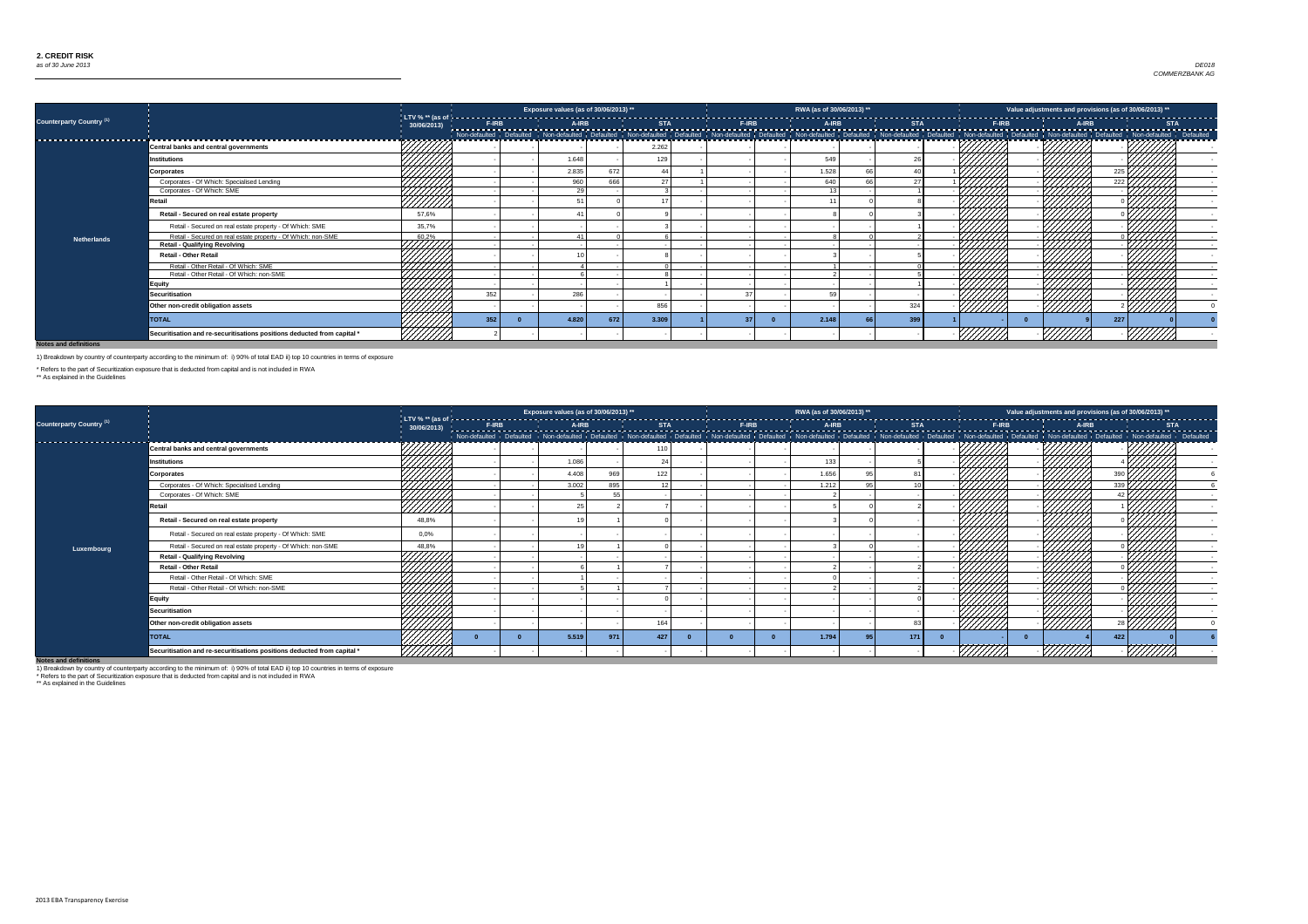

|                                       |                                                                         |                               |     | Exposure values (as of 30/06/2013) ** |     |                 |  | RWA (as of 30/06/2013) ** |     |  |     | Value adjustments and provisions (as of 30/06/2013) ** |  |
|---------------------------------------|-------------------------------------------------------------------------|-------------------------------|-----|---------------------------------------|-----|-----------------|--|---------------------------|-----|--|-----|--------------------------------------------------------|--|
| Counterparty Country <sup>(1)</sup>   |                                                                         | 30/06/2013)                   |     |                                       |     |                 |  |                           |     |  |     |                                                        |  |
| ------------------------------------- |                                                                         |                               |     |                                       |     |                 |  |                           |     |  |     |                                                        |  |
|                                       | <b>Central banks and central governments</b>                            |                               |     |                                       |     | 2.262           |  |                           |     |  |     |                                                        |  |
|                                       | <b>Institutions</b>                                                     | *4 <del>/////</del> >         |     | 1.648                                 |     | 129             |  | 549                       |     |  |     |                                                        |  |
|                                       | <b>Corporates</b>                                                       |                               |     | 2.835                                 | 672 |                 |  | 1.528                     |     |  |     |                                                        |  |
|                                       | Corporates - Of Which: Specialised Lending                              |                               |     | 960                                   | 666 | 27 <sup>1</sup> |  | 640                       |     |  |     | 222 k                                                  |  |
|                                       | Corporates - Of Which: SME                                              |                               |     | 29                                    |     |                 |  |                           |     |  |     |                                                        |  |
|                                       | Retail                                                                  | HAHH<br>VIIIII                |     |                                       |     |                 |  |                           |     |  |     |                                                        |  |
|                                       | Retail - Secured on real estate property                                | 57,6%                         |     |                                       |     |                 |  |                           |     |  |     |                                                        |  |
|                                       | Retail - Secured on real estate property - Of Which: SME                | 35,7%                         |     |                                       |     |                 |  |                           |     |  |     |                                                        |  |
| <b>Netherlands</b>                    | Retail - Secured on real estate property - Of Which: non-SME            |                               |     |                                       |     |                 |  |                           |     |  |     |                                                        |  |
|                                       | <b>Retail - Qualifying Revolving</b>                                    | $\frac{60.2\%}{\sqrt{11.11}}$ |     |                                       |     |                 |  |                           |     |  |     |                                                        |  |
|                                       | <b>Retail - Other Retail</b>                                            |                               |     |                                       |     |                 |  |                           |     |  |     |                                                        |  |
|                                       | Retail - Other Retail - Of Which: SME                                   |                               |     |                                       |     |                 |  |                           |     |  |     |                                                        |  |
|                                       | Retail - Other Retail - Of Which: non-SME                               |                               |     |                                       |     |                 |  |                           |     |  | 444 |                                                        |  |
|                                       | <b>Equity</b>                                                           |                               |     |                                       |     |                 |  |                           |     |  |     |                                                        |  |
|                                       | <b>Securitisation</b>                                                   |                               | 352 | 286                                   |     |                 |  | 59                        |     |  |     |                                                        |  |
|                                       | Other non-credit obligation assets                                      |                               |     |                                       |     | 856             |  |                           | 324 |  |     |                                                        |  |
|                                       | <b>TOTAL</b>                                                            |                               | 352 | 4.820                                 | 672 | 3.309           |  | 2.148                     | 399 |  |     | 227                                                    |  |
|                                       | Securitisation and re-securitisations positions deducted from capital * |                               |     |                                       |     |                 |  |                           |     |  |     |                                                        |  |

|                                     |                                                                         |                      |  | Exposure values (as of 30/06/2013) ** |     |     |  | RWA (as of 30/06/2013) ** |     |  |         | Value adjustments and provisions (as of 30/06/2013) ** |  |
|-------------------------------------|-------------------------------------------------------------------------|----------------------|--|---------------------------------------|-----|-----|--|---------------------------|-----|--|---------|--------------------------------------------------------|--|
| Counterparty Country <sup>(1)</sup> |                                                                         | 30/06/2013) <u> </u> |  |                                       |     |     |  |                           |     |  |         |                                                        |  |
| --------------------                |                                                                         |                      |  |                                       |     |     |  |                           |     |  |         |                                                        |  |
|                                     | <b>Central banks and central governments</b>                            |                      |  |                                       |     |     |  |                           |     |  |         |                                                        |  |
|                                     | <b>Institutions</b>                                                     |                      |  | 1.086                                 |     |     |  | 133                       |     |  |         |                                                        |  |
|                                     | <b>Corporates</b>                                                       |                      |  | 4.408                                 | 969 | 122 |  | 1.656                     |     |  |         |                                                        |  |
|                                     | Corporates - Of Which: Specialised Lending                              | 4444                 |  | 3.002                                 | 895 |     |  | 1.212                     |     |  |         |                                                        |  |
|                                     | Corporates - Of Which: SME                                              | 4444A                |  |                                       |     |     |  |                           |     |  |         |                                                        |  |
|                                     | Retail                                                                  | //////               |  |                                       |     |     |  |                           |     |  |         |                                                        |  |
|                                     | Retail - Secured on real estate property                                | 48,8%                |  |                                       |     |     |  |                           |     |  |         |                                                        |  |
|                                     | Retail - Secured on real estate property - Of Which: SME                | 0,0%                 |  |                                       |     |     |  |                           |     |  |         |                                                        |  |
| Luxembourg                          | Retail - Secured on real estate property - Of Which: non-SME            | 48,8%                |  |                                       |     |     |  |                           |     |  |         |                                                        |  |
|                                     | <b>Retail - Qualifying Revolving</b>                                    | UMA.                 |  |                                       |     |     |  |                           |     |  |         |                                                        |  |
|                                     | <b>Retail - Other Retail</b>                                            |                      |  |                                       |     |     |  |                           |     |  |         |                                                        |  |
|                                     | Retail - Other Retail - Of Which: SME                                   |                      |  |                                       |     |     |  |                           |     |  |         |                                                        |  |
|                                     | Retail - Other Retail - Of Which: non-SME                               |                      |  |                                       |     |     |  |                           |     |  |         |                                                        |  |
|                                     | <b>Equity</b>                                                           |                      |  |                                       |     |     |  |                           |     |  |         |                                                        |  |
|                                     | <b>Securitisation</b>                                                   |                      |  |                                       |     |     |  |                           |     |  |         |                                                        |  |
|                                     | Other non-credit obligation assets                                      | 444441               |  |                                       |     | 164 |  |                           |     |  |         |                                                        |  |
|                                     | <b>TOTAL</b>                                                            |                      |  | 5.519                                 | 971 | 427 |  | 1.794                     | 171 |  |         | 422                                                    |  |
| Notes and definitions               | Securitisation and re-securitisations positions deducted from capital * |                      |  |                                       |     |     |  |                           |     |  | 7777777 |                                                        |  |

1) Breakdown by country of counterparty according to the minimum of: i) 90% of total EAD ii) top 10 countries in terms of exposure

\* Refers to the part of Securitization exposure that is deducted from capital and is not included in RWA

\*\* As explained in the Guidelines

1) Breakdown by country of counterparty according to the minimum of: i) 90% of total EAD ii) top 10 countries in terms of exposure

\* Refers to the part of Securitization exposure that is deducted from capital and is not included in RWA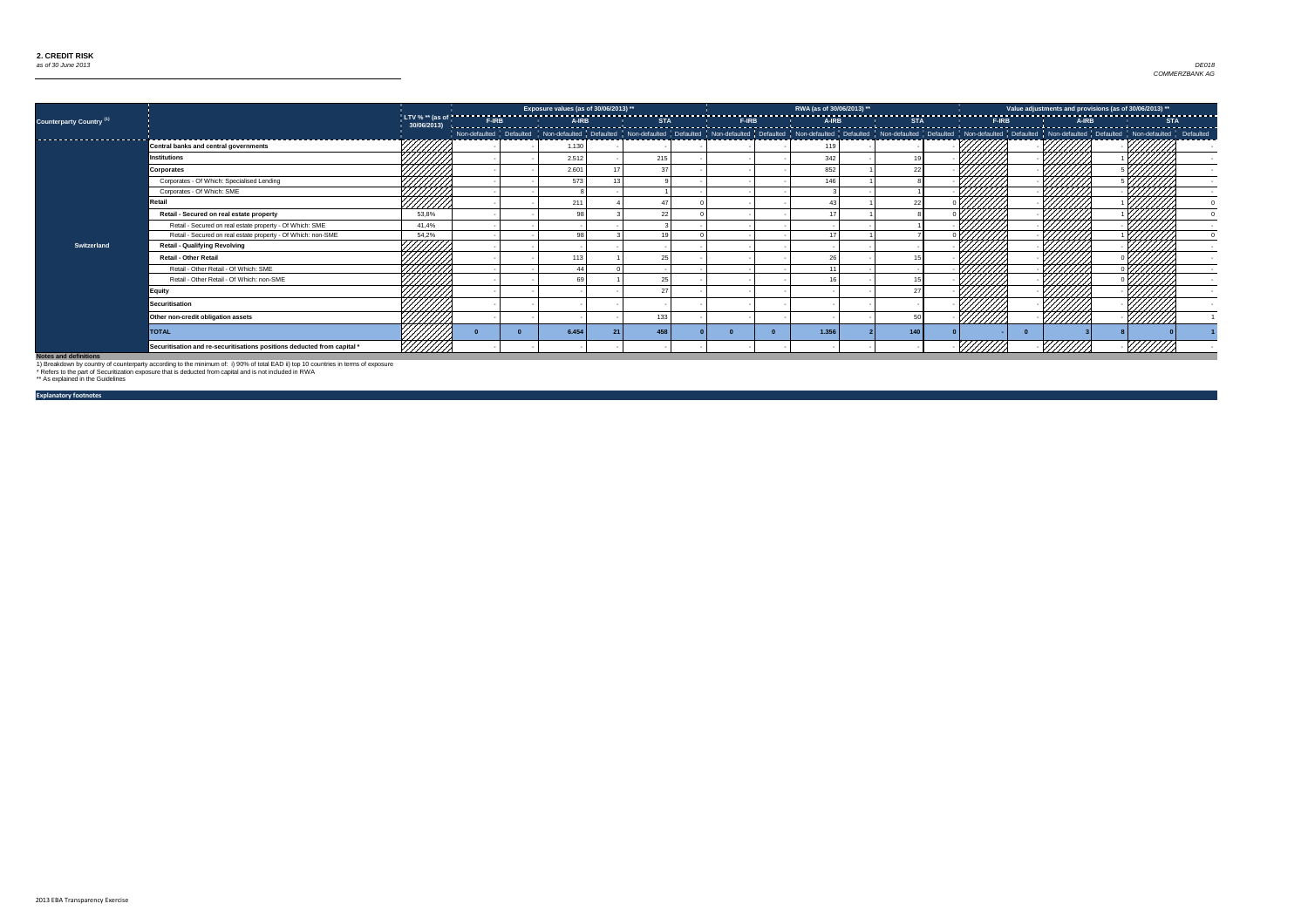

|                                 |                                                                         |                   | Exposure values (as of 30/06/2013) ** |     |                                                                                                                                                                                                                               | RWA (as of 30/06/2013) ** |     | Value adjustments and provisions (as of 30/06/2013) ** |  |
|---------------------------------|-------------------------------------------------------------------------|-------------------|---------------------------------------|-----|-------------------------------------------------------------------------------------------------------------------------------------------------------------------------------------------------------------------------------|---------------------------|-----|--------------------------------------------------------|--|
| <b>Counterparty Country (1)</b> |                                                                         |                   |                                       |     |                                                                                                                                                                                                                               |                           |     |                                                        |  |
| -----------------------         |                                                                         |                   |                                       |     | Non-defaulted   Defaulted   Non-defaulted   Defaulted   Non-defaulted   Non-defaulted   Defaulted   Non-defaulted   Non-defaulted   Defaulted   Non-defaulted   Non-defaulted   Non-defaulted   Non-defaulted   Non-defaulted |                           |     |                                                        |  |
|                                 | <b>Central banks and central governments</b>                            |                   | 1.130                                 |     |                                                                                                                                                                                                                               | 119                       |     |                                                        |  |
|                                 | <b>Institutions</b>                                                     |                   | 2.512                                 | 215 |                                                                                                                                                                                                                               | 342                       |     |                                                        |  |
|                                 | Corporates                                                              |                   | 2.601                                 |     |                                                                                                                                                                                                                               | 852                       |     |                                                        |  |
|                                 | Corporates - Of Which: Specialised Lending                              |                   | 573                                   |     |                                                                                                                                                                                                                               | 146                       |     |                                                        |  |
|                                 | Corporates - Of Which: SME                                              |                   |                                       |     |                                                                                                                                                                                                                               |                           |     | - 177                                                  |  |
|                                 | <b>Retail</b>                                                           | HIJI<br><u>MM</u> | 211                                   |     |                                                                                                                                                                                                                               |                           |     |                                                        |  |
|                                 | Retail - Secured on real estate property                                | 53,8%             | 98                                    |     |                                                                                                                                                                                                                               |                           |     |                                                        |  |
|                                 | Retail - Secured on real estate property - Of Which: SME                | 41,4%             |                                       |     |                                                                                                                                                                                                                               |                           |     |                                                        |  |
|                                 | Retail - Secured on real estate property - Of Which: non-SME            | 54,2%             | $\alpha$                              |     |                                                                                                                                                                                                                               |                           |     |                                                        |  |
| <b>Switzerland</b>              | <b>Retail - Qualifying Revolving</b>                                    |                   |                                       |     |                                                                                                                                                                                                                               |                           |     |                                                        |  |
|                                 | <b>Retail - Other Retail</b>                                            |                   | 113                                   |     |                                                                                                                                                                                                                               |                           |     |                                                        |  |
|                                 | Retail - Other Retail - Of Which: SME                                   | ШШ,               |                                       |     |                                                                                                                                                                                                                               |                           |     |                                                        |  |
|                                 | Retail - Other Retail - Of Which: non-SME                               | 44444             | 69                                    |     |                                                                                                                                                                                                                               |                           |     |                                                        |  |
|                                 | <b>Equity</b>                                                           | 44444             |                                       |     |                                                                                                                                                                                                                               |                           |     | 1777.                                                  |  |
|                                 | Securitisation                                                          |                   |                                       |     |                                                                                                                                                                                                                               |                           |     |                                                        |  |
|                                 | Other non-credit obligation assets                                      |                   |                                       | 133 |                                                                                                                                                                                                                               |                           |     | ////////                                               |  |
|                                 | <b>TOTAL</b>                                                            |                   | 6.454                                 | 458 |                                                                                                                                                                                                                               | 1.356                     | 140 |                                                        |  |
| Notes and definitions           | Securitisation and re-securitisations positions deducted from capital * |                   |                                       |     |                                                                                                                                                                                                                               |                           |     |                                                        |  |

**Explanatory footnotes**

1) Breakdown by country of counterparty according to the minimum of: i) 90% of total EAD ii) top 10 countries in terms of exposure

\* Refers to the part of Securitization exposure that is deducted from capital and is not included in RWA \*\* As explained in the Guidelines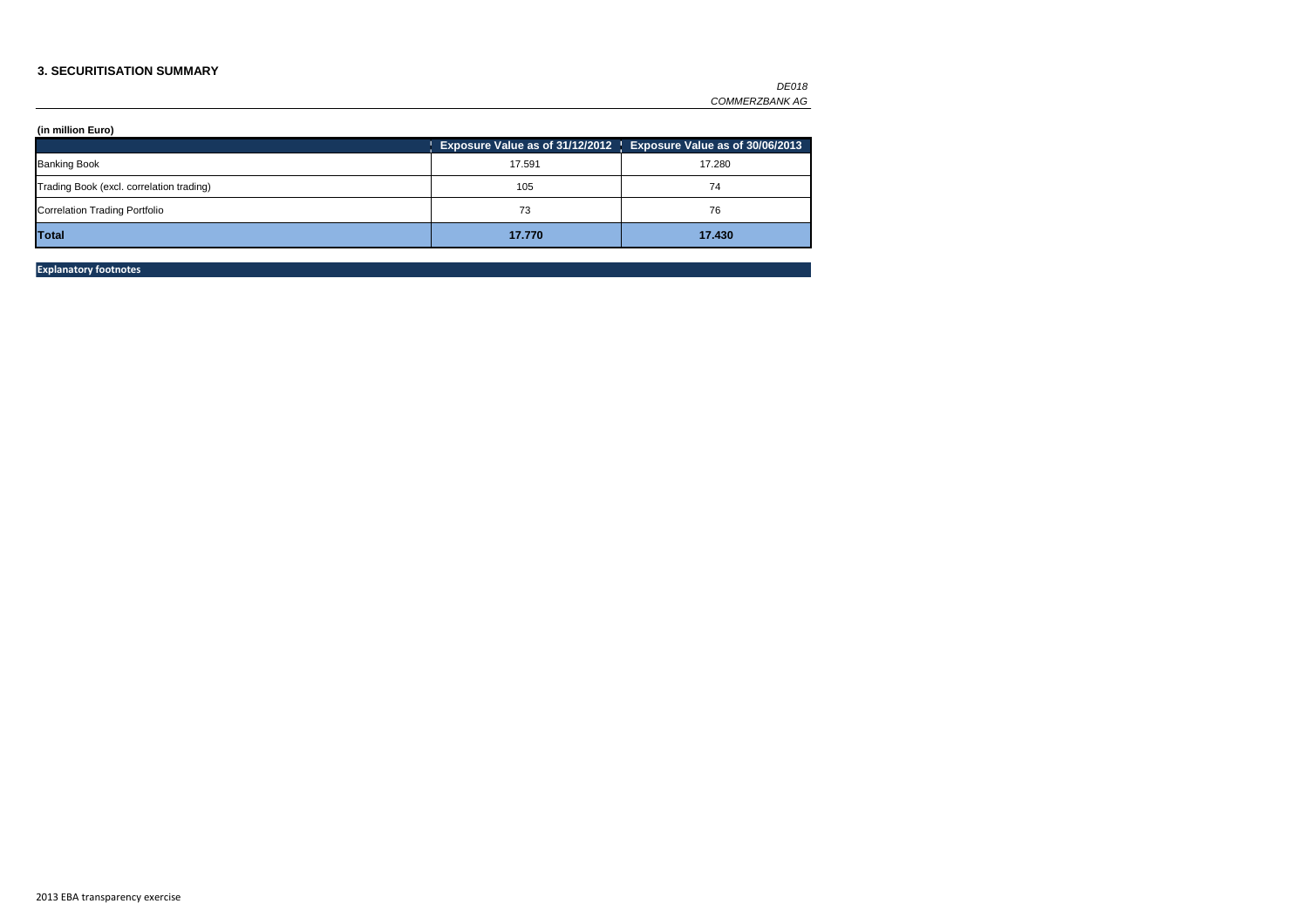### **3. SECURITISATION SUMMARY**

|        | Exposure Value as of 31/12/2012   Exposure Value as of 30/06/2013 |
|--------|-------------------------------------------------------------------|
| 17.591 | 17.280                                                            |
| 105    | 74                                                                |
| 73     | 76                                                                |
| 17.770 | 17.430                                                            |
|        |                                                                   |

**Explanatory footnotes**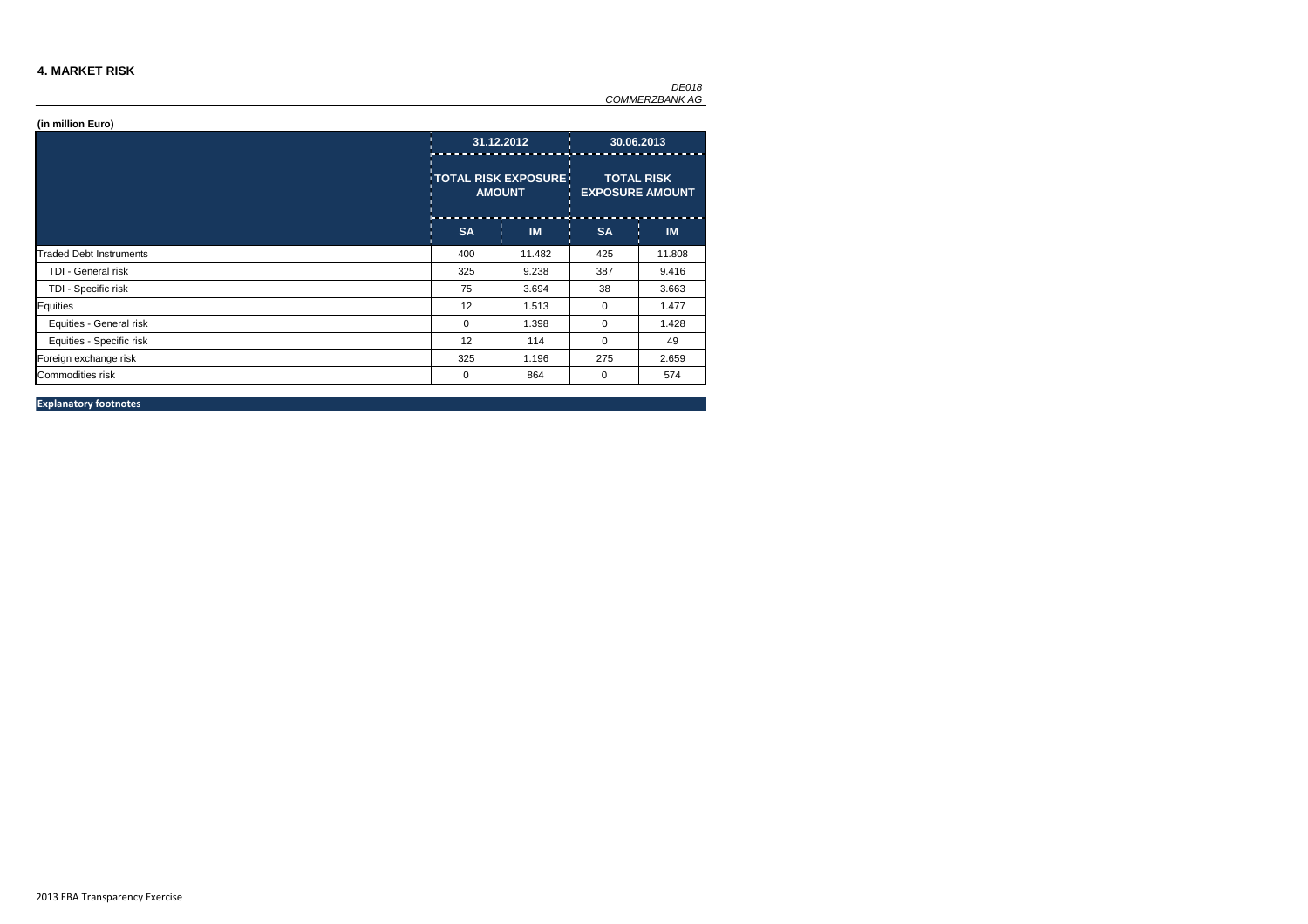### **4. MARKET RISK**

|                                |           | 31.12.2012<br><b>TOTAL RISK EXPOSURE!</b><br><b>AMOUNT</b> |           | 30.06.2013                                  |
|--------------------------------|-----------|------------------------------------------------------------|-----------|---------------------------------------------|
|                                |           |                                                            |           | <b>TOTAL RISK</b><br><b>EXPOSURE AMOUNT</b> |
|                                | <b>SA</b> | <b>IM</b>                                                  | <b>SA</b> | <b>IM</b>                                   |
| <b>Traded Debt Instruments</b> | 400       | 11.482                                                     | 425       | 11.808                                      |
| TDI - General risk             | 325       | 9.238                                                      | 387       | 9.416                                       |
| TDI - Specific risk            | 75        | 3.694                                                      | 38        | 3.663                                       |
| Equities                       | 12        | 1.513                                                      | 0         | 1.477                                       |
| Equities - General risk        | 0         | 1.398                                                      | $\Omega$  | 1.428                                       |
| Equities - Specific risk       | 12        | 114                                                        | $\Omega$  | 49                                          |
| Foreign exchange risk          | 325       | 1.196                                                      | 275       | 2.659                                       |
| <b>Commodities risk</b>        | 0         | 864                                                        | 0         | 574                                         |

**Explanatory footnotes**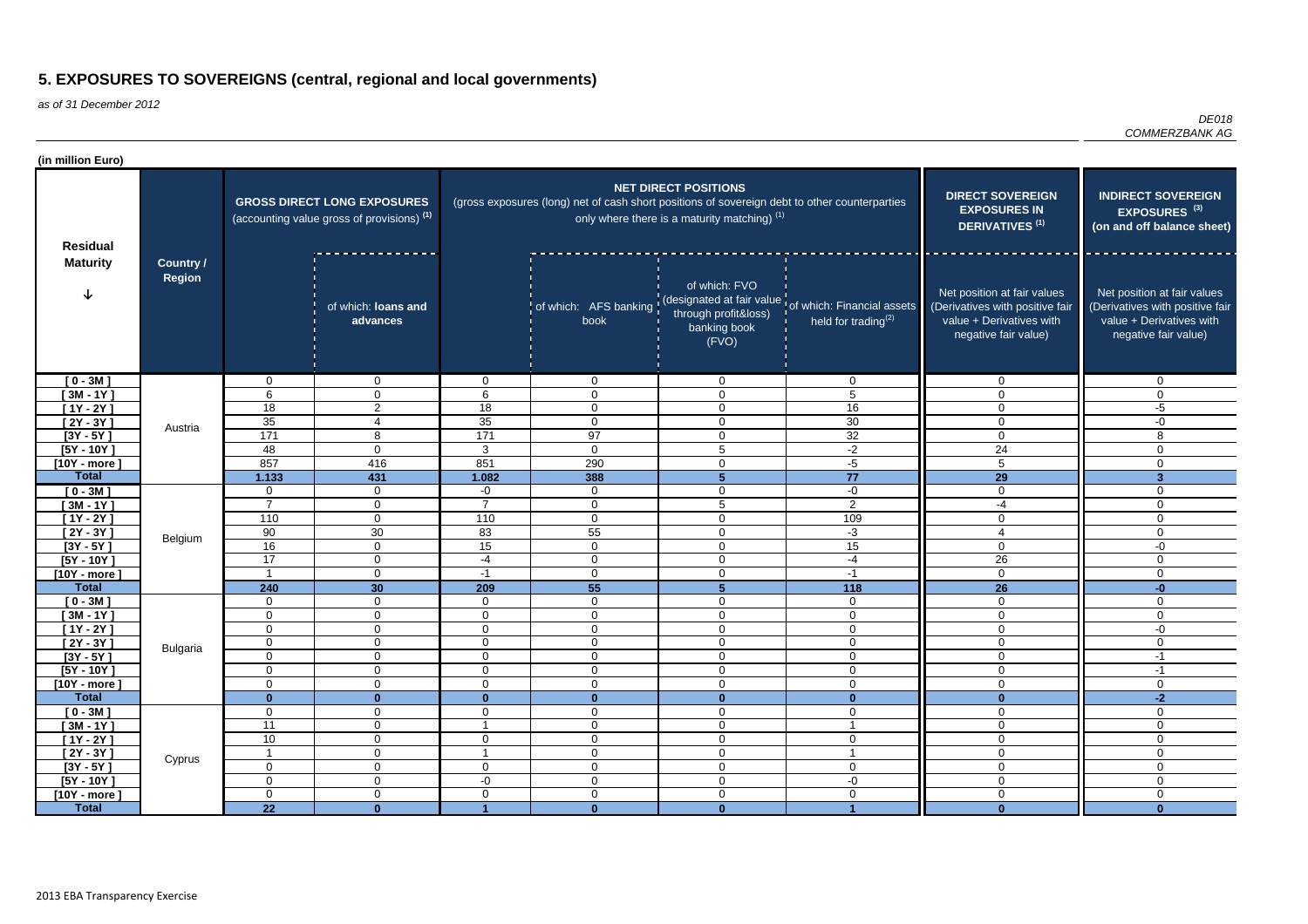as of 31 December 2012

*DE018 COMMERZBANK AG*

| (in million Euro)                                   |                  |                            |                                                                                             |                                  |                                                                                               |                                                                             |                                                                                        |                                                                                                                    |                                                                                                                    |
|-----------------------------------------------------|------------------|----------------------------|---------------------------------------------------------------------------------------------|----------------------------------|-----------------------------------------------------------------------------------------------|-----------------------------------------------------------------------------|----------------------------------------------------------------------------------------|--------------------------------------------------------------------------------------------------------------------|--------------------------------------------------------------------------------------------------------------------|
| <b>Residual</b><br><b>Maturity</b><br><b>Region</b> |                  |                            | <b>GROSS DIRECT LONG EXPOSURES</b><br>(accounting value gross of provisions) <sup>(1)</sup> |                                  | (gross exposures (long) net of cash short positions of sovereign debt to other counterparties | <b>NET DIRECT POSITIONS</b><br>only where there is a maturity matching) (1) | <b>DIRECT SOVEREIGN</b><br><b>EXPOSURES IN</b><br><b>DERIVATIVES<sup>(1)</sup></b>     | <b>INDIRECT SOVEREIGN</b><br>EXPOSURES <sup>(3)</sup><br>(on and off balance sheet)                                |                                                                                                                    |
|                                                     | <b>Country /</b> |                            | of which: loans and<br>advances                                                             |                                  | of which: AFS banking<br>book                                                                 | of which: FVO<br>through profit&loss)<br>banking book<br>(FVO)              | designated at fair value of which: Financial assets<br>held for trading <sup>(2)</sup> | Net position at fair values<br>(Derivatives with positive fair<br>value + Derivatives with<br>negative fair value) | Net position at fair values<br>(Derivatives with positive fair<br>value + Derivatives with<br>negative fair value) |
| $[0 - 3M]$                                          |                  | $\mathbf 0$                | 0                                                                                           | $\overline{0}$                   | $\mathbf 0$                                                                                   | $\mathbf 0$                                                                 | 0                                                                                      |                                                                                                                    | $\overline{0}$                                                                                                     |
| $[3M - 1Y]$                                         |                  | 6                          | $\mathbf{0}$                                                                                | 6                                | $\mathbf 0$                                                                                   | $\mathbf 0$                                                                 | 5                                                                                      | 0                                                                                                                  | $\mathbf 0$                                                                                                        |
| $[1Y - 2Y]$                                         |                  | 18                         | $\overline{2}$                                                                              | 18                               | $\mathbf 0$                                                                                   | $\mathbf 0$                                                                 | 16                                                                                     | $\Omega$                                                                                                           | $-5$                                                                                                               |
| $[2Y - 3Y]$                                         | Austria          | 35                         | $\overline{4}$                                                                              | $\overline{35}$                  | $\overline{0}$                                                                                | $\mathbf 0$                                                                 | $\overline{30}$                                                                        | $\Omega$                                                                                                           | $-0$                                                                                                               |
| $[3Y - 5Y]$                                         |                  | 171                        | 8                                                                                           | 171                              | 97                                                                                            | $\mathbf 0$                                                                 | $\overline{32}$                                                                        | $\Omega$                                                                                                           | 8                                                                                                                  |
| $[5Y - 10Y]$<br>$10Y - more$                        |                  | 48<br>857                  | $\Omega$<br>416                                                                             | $\mathbf{3}$<br>851              | $\mathbf 0$<br>290                                                                            | $\overline{5}$<br>$\mathbf 0$                                               | $-2$<br>$-5$                                                                           | 24<br>5                                                                                                            | $\mathbf 0$<br>$\mathbf 0$                                                                                         |
| <b>Total</b>                                        |                  | 1.133                      | 431                                                                                         | 1.082                            | 388                                                                                           | $5\phantom{1}$                                                              | $\overline{77}$                                                                        | $\overline{29}$                                                                                                    | $\overline{\mathbf{3}}$                                                                                            |
| $[0 - 3M]$                                          |                  | $\mathbf 0$                | $\mathbf 0$                                                                                 | $-0$                             | $\overline{0}$                                                                                | $\mathbf 0$                                                                 | $-0$                                                                                   | $\Omega$                                                                                                           | $\mathbf 0$                                                                                                        |
| $[3M - 1Y]$                                         |                  | $\overline{7}$             | 0                                                                                           | $\overline{7}$                   | $\mathbf 0$                                                                                   | 5                                                                           | $\overline{2}$                                                                         | $-4$                                                                                                               | $\mathbf 0$                                                                                                        |
| $[1Y - 2Y]$                                         |                  | 110                        | 0                                                                                           | 110                              | $\mathbf 0$                                                                                   | $\mathbf 0$                                                                 | 109                                                                                    | $\Omega$                                                                                                           | $\mathbf 0$                                                                                                        |
| $[2Y - 3Y]$                                         | Belgium          | 90                         | 30                                                                                          | 83                               | 55                                                                                            | $\mathbf 0$                                                                 | $-3$                                                                                   |                                                                                                                    | $\mathbf 0$                                                                                                        |
| $[3Y - 5Y]$                                         |                  | 16                         | $\overline{0}$                                                                              | 15                               | $\overline{0}$                                                                                | $\mathbf 0$                                                                 | 15                                                                                     | $\Omega$                                                                                                           | $-0$                                                                                                               |
| $[5Y - 10Y]$                                        |                  | 17                         | $\mathbf 0$                                                                                 | $-4$                             | $\overline{0}$                                                                                | $\mathbf 0$                                                                 | $-4$                                                                                   | $\overline{26}$                                                                                                    | $\mathbf 0$                                                                                                        |
| $[10Y - more]$                                      |                  |                            | $\overline{0}$                                                                              | $-1$                             | $\mathbf 0$                                                                                   | $\mathbf 0$                                                                 | $-1$                                                                                   | $\Omega$                                                                                                           | $\overline{0}$                                                                                                     |
| <b>Total</b>                                        |                  | 240                        | 30 <sup>°</sup>                                                                             | 209                              | 55                                                                                            | 5                                                                           | 118                                                                                    | 26                                                                                                                 | $-0$                                                                                                               |
| $[0 - 3M]$                                          |                  | $\mathbf 0$                | $\overline{0}$                                                                              | $\overline{0}$                   | $\overline{0}$                                                                                | $\mathbf 0$                                                                 | $\mathbf 0$                                                                            | $\Omega$<br>$\Omega$                                                                                               | $\mathbf 0$                                                                                                        |
| $[3M - 1Y]$<br>$[1Y - 2Y]$                          |                  | $\mathbf 0$<br>$\mathbf 0$ | $\mathbf 0$<br>0                                                                            | $\overline{0}$<br>$\overline{0}$ | $\mathbf 0$<br>$\mathbf 0$                                                                    | $\mathbf 0$<br>$\mathbf 0$                                                  | $\mathbf 0$<br>$\mathbf 0$                                                             | $\Omega$                                                                                                           | $\mathbf 0$<br>$-0$                                                                                                |
| $[2Y - 3Y]$                                         |                  | $\mathbf 0$                | $\mathbf 0$                                                                                 | $\overline{0}$                   | $\mathbf 0$                                                                                   | $\mathbf 0$                                                                 | $\mathbf 0$                                                                            | $\Omega$                                                                                                           | $\mathbf 0$                                                                                                        |
| $[3Y - 5Y]$                                         | <b>Bulgaria</b>  | 0                          | 0                                                                                           | $\sigma$                         | $\mathbf{0}$                                                                                  | $\mathbf{0}$                                                                | 0                                                                                      | 0                                                                                                                  | -1                                                                                                                 |
| $[5Y - 10Y]$                                        |                  | $\mathbf 0$                | $\overline{0}$                                                                              | $\overline{0}$                   | $\overline{0}$                                                                                | $\mathbf 0$                                                                 | $\overline{0}$                                                                         | $\mathbf 0$                                                                                                        | $-1$                                                                                                               |
| $[10Y - more]$                                      |                  | $\mathbf 0$                | $\overline{0}$                                                                              | $\overline{0}$                   | $\overline{0}$                                                                                | $\mathbf 0$                                                                 | $\overline{0}$                                                                         | $\mathbf 0$                                                                                                        | $\overline{0}$                                                                                                     |
| <b>Total</b>                                        |                  | $\mathbf{0}$               | $\mathbf{0}$                                                                                | $\mathbf{0}$                     | $\mathbf{0}$                                                                                  | $\mathbf{0}$                                                                | $\mathbf{0}$                                                                           | $\mathbf{0}$                                                                                                       | $-2$                                                                                                               |
| $[0 - 3M]$                                          |                  | $\mathbf 0$                | $\overline{0}$                                                                              | $\mathbf 0$                      | $\mathbf 0$                                                                                   | $\mathbf 0$                                                                 | $\overline{0}$                                                                         | $\mathbf 0$                                                                                                        | $\mathbf 0$                                                                                                        |
| $[3M - 1Y]$                                         |                  | $\overline{11}$            | $\overline{0}$                                                                              |                                  | $\boldsymbol{0}$                                                                              | $\boldsymbol{0}$                                                            | $\overline{\mathbf{1}}$                                                                | $\mathbf 0$                                                                                                        | $\boldsymbol{0}$                                                                                                   |
| $[1Y - 2Y]$                                         |                  | 10                         | $\overline{0}$                                                                              | $\overline{0}$                   | $\mathbf 0$                                                                                   | $\mathbf 0$                                                                 | $\mathbf 0$                                                                            | $\mathbf 0$                                                                                                        | $\overline{0}$                                                                                                     |
| $[2Y - 3Y]$                                         | Cyprus           | $\overline{1}$             | $\overline{0}$                                                                              |                                  | $\overline{0}$                                                                                | $\mathbf 0$                                                                 | $\overline{\mathbf{1}}$                                                                | $\mathbf 0$                                                                                                        | $\mathbf 0$                                                                                                        |
| $[3Y - 5Y]$<br>$[5Y - 10Y]$                         |                  | $\mathbf 0$<br>$\mathbf 0$ | $\overline{0}$<br>$\overline{0}$                                                            | $\overline{0}$<br>$-0$           | $\boldsymbol{0}$<br>$\overline{0}$                                                            | $\mathbf 0$<br>$\mathbf 0$                                                  | $\mathbf 0$<br>$-0$                                                                    | $\mathbf 0$<br>$\Omega$                                                                                            | $\boldsymbol{0}$<br>$\mathbf 0$                                                                                    |
| $[10Y - more]$                                      |                  | $\mathbf 0$                | $\overline{0}$                                                                              | $\overline{0}$                   | $\overline{0}$                                                                                | $\mathbf 0$                                                                 | $\mathbf 0$                                                                            | $\mathbf 0$                                                                                                        | $\mathbf 0$                                                                                                        |
| <b>Total</b>                                        |                  | 22                         | $\mathbf{0}$                                                                                |                                  | $\mathbf{0}$                                                                                  | $\mathbf{0}$                                                                |                                                                                        | $\mathbf{0}$                                                                                                       | $\mathbf{0}$                                                                                                       |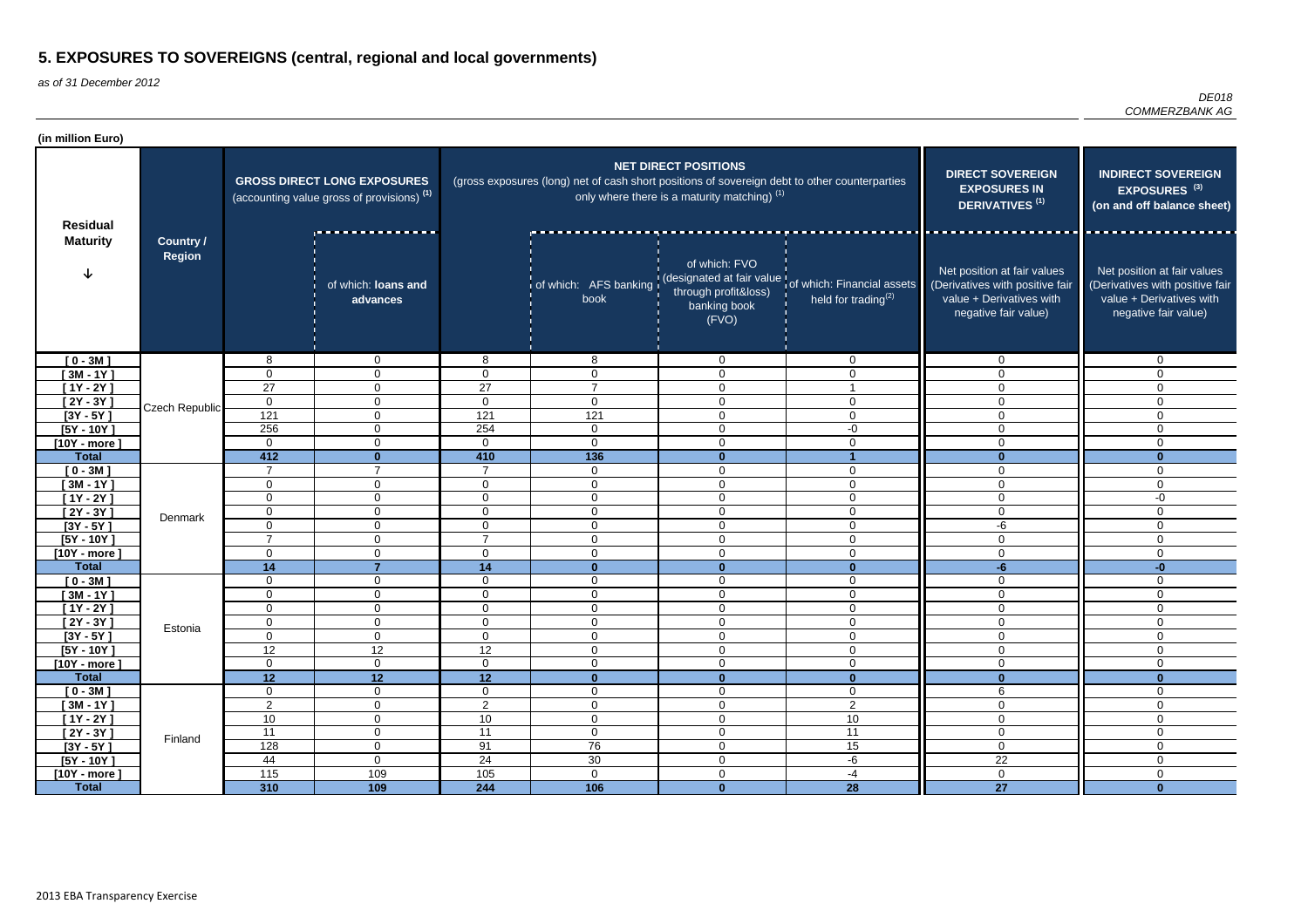| (in million Euro)              |                                   |                               |                                                                                             |                               |                                                                                               |                                                                                        |                                                                                                      |                                                                                                                    |                                                                                                                    |
|--------------------------------|-----------------------------------|-------------------------------|---------------------------------------------------------------------------------------------|-------------------------------|-----------------------------------------------------------------------------------------------|----------------------------------------------------------------------------------------|------------------------------------------------------------------------------------------------------|--------------------------------------------------------------------------------------------------------------------|--------------------------------------------------------------------------------------------------------------------|
| <b>Residual</b>                | <b>Country /</b><br><b>Region</b> |                               | <b>GROSS DIRECT LONG EXPOSURES</b><br>(accounting value gross of provisions) <sup>(1)</sup> |                               | (gross exposures (long) net of cash short positions of sovereign debt to other counterparties | <b>NET DIRECT POSITIONS</b><br>only where there is a maturity matching) <sup>(1)</sup> | <b>DIRECT SOVEREIGN</b><br><b>EXPOSURES IN</b><br><b>DERIVATIVES<sup>(1)</sup></b>                   | <b>INDIRECT SOVEREIGN</b><br>EXPOSURES <sup>(3)</sup><br>(on and off balance sheet)                                |                                                                                                                    |
| <b>Maturity</b>                |                                   |                               | of which: loans and<br>advances                                                             |                               | book                                                                                          | of which: FVO<br>through profit&loss)<br>banking book<br>(FVO)                         | of which: AFS banking (designated at fair value of which: Financial assets<br>held for trading $(2)$ | Net position at fair values<br>(Derivatives with positive fair<br>value + Derivatives with<br>negative fair value) | Net position at fair values<br>(Derivatives with positive fair<br>value + Derivatives with<br>negative fair value) |
| $[0 - 3M]$                     |                                   | 8                             | $\overline{0}$                                                                              | 8                             | 8                                                                                             | $\mathbf 0$                                                                            | $\Omega$                                                                                             | $\Omega$                                                                                                           | $\mathbf{0}$                                                                                                       |
| $[3M - 1Y]$                    |                                   | $\Omega$                      | $\Omega$                                                                                    | $\Omega$                      | 0                                                                                             | $\overline{0}$                                                                         | $\mathbf{0}$                                                                                         | $\Omega$                                                                                                           | $\Omega$                                                                                                           |
| $[1Y - 2Y]$                    |                                   | 27                            | $\Omega$                                                                                    | 27                            | $\overline{7}$                                                                                | $\overline{0}$                                                                         |                                                                                                      | $\Omega$                                                                                                           | $\Omega$                                                                                                           |
| [ 2Y - 3Y ]                    | Czech Republic                    | $\mathbf 0$                   | 0                                                                                           | $\Omega$                      | 0                                                                                             | $\overline{0}$                                                                         | $\Omega$                                                                                             | $\mathbf 0$                                                                                                        | $\Omega$                                                                                                           |
| $[3Y - 5Y]$                    |                                   | 121                           | $\Omega$                                                                                    | 121                           | 121                                                                                           | $\mathbf 0$                                                                            | $\Omega$                                                                                             | $\overline{0}$                                                                                                     | $\Omega$                                                                                                           |
| $[5Y - 10Y]$                   |                                   | 256                           | $\mathbf 0$                                                                                 | 254                           | 0                                                                                             | $\overline{0}$                                                                         | -0                                                                                                   | $\overline{0}$                                                                                                     | $\mathbf 0$                                                                                                        |
| $[10Y - more]$                 |                                   | $\mathbf 0$                   | $\mathbf 0$                                                                                 | $\Omega$                      | $\Omega$                                                                                      | $\overline{0}$                                                                         | $\mathbf 0$                                                                                          | $\mathbf 0$                                                                                                        | $\Omega$                                                                                                           |
| <b>Total</b>                   |                                   | 412                           | $\mathbf{0}$<br>$\overline{7}$                                                              | 410<br>$\overline{7}$         | 136                                                                                           | $\mathbf{0}$                                                                           |                                                                                                      | $\Omega$                                                                                                           | $\bf{0}$                                                                                                           |
| $[0 - 3M]$                     |                                   | $\overline{7}$                |                                                                                             |                               | $\mathbf 0$                                                                                   | $\overline{0}$                                                                         | $\mathbf{0}$                                                                                         | $\mathbf 0$                                                                                                        | 0                                                                                                                  |
| $[3M - 1Y]$                    |                                   | 0                             | 0                                                                                           | 0                             | 0                                                                                             | $\overline{0}$                                                                         | 0                                                                                                    | $\overline{0}$                                                                                                     | $\Omega$                                                                                                           |
| $[1Y - 2Y]$                    |                                   | $\mathbf 0$                   | $\mathbf{0}$                                                                                | 0                             | $\mathbf{0}$                                                                                  | $\overline{0}$                                                                         | $\mathbf 0$                                                                                          | $\mathbf 0$                                                                                                        | -0                                                                                                                 |
| $[2Y - 3Y]$                    | Denmark                           | $\overline{0}$                | $\overline{0}$                                                                              | $\Omega$                      | $\overline{0}$                                                                                | $\mathbf 0$                                                                            | $\mathbf 0$                                                                                          | $\mathbf 0$                                                                                                        | $\Omega$                                                                                                           |
| $[3Y - 5Y]$                    |                                   | $\mathbf 0$<br>$\overline{7}$ | $\mathbf 0$                                                                                 | $\mathbf 0$<br>$\overline{7}$ | $\mathbf{0}$                                                                                  | $\mathbf 0$                                                                            | $\Omega$                                                                                             | -6                                                                                                                 | $\mathbf 0$                                                                                                        |
| $[5Y - 10Y]$                   |                                   | 0                             | $\Omega$<br>$\mathbf{0}$                                                                    | $\mathbf{0}$                  | $\mathbf{0}$<br>$\mathbf{0}$                                                                  | $\mathbf 0$<br>$\mathbf 0$                                                             | $\Omega$<br>$\mathbf 0$                                                                              | $\overline{0}$<br>$\mathbf 0$                                                                                      | $\Omega$<br>$\mathbf 0$                                                                                            |
| $[10Y - more]$<br><b>Total</b> |                                   | 14                            | $\overline{7}$                                                                              | 14                            | $\mathbf{0}$                                                                                  | $\mathbf{0}$                                                                           | $\mathbf{0}$                                                                                         | -6                                                                                                                 | $-0$                                                                                                               |
| $[0 - 3M]$                     |                                   | $\mathbf 0$                   | 0                                                                                           | 0                             | $\overline{0}$                                                                                | $\mathbf 0$                                                                            | $\mathbf 0$                                                                                          | $\mathbf 0$                                                                                                        | $\overline{0}$                                                                                                     |
| $[3M - 1Y]$                    |                                   | $\mathbf 0$                   | 0                                                                                           | $\overline{0}$                | 0                                                                                             | $\overline{0}$                                                                         | $\mathbf{0}$                                                                                         | $\overline{0}$                                                                                                     | $\mathbf 0$                                                                                                        |
| $[1Y - 2Y]$                    |                                   | 0                             | 0                                                                                           | $\Omega$                      | 0                                                                                             | $\overline{0}$                                                                         | $\mathbf 0$                                                                                          | 0                                                                                                                  | 0                                                                                                                  |
| $[2Y - 3Y]$                    |                                   | $\pmb{0}$                     | 0                                                                                           | 0                             | $\Omega$<br>v                                                                                 | $\Omega$<br>v                                                                          | $\Omega$                                                                                             | $\mathbf 0$                                                                                                        | $\cap$<br>U                                                                                                        |
| $[3Y - 5Y]$                    | Estonia                           | $\Omega$                      | $\overline{0}$                                                                              | $\overline{0}$                | 0                                                                                             | $\mathbf 0$                                                                            | $\Omega$                                                                                             | $\mathbf 0$                                                                                                        | $\mathbf 0$                                                                                                        |
| $[5Y - 10Y]$                   |                                   | 12                            | 12                                                                                          | 12                            | $\mathbf 0$                                                                                   | $\overline{0}$                                                                         | $\mathbf 0$                                                                                          | $\mathbf 0$                                                                                                        | $\overline{0}$                                                                                                     |
| $[10Y - more]$                 |                                   | $\overline{0}$                | $\overline{0}$                                                                              | $\overline{0}$                | $\mathbf 0$                                                                                   | $\mathbf 0$                                                                            | $\mathbf 0$                                                                                          | $\mathbf 0$                                                                                                        | $\mathbf 0$                                                                                                        |
| <b>Total</b>                   |                                   | 12                            | $\overline{12}$                                                                             | 12                            | $\mathbf{0}$                                                                                  | $\mathbf{0}$                                                                           | $\mathbf{0}$                                                                                         | $\mathbf{0}$                                                                                                       | $\mathbf{0}$                                                                                                       |
| $[0 - 3M]$                     |                                   | $\overline{0}$                | $\overline{0}$                                                                              | $\overline{0}$                | $\overline{0}$                                                                                | $\overline{0}$                                                                         | $\overline{0}$                                                                                       | 6                                                                                                                  | $\overline{0}$                                                                                                     |
| $[3M - 1Y]$                    |                                   | $\overline{2}$                | $\overline{0}$                                                                              | $\overline{2}$                | $\overline{0}$                                                                                | $\boldsymbol{0}$                                                                       | $\overline{2}$                                                                                       | $\mathbf 0$                                                                                                        | $\mathbf 0$                                                                                                        |
| $[1Y - 2Y]$                    |                                   | 10                            | $\overline{0}$                                                                              | 10                            | $\mathbf 0$                                                                                   | $\mathbf 0$                                                                            | 10                                                                                                   | $\mathbf 0$                                                                                                        | $\mathbf 0$                                                                                                        |
| $[2Y - 3Y]$                    | Finland                           | 11                            | $\overline{0}$                                                                              | 11                            | $\overline{0}$                                                                                | $\boldsymbol{0}$                                                                       | 11                                                                                                   | $\mathbf 0$                                                                                                        | $\mathbf 0$                                                                                                        |
| $[3Y - 5Y]$                    |                                   | 128                           | $\mathbf 0$                                                                                 | 91                            | 76                                                                                            | $\mathbf 0$                                                                            | 15                                                                                                   | $\mathbf 0$                                                                                                        | $\overline{0}$                                                                                                     |
| $[5Y - 10Y]$                   |                                   | 44                            | $\overline{0}$                                                                              | 24                            | 30 <sup>°</sup>                                                                               | $\overline{0}$                                                                         | -6                                                                                                   | 22                                                                                                                 | $\overline{0}$                                                                                                     |
| $[10Y - more]$                 |                                   | $\overline{115}$              | 109                                                                                         | $\frac{105}{105}$             | $\overline{0}$                                                                                | $\boldsymbol{0}$                                                                       | $-4$                                                                                                 | $\mathbf 0$                                                                                                        | $\mathbf 0$                                                                                                        |
| <b>Total</b>                   |                                   | 310                           | 109                                                                                         | 244                           | 106                                                                                           | $\mathbf{0}$                                                                           | 28                                                                                                   | $\overline{27}$                                                                                                    | $\mathbf{0}$                                                                                                       |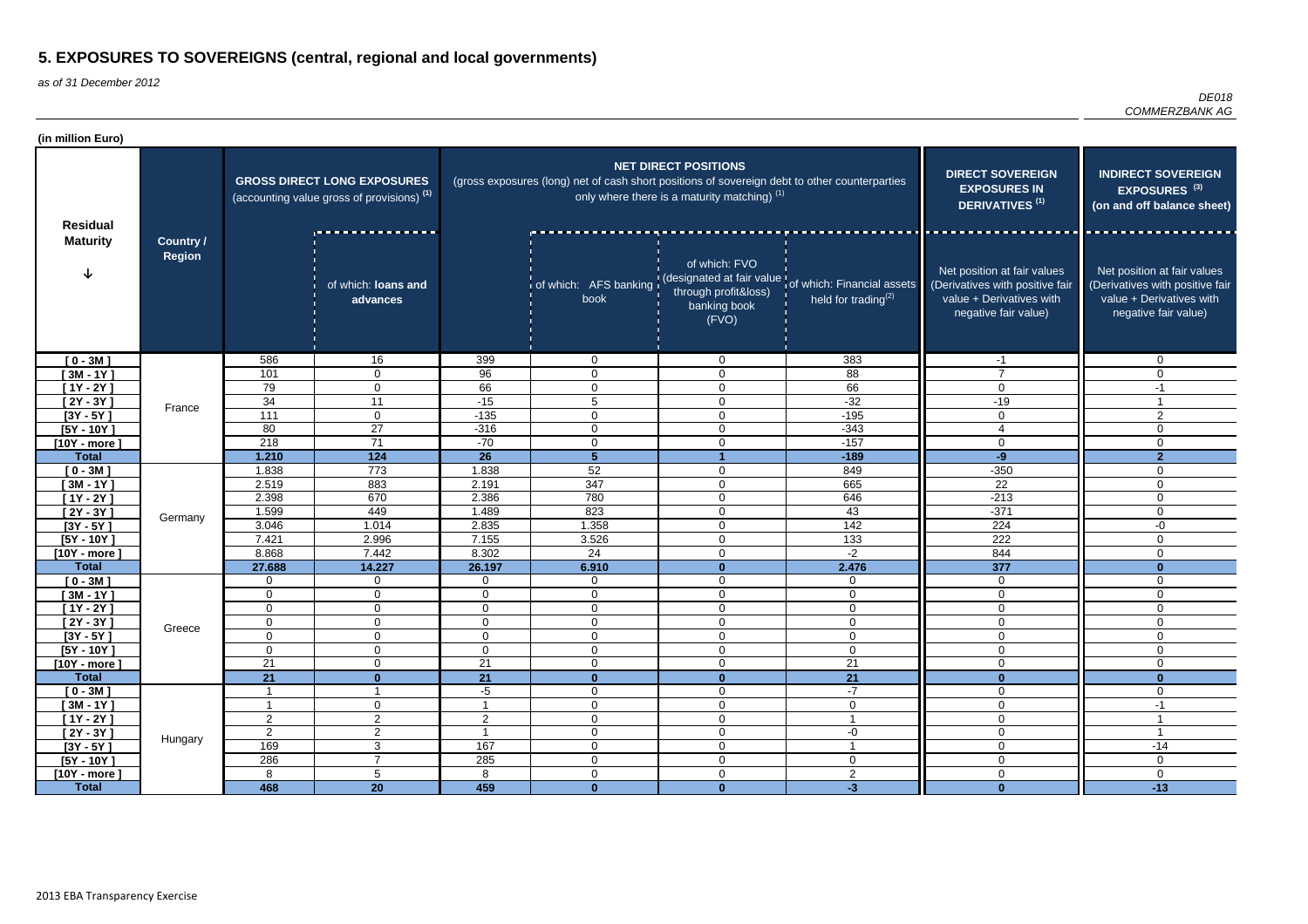| (in million Euro)                  |                                   |                                                                                             |                                 |                |                                                                                               |                                                                                        |                                                                                                               |                                                                                                                    |                                                                                                                    |
|------------------------------------|-----------------------------------|---------------------------------------------------------------------------------------------|---------------------------------|----------------|-----------------------------------------------------------------------------------------------|----------------------------------------------------------------------------------------|---------------------------------------------------------------------------------------------------------------|--------------------------------------------------------------------------------------------------------------------|--------------------------------------------------------------------------------------------------------------------|
| <b>Residual</b><br><b>Maturity</b> | <b>Country /</b><br><b>Region</b> | <b>GROSS DIRECT LONG EXPOSURES</b><br>(accounting value gross of provisions) <sup>(1)</sup> |                                 |                | (gross exposures (long) net of cash short positions of sovereign debt to other counterparties | <b>NET DIRECT POSITIONS</b><br>only where there is a maturity matching) <sup>(1)</sup> | <b>DIRECT SOVEREIGN</b><br><b>EXPOSURES IN</b><br><b>DERIVATIVES<sup>(1)</sup></b>                            | <b>INDIRECT SOVEREIGN</b><br>EXPOSURES <sup>(3)</sup><br>(on and off balance sheet)                                |                                                                                                                    |
|                                    |                                   |                                                                                             | of which: loans and<br>advances |                | book                                                                                          | of which: FVO<br>through profit&loss)<br>banking book<br>(FVO)                         | of which: AFS banking (designated at fair value of which: Financial assets<br>held for trading <sup>(2)</sup> | Net position at fair values<br>(Derivatives with positive fair<br>value + Derivatives with<br>negative fair value) | Net position at fair values<br>(Derivatives with positive fair<br>value + Derivatives with<br>negative fair value) |
| $[0 - 3M]$                         |                                   | 586                                                                                         | 16                              | 399            | $\overline{0}$                                                                                | $\mathbf{0}$                                                                           | 383                                                                                                           | $-1$                                                                                                               | $\mathbf 0$                                                                                                        |
| $[3M - 1Y]$                        |                                   | 101                                                                                         | 0                               | 96             | $\mathbf{0}$                                                                                  | $\overline{0}$                                                                         | 88                                                                                                            | $\overline{7}$                                                                                                     | $\Omega$                                                                                                           |
| $[1Y - 2Y]$                        | France                            | 79                                                                                          | 0                               | 66             | $\mathbf 0$                                                                                   | $\mathbf 0$                                                                            | 66                                                                                                            | $\mathbf{0}$                                                                                                       | -1                                                                                                                 |
| $[2Y - 3Y]$                        |                                   | 34                                                                                          | 11                              | $-15$          | 5                                                                                             | $\mathbf 0$                                                                            | $-32$                                                                                                         | $-19$                                                                                                              |                                                                                                                    |
| $[3Y - 5Y]$                        |                                   | 111                                                                                         | $\mathbf 0$                     | $-135$         | $\mathbf 0$                                                                                   | $\overline{0}$                                                                         | $-195$                                                                                                        | $\Omega$                                                                                                           | 2                                                                                                                  |
| $[5Y - 10Y]$                       |                                   | 80                                                                                          | $\overline{27}$                 | $-316$         | $\mathbf 0$                                                                                   | $\overline{0}$                                                                         | $-343$                                                                                                        |                                                                                                                    | $\Omega$                                                                                                           |
| $[10Y - more]$                     |                                   | 218                                                                                         | 71                              | $-70$          | $\mathbf{0}$                                                                                  | $\mathbf 0$                                                                            | $-157$                                                                                                        | 0                                                                                                                  | $\mathbf 0$                                                                                                        |
| <b>Total</b>                       |                                   | 1.210                                                                                       | 124                             | 26             | 5                                                                                             |                                                                                        | $-189$                                                                                                        | $-9$                                                                                                               | $\overline{2}$                                                                                                     |
| $[0 - 3M]$                         |                                   | 1.838                                                                                       | 773                             | 1.838          | 52                                                                                            | $\mathbf 0$                                                                            | 849                                                                                                           | $-350$                                                                                                             | $\mathbf 0$                                                                                                        |
| $[3M - 1Y]$                        |                                   | 2.519                                                                                       | 883                             | 2.191          | 347                                                                                           | $\overline{0}$                                                                         | 665                                                                                                           | $\overline{22}$                                                                                                    | $\Omega$                                                                                                           |
| $[1Y - 2Y]$                        |                                   | 2.398                                                                                       | 670                             | 2.386          | 780                                                                                           | $\mathbf 0$                                                                            | 646                                                                                                           | $-213$                                                                                                             | $\mathbf 0$                                                                                                        |
| $[2Y - 3Y]$                        | Germany                           | 1.599                                                                                       | 449                             | 1.489          | 823                                                                                           | $\overline{0}$                                                                         | 43                                                                                                            | $-371$                                                                                                             | $\mathbf 0$                                                                                                        |
| $[3Y - 5Y]$                        |                                   | 3.046                                                                                       | 1.014                           | 2.835          | 1.358                                                                                         | $\mathbf 0$                                                                            | 142                                                                                                           | 224                                                                                                                | -0                                                                                                                 |
| $[5Y - 10Y]$                       |                                   | 7.421                                                                                       | 2.996                           | 7.155          | 3.526                                                                                         | $\overline{0}$                                                                         | 133                                                                                                           | 222                                                                                                                | $\mathbf 0$                                                                                                        |
| $[10Y - more]$                     |                                   | 8.868                                                                                       | 7.442                           | 8.302          | 24                                                                                            | $\overline{0}$                                                                         | $-2$                                                                                                          | 844                                                                                                                | $\mathbf 0$                                                                                                        |
| <b>Total</b>                       |                                   | 27.688                                                                                      | 14.227                          | 26.197         | 6.910                                                                                         | $\mathbf{0}$                                                                           | 2.476                                                                                                         | 377                                                                                                                | $\mathbf{0}$                                                                                                       |
| $[0 - 3M]$                         |                                   | 0                                                                                           | $\mathbf 0$                     | $\mathbf{0}$   | $\overline{0}$                                                                                | $\mathbf 0$                                                                            | $\mathbf 0$                                                                                                   | $\mathbf 0$                                                                                                        | $\mathbf 0$                                                                                                        |
| $[3M - 1Y]$                        |                                   | 0                                                                                           | $\mathbf 0$                     | $\mathbf 0$    | $\mathbf 0$                                                                                   | $\mathbf 0$                                                                            | $\mathbf 0$                                                                                                   | $\mathbf 0$                                                                                                        | $\mathbf 0$                                                                                                        |
| $[1Y - 2Y]$                        |                                   | $\mathbf 0$                                                                                 | 0                               | $\overline{0}$ | 0                                                                                             | $\mathbf 0$                                                                            | $\mathbf 0$                                                                                                   | $\mathbf 0$                                                                                                        | $\mathbf 0$                                                                                                        |
| $[2Y - 3Y]$                        | Greece                            | $\pmb{0}$                                                                                   | 0                               | $\overline{0}$ | 0                                                                                             | $\overline{0}$                                                                         | $\mathbf 0$                                                                                                   | $\mathbf 0$                                                                                                        | $\mathbf 0$                                                                                                        |
| $[3Y - 5Y]$                        |                                   | 0                                                                                           | 0                               | $\mathbf 0$    | 0                                                                                             | $\mathbf 0$                                                                            | 0                                                                                                             | 0                                                                                                                  | $\mathbf 0$                                                                                                        |
| $[5Y - 10Y]$                       |                                   | $\mathbf 0$                                                                                 | $\overline{0}$                  | $\mathbf 0$    | $\overline{0}$                                                                                | $\mathbf 0$                                                                            | $\mathbf 0$                                                                                                   | $\mathbf 0$                                                                                                        | $\mathbf 0$                                                                                                        |
| $[10Y - more]$                     |                                   | $\overline{21}$                                                                             | $\overline{0}$                  | 21             | $\overline{0}$                                                                                | $\mathbf 0$                                                                            | 21                                                                                                            | $\mathbf 0$                                                                                                        | $\mathbf 0$                                                                                                        |
| <b>Total</b>                       |                                   | 21                                                                                          | $\mathbf{0}$                    | 21             | $\mathbf{0}$                                                                                  | $\mathbf{0}$                                                                           | $\overline{21}$                                                                                               | $\mathbf{0}$                                                                                                       | $\mathbf{0}$                                                                                                       |
| $[0 - 3M]$                         |                                   | -1                                                                                          | -1                              | $-5$           | $\mathbf 0$                                                                                   | $\overline{0}$                                                                         | $-7$                                                                                                          | $\overline{0}$                                                                                                     | $\mathbf 0$                                                                                                        |
| $[3M - 1Y]$                        |                                   | -1                                                                                          | $\overline{0}$                  |                | $\mathbf 0$                                                                                   | $\overline{0}$                                                                         | $\mathbf 0$<br>$\overline{\phantom{a}}$                                                                       | $\mathbf 0$                                                                                                        | $-1$                                                                                                               |
| $[1Y - 2Y]$                        |                                   | $\overline{2}$                                                                              | $\overline{2}$                  | $\overline{2}$ | $\overline{0}$                                                                                | $\pmb{0}$                                                                              |                                                                                                               | $\overline{0}$                                                                                                     |                                                                                                                    |
| $[2Y - 3Y]$                        | Hungary                           | 2                                                                                           | $\overline{2}$                  |                | $\overline{0}$                                                                                | $\pmb{0}$                                                                              | $-0$                                                                                                          | $\mathbf 0$                                                                                                        |                                                                                                                    |
| $[3Y - 5Y]$                        |                                   | 169                                                                                         | $\mathbf{3}$<br>$\overline{7}$  | 167            | $\overline{0}$                                                                                | $\overline{0}$                                                                         |                                                                                                               | $\mathbf 0$                                                                                                        | $-14$                                                                                                              |
| $[5Y - 10Y]$                       |                                   | 286                                                                                         |                                 | 285            | 0                                                                                             | $\overline{0}$                                                                         | $\mathbf 0$                                                                                                   | $\overline{0}$                                                                                                     | $\mathbf 0$                                                                                                        |
| $[10Y - more]$                     |                                   | 8                                                                                           | $\overline{5}$                  | 8              | $\overline{0}$                                                                                | $\mathbf 0$                                                                            | $\overline{2}$                                                                                                | $\mathbf 0$                                                                                                        | $\mathbf 0$                                                                                                        |
| <b>Total</b>                       |                                   | 468                                                                                         | $\overline{20}$                 | 459            | $\mathbf{0}$                                                                                  | $\mathbf{0}$                                                                           | $-3$                                                                                                          | $\mathbf{0}$                                                                                                       | $-13$                                                                                                              |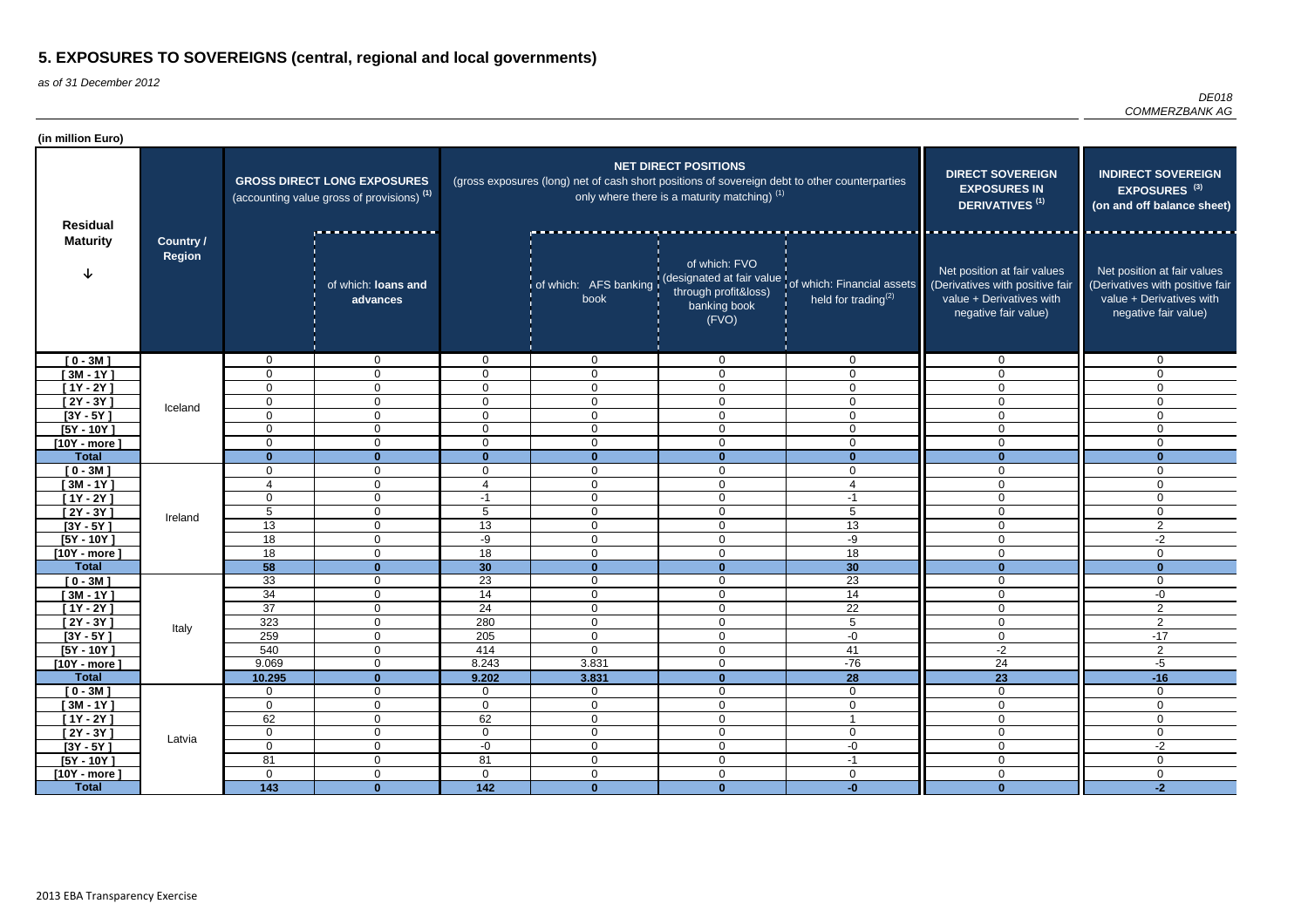| (in million Euro)          |                                   |                                                                                             |                                  |                  |                                                                                               |                                                                               |                                                                                                               |                                                                                                                    |                                                                                                                    |
|----------------------------|-----------------------------------|---------------------------------------------------------------------------------------------|----------------------------------|------------------|-----------------------------------------------------------------------------------------------|-------------------------------------------------------------------------------|---------------------------------------------------------------------------------------------------------------|--------------------------------------------------------------------------------------------------------------------|--------------------------------------------------------------------------------------------------------------------|
| <b>Residual</b>            | <b>Country /</b><br><b>Region</b> | <b>GROSS DIRECT LONG EXPOSURES</b><br>(accounting value gross of provisions) <sup>(1)</sup> |                                  |                  | (gross exposures (long) net of cash short positions of sovereign debt to other counterparties | <b>NET DIRECT POSITIONS</b><br>only where there is a maturity matching) $(1)$ | <b>DIRECT SOVEREIGN</b><br><b>EXPOSURES IN</b><br><b>DERIVATIVES<sup>(1)</sup></b>                            | <b>INDIRECT SOVEREIGN</b><br>EXPOSURES <sup>(3)</sup><br>(on and off balance sheet)                                |                                                                                                                    |
| <b>Maturity</b>            |                                   |                                                                                             | of which: loans and<br>advances  |                  | book                                                                                          | of which: FVO<br>through profit&loss)<br>banking book<br>(FVO)                | of which: AFS banking (designated at fair value of which: Financial assets<br>held for trading <sup>(2)</sup> | Net position at fair values<br>(Derivatives with positive fair<br>value + Derivatives with<br>negative fair value) | Net position at fair values<br>(Derivatives with positive fair<br>value + Derivatives with<br>negative fair value) |
| $[0 - 3M]$                 |                                   | $\mathbf 0$                                                                                 | $\mathbf 0$                      | 0                | $\overline{0}$                                                                                | $\overline{0}$                                                                | $\overline{0}$                                                                                                | $\mathbf 0$                                                                                                        | $\mathbf 0$                                                                                                        |
| $[3M - 1Y]$                |                                   | 0                                                                                           | $\mathbf 0$                      | 0                | 0                                                                                             | $\overline{0}$                                                                | $\mathbf 0$                                                                                                   | $\mathbf 0$                                                                                                        | $\Omega$                                                                                                           |
| $[1Y - 2Y]$                |                                   | 0                                                                                           | 0                                | $\Omega$         | 0                                                                                             | $\mathbf 0$                                                                   | 0                                                                                                             | $\mathbf{0}$                                                                                                       | $\Omega$                                                                                                           |
| $[2Y - 3Y]$                | Iceland                           | 0                                                                                           | 0                                | $\Omega$         | 0                                                                                             | $\mathbf 0$                                                                   | 0                                                                                                             | $\Omega$                                                                                                           | $\Omega$                                                                                                           |
| $[3Y - 5Y]$                |                                   | $\mathbf 0$                                                                                 | 0                                | $\Omega$         | $\Omega$                                                                                      | $\mathbf 0$                                                                   | $\Omega$                                                                                                      | $\mathbf 0$                                                                                                        | $\Omega$                                                                                                           |
| $[5Y - 10Y]$               |                                   | $\mathbf{0}$                                                                                | 0                                | $\Omega$         | $\mathbf 0$                                                                                   | $\mathbf 0$                                                                   | $\Omega$                                                                                                      | $\Omega$                                                                                                           | $\Omega$                                                                                                           |
| $[10Y - more]$             |                                   | 0                                                                                           | $\mathbf 0$                      | $\Omega$         | $\mathbf 0$                                                                                   | $\mathbf 0$                                                                   | 0                                                                                                             | $\mathbf 0$                                                                                                        | $\mathbf 0$                                                                                                        |
| <b>Total</b>               |                                   | $\mathbf{0}$                                                                                | $\mathbf{0}$                     | $\Omega$         | $\bf{0}$                                                                                      | $\mathbf{0}$                                                                  | $\mathbf{0}$                                                                                                  | $\mathbf{0}$                                                                                                       | $\mathbf{0}$                                                                                                       |
| $[0 - 3M]$                 |                                   | 0<br>4                                                                                      | $\overline{0}$<br>$\overline{0}$ | 0<br>4           | $\mathbf 0$<br>$\mathbf 0$                                                                    | $\mathbf 0$<br>$\mathbf 0$                                                    | $\mathbf 0$<br>$\overline{4}$                                                                                 | 0<br>$\mathbf 0$                                                                                                   | $\mathbf 0$<br>$\mathbf 0$                                                                                         |
| $[3M - 1Y]$<br>$[1Y - 2Y]$ |                                   | 0                                                                                           | 0                                | $-1$             | $\mathbf{0}$                                                                                  | $\mathbf 0$                                                                   | $-1$                                                                                                          | $\mathbf 0$                                                                                                        | $\mathbf 0$                                                                                                        |
| $[2Y - 3Y]$                |                                   | $\sqrt{5}$                                                                                  | $\mathbf 0$                      | 5                | $\mathbf 0$                                                                                   | $\overline{0}$                                                                | 5                                                                                                             | $\mathbf{0}$                                                                                                       | $\mathbf 0$                                                                                                        |
| $[3Y - 5Y]$                | Ireland                           | 13                                                                                          | 0                                | 13               | $\mathbf{0}$                                                                                  | $\mathbf 0$                                                                   | 13                                                                                                            | $\mathbf{0}$                                                                                                       | $\overline{2}$                                                                                                     |
| $[5Y - 10Y]$               |                                   | 18                                                                                          | $\mathbf 0$                      | -9               | $\overline{0}$                                                                                | $\overline{0}$                                                                | -9                                                                                                            | $\Omega$                                                                                                           | $-2$                                                                                                               |
| $[10Y - more]$             |                                   | 18                                                                                          | $\mathbf 0$                      | 18               | $\mathbf{0}$                                                                                  | $\mathbf 0$                                                                   | $\overline{18}$                                                                                               | $\Omega$                                                                                                           | $\mathbf 0$                                                                                                        |
| <b>Total</b>               |                                   | 58                                                                                          | $\bf{0}$                         | 30               | $\mathbf{0}$                                                                                  | $\mathbf{0}$                                                                  | 30                                                                                                            | $\bf{0}$                                                                                                           | $\mathbf{0}$                                                                                                       |
| $[0 - 3M]$                 |                                   | 33                                                                                          | $\mathbf 0$                      | 23               | $\mathbf 0$                                                                                   | $\mathbf 0$                                                                   | 23                                                                                                            | $\mathbf 0$                                                                                                        | $\mathbf 0$                                                                                                        |
| $[3M - 1Y]$                |                                   | 34                                                                                          | $\mathbf 0$                      | 14               | $\mathbf 0$                                                                                   | $\mathbf 0$                                                                   | 14                                                                                                            | $\mathbf 0$                                                                                                        | -0                                                                                                                 |
| $[1Y - 2Y]$                |                                   | $\overline{37}$                                                                             | $\mathbf 0$                      | 24               | 0                                                                                             | $\mathbf 0$                                                                   | $\overline{22}$                                                                                               | $\mathbf 0$                                                                                                        | 2                                                                                                                  |
| $[2Y - 3Y]$                |                                   | 323                                                                                         | $\mathbf 0$                      | 280              | 0                                                                                             | $\overline{0}$                                                                | к<br>ັ                                                                                                        | $\mathbf 0$                                                                                                        | $\mathcal{D}$<br>∼                                                                                                 |
| $[3Y - 5Y]$                | Italy                             | 259                                                                                         | $\mathbf 0$                      | 205              | 0                                                                                             | $\mathbf 0$                                                                   | $-0$                                                                                                          | $\mathbf 0$                                                                                                        | $-17$                                                                                                              |
| $[5Y - 10Y]$               |                                   | 540                                                                                         | $\overline{0}$                   | 414              | $\mathbf 0$                                                                                   | $\mathbf 0$                                                                   | 41                                                                                                            | $-2$                                                                                                               | $\overline{2}$                                                                                                     |
| $[10Y - more]$             |                                   | 9.069                                                                                       | $\overline{0}$                   | 8.243            | 3.831                                                                                         | $\mathbf 0$                                                                   | $-76$                                                                                                         | 24                                                                                                                 | $-5$                                                                                                               |
| <b>Total</b>               |                                   | 10.295                                                                                      | $\mathbf{0}$                     | 9.202            | 3.831                                                                                         | $\mathbf{0}$                                                                  | $\overline{28}$                                                                                               | $\overline{23}$                                                                                                    | $-16$                                                                                                              |
| $[0 - 3M]$                 |                                   | $\mathbf 0$                                                                                 | $\overline{0}$                   | $\mathbf 0$      | $\overline{0}$                                                                                | $\mathbf 0$                                                                   | $\overline{0}$                                                                                                | $\mathbf 0$                                                                                                        | $\overline{0}$                                                                                                     |
| $[3M - 1Y]$                |                                   | $\mathbf 0$                                                                                 | $\overline{0}$                   | $\overline{0}$   | $\overline{0}$                                                                                | $\mathbf 0$                                                                   | $\overline{0}$                                                                                                | $\overline{0}$                                                                                                     | $\overline{0}$                                                                                                     |
| $[1Y - 2Y]$                |                                   | 62                                                                                          | $\overline{0}$                   | 62               | $\overline{0}$                                                                                | $\boldsymbol{0}$                                                              |                                                                                                               | $\mathbf 0$                                                                                                        | $\mathbf 0$                                                                                                        |
| $[2Y - 3Y]$                | Latvia                            | $\mathbf 0$                                                                                 | $\overline{0}$                   | $\overline{0}$   | $\overline{0}$                                                                                | $\boldsymbol{0}$                                                              | $\overline{0}$                                                                                                | $\mathbf 0$                                                                                                        | $\mathbf 0$                                                                                                        |
| $[3Y - 5Y]$                |                                   | $\mathsf{O}\xspace$                                                                         | $\overline{0}$                   | $-0$             | $\overline{0}$                                                                                | $\boldsymbol{0}$                                                              | $-0$                                                                                                          | $\mathbf 0$                                                                                                        | $-2$                                                                                                               |
| $[5Y - 10Y]$               |                                   | 81                                                                                          | $\overline{0}$                   | 81               | $\mathbf 0$                                                                                   | $\mathbf 0$                                                                   | $-1$                                                                                                          | $\overline{0}$                                                                                                     | $\mathbf 0$                                                                                                        |
| $[10Y - more]$             |                                   | $\overline{0}$                                                                              | $\mathbf 0$                      | $\overline{0}$   | $\mathbf 0$                                                                                   | $\mathbf 0$                                                                   | $\mathbf 0$                                                                                                   | $\overline{0}$                                                                                                     | $\mathbf 0$                                                                                                        |
| <b>Total</b>               |                                   | $\overline{143}$                                                                            | $\mathbf{0}$                     | $\overline{142}$ | $\mathbf{0}$                                                                                  | $\mathbf{0}$                                                                  | $-0$                                                                                                          | $\mathbf{0}$                                                                                                       | $-2$                                                                                                               |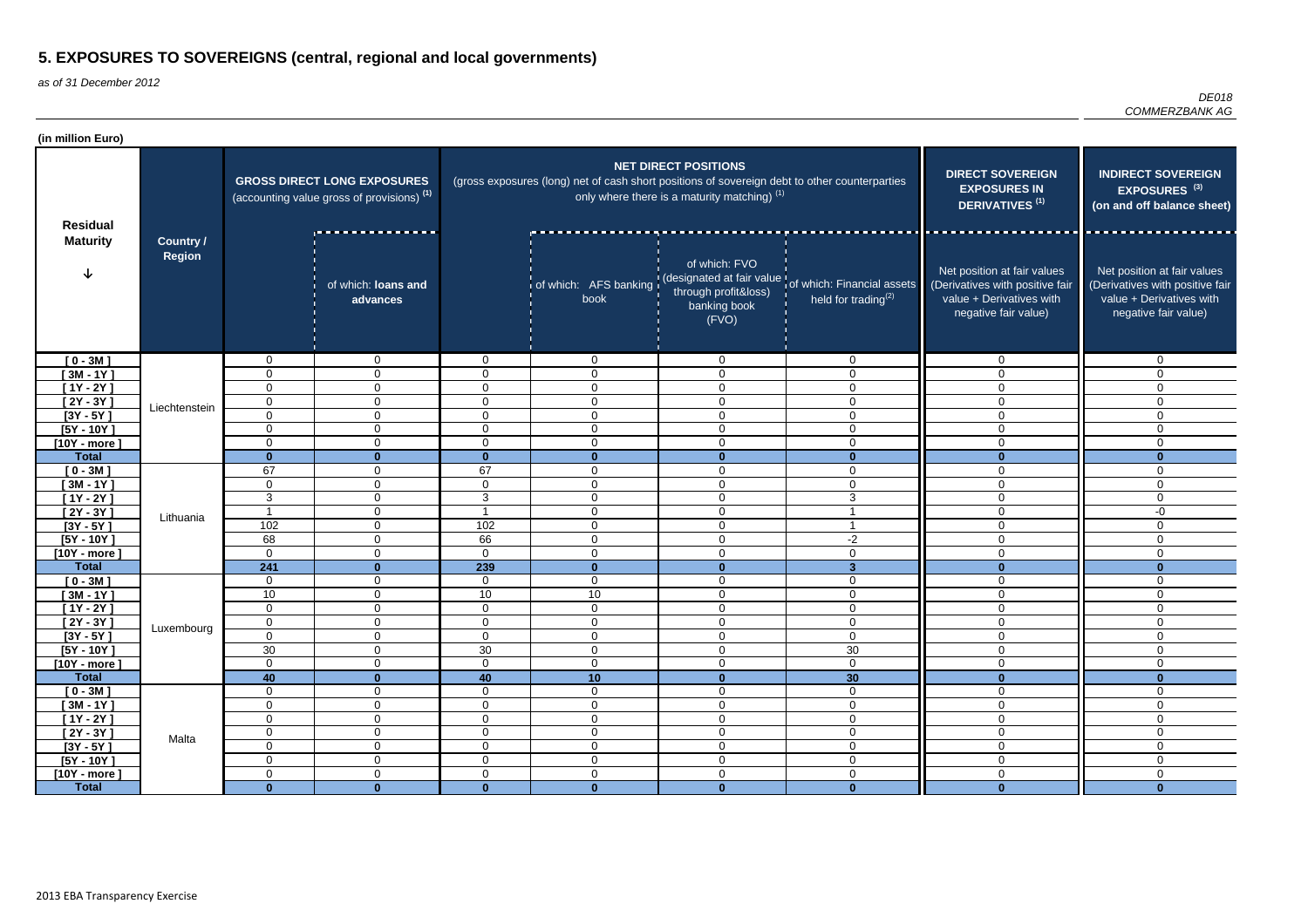| (in million Euro)           |                                   |                                                                                             |                                 |                               |                                                                                               |                                                                               |                                                                                                         |                                                                                                                    |                                                                                                                    |
|-----------------------------|-----------------------------------|---------------------------------------------------------------------------------------------|---------------------------------|-------------------------------|-----------------------------------------------------------------------------------------------|-------------------------------------------------------------------------------|---------------------------------------------------------------------------------------------------------|--------------------------------------------------------------------------------------------------------------------|--------------------------------------------------------------------------------------------------------------------|
| <b>Residual</b>             | <b>Country /</b><br><b>Region</b> | <b>GROSS DIRECT LONG EXPOSURES</b><br>(accounting value gross of provisions) <sup>(1)</sup> |                                 |                               | (gross exposures (long) net of cash short positions of sovereign debt to other counterparties | <b>NET DIRECT POSITIONS</b><br>only where there is a maturity matching) $(1)$ |                                                                                                         | <b>DIRECT SOVEREIGN</b><br><b>EXPOSURES IN</b><br>DERIVATIVES <sup>(1)</sup>                                       | <b>INDIRECT SOVEREIGN</b><br>EXPOSURES <sup>(3)</sup><br>(on and off balance sheet)                                |
| <b>Maturity</b>             |                                   |                                                                                             | of which: loans and<br>advances |                               | book                                                                                          | of which: FVO<br>through profit&loss)<br>banking book<br>(FVO)                | of which: AFS banking (designated at fair value of which: Financial assets<br>held for trading $^{(2)}$ | Net position at fair values<br>(Derivatives with positive fair<br>value + Derivatives with<br>negative fair value) | Net position at fair values<br>(Derivatives with positive fair<br>value + Derivatives with<br>negative fair value) |
| $[0 - 3M]$                  |                                   | $\mathbf 0$                                                                                 | $\mathbf{0}$                    | $\mathbf{0}$                  | $\mathbf 0$                                                                                   | $\overline{0}$                                                                | $\Omega$                                                                                                | $\overline{0}$                                                                                                     | $\Omega$                                                                                                           |
| $[3M - 1Y]$                 |                                   | 0                                                                                           | $\mathbf 0$                     | $\Omega$                      | $\mathbf 0$                                                                                   | $\mathbf 0$                                                                   | $\Omega$                                                                                                | $\mathbf 0$                                                                                                        | 0                                                                                                                  |
| $[1Y - 2Y]$                 |                                   | 0                                                                                           | $\Omega$                        | $\Omega$                      | $\Omega$                                                                                      | 0                                                                             | $\Omega$                                                                                                | $\overline{0}$                                                                                                     | $\mathbf 0$                                                                                                        |
| $[2Y - 3Y]$                 | Liechtenstein                     | $\mathbf 0$                                                                                 | $\mathbf 0$                     | $\overline{0}$                | $\mathbf{0}$                                                                                  | 0                                                                             | $\Omega$                                                                                                | $\mathbf 0$                                                                                                        | $\mathbf 0$                                                                                                        |
| $[3Y - 5Y]$                 |                                   | $\mathbf 0$                                                                                 | $\mathbf 0$                     | $\overline{0}$                | $\overline{0}$                                                                                | 0                                                                             | $\Omega$                                                                                                | $\overline{0}$                                                                                                     | $\mathbf 0$                                                                                                        |
| $[5Y - 10Y]$                |                                   | 0                                                                                           | $\overline{0}$                  | $\overline{0}$                | $\overline{0}$                                                                                | $\mathbf 0$                                                                   | $\Omega$                                                                                                | $\mathbf 0$                                                                                                        | $\mathbf 0$                                                                                                        |
| $[10Y - more]$              |                                   | $\mathbf 0$                                                                                 | $\overline{0}$                  | $\overline{0}$                | $\mathbf 0$                                                                                   | 0                                                                             | $\Omega$                                                                                                | $\mathbf 0$                                                                                                        | $\mathbf 0$                                                                                                        |
| <b>Total</b>                |                                   | $\bf{0}$                                                                                    | $\mathbf{0}$                    | $\mathbf{0}$                  | $\Omega$                                                                                      | $\mathbf{0}$                                                                  | $\Omega$                                                                                                | $\mathbf{0}$                                                                                                       | $\Omega$                                                                                                           |
| $[0 - 3M]$                  |                                   | 67                                                                                          | $\mathbf 0$                     | 67                            | 0                                                                                             | $\mathbf 0$                                                                   | $\Omega$                                                                                                | $\mathbf 0$                                                                                                        | $\mathbf 0$                                                                                                        |
| $[3M - 1Y]$                 |                                   | 0                                                                                           | $\mathbf 0$                     | 0                             | 0                                                                                             | $\mathbf 0$                                                                   | $\Omega$                                                                                                | $\mathbf 0$                                                                                                        | $\mathbf 0$                                                                                                        |
| $[1Y - 2Y]$                 |                                   | 3                                                                                           | $\mathbf 0$                     | 3                             | $\mathbf 0$                                                                                   | $\mathbf 0$                                                                   | 3                                                                                                       | $\mathbf 0$                                                                                                        | $\mathbf 0$                                                                                                        |
| $[2Y - 3Y]$                 | Lithuania                         | -1                                                                                          | $\mathbf 0$                     |                               | $\Omega$                                                                                      | $\mathbf 0$                                                                   |                                                                                                         | $\overline{0}$                                                                                                     | $-0$                                                                                                               |
| $[3Y - 5Y]$                 |                                   | 102                                                                                         | $\mathbf 0$                     | 102                           | $\mathbf 0$                                                                                   | $\mathbf 0$                                                                   |                                                                                                         | $\overline{0}$                                                                                                     | $\mathbf 0$                                                                                                        |
| $[5Y - 10Y]$                |                                   | 68                                                                                          | $\mathbf 0$                     | 66                            | $\Omega$                                                                                      | $\mathbf 0$                                                                   | $-2$                                                                                                    | $\overline{0}$                                                                                                     | $\mathbf 0$                                                                                                        |
| $[10Y - more]$              |                                   | $\mathbf 0$                                                                                 | $\mathbf 0$                     | $\overline{0}$                | $\mathbf 0$                                                                                   | $\mathbf 0$                                                                   | $\mathbf 0$                                                                                             | $\mathbf 0$                                                                                                        | $\mathbf 0$                                                                                                        |
| <b>Total</b>                |                                   | 241                                                                                         | $\mathbf{0}$                    | 239                           | $\mathbf{0}$                                                                                  | $\mathbf{0}$                                                                  | $\mathbf{3}$                                                                                            | $\mathbf{0}$                                                                                                       | $\mathbf{0}$                                                                                                       |
| $[0 - 3M]$                  |                                   | $\mathbf 0$                                                                                 | $\mathbf 0$                     | $\mathbf 0$                   | $\mathbf 0$                                                                                   | $\mathbf 0$                                                                   | $\Omega$                                                                                                | $\overline{0}$                                                                                                     | $\mathbf 0$                                                                                                        |
| $[3M - 1Y]$                 |                                   | 10                                                                                          | $\overline{0}$                  | 10                            | 10                                                                                            | $\mathbf 0$                                                                   | $\Omega$                                                                                                | $\overline{0}$                                                                                                     | $\mathbf 0$                                                                                                        |
| [1Y - 2Y ]                  |                                   | 0                                                                                           | $\mathbf 0$                     | 0                             | 0                                                                                             | 0                                                                             | $\Omega$                                                                                                | $\mathbf 0$                                                                                                        | $\mathbf 0$                                                                                                        |
| $[2Y - 3Y]$                 | Luxembourg                        | $\mathbf 0$                                                                                 | $\overline{0}$                  | 0                             | 0                                                                                             | 0                                                                             | $\Omega$<br>U                                                                                           | $\boldsymbol{0}$                                                                                                   | 0                                                                                                                  |
| $[3Y - 5Y]$                 |                                   | $\mathbf 0$                                                                                 | $\overline{0}$                  | $\mathbf 0$                   | $\overline{0}$                                                                                | 0                                                                             | $\mathbf 0$                                                                                             | $\overline{0}$                                                                                                     | $\mathbf 0$                                                                                                        |
| $[5Y - 10Y]$                |                                   | 30                                                                                          | $\overline{0}$                  | $30\,$                        | $\mathbf 0$                                                                                   | $\mathbf 0$                                                                   | 30                                                                                                      | $\overline{0}$                                                                                                     | $\mathbf 0$                                                                                                        |
| $[10Y - more]$              |                                   | $\mathbf 0$                                                                                 | $\overline{0}$                  | $\overline{0}$                | $\overline{0}$                                                                                | $\mathbf 0$                                                                   | $\overline{0}$                                                                                          | $\overline{0}$                                                                                                     | $\mathbf 0$<br>$\mathbf{0}$                                                                                        |
| <b>Total</b>                |                                   | 40                                                                                          | $\mathbf{0}$                    | 40                            | 10                                                                                            | $\mathbf{0}$                                                                  | 30                                                                                                      | $\mathbf{0}$                                                                                                       |                                                                                                                    |
| $[0 - 3M]$                  |                                   | $\mathbf 0$                                                                                 | $\overline{0}$                  | $\mathbf 0$                   | $\overline{0}$                                                                                | $\mathbf 0$                                                                   | $\overline{0}$                                                                                          | $\overline{0}$                                                                                                     | $\mathbf 0$<br>$\overline{0}$                                                                                      |
| $[3M - 1Y]$                 |                                   | $\mathbf 0$                                                                                 | $\mathbf 0$                     | $\mathbf 0$                   | $\overline{0}$                                                                                | $\overline{0}$                                                                | $\overline{0}$                                                                                          | $\overline{0}$                                                                                                     |                                                                                                                    |
| $[1Y - 2Y]$                 |                                   | $\mathbf 0$                                                                                 | $\mathbf 0$<br>$\mathbf 0$      | $\overline{0}$                | $\overline{0}$                                                                                | $\overline{0}$                                                                | $\overline{0}$                                                                                          | $\overline{0}$                                                                                                     | $\mathbf 0$<br>$\mathbf 0$                                                                                         |
| $[2Y - 3Y]$                 | Malta                             | $\mathbf 0$<br>$\mathbf 0$                                                                  | $\mathbf 0$                     | $\overline{0}$<br>$\mathbf 0$ | $\overline{0}$<br>$\overline{0}$                                                              | $\overline{0}$                                                                | $\overline{0}$<br>$\overline{0}$                                                                        | $\overline{0}$<br>$\mathsf{O}\xspace$                                                                              | $\mathbf 0$                                                                                                        |
| $[3Y - 5Y]$<br>$[5Y - 10Y]$ |                                   | $\mathbf 0$                                                                                 | $\overline{0}$                  | $\overline{0}$                | $\overline{0}$                                                                                | $\overline{0}$                                                                |                                                                                                         | $\overline{0}$                                                                                                     | $\mathbf 0$                                                                                                        |
| $[10Y - more]$              |                                   | $\mathbf 0$                                                                                 | $\overline{0}$                  | $\overline{0}$                | $\overline{0}$                                                                                | $\mathbf 0$<br>$\overline{0}$                                                 | $\mathbf 0$<br>$\mathbf 0$                                                                              | $\boldsymbol{0}$                                                                                                   | $\mathbf 0$                                                                                                        |
| <b>Total</b>                |                                   | $\mathbf{0}$                                                                                | $\mathbf{0}$                    | $\mathbf{0}$                  | $\mathbf{0}$                                                                                  | $\mathbf{0}$                                                                  | $\mathbf{0}$                                                                                            | $\mathbf{0}$                                                                                                       | $\mathbf{0}$                                                                                                       |
|                             |                                   |                                                                                             |                                 |                               |                                                                                               |                                                                               |                                                                                                         |                                                                                                                    |                                                                                                                    |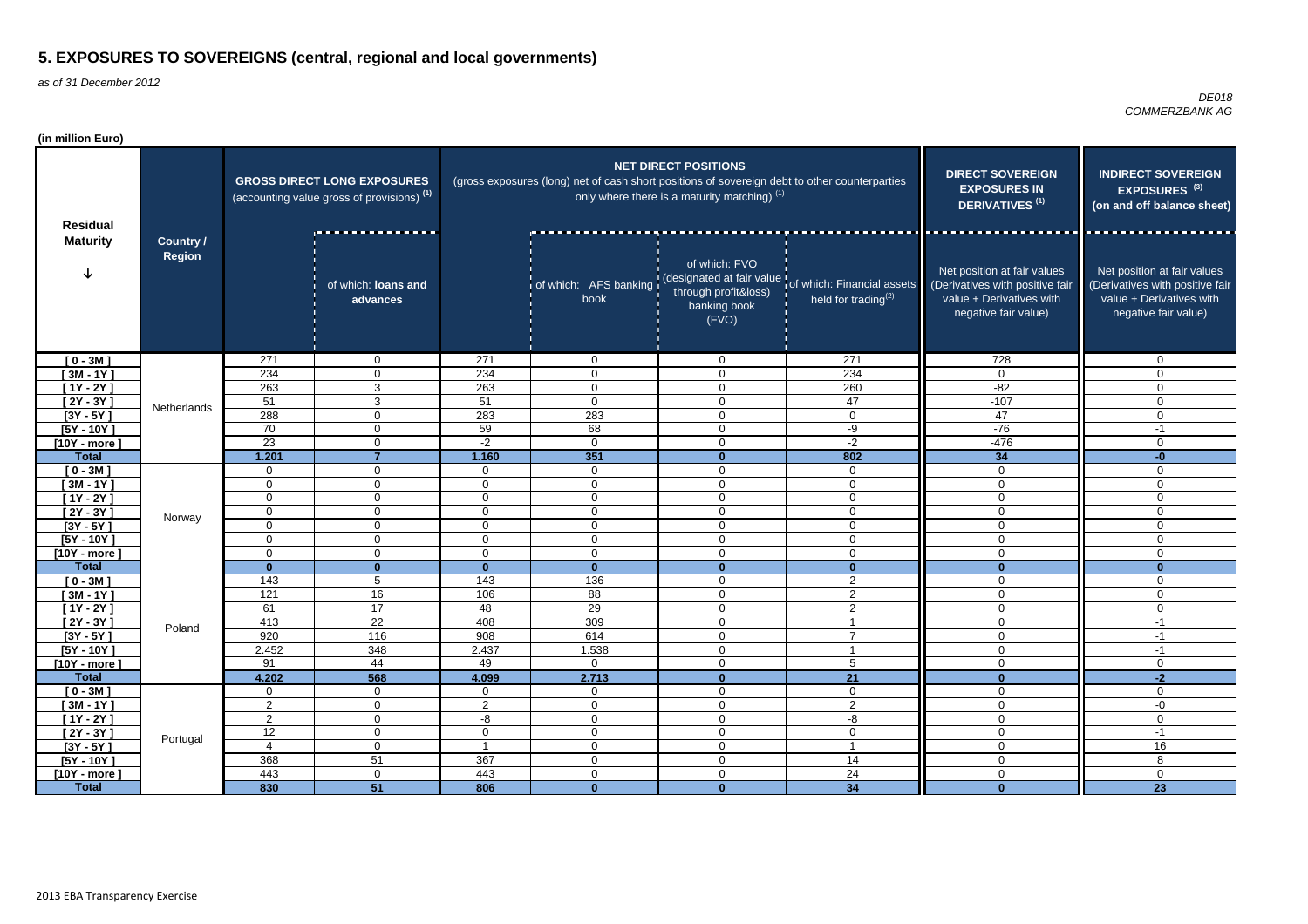| (in million Euro)          |                                   |                                                                                             |                                  |                                |                                                                                               |                                                                                        |                                                                                                      |                                                                                                                    |                                                                                                                    |
|----------------------------|-----------------------------------|---------------------------------------------------------------------------------------------|----------------------------------|--------------------------------|-----------------------------------------------------------------------------------------------|----------------------------------------------------------------------------------------|------------------------------------------------------------------------------------------------------|--------------------------------------------------------------------------------------------------------------------|--------------------------------------------------------------------------------------------------------------------|
| <b>Residual</b>            | <b>Country /</b><br><b>Region</b> | <b>GROSS DIRECT LONG EXPOSURES</b><br>(accounting value gross of provisions) <sup>(1)</sup> |                                  |                                | (gross exposures (long) net of cash short positions of sovereign debt to other counterparties | <b>NET DIRECT POSITIONS</b><br>only where there is a maturity matching) <sup>(1)</sup> | <b>DIRECT SOVEREIGN</b><br><b>EXPOSURES IN</b><br><b>DERIVATIVES<sup>(1)</sup></b>                   | <b>INDIRECT SOVEREIGN</b><br>EXPOSURES <sup>(3)</sup><br>(on and off balance sheet)                                |                                                                                                                    |
| <b>Maturity</b>            |                                   |                                                                                             | of which: loans and<br>advances  |                                | book                                                                                          | of which: FVO<br>through profit&loss)<br>banking book<br>(FVO)                         | of which: AFS banking (designated at fair value of which: Financial assets<br>held for trading $(2)$ | Net position at fair values<br>(Derivatives with positive fair<br>value + Derivatives with<br>negative fair value) | Net position at fair values<br>(Derivatives with positive fair<br>value + Derivatives with<br>negative fair value) |
| $[0 - 3M]$                 |                                   | 271                                                                                         | $\overline{0}$                   | 271                            | $\overline{0}$                                                                                | $\overline{0}$                                                                         | 271                                                                                                  | 728                                                                                                                | $\mathbf 0$                                                                                                        |
| $[3M - 1Y]$                |                                   | 234                                                                                         | 0                                | 234                            | 0                                                                                             | $\overline{0}$                                                                         | 234                                                                                                  | $\Omega$                                                                                                           | $\mathbf{0}$                                                                                                       |
| $[1Y - 2Y]$                |                                   | 263                                                                                         | 3                                | 263                            | $\mathbf{0}$                                                                                  | $\overline{0}$                                                                         | 260                                                                                                  | $-82$                                                                                                              | $\Omega$                                                                                                           |
| [2Y - 3Y ]                 | Netherlands                       | 51                                                                                          | 3                                | 51                             | $\mathbf{0}$                                                                                  | $\overline{0}$                                                                         | 47                                                                                                   | $-107$                                                                                                             | $\mathbf{0}$                                                                                                       |
| $[3Y - 5Y]$                |                                   | 288                                                                                         | 0                                | 283                            | 283                                                                                           | $\mathbf 0$                                                                            | $\Omega$                                                                                             | 47                                                                                                                 | $\Omega$                                                                                                           |
| $[5Y - 10Y]$               |                                   | 70                                                                                          | $\mathbf 0$                      | 59                             | 68                                                                                            | $\mathbf 0$                                                                            | -9                                                                                                   | $-76$                                                                                                              | $-1$                                                                                                               |
| $[10Y - more]$             |                                   | 23                                                                                          | $\mathbf 0$                      | $-2$                           | $\overline{0}$                                                                                | $\overline{0}$                                                                         | $-2$                                                                                                 | $-476$                                                                                                             | $\Omega$                                                                                                           |
| <b>Total</b>               |                                   | 1.201                                                                                       | $\overline{7}$                   | 1.160                          | 351                                                                                           | $\mathbf{0}$                                                                           | 802                                                                                                  | 34                                                                                                                 | $-0$                                                                                                               |
| $[0 - 3M]$<br>$[3M - 1Y]$  |                                   | $\mathbf 0$<br>$\mathbf 0$                                                                  | $\mathbf 0$<br>$\mathbf 0$       | $\mathbf{0}$<br>$\overline{0}$ | $\overline{0}$<br>$\mathbf 0$                                                                 | $\mathbf 0$<br>$\overline{0}$                                                          | $\overline{0}$<br>$\mathbf 0$                                                                        | $\mathbf 0$<br>$\mathbf 0$                                                                                         | $\mathbf 0$<br>$\Omega$                                                                                            |
| $[1Y - 2Y]$                |                                   | $\mathbf 0$                                                                                 | 0                                | 0                              | 0                                                                                             | $\overline{0}$                                                                         | 0                                                                                                    | $\overline{0}$                                                                                                     | $\Omega$                                                                                                           |
| $[2Y - 3Y]$                |                                   | $\mathbf 0$                                                                                 | 0                                | $\mathbf{0}$                   | 0                                                                                             | $\overline{0}$                                                                         | 0                                                                                                    | $\mathbf 0$                                                                                                        | $\Omega$                                                                                                           |
| $[3Y - 5Y]$                | Norway                            | $\mathbf 0$                                                                                 | $\overline{0}$                   | $\mathbf{0}$                   | $\overline{0}$                                                                                | $\mathbf 0$                                                                            | $\mathbf 0$                                                                                          | $\mathbf 0$                                                                                                        | $\Omega$                                                                                                           |
| $[5Y - 10Y]$               |                                   | $\mathbf 0$                                                                                 | $\mathbf 0$                      | $\mathbf 0$                    | $\overline{0}$                                                                                | $\mathbf 0$                                                                            | $\mathbf 0$                                                                                          | $\mathbf 0$                                                                                                        | $\mathbf 0$                                                                                                        |
| $[10Y - more]$             |                                   | $\mathbf 0$                                                                                 | $\mathbf{0}$                     | $\mathbf 0$                    | $\overline{0}$                                                                                | $\mathbf 0$                                                                            | $\Omega$                                                                                             | $\overline{0}$                                                                                                     | $\mathbf 0$                                                                                                        |
| <b>Total</b>               |                                   | $\mathbf{0}$                                                                                | $\bf{0}$                         | $\Omega$                       | $\bf{0}$                                                                                      | $\mathbf{0}$                                                                           | $\bf{0}$                                                                                             | $\mathbf{0}$                                                                                                       | $\bf{0}$                                                                                                           |
| $[0 - 3M]$                 |                                   | 143                                                                                         | 5                                | 143                            | 136                                                                                           | $\mathbf 0$                                                                            | $\overline{2}$                                                                                       | $\mathbf 0$                                                                                                        | $\mathbf 0$                                                                                                        |
| $[3M - 1Y]$                |                                   | 121                                                                                         | 16                               | 106                            | 88                                                                                            | $\mathbf 0$                                                                            | $\overline{2}$                                                                                       | $\mathbf 0$                                                                                                        | $\overline{0}$                                                                                                     |
| $[1Y - 2Y]$                |                                   | 61                                                                                          | 17                               | 48                             | 29                                                                                            | $\overline{0}$                                                                         | 2                                                                                                    | $\overline{0}$                                                                                                     | 0                                                                                                                  |
| $[2Y - 3Y]$                | Poland                            | 413                                                                                         | 22                               | 408                            | 309                                                                                           | $\overline{0}$                                                                         |                                                                                                      | 0                                                                                                                  | $-1$                                                                                                               |
| $[3Y - 5Y]$                |                                   | 920                                                                                         | 116                              | 908                            | 614                                                                                           | $\mathbf 0$                                                                            | $\overline{7}$                                                                                       | $\mathbf 0$                                                                                                        | -1                                                                                                                 |
| $[5Y - 10Y]$               |                                   | 2.452                                                                                       | 348                              | 2.437                          | 1.538                                                                                         | $\mathbf 0$                                                                            | -1                                                                                                   | $\mathbf 0$                                                                                                        | $-1$                                                                                                               |
| $[10Y - more]$             |                                   | 91                                                                                          | 44                               | 49                             | $\mathbf 0$                                                                                   | $\mathbf 0$                                                                            | 5                                                                                                    | $\mathbf 0$                                                                                                        | $\mathbf 0$                                                                                                        |
| <b>Total</b>               |                                   | 4.202                                                                                       | 568                              | 4.099                          | 2.713                                                                                         | $\mathbf{0}$                                                                           | 21                                                                                                   | $\mathbf{0}$                                                                                                       | $-2$                                                                                                               |
| $[0 - 3M]$                 |                                   | $\mathbf 0$                                                                                 | $\overline{0}$                   | $\overline{0}$                 | $\mathbf 0$                                                                                   | $\mathbf 0$                                                                            | $\mathbf 0$                                                                                          | $\mathbf 0$                                                                                                        | $\overline{0}$                                                                                                     |
| $[3M - 1Y]$                |                                   | $\overline{2}$                                                                              | $\overline{0}$                   | $\overline{2}$                 | $\mathbf 0$                                                                                   | $\overline{0}$                                                                         | $\overline{2}$                                                                                       | $\mathbf 0$                                                                                                        | -0                                                                                                                 |
| $[1Y - 2Y]$                |                                   | $\overline{2}$                                                                              | $\overline{0}$                   | $-\frac{1}{\sqrt{2}}$          | $\overline{0}$                                                                                | $\boldsymbol{0}$                                                                       | $-\frac{1}{\sqrt{2}}$                                                                                | $\overline{0}$<br>$\mathbf 0$                                                                                      | $\boldsymbol{0}$<br>$-1$                                                                                           |
| $[2Y - 3Y]$<br>$[3Y - 5Y]$ | Portugal                          | 12<br>$\overline{4}$                                                                        | $\overline{0}$<br>$\overline{0}$ | $\mathbf{0}$                   | $\mathbf 0$<br>$\mathbf 0$                                                                    | $\mathbf 0$<br>$\mathbf 0$                                                             | $\mathbf 0$<br>-1                                                                                    | $\mathbf 0$                                                                                                        | 16                                                                                                                 |
| $[5Y - 10Y]$               |                                   | 368                                                                                         | 51                               | 367                            | $\overline{0}$                                                                                | $\boldsymbol{0}$                                                                       | 14                                                                                                   | $\mathbf 0$                                                                                                        | 8                                                                                                                  |
| $[10Y - more]$             |                                   | 443                                                                                         | $\overline{0}$                   | 443                            | 0                                                                                             | $\mathbf 0$                                                                            | 24                                                                                                   | $\mathbf 0$                                                                                                        | $\overline{0}$                                                                                                     |
| <b>Total</b>               |                                   | 830                                                                                         | $\overline{51}$                  | 806                            | $\mathbf{0}$                                                                                  | $\mathbf{0}$                                                                           | 34                                                                                                   | $\mathbf{0}$                                                                                                       | $\overline{23}$                                                                                                    |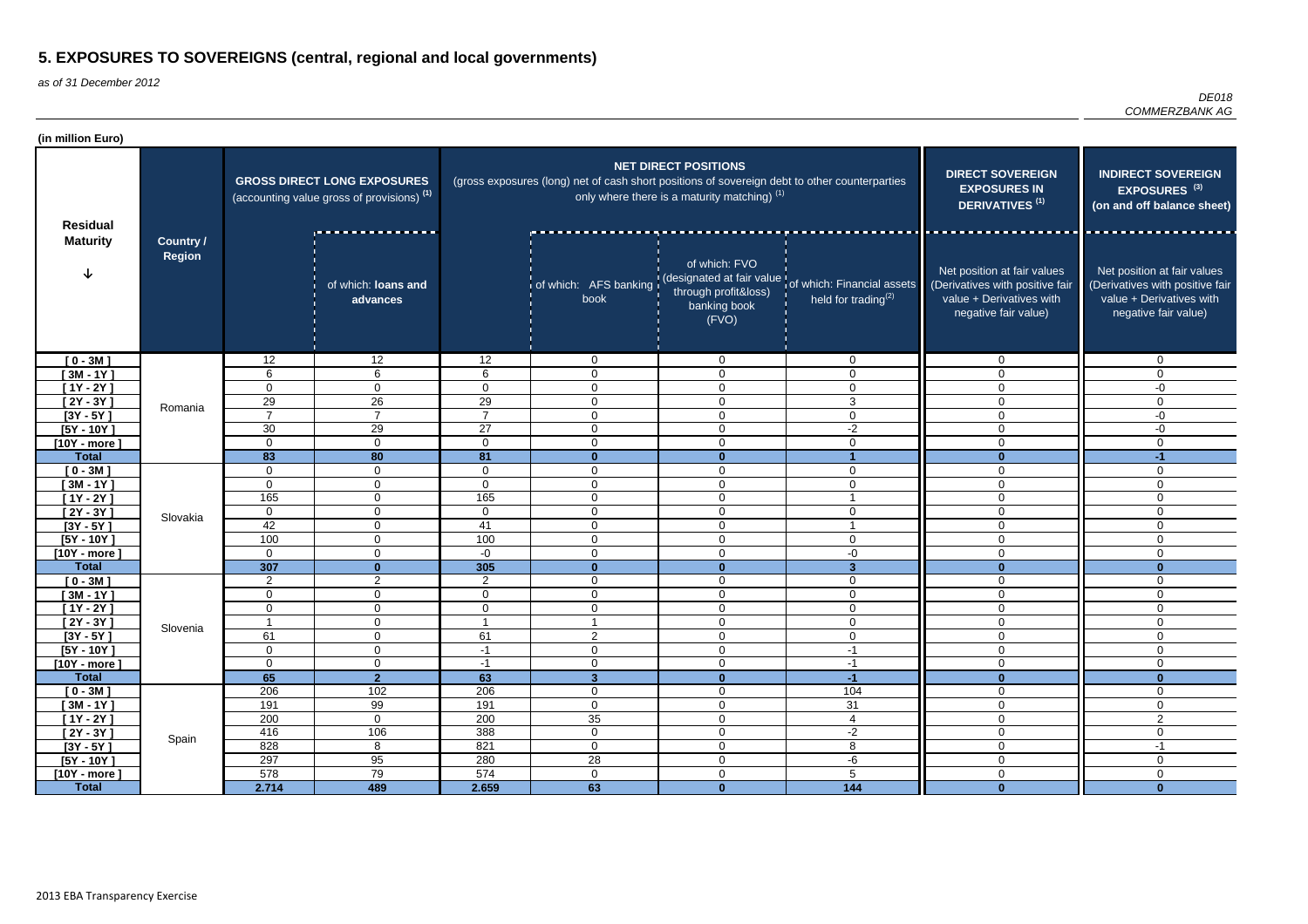| (in million Euro)              |                                   |                                                                                             |                                  |                      |                                                                                               |                                                                                        |                                                                                                               |                                                                                                                    |                                                                                                                                                            |
|--------------------------------|-----------------------------------|---------------------------------------------------------------------------------------------|----------------------------------|----------------------|-----------------------------------------------------------------------------------------------|----------------------------------------------------------------------------------------|---------------------------------------------------------------------------------------------------------------|--------------------------------------------------------------------------------------------------------------------|------------------------------------------------------------------------------------------------------------------------------------------------------------|
| <b>Residual</b>                | <b>Country /</b><br><b>Region</b> | <b>GROSS DIRECT LONG EXPOSURES</b><br>(accounting value gross of provisions) <sup>(1)</sup> |                                  |                      | (gross exposures (long) net of cash short positions of sovereign debt to other counterparties | <b>NET DIRECT POSITIONS</b><br>only where there is a maturity matching) <sup>(1)</sup> | <b>DIRECT SOVEREIGN</b><br><b>EXPOSURES IN</b><br><b>DERIVATIVES<sup>(1)</sup></b>                            | <b>INDIRECT SOVEREIGN</b><br>EXPOSURES <sup>(3)</sup><br>(on and off balance sheet)                                |                                                                                                                                                            |
| <b>Maturity</b>                |                                   |                                                                                             | of which: loans and<br>advances  |                      | book                                                                                          | of which: FVO<br>through profit&loss)<br>banking book<br>(FVO)                         | of which: AFS banking (designated at fair value of which: Financial assets<br>held for trading <sup>(2)</sup> | Net position at fair values<br>(Derivatives with positive fair<br>value + Derivatives with<br>negative fair value) | <u>in de la companya de la compa</u><br>Net position at fair values<br>(Derivatives with positive fair<br>value + Derivatives with<br>negative fair value) |
| $[0 - 3M]$                     |                                   | 12                                                                                          | 12                               | 12                   | $\overline{0}$                                                                                | $\overline{0}$                                                                         | $\Omega$                                                                                                      | $\mathbf 0$                                                                                                        | $\mathbf 0$                                                                                                                                                |
| $[3M - 1Y]$                    |                                   | 6                                                                                           | 6                                | 6                    | 0                                                                                             | $\overline{0}$                                                                         | 0                                                                                                             | $\Omega$                                                                                                           | $\Omega$                                                                                                                                                   |
| $[1Y - 2Y]$                    | Romania                           | 0                                                                                           | 0                                | $\Omega$             | $\mathbf{0}$                                                                                  | $\overline{0}$                                                                         | $\mathbf 0$                                                                                                   | $\mathbf 0$                                                                                                        | -0                                                                                                                                                         |
| $[2Y - 3Y]$                    |                                   | 29<br>$\overline{7}$                                                                        | 26<br>$\overline{7}$             | 29<br>$\overline{ }$ | 0                                                                                             | $\overline{0}$                                                                         | 3                                                                                                             | $\mathbf 0$                                                                                                        | $\Omega$                                                                                                                                                   |
| $[3Y - 5Y]$                    |                                   |                                                                                             | 29                               |                      | 0                                                                                             | $\mathbf 0$                                                                            | $\Omega$<br>$-2$                                                                                              | $\mathbf 0$                                                                                                        | $-0$                                                                                                                                                       |
| $[5Y - 10Y]$                   |                                   | 30<br>$\mathbf 0$                                                                           | $\mathbf 0$                      | 27<br>0              | $\mathbf{0}$<br>$\Omega$                                                                      | $\mathbf 0$<br>$\overline{0}$                                                          | $\Omega$                                                                                                      | $\overline{0}$<br>$\Omega$                                                                                         | $-0$<br>$\Omega$                                                                                                                                           |
| $[10Y - more]$<br><b>Total</b> |                                   | 83                                                                                          | 80                               | 81                   | $\bf{0}$                                                                                      | $\mathbf{0}$                                                                           |                                                                                                               | $\mathbf{0}$                                                                                                       | $-1$                                                                                                                                                       |
| $[0 - 3M]$                     |                                   | $\mathbf 0$                                                                                 | $\overline{0}$                   | $\mathbf 0$          | $\mathbf 0$                                                                                   | $\mathbf 0$                                                                            | $\Omega$                                                                                                      | $\mathbf 0$                                                                                                        | $\mathbf 0$                                                                                                                                                |
| $[3M - 1Y]$                    |                                   | $\mathbf 0$                                                                                 | $\mathbf 0$                      | $\overline{0}$       | $\mathbf 0$                                                                                   | $\overline{0}$                                                                         | $\mathbf 0$                                                                                                   | $\overline{0}$                                                                                                     | $\Omega$                                                                                                                                                   |
| $[1Y - 2Y]$                    |                                   | 165                                                                                         | 0                                | 165                  | 0                                                                                             | $\overline{0}$                                                                         |                                                                                                               | $\overline{0}$                                                                                                     | $\Omega$                                                                                                                                                   |
| $[2Y - 3Y]$                    |                                   | $\mathbf 0$                                                                                 | 0                                | $\Omega$             | 0                                                                                             | $\overline{0}$                                                                         | $\mathbf{0}$                                                                                                  | $\mathbf 0$                                                                                                        | $\Omega$                                                                                                                                                   |
| $[3Y - 5Y]$                    | Slovakia                          | 42                                                                                          | $\overline{0}$                   | 41                   | $\overline{0}$                                                                                | $\mathbf 0$                                                                            |                                                                                                               | $\mathbf 0$                                                                                                        | $\Omega$                                                                                                                                                   |
| $[5Y - 10Y]$                   |                                   | 100                                                                                         | 0                                | 100                  | $\mathbf{0}$                                                                                  | $\mathbf 0$                                                                            | $\Omega$                                                                                                      | $\mathbf 0$                                                                                                        | $\mathbf 0$                                                                                                                                                |
| $[10Y - more]$                 |                                   | $\mathbf 0$                                                                                 | $\Omega$                         | $-0$                 | $\overline{0}$                                                                                | $\mathbf 0$                                                                            | $-0$                                                                                                          | $\overline{0}$                                                                                                     | $\mathbf 0$                                                                                                                                                |
| <b>Total</b>                   |                                   | 307                                                                                         | $\bf{0}$                         | 305                  | $\mathbf{0}$                                                                                  | $\mathbf{0}$                                                                           | $\mathbf{3}$                                                                                                  | $\mathbf{0}$                                                                                                       | $\bf{0}$                                                                                                                                                   |
| $[0 - 3M]$                     |                                   | $\overline{2}$                                                                              | $\overline{2}$                   | $\overline{2}$       | 0                                                                                             | $\mathbf 0$                                                                            | $\mathbf 0$                                                                                                   | $\mathbf 0$                                                                                                        | $\mathbf 0$                                                                                                                                                |
| $[3M - 1Y]$                    |                                   | 0                                                                                           | 0                                | 0                    | 0                                                                                             | $\mathbf 0$                                                                            | $\mathbf 0$                                                                                                   | $\mathbf 0$                                                                                                        | $\mathbf 0$                                                                                                                                                |
| $[1Y - 2Y]$                    |                                   | $\mathbf 0$                                                                                 | $\mathbf 0$                      | $\mathbf{0}$         | 0                                                                                             | $\overline{0}$                                                                         | 0                                                                                                             | $\overline{0}$                                                                                                     | 0                                                                                                                                                          |
| $[2Y - 3Y]$                    | Slovenia                          | $\overline{\mathbf{A}}$                                                                     | 0                                |                      |                                                                                               | $\overline{0}$                                                                         | $\Omega$<br>◡                                                                                                 | 0                                                                                                                  | $\cap$<br>v                                                                                                                                                |
| $[3Y - 5Y]$                    |                                   | 61                                                                                          | $\overline{0}$                   | 61                   | $\overline{2}$                                                                                | $\mathbf 0$                                                                            | $\mathbf 0$                                                                                                   | $\mathbf 0$                                                                                                        | $\mathbf 0$                                                                                                                                                |
| $[5Y - 10Y]$                   |                                   | $\mathbf 0$<br>$\mathbf 0$                                                                  | $\overline{0}$<br>$\overline{0}$ | $-1$<br>$-1$         | $\mathbf 0$<br>$\overline{0}$                                                                 | $\overline{0}$<br>$\mathbf 0$                                                          | $-1$                                                                                                          | $\mathbf 0$<br>$\mathbf 0$                                                                                         | $\mathbf 0$<br>$\mathbf 0$                                                                                                                                 |
| $[10Y - more]$<br><b>Total</b> |                                   | 65                                                                                          | 2 <sup>1</sup>                   | 63                   | $\mathbf{3}$                                                                                  | $\mathbf{0}$                                                                           | $-1$<br>$-1$                                                                                                  | $\mathbf{0}$                                                                                                       | $\mathbf{0}$                                                                                                                                               |
| $[0 - 3M]$                     |                                   | 206                                                                                         | 102                              | 206                  | $\mathbf 0$                                                                                   | $\mathbf 0$                                                                            | 104                                                                                                           | $\mathbf 0$                                                                                                        | $\mathbf 0$                                                                                                                                                |
| $[3M - 1Y]$                    |                                   | 191                                                                                         | 99                               | 191                  | $\mathbf 0$                                                                                   | $\overline{0}$                                                                         | 31                                                                                                            | $\mathbf 0$                                                                                                        | $\overline{0}$                                                                                                                                             |
| $[1Y - 2Y]$                    |                                   | 200                                                                                         | $\overline{0}$                   | 200                  | 35                                                                                            | $\boldsymbol{0}$                                                                       | $\overline{4}$                                                                                                | $\overline{0}$                                                                                                     | $\overline{2}$                                                                                                                                             |
| $[2Y - 3Y]$                    | Spain                             | 416                                                                                         | 106                              | 388                  | $\overline{0}$                                                                                | $\mathbf 0$                                                                            | $-2$                                                                                                          | $\mathbf 0$                                                                                                        | $\mathbf 0$                                                                                                                                                |
| $[3Y - 5Y]$                    |                                   | 828                                                                                         | 8                                | 821                  | $\overline{0}$                                                                                | $\mathbf 0$                                                                            | 8                                                                                                             | $\mathbf 0$                                                                                                        | $-1$                                                                                                                                                       |
| $[5Y - 10Y]$                   |                                   | 297                                                                                         | 95                               | 280                  | 28                                                                                            | $\boldsymbol{0}$                                                                       | -6                                                                                                            | $\mathbf 0$                                                                                                        | $\mathbf 0$                                                                                                                                                |
| $[10Y - more]$                 |                                   | 578                                                                                         | 79                               | 574                  | $\mathbf 0$                                                                                   | $\mathbf 0$                                                                            | $5\phantom{.0}$                                                                                               | $\mathbf 0$                                                                                                        | $\overline{0}$                                                                                                                                             |
| <b>Total</b>                   |                                   | 2.714                                                                                       | 489                              | 2.659                | 63                                                                                            | $\mathbf{0}$                                                                           | 144                                                                                                           | $\mathbf{0}$                                                                                                       | $\mathbf{0}$                                                                                                                                               |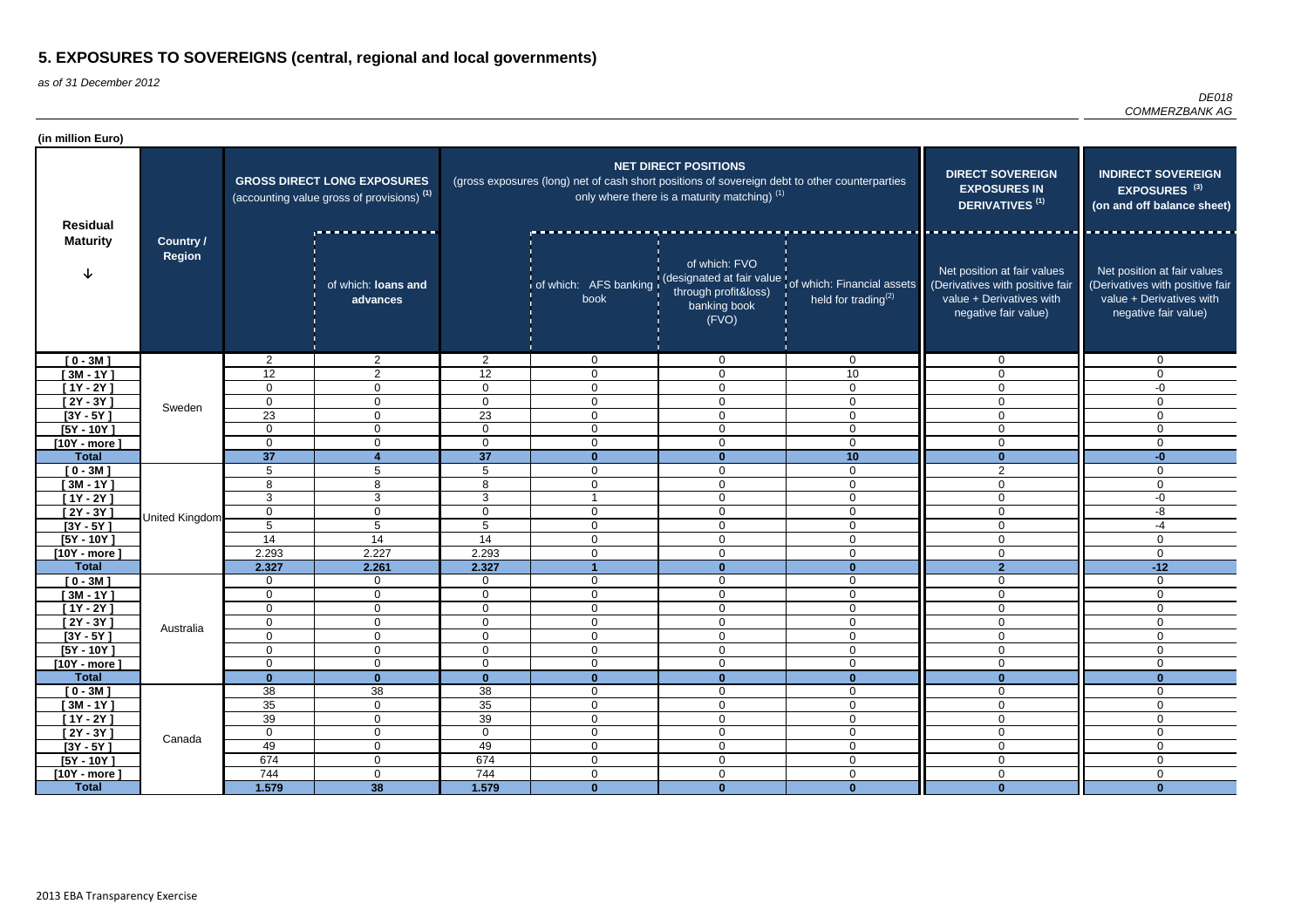| (in million Euro)              |                                   |                                                                                             |                                 |                                |                                                                                               |                                                                                        |                                                                                                      |                                                                                                                    |                                                                                                                                                            |
|--------------------------------|-----------------------------------|---------------------------------------------------------------------------------------------|---------------------------------|--------------------------------|-----------------------------------------------------------------------------------------------|----------------------------------------------------------------------------------------|------------------------------------------------------------------------------------------------------|--------------------------------------------------------------------------------------------------------------------|------------------------------------------------------------------------------------------------------------------------------------------------------------|
| <b>Residual</b>                | <b>Country /</b><br><b>Region</b> | <b>GROSS DIRECT LONG EXPOSURES</b><br>(accounting value gross of provisions) <sup>(1)</sup> |                                 |                                | (gross exposures (long) net of cash short positions of sovereign debt to other counterparties | <b>NET DIRECT POSITIONS</b><br>only where there is a maturity matching) <sup>(1)</sup> | <b>DIRECT SOVEREIGN</b><br><b>EXPOSURES IN</b><br><b>DERIVATIVES<sup>(1)</sup></b>                   | <b>INDIRECT SOVEREIGN</b><br>EXPOSURES <sup>(3)</sup><br>(on and off balance sheet)                                |                                                                                                                                                            |
| <b>Maturity</b>                |                                   |                                                                                             | of which: loans and<br>advances |                                | book                                                                                          | of which: FVO<br>through profit&loss)<br>banking book<br>(FVO)                         | of which: AFS banking (designated at fair value of which: Financial assets<br>held for trading $(2)$ | Net position at fair values<br>(Derivatives with positive fair<br>value + Derivatives with<br>negative fair value) | <u>in de la companya de la compa</u><br>Net position at fair values<br>(Derivatives with positive fair<br>value + Derivatives with<br>negative fair value) |
| $[0 - 3M]$                     |                                   | 2                                                                                           | $\overline{2}$                  | $2^{\circ}$                    | $\overline{0}$                                                                                | $\overline{0}$                                                                         | $\Omega$                                                                                             | $\mathbf 0$                                                                                                        | $\mathbf 0$                                                                                                                                                |
| $[3M - 1Y]$                    |                                   | 12                                                                                          | $\overline{2}$                  | 12                             | 0                                                                                             | $\overline{0}$                                                                         | 10                                                                                                   | $\Omega$                                                                                                           | $\Omega$                                                                                                                                                   |
| $[1Y - 2Y]$                    | Sweden                            | 0                                                                                           | 0                               | $\Omega$                       | $\mathbf{0}$                                                                                  | $\overline{0}$                                                                         | $\mathbf 0$                                                                                          | $\mathbf 0$                                                                                                        | -0                                                                                                                                                         |
| $[2Y - 3Y]$                    |                                   | 0                                                                                           | 0                               | $\Omega$                       | 0                                                                                             | $\overline{0}$                                                                         | $\Omega$                                                                                             | $\mathbf 0$                                                                                                        | $\Omega$                                                                                                                                                   |
| $[3Y - 5Y]$                    |                                   | 23                                                                                          | 0                               | $\overline{23}$                | $\mathbf 0$                                                                                   | $\mathbf 0$                                                                            | $\Omega$                                                                                             | $\mathbf 0$                                                                                                        | $\Omega$                                                                                                                                                   |
| $[5Y - 10Y]$                   |                                   | 0                                                                                           | $\mathbf 0$                     | $\mathbf 0$                    | $\mathbf{0}$                                                                                  | $\mathbf 0$<br>$\overline{0}$                                                          | $\Omega$                                                                                             | $\overline{0}$<br>$\Omega$                                                                                         | $\Omega$<br>$\Omega$                                                                                                                                       |
| $[10Y - more]$<br><b>Total</b> |                                   | $\mathbf 0$<br>37                                                                           | $\mathbf 0$<br>Δ                | 0<br>37                        | $\Omega$<br>$\mathbf{0}$                                                                      | $\mathbf{0}$                                                                           | $\overline{0}$<br>10                                                                                 | $\mathbf{0}$                                                                                                       | $-0$                                                                                                                                                       |
| $[0 - 3M]$                     |                                   | 5                                                                                           | $5\phantom{.0}$                 | 5                              | $\mathbf 0$                                                                                   | $\mathbf 0$                                                                            | $\mathbf 0$                                                                                          | $\overline{2}$                                                                                                     | $\mathbf 0$                                                                                                                                                |
| $[3M - 1Y]$                    |                                   | 8                                                                                           | 8                               | 8                              | 0                                                                                             | $\overline{0}$                                                                         | $\mathbf 0$                                                                                          | $\mathbf 0$                                                                                                        | $\mathbf 0$                                                                                                                                                |
| $[1Y - 2Y]$                    |                                   | 3                                                                                           | 3                               | 3                              |                                                                                               | $\overline{0}$                                                                         | 0                                                                                                    | $\overline{0}$                                                                                                     | $-0$                                                                                                                                                       |
| $[2Y - 3Y]$                    |                                   | $\mathbf 0$                                                                                 | 0                               | $\mathbf{0}$                   | $\mathbf{0}$                                                                                  | $\overline{0}$                                                                         | 0                                                                                                    | $\mathbf 0$                                                                                                        | -8                                                                                                                                                         |
| $[3Y - 5Y]$                    | United Kingdom                    | 5                                                                                           | 5                               | 5                              | $\mathbf{0}$                                                                                  | $\mathbf 0$                                                                            | $\mathbf 0$                                                                                          | $\mathbf 0$                                                                                                        | -4                                                                                                                                                         |
| $[5Y - 10Y]$                   |                                   | $\overline{14}$                                                                             | $\overline{14}$                 | 14                             | $\mathbf{0}$                                                                                  | $\mathbf 0$                                                                            | $\mathbf 0$                                                                                          | $\mathbf 0$                                                                                                        | $\mathbf 0$                                                                                                                                                |
| $[10Y - more]$                 |                                   | 2.293                                                                                       | 2.227                           | 2.293                          | $\mathbf{0}$                                                                                  | $\mathbf 0$                                                                            | $\Omega$                                                                                             | $\mathbf 0$                                                                                                        | $\mathbf 0$                                                                                                                                                |
| <b>Total</b>                   |                                   | 2.327                                                                                       | 2.261                           | 2.327                          |                                                                                               | $\mathbf{0}$                                                                           | $\bf{0}$                                                                                             | 2 <sup>2</sup>                                                                                                     | $-12$                                                                                                                                                      |
| $[0 - 3M]$                     |                                   | $\mathbf 0$                                                                                 | $\overline{0}$                  | 0                              | $\mathbf 0$                                                                                   | $\mathbf 0$                                                                            | $\mathbf 0$                                                                                          | $\mathbf 0$                                                                                                        | $\mathbf 0$                                                                                                                                                |
| $[3M - 1Y]$                    |                                   | 0                                                                                           | $\mathbf 0$                     | 0                              | $\mathbf 0$                                                                                   | $\mathbf 0$                                                                            | $\mathbf 0$                                                                                          | $\mathbf 0$                                                                                                        | $\overline{0}$                                                                                                                                             |
| $[1Y - 2Y]$                    |                                   | $\mathbf 0$                                                                                 | $\mathbf 0$                     | $\mathbf{0}$                   | 0                                                                                             | $\overline{0}$                                                                         | 0                                                                                                    | $\overline{0}$                                                                                                     | $\mathbf 0$                                                                                                                                                |
| $[2Y - 3Y]$                    | Australia                         | $\pmb{0}$                                                                                   | 0                               | 0                              | $\cap$<br>◡                                                                                   | $\overline{0}$                                                                         | $\Omega$<br>◡                                                                                        | $\mathbf 0$                                                                                                        | $\Omega$<br>v                                                                                                                                              |
| $[3Y - 5Y]$                    |                                   | 0                                                                                           | $\overline{0}$                  | 0                              | 0                                                                                             | $\mathbf 0$                                                                            | $\mathbf 0$                                                                                          | $\mathbf 0$                                                                                                        | $\mathbf 0$                                                                                                                                                |
| $[5Y - 10Y]$                   |                                   | 0                                                                                           | $\overline{0}$                  | 0                              | $\mathbf 0$                                                                                   | $\mathbf 0$                                                                            | $\overline{0}$                                                                                       | $\mathbf 0$                                                                                                        | $\mathbf 0$                                                                                                                                                |
| $[10Y - more]$<br><b>Total</b> |                                   | $\mathbf 0$<br>$\mathbf{0}$                                                                 | $\overline{0}$<br>$\mathbf{0}$  | $\overline{0}$<br>$\mathbf{0}$ | $\overline{0}$                                                                                | $\mathbf 0$<br>$\mathbf{0}$                                                            | $\mathbf 0$<br>$\mathbf{0}$                                                                          | $\mathbf 0$<br>$\mathbf{0}$                                                                                        | $\mathbf 0$<br>$\mathbf{0}$                                                                                                                                |
| $[0 - 3M]$                     |                                   | 38                                                                                          | 38                              | 38                             | $\mathbf{0}$<br>$\mathbf 0$                                                                   | $\mathbf 0$                                                                            | $\mathbf 0$                                                                                          | $\mathbf 0$                                                                                                        | $\mathbf 0$                                                                                                                                                |
| $[3M - 1Y]$                    |                                   | $35\,$                                                                                      | $\overline{0}$                  | 35                             | $\mathbf 0$                                                                                   | $\overline{0}$                                                                         | $\mathbf 0$                                                                                          | $\mathbf 0$                                                                                                        | $\overline{0}$                                                                                                                                             |
| $[1Y - 2Y]$                    |                                   | 39                                                                                          | $\overline{0}$                  | 39                             | 0                                                                                             | $\boldsymbol{0}$                                                                       | $\mathbf 0$                                                                                          | $\overline{0}$                                                                                                     | $\boldsymbol{0}$                                                                                                                                           |
| $[2Y - 3Y]$                    | Canada                            | $\mathbf 0$                                                                                 | $\overline{0}$                  | $\overline{0}$                 | $\mathbf 0$                                                                                   | $\mathbf 0$                                                                            | $\mathbf 0$                                                                                          | $\mathbf 0$                                                                                                        | $\mathbf 0$                                                                                                                                                |
| $[3Y - 5Y]$                    |                                   | 49                                                                                          | $\overline{0}$                  | 49                             | $\mathbf 0$                                                                                   | $\boldsymbol{0}$                                                                       | $\mathbf 0$                                                                                          | $\mathbf 0$                                                                                                        | $\mathbf 0$                                                                                                                                                |
| $[5Y - 10Y]$                   |                                   | 674                                                                                         | $\overline{0}$                  | 674                            | $\overline{0}$                                                                                | $\boldsymbol{0}$                                                                       | $\mathbf 0$                                                                                          | $\mathbf 0$                                                                                                        | $\mathbf 0$                                                                                                                                                |
| $[10Y - more]$                 |                                   | 744                                                                                         | $\mathbf 0$                     | 744                            | 0                                                                                             | $\mathbf 0$                                                                            | $\mathbf 0$                                                                                          | $\mathbf 0$                                                                                                        | $\mathbf 0$                                                                                                                                                |
| <b>Total</b>                   |                                   | 1.579                                                                                       | 38                              | 1.579                          | $\mathbf{0}$                                                                                  | $\mathbf{0}$                                                                           | $\mathbf{0}$                                                                                         | $\mathbf{0}$                                                                                                       | $\mathbf{0}$                                                                                                                                               |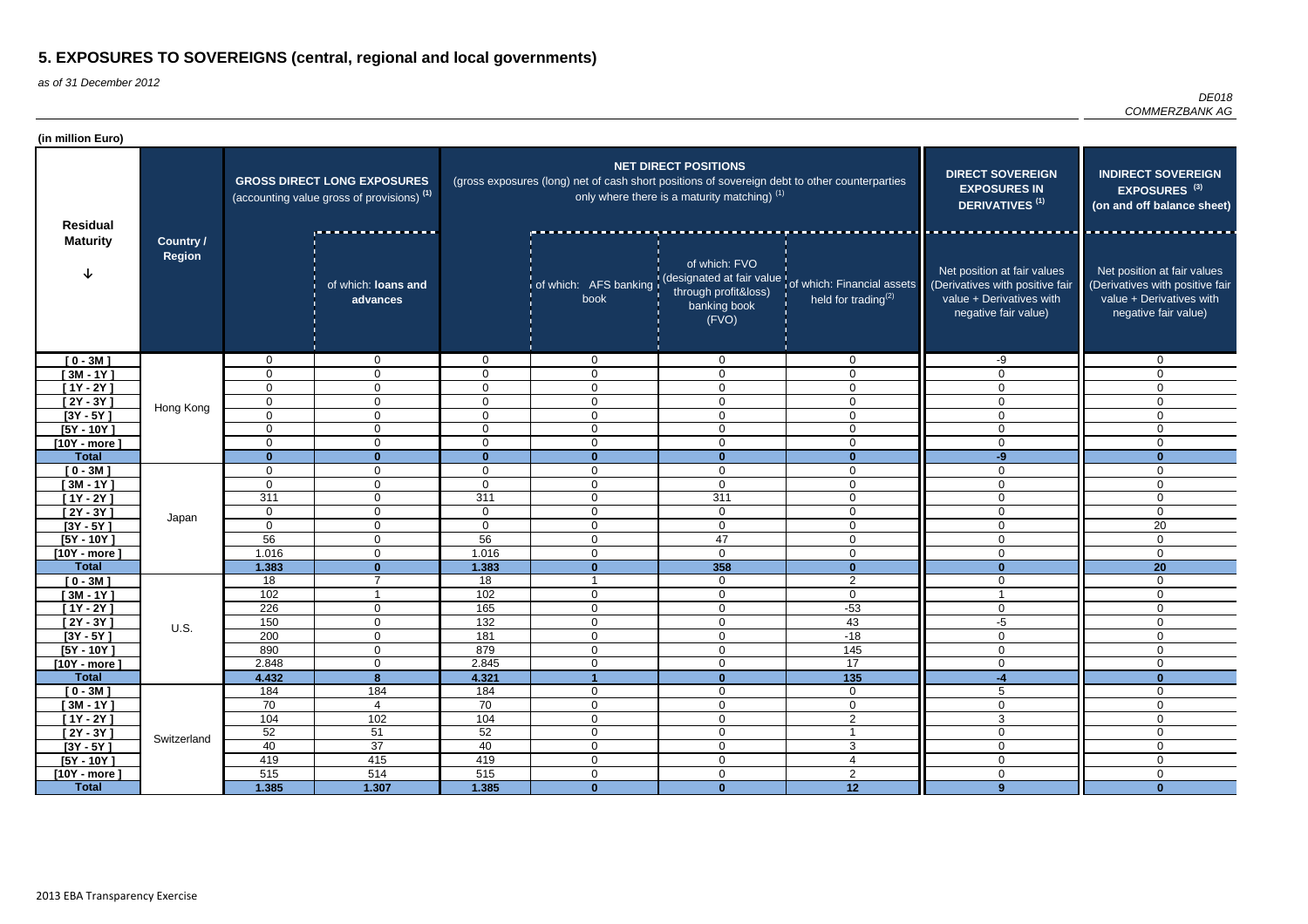| (in million Euro)           |                            |                                                                                             |                                  |                   |                                                                                               |                                                                                        |                                                                                                      |                                                                                                                    |                                                                                                                    |
|-----------------------------|----------------------------|---------------------------------------------------------------------------------------------|----------------------------------|-------------------|-----------------------------------------------------------------------------------------------|----------------------------------------------------------------------------------------|------------------------------------------------------------------------------------------------------|--------------------------------------------------------------------------------------------------------------------|--------------------------------------------------------------------------------------------------------------------|
| <b>Residual</b>             |                            | <b>GROSS DIRECT LONG EXPOSURES</b><br>(accounting value gross of provisions) <sup>(1)</sup> |                                  |                   | (gross exposures (long) net of cash short positions of sovereign debt to other counterparties | <b>NET DIRECT POSITIONS</b><br>only where there is a maturity matching) <sup>(1)</sup> | <b>DIRECT SOVEREIGN</b><br><b>EXPOSURES IN</b><br><b>DERIVATIVES<sup>(1)</sup></b>                   | <b>INDIRECT SOVEREIGN</b><br>EXPOSURES <sup>(3)</sup><br>(on and off balance sheet)                                |                                                                                                                    |
| <b>Maturity</b>             | Country /<br><b>Region</b> |                                                                                             | of which: loans and<br>advances  |                   | book                                                                                          | of which: FVO<br>through profit&loss)<br>banking book<br>(FVO)                         | of which: AFS banking (designated at fair value of which: Financial assets<br>held for trading $(2)$ | Net position at fair values<br>(Derivatives with positive fair<br>value + Derivatives with<br>negative fair value) | Net position at fair values<br>(Derivatives with positive fair<br>value + Derivatives with<br>negative fair value) |
| $[0 - 3M]$                  |                            | $\mathbf 0$                                                                                 | $\mathbf 0$                      | $\Omega$          | $\mathbf 0$                                                                                   | $\overline{0}$                                                                         | $\mathbf 0$                                                                                          | -9                                                                                                                 | $\mathbf 0$                                                                                                        |
| $[3M - 1Y]$                 |                            | $\mathbf 0$                                                                                 | $\overline{0}$                   | $\mathbf{0}$      | $\mathbf 0$                                                                                   | 0                                                                                      | $\Omega$                                                                                             | $\mathbf 0$                                                                                                        | $\mathbf{0}$                                                                                                       |
| $[1Y - 2Y]$                 |                            | $\mathbf 0$                                                                                 | $\mathbf 0$                      | $\Omega$          | $\mathbf 0$                                                                                   | $\mathbf 0$                                                                            | $\Omega$                                                                                             | $\mathbf 0$                                                                                                        | $\Omega$                                                                                                           |
| $[2Y - 3Y]$                 | Hong Kong                  | $\mathbf 0$                                                                                 | $\mathbf 0$                      | $\Omega$          | 0                                                                                             | $\mathbf 0$                                                                            | $\Omega$                                                                                             | $\mathbf 0$                                                                                                        | $\Omega$                                                                                                           |
| $[3Y - 5Y]$                 |                            | $\mathbf 0$                                                                                 | $\overline{0}$                   | $\mathbf 0$       | $\overline{0}$                                                                                | 0                                                                                      | $\Omega$                                                                                             | $\overline{0}$                                                                                                     | $\Omega$                                                                                                           |
| $[5Y - 10Y]$                |                            | $\mathbf 0$                                                                                 | $\overline{0}$                   | $\mathbf 0$       | $\mathbf{0}$                                                                                  | $\mathbf 0$                                                                            | $\Omega$                                                                                             | $\overline{0}$                                                                                                     | $\mathbf{0}$                                                                                                       |
| $[10Y - more]$              |                            | $\overline{0}$                                                                              | $\overline{0}$                   | $\mathbf 0$       | $\mathbf 0$                                                                                   | 0                                                                                      | $\Omega$                                                                                             | $\mathbf 0$                                                                                                        | $\mathbf 0$                                                                                                        |
| <b>Total</b>                |                            | $\bf{0}$                                                                                    | $\mathbf{0}$                     | $\mathbf{0}$      | $\mathbf{0}$                                                                                  | $\mathbf{0}$                                                                           | $\Omega$                                                                                             | $-9$                                                                                                               | $\bf{0}$                                                                                                           |
| $[0 - 3M]$                  |                            | $\mathbf 0$                                                                                 | $\mathbf 0$                      | $\mathbf 0$       | $\mathbf 0$                                                                                   | $\mathbf 0$                                                                            | $\Omega$                                                                                             | $\overline{0}$                                                                                                     | 0                                                                                                                  |
| $[3M - 1Y]$                 |                            | $\mathbf 0$                                                                                 | $\mathbf 0$                      | $\overline{0}$    | $\mathbf 0$                                                                                   | $\mathbf 0$                                                                            | $\Omega$                                                                                             | $\mathbf 0$                                                                                                        | 0                                                                                                                  |
| $[1Y - 2Y]$                 |                            | 311                                                                                         | $\overline{0}$<br>$\overline{0}$ | 311               | $\mathbf 0$                                                                                   | 311                                                                                    | $\Omega$<br>$\Omega$                                                                                 | $\mathbf 0$                                                                                                        | 0<br>$\mathbf{0}$                                                                                                  |
| $[2Y - 3Y]$                 | Japan                      | $\mathbf 0$<br>$\mathbf 0$                                                                  |                                  | $\mathbf 0$       | 0<br>$\Omega$                                                                                 | $\mathbf 0$                                                                            | $\Omega$                                                                                             | $\overline{0}$                                                                                                     |                                                                                                                    |
| $[3Y - 5Y]$<br>$[5Y - 10Y]$ |                            | 56                                                                                          | $\mathbf 0$<br>$\overline{0}$    | $\mathbf 0$<br>56 | $\mathbf 0$                                                                                   | $\mathbf 0$<br>47                                                                      | $\Omega$                                                                                             | $\mathbf 0$<br>$\overline{0}$                                                                                      | 20<br>$\Omega$                                                                                                     |
| $[10Y - more]$              |                            | 1.016                                                                                       | $\overline{0}$                   | 1.016             | $\Omega$                                                                                      | $\overline{0}$                                                                         | $\Omega$                                                                                             | $\mathbf 0$                                                                                                        | $\mathbf 0$                                                                                                        |
| <b>Total</b>                |                            | 1.383                                                                                       | $\mathbf{0}$                     | 1.383             | $\bf{0}$                                                                                      | 358                                                                                    | $\bf{0}$                                                                                             | $\mathbf{0}$                                                                                                       | 20                                                                                                                 |
| $[0 - 3M]$                  |                            | 18                                                                                          | $\overline{7}$                   | 18                |                                                                                               | $\mathbf 0$                                                                            | 2                                                                                                    | $\mathbf 0$                                                                                                        | $\mathbf 0$                                                                                                        |
| $[3M - 1Y]$                 |                            | 102                                                                                         | $\overline{\mathbf{1}}$          | 102               | $\mathbf 0$                                                                                   | $\mathbf 0$                                                                            | $\mathbf 0$                                                                                          | -1                                                                                                                 | $\overline{0}$                                                                                                     |
| $[1Y - 2Y]$                 |                            | 226                                                                                         | $\overline{0}$                   | 165               | $\mathbf 0$                                                                                   | $\mathbf 0$                                                                            | $-53$                                                                                                | $\mathbf 0$                                                                                                        | $\mathbf 0$                                                                                                        |
| $[2Y - 3Y]$                 |                            | 150                                                                                         | $\mathbf 0$                      | 132               | 0                                                                                             | 0                                                                                      | 43                                                                                                   | -5                                                                                                                 | 0                                                                                                                  |
| $[3Y - 5Y]$                 | U.S.                       | 200                                                                                         | $\mathbf 0$                      | 181               | $\mathbf 0$                                                                                   | 0                                                                                      | $-18$                                                                                                | $\mathbf 0$                                                                                                        | 0                                                                                                                  |
| $[5Y - 10Y]$                |                            | 890                                                                                         | $\overline{0}$                   | 879               | $\mathbf 0$                                                                                   | $\mathbf 0$                                                                            | 145                                                                                                  | $\overline{0}$                                                                                                     | $\mathbf 0$                                                                                                        |
| $[10Y - more]$              |                            | 2.848                                                                                       | $\overline{0}$                   | 2.845             | $\overline{0}$                                                                                | $\overline{0}$                                                                         | 17                                                                                                   | $\mathbf 0$                                                                                                        | $\overline{0}$                                                                                                     |
| <b>Total</b>                |                            | 4.432                                                                                       | 8 <sup>°</sup>                   | 4.321             |                                                                                               | $\mathbf{0}$                                                                           | $\overline{135}$                                                                                     | $-4$                                                                                                               | $\mathbf{0}$                                                                                                       |
| $[0 - 3M]$                  |                            | 184                                                                                         | 184                              | 184               | $\mathbf 0$                                                                                   | $\mathbf 0$                                                                            | $\overline{0}$                                                                                       | $\overline{5}$                                                                                                     | $\overline{0}$                                                                                                     |
| $[3M - 1Y]$                 |                            | 70                                                                                          | 4                                | 70                | $\mathbf 0$                                                                                   | $\mathbf 0$                                                                            | $\overline{0}$                                                                                       | $\overline{0}$                                                                                                     | $\mathbf 0$                                                                                                        |
| $[1Y - 2Y]$                 |                            | 104                                                                                         | 102                              | 104               | $\mathsf 0$                                                                                   | $\overline{0}$                                                                         | $\overline{2}$                                                                                       | $\overline{3}$                                                                                                     | $\overline{0}$                                                                                                     |
| $[2Y - 3Y]$                 | Switzerland                | 52                                                                                          | 51                               | 52                | $\mathbf 0$                                                                                   | $\overline{0}$                                                                         |                                                                                                      | $\mathbf 0$                                                                                                        | $\mathbf 0$                                                                                                        |
| $[3Y - 5Y]$                 |                            | 40                                                                                          | 37                               | 40                | $\overline{0}$                                                                                | $\overline{0}$                                                                         | $\mathbf{3}$                                                                                         | $\mathbf 0$                                                                                                        | $\overline{0}$                                                                                                     |
| $[5Y - 10Y]$                |                            | 419                                                                                         | 415                              | 419               | $\overline{0}$                                                                                | $\overline{0}$                                                                         | 4                                                                                                    | $\mathsf{O}\xspace$                                                                                                | $\mathbf 0$                                                                                                        |
| $[10Y - more]$              |                            | 515                                                                                         | 514                              | 515               | $\overline{0}$                                                                                | 0                                                                                      | $\overline{2}$                                                                                       | $\mathbf 0$                                                                                                        | $\overline{0}$                                                                                                     |
| <b>Total</b>                |                            | 1.385                                                                                       | 1.307                            | 1.385             | $\mathbf{0}$                                                                                  | $\mathbf{0}$                                                                           | 12                                                                                                   | 9 <sup>°</sup>                                                                                                     | $\mathbf{0}$                                                                                                       |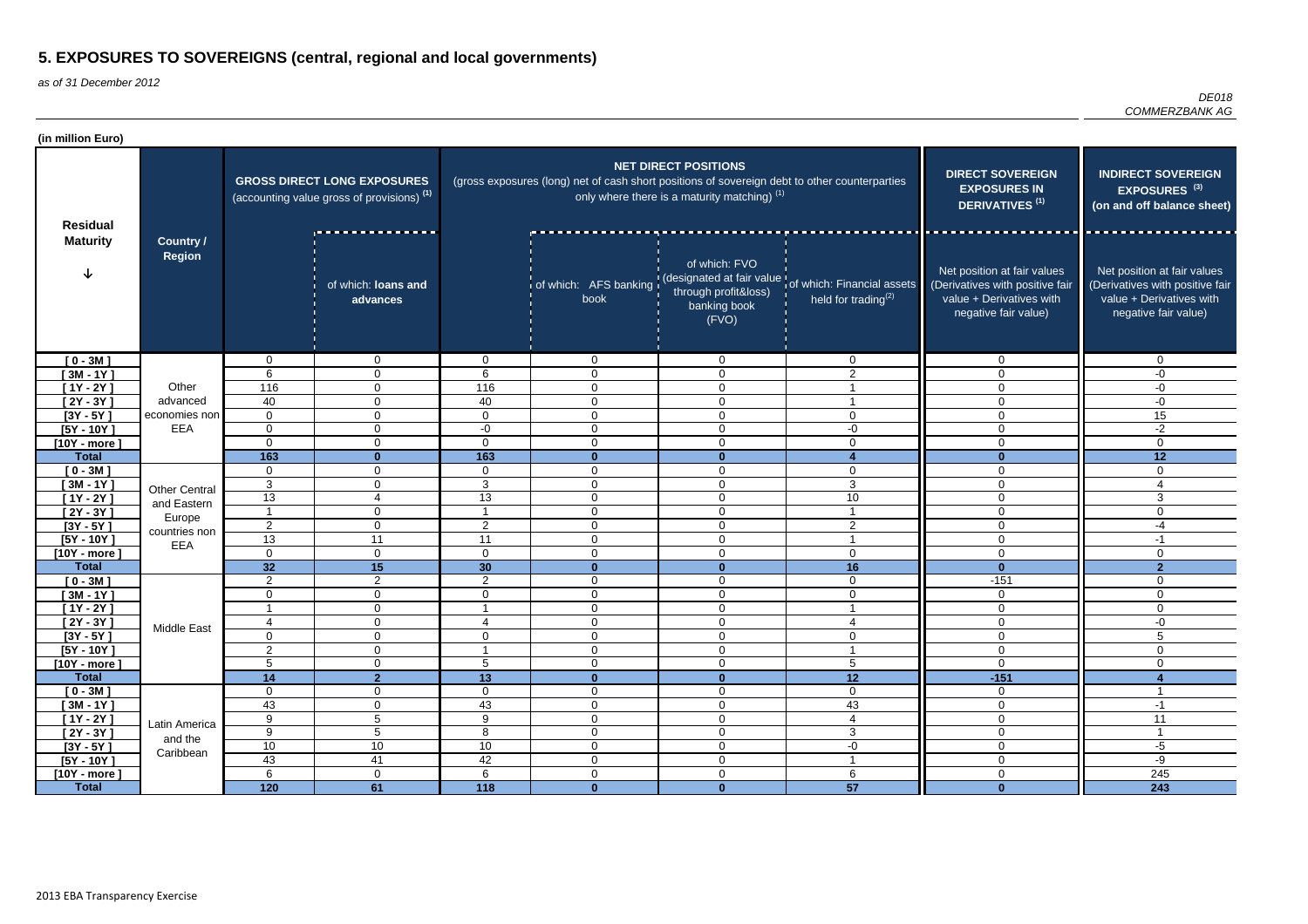| (in million Euro)                |                                   |                         |                                                                                             |                     |                                                                                               |                                                                                        |                                                                                                       |                                                                                                                    |                                                                                                                    |
|----------------------------------|-----------------------------------|-------------------------|---------------------------------------------------------------------------------------------|---------------------|-----------------------------------------------------------------------------------------------|----------------------------------------------------------------------------------------|-------------------------------------------------------------------------------------------------------|--------------------------------------------------------------------------------------------------------------------|--------------------------------------------------------------------------------------------------------------------|
| <b>Residual</b>                  | <b>Country /</b><br><b>Region</b> |                         | <b>GROSS DIRECT LONG EXPOSURES</b><br>(accounting value gross of provisions) <sup>(1)</sup> |                     | (gross exposures (long) net of cash short positions of sovereign debt to other counterparties | <b>NET DIRECT POSITIONS</b><br>only where there is a maturity matching) <sup>(1)</sup> | <b>DIRECT SOVEREIGN</b><br><b>EXPOSURES IN</b><br><b>DERIVATIVES<sup>(1)</sup></b>                    | <b>INDIRECT SOVEREIGN</b><br>EXPOSURES <sup>(3)</sup><br>(on and off balance sheet)                                |                                                                                                                    |
| <b>Maturity</b>                  |                                   |                         | of which: loans and<br>advances                                                             |                     | book                                                                                          | of which: FVO<br>through profit&loss)<br>banking book<br>(FVO)                         | of which: AFS banking (designated at fair value tof which: Financial assets<br>held for trading $(2)$ | Net position at fair values<br>(Derivatives with positive fair<br>value + Derivatives with<br>negative fair value) | Net position at fair values<br>(Derivatives with positive fair<br>value + Derivatives with<br>negative fair value) |
| $[0 - 3M]$                       |                                   | 0                       | $\overline{0}$                                                                              | $\overline{0}$      | $\overline{0}$                                                                                | $\overline{0}$                                                                         | $\overline{0}$                                                                                        | $\mathbf 0$                                                                                                        | $\Omega$                                                                                                           |
| $3M - 1Y$                        |                                   | 6                       | $\mathbf 0$                                                                                 | 6                   | $\mathbf 0$                                                                                   | $\mathbf 0$                                                                            | 2                                                                                                     | 0                                                                                                                  | -0                                                                                                                 |
| $[1Y - 2Y]$                      | Other                             | 116                     | $\mathbf 0$                                                                                 | 116                 | $\mathbf 0$                                                                                   | $\mathbf 0$                                                                            |                                                                                                       | 0                                                                                                                  | -0                                                                                                                 |
| $[2Y - 3Y]$                      | advanced                          | 40                      | $\mathbf{0}$                                                                                | 40                  | $\overline{0}$                                                                                | 0                                                                                      |                                                                                                       | $\Omega$                                                                                                           | -0                                                                                                                 |
| $[3Y - 5Y]$                      | economies non<br>EEA              | $\mathbf 0$             | $\overline{0}$                                                                              | $\mathbf 0$         | $\mathbf 0$                                                                                   | $\mathbf 0$                                                                            | $\Omega$                                                                                              | $\Omega$                                                                                                           | 15                                                                                                                 |
| $[5Y - 10Y]$                     |                                   | $\mathbf 0$<br>$\Omega$ | $\overline{0}$<br>$\overline{0}$                                                            | $-0$<br>$\mathbf 0$ | $\mathbf 0$<br>$\overline{0}$                                                                 | $\mathbf 0$<br>$\mathbf 0$                                                             | -0<br>$\mathbf{0}$                                                                                    | $\Omega$<br>0                                                                                                      | $-2$<br>$\Omega$                                                                                                   |
| [10Y - more $\,$<br><b>Total</b> |                                   | 163                     | $\mathbf{0}$                                                                                | 163                 | $\Omega$                                                                                      | $\mathbf{0}$                                                                           |                                                                                                       | $\mathbf{0}$                                                                                                       | 12                                                                                                                 |
| $[0 - 3M]$                       |                                   | $\mathbf 0$             | $\overline{0}$                                                                              | $\overline{0}$      | $\mathbf 0$                                                                                   | $\mathbf 0$                                                                            | $\Omega$                                                                                              | 0                                                                                                                  | $\mathbf{0}$                                                                                                       |
| $[3M - 1Y]$                      |                                   | $\mathbf{3}$            | $\mathbf 0$                                                                                 | 3                   | $\overline{0}$                                                                                | $\mathbf 0$                                                                            | 3                                                                                                     | 0                                                                                                                  | 4                                                                                                                  |
| $[1Y - 2Y]$                      | <b>Other Central</b>              | 13                      | $\boldsymbol{4}$                                                                            | 13                  | $\overline{0}$                                                                                | $\mathbf 0$                                                                            | 10                                                                                                    | 0                                                                                                                  | 3                                                                                                                  |
| $[2Y - 3Y]$                      | and Eastern                       | $\overline{\mathbf{A}}$ | $\overline{0}$                                                                              |                     | $\overline{0}$                                                                                | $\mathbf 0$                                                                            |                                                                                                       | $\Omega$                                                                                                           | $\Omega$                                                                                                           |
| $[3Y - 5Y]$                      | Europe                            | $\overline{2}$          | $\overline{0}$                                                                              | $\overline{2}$      | $\mathbf 0$                                                                                   | $\mathbf 0$                                                                            | $\overline{2}$                                                                                        | $\Omega$                                                                                                           | -4                                                                                                                 |
| $[5Y - 10Y]$                     | countries non                     | $\overline{13}$         | 11                                                                                          | 11                  | $\mathbf 0$                                                                                   | $\overline{0}$                                                                         |                                                                                                       | $\mathbf 0$                                                                                                        | $-1$                                                                                                               |
| [10Y - more $\,$                 | <b>EEA</b>                        | $\mathbf 0$             | $\mathbf 0$                                                                                 | $\overline{0}$      | $\mathbf 0$                                                                                   | $\overline{0}$                                                                         | $\Omega$                                                                                              | 0                                                                                                                  | $\Omega$                                                                                                           |
| <b>Total</b>                     |                                   | 32                      | 15                                                                                          | 30                  | $\mathbf{0}$                                                                                  | $\bf{0}$                                                                               | 16                                                                                                    | $\mathbf{0}$                                                                                                       | $\overline{2}$                                                                                                     |
| $[0 - 3M]$                       |                                   | 2                       | $\overline{2}$                                                                              | $\overline{2}$      | $\overline{0}$                                                                                | $\mathbf 0$                                                                            | $\overline{0}$                                                                                        | $-151$                                                                                                             | $\mathbf{0}$                                                                                                       |
| $[3M - 1Y]$                      |                                   | 0                       | $\overline{0}$                                                                              | $\overline{0}$      | $\mathbf 0$                                                                                   | $\mathbf 0$                                                                            | $\mathbf 0$                                                                                           | $\mathbf 0$                                                                                                        | $\mathbf{0}$                                                                                                       |
| $[1Y - 2Y]$                      |                                   |                         | $\overline{0}$                                                                              |                     | $\mathbf 0$                                                                                   | $\mathbf 0$                                                                            |                                                                                                       | $\mathbf 0$                                                                                                        | 0                                                                                                                  |
| $[2Y - 3Y]$                      | Middle East                       | −                       | $\overline{0}$                                                                              | $\lambda$<br>┱      | $\overline{0}$                                                                                | $\overline{0}$                                                                         |                                                                                                       | 0                                                                                                                  | -0                                                                                                                 |
| $[3Y - 5Y]$                      |                                   | $\mathbf 0$             | $\overline{0}$                                                                              | $\overline{0}$      | $\mathbf 0$                                                                                   | $\mathbf 0$                                                                            | 0                                                                                                     | 0                                                                                                                  | 5                                                                                                                  |
| $[5Y - 10Y]$                     |                                   | 2                       | $\overline{0}$                                                                              |                     | $\overline{0}$                                                                                | $\mathbf 0$                                                                            | -1                                                                                                    | $\overline{0}$                                                                                                     | $\Omega$                                                                                                           |
| $[10Y - more]$                   |                                   | $5\phantom{.0}$         | $\overline{0}$                                                                              | 5                   | $\mathbf 0$                                                                                   | $\boldsymbol{0}$                                                                       | $5\phantom{.0}$                                                                                       | $\mathbf 0$                                                                                                        | $\mathbf{0}$                                                                                                       |
| <b>Total</b>                     |                                   | 14                      | 2 <sup>1</sup>                                                                              | 13                  | $\mathbf{0}$                                                                                  | $\mathbf 0$                                                                            | 12                                                                                                    | $-151$                                                                                                             |                                                                                                                    |
| $[0 - 3M]$                       |                                   | $\mathbf 0$             | $\overline{0}$                                                                              | $\overline{0}$      | $\overline{0}$                                                                                | $\mathbf 0$                                                                            | $\mathbf 0$                                                                                           | $\overline{0}$                                                                                                     | - 1                                                                                                                |
| $[3M - 1Y]$                      |                                   | 43                      | $\overline{0}$                                                                              | 43                  | $\overline{0}$                                                                                | $\mathbf 0$                                                                            | 43                                                                                                    | $\overline{0}$                                                                                                     | $-1$                                                                                                               |
| $[1Y - 2Y]$                      | Latin America                     | 9                       | $\overline{5}$                                                                              | $\overline{9}$      | $\overline{0}$                                                                                | $\boldsymbol{0}$                                                                       | 4                                                                                                     | $\overline{0}$                                                                                                     | 11                                                                                                                 |
| $[2Y - 3Y]$                      | and the<br>Caribbean              | 9                       | $\overline{5}$                                                                              | 8                   | $\mathbf 0$                                                                                   | $\boldsymbol{0}$                                                                       | $\mathbf{3}$                                                                                          | $\mathbf 0$                                                                                                        |                                                                                                                    |
| $[3Y - 5Y]$                      |                                   | $10$                    | $10$                                                                                        | 10                  | $\boldsymbol{0}$                                                                              | $\boldsymbol{0}$                                                                       | $-0$                                                                                                  | $\mathbf 0$                                                                                                        | -5                                                                                                                 |
| $[5Y - 10Y]$                     |                                   | 43<br>6                 | 41                                                                                          | 42<br>6             | $\overline{0}$                                                                                | $\mathbf 0$                                                                            |                                                                                                       | $\overline{0}$<br>$\overline{0}$                                                                                   | -9<br>245                                                                                                          |
| $[10Y - more]$<br><b>Total</b>   |                                   | $\overline{120}$        | $\overline{0}$<br>61                                                                        | $\overline{118}$    | $\mathbf 0$<br>$\mathbf{0}$                                                                   | $\mathbf 0$<br>$\mathbf{0}$                                                            | 6<br>57                                                                                               | $\mathbf{0}$                                                                                                       | $\overline{243}$                                                                                                   |
|                                  |                                   |                         |                                                                                             |                     |                                                                                               |                                                                                        |                                                                                                       |                                                                                                                    |                                                                                                                    |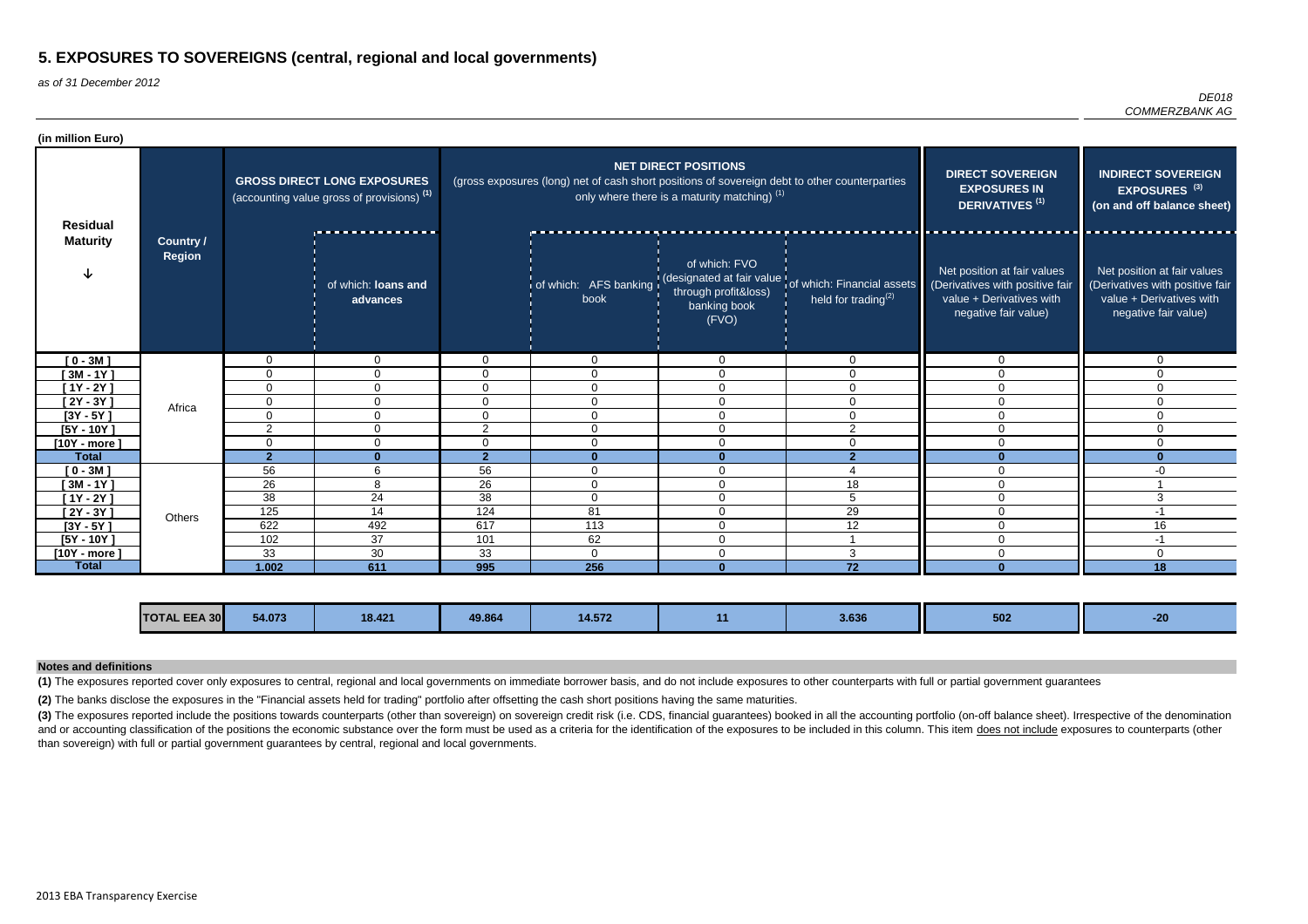as of 31 December 2012

|                       | DE018 |
|-----------------------|-------|
| <i>COMMERZBANK AG</i> |       |

(3) The exposures reported include the positions towards counterparts (other than sovereign) on sovereign credit risk (i.e. CDS, financial guarantees) booked in all the accounting portfolio (on-off balance sheet). Irrespec and or accounting classification of the positions the economic substance over the form must be used as a criteria for the identification of the exposures to be included in this column. This item does not include exposures than sovereign) with full or partial government guarantees by central, regional and local governments.

| (in million Euro) |                                   |                |                                                                                             |                |                                                                                               |                                                                               |                                                                                |                                                                                                                    |                                                                                                                    |
|-------------------|-----------------------------------|----------------|---------------------------------------------------------------------------------------------|----------------|-----------------------------------------------------------------------------------------------|-------------------------------------------------------------------------------|--------------------------------------------------------------------------------|--------------------------------------------------------------------------------------------------------------------|--------------------------------------------------------------------------------------------------------------------|
| <b>Residual</b>   |                                   |                | <b>GROSS DIRECT LONG EXPOSURES</b><br>(accounting value gross of provisions) <sup>(1)</sup> |                | (gross exposures (long) net of cash short positions of sovereign debt to other counterparties | <b>NET DIRECT POSITIONS</b><br>only where there is a maturity matching) $(1)$ |                                                                                | <b>DIRECT SOVEREIGN</b><br><b>EXPOSURES IN</b><br>DERIVATIVES <sup>(1)</sup>                                       | <b>INDIRECT SOVEREIGN</b><br>EXPOSURES <sup>(3)</sup><br>(on and off balance sheet)                                |
| <b>Maturity</b>   | <b>Country /</b><br><b>Region</b> |                | of which: loans and<br>advances                                                             |                | of which: AFS banking<br>book                                                                 | of which: FVO<br>through profit&loss)<br>banking book<br>(FVO)                | (designated at fair value of which: Financial assets<br>held for trading $(2)$ | Net position at fair values<br>(Derivatives with positive fair<br>value + Derivatives with<br>negative fair value) | Net position at fair values<br>(Derivatives with positive fair<br>value + Derivatives with<br>negative fair value) |
| $[0 - 3M]$        |                                   | $\mathbf{0}$   | 0                                                                                           | $\Omega$       | $\Omega$                                                                                      | $\Omega$                                                                      | $\Omega$                                                                       | $\mathbf{0}$                                                                                                       | U                                                                                                                  |
| $[3M - 1Y]$       |                                   | $\mathbf{0}$   | $\Omega$                                                                                    | 0              | $\Omega$                                                                                      | $\mathbf{0}$                                                                  | $\Omega$                                                                       |                                                                                                                    |                                                                                                                    |
| $[1Y - 2Y]$       |                                   | $\mathbf 0$    | $\mathbf 0$                                                                                 | $\overline{0}$ | $\overline{0}$                                                                                | $\overline{0}$                                                                | $\overline{0}$                                                                 | $\Omega$                                                                                                           | $\Omega$                                                                                                           |
| $[2Y - 3Y]$       | Africa                            | $\mathbf{0}$   | $\Omega$                                                                                    | 0              | $\Omega$                                                                                      | $\Omega$                                                                      | $\Omega$                                                                       |                                                                                                                    | 0                                                                                                                  |
| $[3Y - 5Y]$       |                                   | $\mathbf{0}$   | $\overline{0}$                                                                              | $\Omega$       | $\Omega$                                                                                      | $\mathbf{0}$                                                                  | $\Omega$                                                                       | $\Omega$                                                                                                           | 0                                                                                                                  |
| $[5Y - 10Y]$      |                                   | 2              | 0                                                                                           | $\overline{2}$ | $\Omega$                                                                                      | $\overline{0}$                                                                | 2                                                                              | $\Omega$                                                                                                           | 0                                                                                                                  |
| $[10Y - more]$    |                                   | 0              | 0                                                                                           | $\Omega$       | $\mathbf 0$                                                                                   | $\mathbf 0$                                                                   | $\mathbf 0$                                                                    | $\mathbf{0}$                                                                                                       | $\Omega$                                                                                                           |
| <b>Total</b>      |                                   | $\overline{2}$ | $\mathbf{0}$                                                                                | 2 <sup>1</sup> | $\bf{0}$                                                                                      | $\Omega$                                                                      | $\mathbf{r}$                                                                   | $\mathbf{0}$                                                                                                       | ⋂                                                                                                                  |
| $[0 - 3M]$        |                                   | 56             | 6                                                                                           | 56             | $\overline{0}$                                                                                | $\overline{0}$                                                                |                                                                                | $\Omega$                                                                                                           | -0                                                                                                                 |
| $[3M - 1Y]$       |                                   | 26             | 8                                                                                           | 26             | $\Omega$                                                                                      | $\Omega$                                                                      | 18                                                                             | $\Omega$                                                                                                           |                                                                                                                    |
| $[1Y - 2Y]$       |                                   | 38             | 24                                                                                          | 38             | $\mathbf 0$                                                                                   | $\Omega$                                                                      | 5                                                                              | $\Omega$                                                                                                           | 3                                                                                                                  |
| [2Y - 3Y ]        | Others                            | 125            | 14                                                                                          | 124            | 81                                                                                            | $\mathbf{0}$                                                                  | 29                                                                             | $\Omega$                                                                                                           | $-1$                                                                                                               |
| $[3Y - 5Y]$       |                                   | 622            | 492                                                                                         | 617            | 113                                                                                           | $\mathbf 0$                                                                   | 12                                                                             | $\Omega$                                                                                                           | 16                                                                                                                 |
| $[5Y - 10Y]$      |                                   | 102            | 37                                                                                          | 101            | 62                                                                                            | $\overline{0}$                                                                |                                                                                | $\Omega$                                                                                                           | $-1$                                                                                                               |
| [10Y - more ]     |                                   | 33             | 30                                                                                          | 33             | $\Omega$                                                                                      | $\mathbf 0$                                                                   | 3                                                                              | $\Omega$                                                                                                           | $\Omega$                                                                                                           |
| <b>Total</b>      |                                   | 1.002          | 611                                                                                         | 995            | 256                                                                                           |                                                                               | $\overline{72}$                                                                |                                                                                                                    | 18                                                                                                                 |

| <b>TOTAL EEA 30</b> | 54.073 | <b>10 121</b>      | <b>49.864</b> | <b><i>CALCULATION</i></b> |   | 3.636 | 502 | - 20   |
|---------------------|--------|--------------------|---------------|---------------------------|---|-------|-----|--------|
|                     |        | 10.42 <sub>h</sub> |               | 14.572                    | . |       |     | $\sim$ |

**(2)** The banks disclose the exposures in the "Financial assets held for trading" portfolio after offsetting the cash short positions having the same maturities.

#### **Notes and definitions**

**(1)** The exposures reported cover only exposures to central, regional and local governments on immediate borrower basis, and do not include exposures to other counterparts with full or partial government guarantees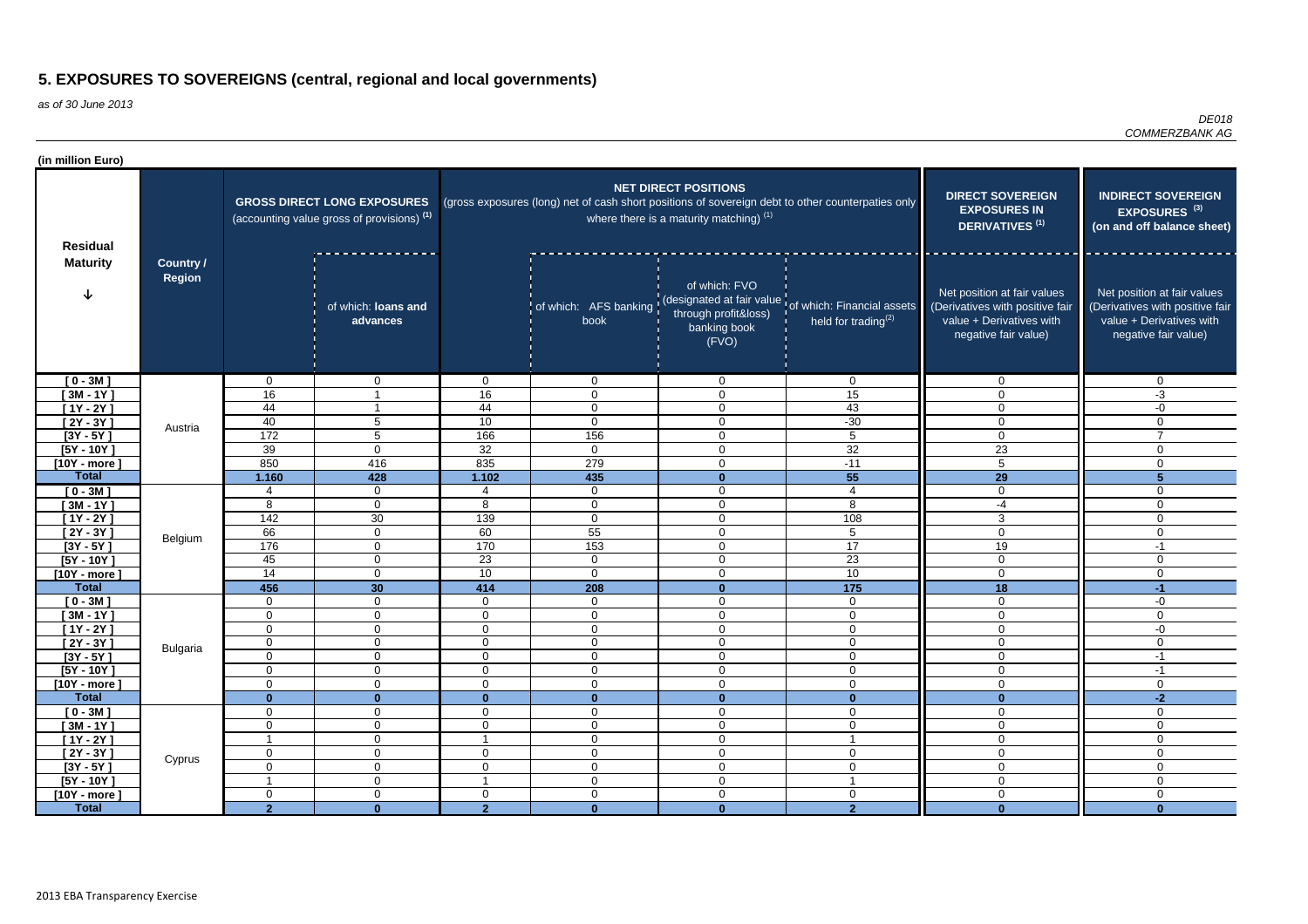as of 30 June 2013

*DE018 COMMERZBANK AG*

| (in million Euro)                  |                            |                               |                                                                                  |                                  |                                                                                                   |                                                                          |                                                                                        |                                                                                                                    |                                                                                                                    |
|------------------------------------|----------------------------|-------------------------------|----------------------------------------------------------------------------------|----------------------------------|---------------------------------------------------------------------------------------------------|--------------------------------------------------------------------------|----------------------------------------------------------------------------------------|--------------------------------------------------------------------------------------------------------------------|--------------------------------------------------------------------------------------------------------------------|
| <b>Residual</b><br><b>Maturity</b> |                            |                               | <b>GROSS DIRECT LONG EXPOSURES</b><br>(accounting value gross of provisions) (1) |                                  | (gross exposures (long) net of cash short positions of sovereign debt to other counterpaties only | <b>NET DIRECT POSITIONS</b><br>where there is a maturity matching) $(1)$ | <b>DIRECT SOVEREIGN</b><br><b>EXPOSURES IN</b><br>DERIVATIVES <sup>(1)</sup>           | <b>INDIRECT SOVEREIGN</b><br>EXPOSURES <sup>(3)</sup><br>(on and off balance sheet)                                |                                                                                                                    |
|                                    | Country /<br><b>Region</b> |                               | of which: loans and<br>advances                                                  |                                  | of which: AFS banking<br>book                                                                     | of which: FVO<br>through profit&loss)<br>banking book<br>(FVO)           | designated at fair value of which: Financial assets<br>held for trading <sup>(2)</sup> | Net position at fair values<br>(Derivatives with positive fair<br>value + Derivatives with<br>negative fair value) | Net position at fair values<br>(Derivatives with positive fair<br>value + Derivatives with<br>negative fair value) |
| $[0 - 3M]$                         |                            | $\mathbf 0$                   | $\mathbf{0}$                                                                     | $\mathbf{0}$                     | $\overline{0}$                                                                                    | $\mathbf 0$                                                              | $\mathbf 0$                                                                            | $\overline{0}$                                                                                                     | 0                                                                                                                  |
| $[3M - 1Y]$                        |                            | 16                            |                                                                                  | 16                               | $\overline{0}$                                                                                    | $\overline{0}$                                                           | 15                                                                                     | $\Omega$                                                                                                           | $-3$                                                                                                               |
| $[1Y - 2Y]$                        |                            | 44                            |                                                                                  | 44                               | $\mathbf 0$                                                                                       | $\mathbf 0$                                                              | 43                                                                                     | $\Omega$                                                                                                           | $-0$                                                                                                               |
| $[2Y - 3Y]$                        | Austria                    | 40<br>172                     | $5\phantom{.0}$                                                                  | 10                               | $\mathbf 0$                                                                                       | $\mathbf 0$                                                              | $-30$                                                                                  | $\Omega$                                                                                                           | $\mathbf 0$<br>$\overline{7}$                                                                                      |
| $[3Y - 5Y]$<br>$[5Y - 10Y]$        |                            | 39                            | $5\phantom{.0}$<br>$\mathbf 0$                                                   | 166<br>32                        | 156<br>$\overline{0}$                                                                             | $\mathbf 0$<br>$\mathbf 0$                                               | $5\phantom{.0}$<br>32                                                                  | $\mathbf 0$<br>23                                                                                                  | $\mathbf 0$                                                                                                        |
| $[10Y - more]$                     |                            | 850                           | 416                                                                              | 835                              | 279                                                                                               | $\mathbf 0$                                                              | $-11$                                                                                  | 5                                                                                                                  | 0                                                                                                                  |
| <b>Total</b>                       |                            | 1.160                         | 428                                                                              | 1.102                            | 435                                                                                               | $\mathbf{0}$                                                             | 55                                                                                     | 29                                                                                                                 | $5\phantom{1}$                                                                                                     |
| $[0 - 3M]$                         |                            | $\boldsymbol{\varDelta}$      | $\overline{0}$                                                                   |                                  | $\mathbf 0$                                                                                       | $\overline{0}$                                                           | $\overline{4}$                                                                         | $\mathbf 0$                                                                                                        | $\Omega$                                                                                                           |
| $[3M - 1Y]$                        |                            | 8                             | $\mathbf 0$                                                                      | 8                                | $\mathbf 0$                                                                                       | $\Omega$                                                                 | 8                                                                                      | $-4$                                                                                                               | $\Omega$                                                                                                           |
| $[1Y - 2Y]$                        |                            | 142                           | 30                                                                               | 139                              | $\overline{0}$                                                                                    | $\mathbf 0$                                                              | 108                                                                                    | 3                                                                                                                  | $\mathbf 0$                                                                                                        |
| $[2Y - 3Y]$                        | Belgium                    | 66                            | $\mathbf 0$                                                                      | 60                               | 55                                                                                                | $\mathbf 0$                                                              | 5                                                                                      | $\Omega$                                                                                                           | $\mathbf 0$                                                                                                        |
| $[3Y - 5Y]$                        |                            | 176                           | 0                                                                                | 170                              | 153                                                                                               | $\mathbf 0$                                                              | 17                                                                                     | 19                                                                                                                 | $-1$                                                                                                               |
| $[5Y - 10Y]$                       |                            | 45                            | $\mathbf 0$                                                                      | 23                               | $\mathbf 0$                                                                                       | $\mathbf 0$                                                              | 23                                                                                     | $\Omega$                                                                                                           | $\Omega$                                                                                                           |
| $[10Y - more]$                     |                            | $\overline{14}$               | $\overline{0}$                                                                   | 10                               | $\overline{0}$                                                                                    | $\mathbf 0$                                                              | 10                                                                                     | $\Omega$                                                                                                           | $\Omega$                                                                                                           |
| <b>Total</b>                       |                            | 456                           | 30 <sup>°</sup>                                                                  | 414                              | 208                                                                                               | $\mathbf{0}$                                                             | 175                                                                                    | 18                                                                                                                 | $-1$                                                                                                               |
| $[0 - 3M]$<br>$[3M - 1Y]$          |                            | $\mathbf 0$<br>$\mathbf 0$    | $\overline{0}$<br>$\overline{0}$                                                 | $\overline{0}$<br>$\overline{0}$ | $\overline{0}$<br>$\mathbf 0$                                                                     | $\mathbf 0$<br>$\mathbf 0$                                               | $\overline{0}$<br>$\mathbf 0$                                                          | $\mathbf 0$<br>$\Omega$                                                                                            | -0<br>$\Omega$                                                                                                     |
| $[1Y - 2Y]$                        |                            | $\mathbf 0$                   | $\mathbf 0$                                                                      | $\overline{0}$                   | $\overline{0}$                                                                                    | 0                                                                        | $\mathbf 0$                                                                            | $\mathbf 0$                                                                                                        | -0                                                                                                                 |
| $[2Y - 3Y]$                        |                            | $\mathbf 0$                   | $\mathbf 0$                                                                      | $\overline{0}$                   | $\mathbf 0$                                                                                       | $\mathbf 0$                                                              | $\mathbf 0$                                                                            | $\Omega$                                                                                                           | $\mathbf{0}$                                                                                                       |
| $[3Y - 5Y]$                        | <b>Bulgaria</b>            | $\mathbf{0}$                  | $\sigma$                                                                         | $\mathbf{0}$                     | $\mathbf{0}$                                                                                      | 0                                                                        | $\mathbf{0}$                                                                           | 0                                                                                                                  | -1                                                                                                                 |
| $[5Y - 10Y]$                       |                            | $\mathbf 0$                   | $\overline{0}$                                                                   | $\overline{0}$                   | $\overline{0}$                                                                                    | $\overline{0}$                                                           | $\overline{0}$                                                                         | $\mathbf 0$                                                                                                        | $-1$                                                                                                               |
| $[10Y - more]$                     |                            | $\mathbf 0$                   | $\mathbf 0$                                                                      | $\overline{0}$                   | $\overline{0}$                                                                                    | $\overline{0}$                                                           | $\overline{0}$                                                                         | $\overline{0}$                                                                                                     | $\overline{0}$                                                                                                     |
| <b>Total</b>                       |                            | $\mathbf{0}$                  | $\mathbf{0}$                                                                     | $\mathbf{0}$                     | $\mathbf{0}$                                                                                      | $\mathbf{0}$                                                             | $\mathbf{0}$                                                                           | $\mathbf{0}$                                                                                                       | $-2$                                                                                                               |
| $[0 - 3M]$                         |                            | $\mathbf 0$                   | $\mathbf 0$                                                                      | $\mathbf 0$                      | $\mathbf 0$                                                                                       | $\mathbf 0$                                                              | $\mathbf 0$                                                                            | $\mathbf 0$                                                                                                        | $\overline{0}$                                                                                                     |
| $[3M - 1Y]$                        |                            | $\boldsymbol{0}$              | $\overline{0}$                                                                   | $\overline{0}$                   | $\overline{0}$                                                                                    | $\mathbf 0$                                                              | $\boldsymbol{0}$                                                                       | $\mathbf 0$                                                                                                        | $\mathbf 0$                                                                                                        |
| $[1Y - 2Y]$<br>$[2Y - 3Y]$         |                            | $\overline{1}$<br>$\mathbf 0$ | $\overline{0}$<br>$\mathbf 0$                                                    | $\overline{0}$                   | $\overline{0}$<br>$\overline{0}$                                                                  | $\mathbf 0$<br>$\mathbf 0$                                               | $\overline{1}$<br>$\overline{0}$                                                       | $\mathbf 0$<br>$\mathbf 0$                                                                                         | $\overline{0}$<br>$\mathbf 0$                                                                                      |
| $[3Y - 5Y]$                        | Cyprus                     | $\mathbf 0$                   | $\overline{0}$                                                                   | $\overline{0}$                   | $\mathbf 0$                                                                                       | $\mathbf 0$                                                              | $\boldsymbol{0}$                                                                       | $\mathbf 0$                                                                                                        | $\mathbf 0$                                                                                                        |
| $[5Y - 10Y]$                       |                            | -1                            | $\mathbf 0$                                                                      |                                  | $\overline{0}$                                                                                    | $\overline{0}$                                                           | -1                                                                                     | $\mathbf 0$                                                                                                        | $\mathbf 0$                                                                                                        |
| [10Y - more ]                      |                            | $\mathbf 0$                   | $\mathbf 0$                                                                      | $\overline{0}$                   | $\overline{0}$                                                                                    | $\mathbf 0$                                                              | $\mathbf 0$                                                                            | $\mathbf 0$                                                                                                        | 0                                                                                                                  |
| <b>Total</b>                       |                            | $\overline{2}$                | $\mathbf{0}$                                                                     | 2 <sup>1</sup>                   | $\mathbf{0}$                                                                                      | $\mathbf{0}$                                                             | $\overline{2}$                                                                         | $\mathbf{0}$                                                                                                       | $\bf{0}$                                                                                                           |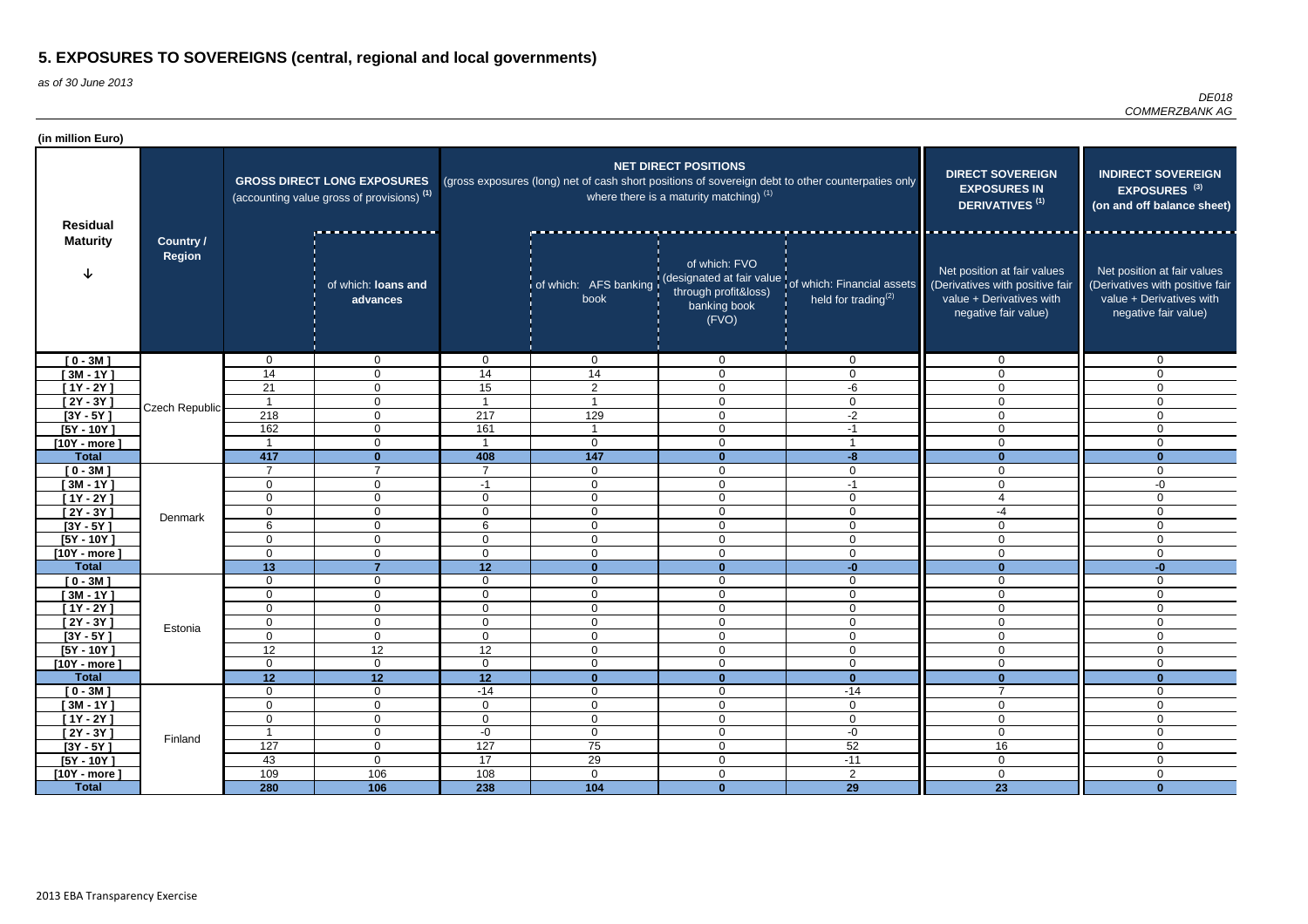| (in million Euro)          |                                   |                            |                                                                                             |                                  |                                                                                                   |                                                                          |                                                                                                      |                                                                                                                    |                                                                                                                    |
|----------------------------|-----------------------------------|----------------------------|---------------------------------------------------------------------------------------------|----------------------------------|---------------------------------------------------------------------------------------------------|--------------------------------------------------------------------------|------------------------------------------------------------------------------------------------------|--------------------------------------------------------------------------------------------------------------------|--------------------------------------------------------------------------------------------------------------------|
| <b>Residual</b>            |                                   |                            | <b>GROSS DIRECT LONG EXPOSURES</b><br>(accounting value gross of provisions) <sup>(1)</sup> |                                  | (gross exposures (long) net of cash short positions of sovereign debt to other counterpaties only | <b>NET DIRECT POSITIONS</b><br>where there is a maturity matching) $(1)$ | <b>DIRECT SOVEREIGN</b><br><b>EXPOSURES IN</b><br><b>DERIVATIVES<sup>(1)</sup></b>                   | <b>INDIRECT SOVEREIGN</b><br>EXPOSURES <sup>(3)</sup><br>(on and off balance sheet)                                |                                                                                                                    |
| <b>Maturity</b>            | <b>Country /</b><br><b>Region</b> |                            | of which: loans and<br>advances                                                             |                                  | book                                                                                              | of which: FVO<br>through profit&loss)<br>banking book<br>(FVO)           | of which: AFS banking (designated at fair value of which: Financial assets<br>held for trading $(2)$ | Net position at fair values<br>(Derivatives with positive fair<br>value + Derivatives with<br>negative fair value) | Net position at fair values<br>(Derivatives with positive fair<br>value + Derivatives with<br>negative fair value) |
| $[0 - 3M]$                 |                                   | $\Omega$                   | $\overline{0}$                                                                              | $\overline{0}$                   | $\overline{0}$                                                                                    | $\Omega$                                                                 | $\mathbf{0}$                                                                                         | $\Omega$                                                                                                           | $\Omega$                                                                                                           |
| $[3M - 1Y]$                |                                   | 14                         | $\overline{0}$                                                                              | 14                               | 14                                                                                                | $\mathbf 0$                                                              | $\mathbf 0$                                                                                          | $\Omega$                                                                                                           | $\Omega$                                                                                                           |
| $[1Y - 2Y]$                |                                   | 21                         | $\mathbf 0$                                                                                 | 15                               | $\overline{2}$                                                                                    | $\Omega$                                                                 | -6                                                                                                   | 0                                                                                                                  | $\Omega$                                                                                                           |
| [2Y - 3Y ]                 | Czech Republic                    |                            | $\overline{0}$                                                                              |                                  |                                                                                                   | $\mathbf 0$                                                              | 0                                                                                                    | 0                                                                                                                  | $\mathbf 0$                                                                                                        |
| $[3Y - 5Y]$                |                                   | 218                        | $\mathbf 0$                                                                                 | 217                              | 129                                                                                               | $\overline{0}$                                                           | $-2$                                                                                                 | $\Omega$                                                                                                           | $\mathbf 0$                                                                                                        |
| $[5Y - 10Y]$               |                                   | 162                        | $\overline{0}$                                                                              | 161                              |                                                                                                   | $\Omega$                                                                 | $-1$                                                                                                 | 0                                                                                                                  | $\mathbf 0$                                                                                                        |
| $[10Y - more]$             |                                   |                            | $\mathbf 0$                                                                                 |                                  | $\overline{0}$                                                                                    | $\Omega$                                                                 |                                                                                                      |                                                                                                                    | 0                                                                                                                  |
| <b>Total</b>               |                                   | 417                        | $\Omega$<br>$\overline{ }$                                                                  | 408                              | 147                                                                                               | $\bf{0}$                                                                 | $-8$                                                                                                 |                                                                                                                    | $\mathbf{0}$                                                                                                       |
| $[0 - 3M]$                 |                                   | $\overline{7}$             |                                                                                             |                                  | $\mathbf 0$                                                                                       | $\mathbf{0}$                                                             | $\mathbf 0$                                                                                          | 0                                                                                                                  | $\mathbf 0$                                                                                                        |
| $[3M - 1Y]$                |                                   | $\mathbf 0$                | 0                                                                                           | $-1$                             | $\mathbf 0$                                                                                       | $\mathbf{0}$                                                             | $-1$                                                                                                 | 0                                                                                                                  | -0                                                                                                                 |
| $[1Y - 2Y]$                |                                   | $\mathbf 0$<br>$\mathbf 0$ | $\overline{0}$                                                                              | $\overline{0}$<br>$\overline{0}$ | $\mathbf 0$                                                                                       | $\mathbf 0$<br>$\mathbf{0}$                                              | $\overline{0}$                                                                                       | -4                                                                                                                 | $\mathbf 0$<br>$\overline{0}$                                                                                      |
| $[2Y - 3Y]$<br>$[3Y - 5Y]$ | Denmark                           | 6                          | $\mathbf{0}$<br>$\Omega$                                                                    | 6                                | $\overline{0}$<br>$\overline{0}$                                                                  | $\mathbf{0}$                                                             | $\mathbf{0}$<br>$\mathbf 0$                                                                          | $\Omega$                                                                                                           | $\overline{0}$                                                                                                     |
| $[5Y - 10Y]$               |                                   | 0                          | $\mathbf 0$                                                                                 | $\overline{0}$                   | $\mathbf 0$                                                                                       | $\mathbf{0}$                                                             | $\mathbf 0$                                                                                          | 0                                                                                                                  | $\mathbf 0$                                                                                                        |
| $[10Y - more]$             |                                   | $\mathbf 0$                | $\Omega$                                                                                    | $\overline{0}$                   | $\mathbf 0$                                                                                       | $\Omega$                                                                 | $\Omega$                                                                                             | $\Omega$                                                                                                           | $\mathbf 0$                                                                                                        |
| <b>Total</b>               |                                   | 13                         | $\overline{7}$                                                                              | 12                               | $\bf{0}$                                                                                          | $\mathbf{0}$                                                             | $-0$                                                                                                 | U                                                                                                                  | $-0$                                                                                                               |
| $[0 - 3M]$                 |                                   | 0                          | 0                                                                                           | $\overline{0}$                   | $\mathbf 0$                                                                                       | $\Omega$                                                                 | $\mathbf 0$                                                                                          | $\Omega$                                                                                                           | $\Omega$                                                                                                           |
| $[3M - 1Y]$                |                                   | 0                          | 0                                                                                           | 0                                | $\mathbf 0$                                                                                       | $\Omega$                                                                 | $\Omega$                                                                                             | $\Omega$                                                                                                           | $\Omega$                                                                                                           |
| $[1Y - 2Y]$                |                                   | $\Omega$                   | 0                                                                                           | $\overline{0}$                   | $\mathbf 0$                                                                                       | $\Omega$                                                                 | $\Omega$                                                                                             | $\Omega$                                                                                                           | $\overline{0}$                                                                                                     |
| $[2Y - 3Y]$                |                                   | $\pmb{0}$                  | 0                                                                                           | $\mathbf 0$                      | 0                                                                                                 | $\mathbf 0$                                                              | 0                                                                                                    | 0                                                                                                                  | 0                                                                                                                  |
| $[3Y - 5Y]$                | Estonia                           | $\mathbf 0$                | $\overline{0}$                                                                              | $\overline{0}$                   | $\mathbf 0$                                                                                       | $\mathbf 0$                                                              | $\mathbf 0$                                                                                          | 0                                                                                                                  | $\mathbf 0$                                                                                                        |
| $[5Y - 10Y]$               |                                   | 12                         | 12                                                                                          | 12                               | $\overline{0}$                                                                                    | $\mathbf 0$                                                              | $\overline{0}$                                                                                       | $\overline{0}$                                                                                                     | $\overline{0}$                                                                                                     |
| $[10Y - more]$             |                                   | $\overline{0}$             | $\overline{0}$                                                                              | $\overline{0}$                   | $\overline{0}$                                                                                    | $\mathbf 0$                                                              | $\overline{0}$                                                                                       | 0                                                                                                                  | $\mathbf 0$                                                                                                        |
| <b>Total</b>               |                                   | 12                         | 12                                                                                          | 12                               | $\mathbf{0}$                                                                                      | $\mathbf 0$                                                              | $\mathbf{0}$                                                                                         | $\Omega$                                                                                                           | $\mathbf{0}$                                                                                                       |
| $[0 - 3M]$                 |                                   | $\mathbf 0$                | $\overline{0}$                                                                              | $-14$                            | $\overline{0}$                                                                                    | $\mathbf 0$                                                              | $-14$                                                                                                | $\overline{7}$                                                                                                     | $\mathbf 0$                                                                                                        |
| $[3M - 1Y]$                |                                   | $\mathbf 0$                | $\overline{0}$                                                                              | $\overline{0}$                   | $\overline{0}$                                                                                    | $\mathbf 0$                                                              | $\mathbf 0$                                                                                          | 0                                                                                                                  | $\overline{0}$                                                                                                     |
| $[1Y - 2Y]$                |                                   | $\overline{0}$             | $\overline{0}$                                                                              | $\overline{0}$                   | $\overline{0}$                                                                                    | $\mathbf 0$                                                              | $\overline{0}$                                                                                       | 0                                                                                                                  | $\overline{0}$                                                                                                     |
| $[2Y - 3Y]$                | Finland                           | -1                         | $\overline{0}$                                                                              | $-0$                             | $\overline{0}$                                                                                    | $\mathbf 0$                                                              | $-0$                                                                                                 | $\mathbf 0$                                                                                                        | $\overline{0}$                                                                                                     |
| $[3Y - 5Y]$                |                                   | $\overline{127}$           | $\overline{0}$                                                                              | $\overline{127}$                 | 75                                                                                                | $\mathbf 0$                                                              | 52                                                                                                   | 16                                                                                                                 | $\overline{0}$                                                                                                     |
| $[5Y - 10Y]$               |                                   | 43                         | $\overline{0}$                                                                              | 17                               | 29                                                                                                | $\mathbf 0$                                                              | $-11$                                                                                                | $\mathsf{O}$                                                                                                       | $\mathbf 0$                                                                                                        |
| $[10Y - more]$             |                                   | 109                        | 106                                                                                         | 108                              | $\overline{0}$                                                                                    | $\mathbf 0$                                                              | $\overline{2}$                                                                                       | $\mathbf 0$                                                                                                        | $\overline{0}$                                                                                                     |
| <b>Total</b>               |                                   | 280                        | 106                                                                                         | 238                              | 104                                                                                               | $\mathbf{0}$                                                             | $\overline{29}$                                                                                      | $\boxed{23}$                                                                                                       | $\mathbf{0}$                                                                                                       |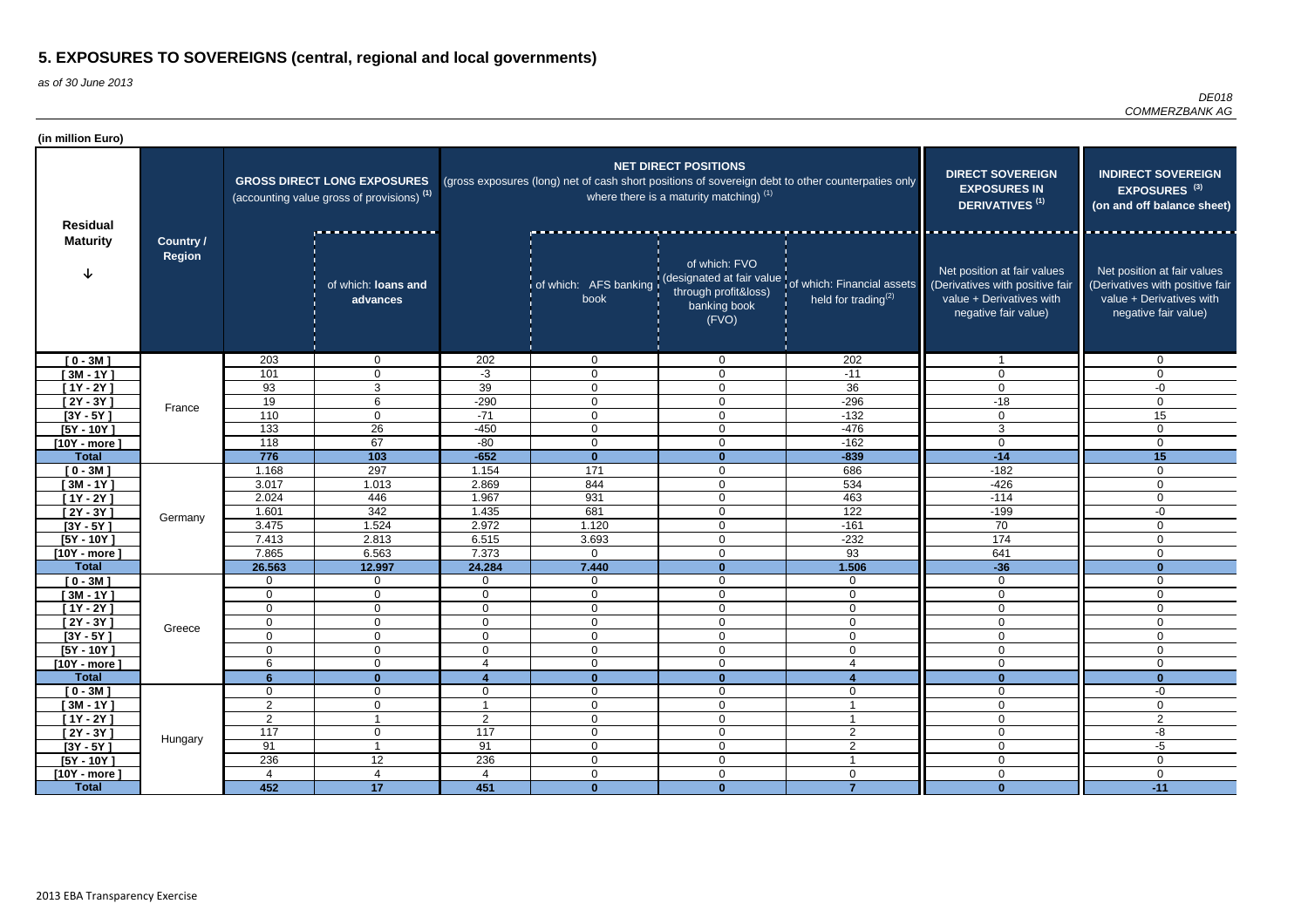| (in million Euro)              |                                   |                  |                                                                                             |                  |                                                                                                   |                                                                          |                                                                                                               |                                                                                                                    |                                                                                                                    |
|--------------------------------|-----------------------------------|------------------|---------------------------------------------------------------------------------------------|------------------|---------------------------------------------------------------------------------------------------|--------------------------------------------------------------------------|---------------------------------------------------------------------------------------------------------------|--------------------------------------------------------------------------------------------------------------------|--------------------------------------------------------------------------------------------------------------------|
| <b>Residual</b>                |                                   |                  | <b>GROSS DIRECT LONG EXPOSURES</b><br>(accounting value gross of provisions) <sup>(1)</sup> |                  | (gross exposures (long) net of cash short positions of sovereign debt to other counterpaties only | <b>NET DIRECT POSITIONS</b><br>where there is a maturity matching) $(1)$ | <b>DIRECT SOVEREIGN</b><br><b>EXPOSURES IN</b><br><b>DERIVATIVES<sup>(1)</sup></b>                            | <b>INDIRECT SOVEREIGN</b><br>EXPOSURES <sup>(3)</sup><br>(on and off balance sheet)                                |                                                                                                                    |
| <b>Maturity</b>                | <b>Country /</b><br><b>Region</b> |                  | of which: loans and<br>advances                                                             |                  | book                                                                                              | of which: FVO<br>through profit&loss)<br>banking book<br>(FVO)           | of which: AFS banking (designated at fair value of which: Financial assets<br>held for trading <sup>(2)</sup> | Net position at fair values<br>(Derivatives with positive fair<br>value + Derivatives with<br>negative fair value) | Net position at fair values<br>(Derivatives with positive fair<br>value + Derivatives with<br>negative fair value) |
| $[0 - 3M]$                     |                                   | 203              | 0                                                                                           | 202              | $\overline{0}$                                                                                    | $\Omega$                                                                 | 202                                                                                                           |                                                                                                                    | $\mathbf 0$                                                                                                        |
| $[3M - 1Y]$                    |                                   | 101              | 0                                                                                           | $-3$             | $\mathbf 0$                                                                                       | $\Omega$                                                                 | $-11$                                                                                                         | $\Omega$                                                                                                           | $\Omega$                                                                                                           |
| $[1Y - 2Y]$                    |                                   | 93               | 3                                                                                           | 39               | $\mathbf 0$                                                                                       | 0                                                                        | 36                                                                                                            | $\Omega$                                                                                                           | -0                                                                                                                 |
| $[2Y - 3Y]$                    | France                            | 19               | 6                                                                                           | $-290$           | $\mathbf 0$                                                                                       | $\Omega$                                                                 | $-296$                                                                                                        | $-18$                                                                                                              | $\Omega$                                                                                                           |
| $[3Y - 5Y]$                    |                                   | 110              | $\mathbf 0$                                                                                 | $-71$            | $\mathbf 0$                                                                                       | $\overline{0}$                                                           | $-132$                                                                                                        | $\overline{0}$                                                                                                     | 15                                                                                                                 |
| $[5Y - 10Y]$                   |                                   | 133              | 26                                                                                          | $-450$           | $\mathbf 0$                                                                                       | 0                                                                        | $-476$                                                                                                        | 3                                                                                                                  | $\mathbf 0$                                                                                                        |
| $[10Y - more]$                 |                                   | 118              | 67                                                                                          | $-80$            | $\overline{0}$                                                                                    | $\Omega$                                                                 | $-162$                                                                                                        | $\overline{0}$                                                                                                     | $\mathbf 0$                                                                                                        |
| <b>Total</b>                   |                                   | 776              | 103                                                                                         | $-652$           | $\mathbf{0}$                                                                                      | $\bf{0}$                                                                 | $-839$                                                                                                        | $-14$                                                                                                              | 15                                                                                                                 |
| $[0 - 3M]$                     |                                   | 1.168            | 297                                                                                         | 1.154            | 171                                                                                               | $\Omega$                                                                 | 686                                                                                                           | $-182$                                                                                                             | $\mathbf 0$                                                                                                        |
| $[3M - 1Y]$                    |                                   | 3.017            | 1.013                                                                                       | 2.869            | 844                                                                                               | $\Omega$                                                                 | 534                                                                                                           | $-426$                                                                                                             | $\mathbf 0$                                                                                                        |
| $[1Y - 2Y]$                    |                                   | 2.024            | 446                                                                                         | 1.967            | 931                                                                                               | $\mathbf{0}$                                                             | 463                                                                                                           | $-114$                                                                                                             | $\mathbf 0$                                                                                                        |
| $[2Y - 3Y]$                    | Germany                           | 1.601            | 342                                                                                         | 1.435            | 681                                                                                               | 0                                                                        | $\overline{122}$                                                                                              | $-199$                                                                                                             | $-0$                                                                                                               |
| $[3Y - 5Y]$                    |                                   | 3.475            | 1.524                                                                                       | 2.972            | 1.120                                                                                             | $\mathbf{0}$                                                             | $-161$                                                                                                        | 70                                                                                                                 | $\mathbf{0}$                                                                                                       |
| $[5Y - 10Y]$                   |                                   | 7.413            | 2.813                                                                                       | 6.515<br>7.373   | 3.693<br>$\overline{0}$                                                                           | $\mathbf{0}$<br>$\mathbf{0}$                                             | $-232$<br>93                                                                                                  | $\frac{174}{ }$<br>641                                                                                             | $\mathbf 0$                                                                                                        |
| $[10Y - more]$<br><b>Total</b> |                                   | 7.865<br>26.563  | 6.563<br>12.997                                                                             | 24.284           | 7.440                                                                                             | $\bf{0}$                                                                 | 1.506                                                                                                         | $-36$                                                                                                              | $\mathbf 0$<br>$\mathbf{0}$                                                                                        |
| $[0 - 3M]$                     |                                   | $\mathbf 0$      | $\mathbf 0$                                                                                 | 0                | $\mathbf 0$                                                                                       | $\Omega$                                                                 | $\mathbf{0}$                                                                                                  | 0                                                                                                                  | $\mathbf 0$                                                                                                        |
| $[3M - 1Y]$                    |                                   | 0                | $\mathbf 0$                                                                                 | $\mathbf 0$      | $\mathbf 0$                                                                                       | $\Omega$                                                                 | $\mathbf{0}$                                                                                                  | $\Omega$                                                                                                           | $\mathbf 0$                                                                                                        |
| $[1Y - 2Y]$                    |                                   | $\mathbf 0$      | 0                                                                                           | 0                | $\mathbf 0$                                                                                       | $\Omega$                                                                 | $\Omega$                                                                                                      | 0                                                                                                                  | 0                                                                                                                  |
| $[2Y - 3Y]$                    |                                   | 0                | $\overline{0}$                                                                              | $\mathbf 0$      | $\mathbf 0$                                                                                       | $\mathbf 0$                                                              | $\overline{0}$                                                                                                | $\mathbf 0$                                                                                                        | $\overline{0}$                                                                                                     |
| $[3Y - 5Y]$                    | Greece                            | 0                | $\mathbf 0$                                                                                 | $\mathbf 0$      | $\mathbf 0$                                                                                       | 0                                                                        | $\mathbf 0$                                                                                                   | $\overline{0}$                                                                                                     | $\mathbf 0$                                                                                                        |
| $[5Y - 10Y]$                   |                                   | $\mathbf 0$      | $\mathbf 0$                                                                                 | $\mathbf 0$      | $\mathbf 0$                                                                                       | $\mathbf 0$                                                              | $\mathbf 0$                                                                                                   | $\overline{0}$                                                                                                     | $\mathbf 0$                                                                                                        |
| $[10Y - more]$                 |                                   | 6                | $\mathbf 0$                                                                                 | 4                | $\mathbf 0$                                                                                       | $\mathbf 0$                                                              | $\overline{4}$                                                                                                | $\mathbf 0$                                                                                                        | $\mathbf 0$                                                                                                        |
| <b>Total</b>                   |                                   | $6\phantom{a}$   | $\mathbf{0}$                                                                                | 4                | $\mathbf{0}$                                                                                      | $\bf{0}$                                                                 | $\boldsymbol{\Lambda}$                                                                                        | $\bf{0}$                                                                                                           | $\mathbf{0}$                                                                                                       |
| $[0 - 3M]$                     |                                   | $\mathbf 0$      | $\overline{0}$                                                                              | $\mathbf 0$      | $\overline{0}$                                                                                    | 0                                                                        | $\mathbf 0$                                                                                                   | $\overline{0}$                                                                                                     | -0                                                                                                                 |
| $[3M - 1Y]$                    |                                   | 2                | $\overline{0}$                                                                              |                  | $\overline{0}$                                                                                    | $\Omega$                                                                 |                                                                                                               | $\overline{0}$                                                                                                     | $\mathbf 0$                                                                                                        |
| $[1Y - 2Y]$                    |                                   | $\overline{2}$   |                                                                                             | $\overline{2}$   | $\mathbf 0$                                                                                       | 0                                                                        |                                                                                                               | 0                                                                                                                  | $\overline{2}$                                                                                                     |
| $[2Y - 3Y]$                    | Hungary                           | $\overline{117}$ | $\overline{0}$                                                                              | $\overline{117}$ | $\boldsymbol{0}$                                                                                  | $\mathbf 0$                                                              | $\overline{2}$                                                                                                | $\overline{0}$                                                                                                     | -8                                                                                                                 |
| $[3Y - 5Y]$                    |                                   | 91               |                                                                                             | 91               | $\overline{0}$                                                                                    | $\mathbf 0$                                                              | $\overline{2}$                                                                                                | $\overline{0}$                                                                                                     | $-5$                                                                                                               |
| $[5Y - 10Y]$                   |                                   | 236              | 12                                                                                          | 236              | $\overline{0}$                                                                                    | $\mathbf 0$                                                              |                                                                                                               | $\overline{0}$                                                                                                     | $\overline{0}$                                                                                                     |
| $[10Y - more]$                 |                                   | 4                | $\overline{4}$                                                                              | 4                | $\overline{0}$                                                                                    | $\mathbf 0$                                                              | $\mathbf 0$                                                                                                   | $\overline{0}$                                                                                                     | $\overline{0}$                                                                                                     |
| <b>Total</b>                   |                                   | 452              | 17                                                                                          | 451              | $\mathbf{0}$                                                                                      | $\mathbf{0}$                                                             | $\overline{7}$                                                                                                | $\mathbf{0}$                                                                                                       | $-11$                                                                                                              |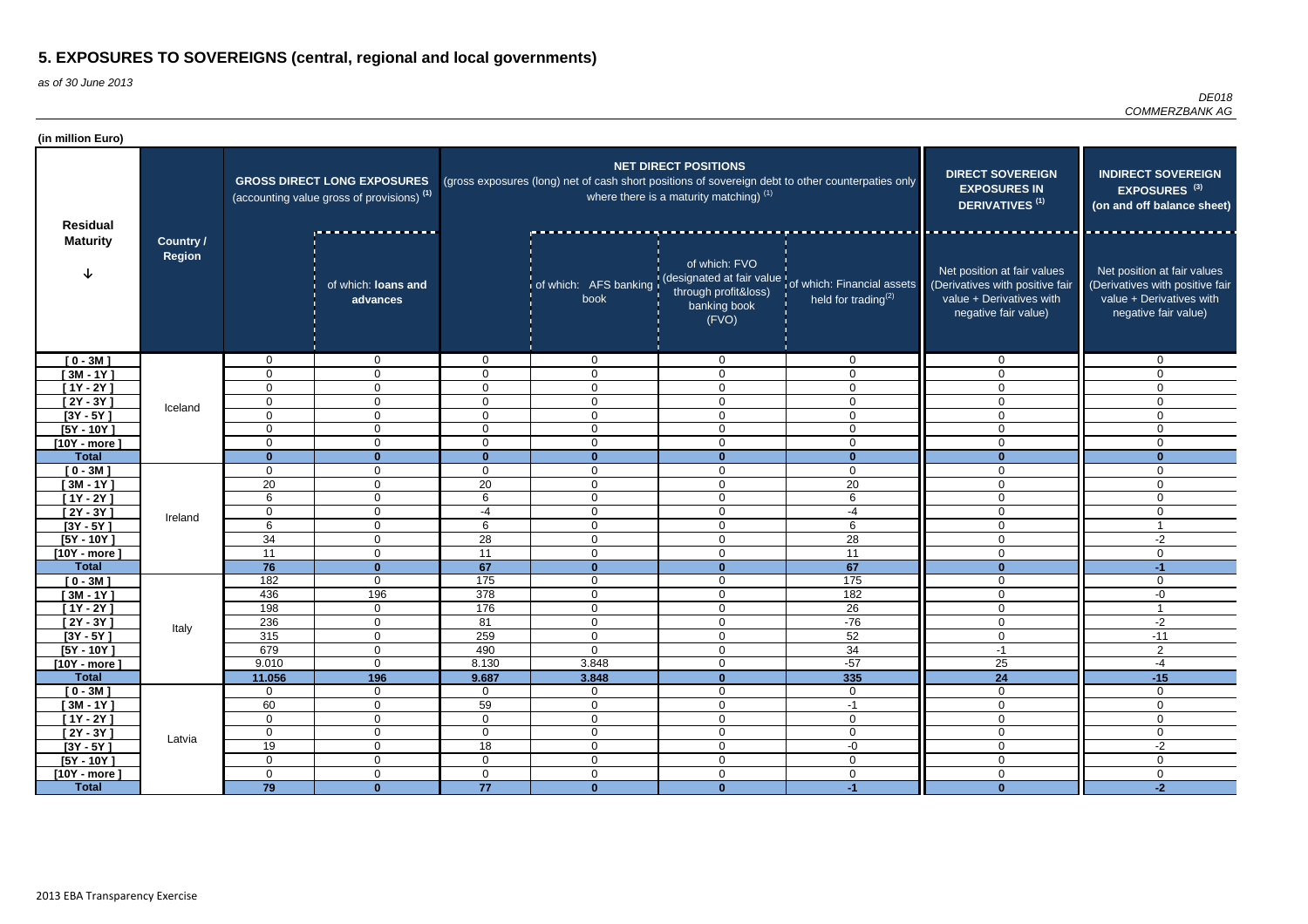| (in million Euro)          |                                   |                   |                                                                                             |                      |                                                                                                   |                                                                          |                                                                                                         |                                                                                                                    |                                                                                                                    |
|----------------------------|-----------------------------------|-------------------|---------------------------------------------------------------------------------------------|----------------------|---------------------------------------------------------------------------------------------------|--------------------------------------------------------------------------|---------------------------------------------------------------------------------------------------------|--------------------------------------------------------------------------------------------------------------------|--------------------------------------------------------------------------------------------------------------------|
| <b>Residual</b>            |                                   |                   | <b>GROSS DIRECT LONG EXPOSURES</b><br>(accounting value gross of provisions) <sup>(1)</sup> |                      | (gross exposures (long) net of cash short positions of sovereign debt to other counterpaties only | <b>NET DIRECT POSITIONS</b><br>where there is a maturity matching) $(1)$ | <b>DIRECT SOVEREIGN</b><br><b>EXPOSURES IN</b><br>DERIVATIVES <sup>(1)</sup>                            | <b>INDIRECT SOVEREIGN</b><br>EXPOSURES <sup>(3)</sup><br>(on and off balance sheet)                                |                                                                                                                    |
| <b>Maturity</b>            | <b>Country /</b><br><b>Region</b> |                   | of which: loans and<br>advances                                                             |                      | book                                                                                              | of which: FVO<br>through profit&loss)<br>banking book<br>(FVO)           | of which: AFS banking (designated at fair value of which: Financial assets<br>held for trading $^{(2)}$ | Net position at fair values<br>(Derivatives with positive fair<br>value + Derivatives with<br>negative fair value) | Net position at fair values<br>(Derivatives with positive fair<br>value + Derivatives with<br>negative fair value) |
| $[0 - 3M]$                 |                                   | $\overline{0}$    | $\mathbf{0}$                                                                                | $\mathbf 0$          | $\overline{0}$                                                                                    | $\Omega$                                                                 | $\overline{0}$                                                                                          | $\overline{0}$                                                                                                     | $\overline{0}$                                                                                                     |
| $[3M - 1Y]$                |                                   | 0                 | $\mathbf 0$                                                                                 | $\mathbf 0$          | $\overline{0}$                                                                                    | $\mathbf{0}$                                                             | $\mathbf 0$                                                                                             | $\Omega$                                                                                                           | $\Omega$                                                                                                           |
| $[1Y - 2Y]$                |                                   | $\mathbf 0$       | $\mathbf 0$                                                                                 | $\overline{0}$       | $\mathbf 0$                                                                                       | $\Omega$                                                                 | $\mathbf 0$                                                                                             | $\overline{0}$                                                                                                     | $\Omega$                                                                                                           |
| $[2Y - 3Y]$                | Iceland                           | 0                 | $\mathbf 0$                                                                                 | $\overline{0}$       | $\mathbf 0$                                                                                       | $\Omega$                                                                 | $\mathbf 0$                                                                                             | $\overline{0}$                                                                                                     | $\Omega$                                                                                                           |
| $[3Y - 5Y]$                |                                   | 0                 | $\mathbf 0$                                                                                 | $\overline{0}$       | $\overline{0}$                                                                                    | $\Omega$                                                                 | $\mathbf 0$                                                                                             | $\overline{0}$                                                                                                     | 0                                                                                                                  |
| $[5Y - 10Y]$               |                                   | 0                 | $\mathbf 0$                                                                                 | $\overline{0}$       | $\overline{0}$                                                                                    | $\mathbf 0$                                                              | $\mathbf 0$                                                                                             | $\mathbf 0$                                                                                                        | $\Omega$                                                                                                           |
| $[10Y - more]$             |                                   | 0                 | $\mathbf 0$                                                                                 | $\overline{0}$       | $\overline{0}$                                                                                    | $\mathbf 0$                                                              | $\mathbf 0$                                                                                             | $\mathbf 0$                                                                                                        | $\mathbf 0$                                                                                                        |
| <b>Total</b>               |                                   | $\mathbf{0}$      | $\Omega$                                                                                    | $\mathbf{0}$         | $\bf{0}$                                                                                          | $\Omega$                                                                 | $\mathbf{0}$                                                                                            | $\Omega$<br>$\Omega$                                                                                               | $\mathbf{0}$                                                                                                       |
| $[0 - 3M]$                 |                                   | $\mathbf 0$<br>20 | 0                                                                                           | $\overline{0}$<br>20 | $\overline{0}$                                                                                    | $\Omega$<br>$\Omega$                                                     | $\mathbf 0$                                                                                             |                                                                                                                    | $\mathbf{0}$<br>$\Omega$                                                                                           |
| $[3M - 1Y]$<br>$[1Y - 2Y]$ |                                   | 6                 | $\mathbf{0}$                                                                                | 6                    | $\overline{0}$<br>$\overline{0}$                                                                  | $\mathbf{0}$                                                             | 20<br>6                                                                                                 | 0<br>$\mathbf 0$                                                                                                   | $\overline{0}$                                                                                                     |
| $[2Y - 3Y]$                |                                   | $\mathbf 0$       | $\mathbf 0$<br>$\mathbf 0$                                                                  | $-4$                 | $\overline{0}$                                                                                    | $\mathbf 0$                                                              | -4                                                                                                      | $\overline{0}$                                                                                                     | $\mathbf 0$                                                                                                        |
| $[3Y - 5Y]$                | Ireland                           | 6                 | $\mathbf 0$                                                                                 | 6                    | $\mathbf 0$                                                                                       | $\mathbf{0}$                                                             | 6                                                                                                       | $\overline{0}$                                                                                                     | -1                                                                                                                 |
| $[5Y - 10Y]$               |                                   | 34                | $\Omega$                                                                                    | 28                   | $\overline{0}$                                                                                    | $\mathbf{0}$                                                             | 28                                                                                                      | $\mathbf 0$                                                                                                        | $-2$                                                                                                               |
| $[10Y - more]$             |                                   | 11                | $\Omega$                                                                                    | 11                   | $\overline{0}$                                                                                    | $\Omega$                                                                 | 11                                                                                                      | $\overline{0}$                                                                                                     | $\overline{0}$                                                                                                     |
| <b>Total</b>               |                                   | 76                | $\Omega$                                                                                    | 67                   | $\mathbf 0$                                                                                       | $\bf{0}$                                                                 | 67                                                                                                      | $\bf{0}$                                                                                                           | $-1$                                                                                                               |
| $[0 - 3M]$                 |                                   | 182               | $\mathbf 0$                                                                                 | 175                  | $\mathbf 0$                                                                                       | $\Omega$                                                                 | 175                                                                                                     | $\overline{0}$                                                                                                     | $\mathbf{0}$                                                                                                       |
| $[3M - 1Y]$                |                                   | 436               | 196                                                                                         | 378                  | $\mathbf 0$                                                                                       | $\Omega$                                                                 | 182                                                                                                     | $\overline{0}$                                                                                                     | -0                                                                                                                 |
| $[1Y - 2Y]$                |                                   | 198               | 0                                                                                           | 176                  | $\mathbf 0$                                                                                       | $\Omega$                                                                 | 26                                                                                                      | 0                                                                                                                  |                                                                                                                    |
| $[2Y - 3Y]$                |                                   | 236               | $\overline{0}$                                                                              | 81                   | $\mathbf 0$                                                                                       | $\mathbf 0$                                                              | $-76$                                                                                                   | $\mathbf 0$                                                                                                        | -2                                                                                                                 |
| $[3Y - 5Y]$                | Italy                             | 315               | $\mathbf 0$                                                                                 | 259                  | $\mathbf 0$                                                                                       | $\mathbf 0$                                                              | 52                                                                                                      | $\overline{0}$                                                                                                     | $-11$                                                                                                              |
| $[5Y - 10Y]$               |                                   | 679               | $\overline{0}$                                                                              | 490                  | $\mathbf 0$                                                                                       | $\mathbf 0$                                                              | 34                                                                                                      | $-1$                                                                                                               | $\overline{2}$                                                                                                     |
| [10Y - more]               |                                   | 9.010             | $\mathbf 0$                                                                                 | 8.130                | 3.848                                                                                             | $\mathbf 0$                                                              | $-57$                                                                                                   | 25                                                                                                                 | -4                                                                                                                 |
| <b>Total</b>               |                                   | 11.056            | 196                                                                                         | 9.687                | 3.848                                                                                             | $\bf{0}$                                                                 | 335                                                                                                     | 24                                                                                                                 | $-15$                                                                                                              |
| $[0 - 3M]$                 |                                   | $\mathbf 0$       | $\overline{0}$                                                                              | $\overline{0}$       | $\overline{0}$                                                                                    | $\mathbf 0$                                                              | $\overline{0}$                                                                                          | $\overline{0}$                                                                                                     | $\overline{0}$                                                                                                     |
| [ 3M - 1 $\overline{Y}$ ]  |                                   | 60                | $\overline{0}$                                                                              | 59                   | $\overline{0}$                                                                                    | $\mathbf 0$                                                              | $-1$                                                                                                    | $\overline{0}$                                                                                                     | $\overline{0}$                                                                                                     |
| $[1Y - 2Y]$                |                                   | $\mathbf 0$       | $\mathbf 0$                                                                                 | $\overline{0}$       | $\overline{0}$                                                                                    | $\mathbf 0$                                                              | $\overline{0}$                                                                                          | $\overline{0}$                                                                                                     | $\mathbf 0$                                                                                                        |
| $[2Y - 3Y]$                | Latvia                            | $\boldsymbol{0}$  | $\overline{0}$                                                                              | $\mathsf{O}\xspace$  | $\mathbf 0$                                                                                       | $\mathbf 0$                                                              | $\mathbf 0$                                                                                             | $\overline{0}$                                                                                                     | $\overline{0}$                                                                                                     |
| $[3Y - 5Y]$                |                                   | 19                | $\mathbf 0$                                                                                 | 18                   | $\overline{0}$                                                                                    | $\mathbf 0$                                                              | $-0$                                                                                                    | $\overline{0}$                                                                                                     | $-2$                                                                                                               |
| $[5Y - 10Y]$               |                                   | $\overline{0}$    | $\overline{0}$                                                                              | $\overline{0}$       | $\mathbf 0$                                                                                       | $\mathbf 0$                                                              | $\overline{0}$                                                                                          | $\overline{0}$                                                                                                     | $\overline{0}$                                                                                                     |
| $[10Y - more]$             |                                   | $\overline{0}$    | $\overline{0}$                                                                              | $\overline{0}$       | $\mathbf 0$                                                                                       | $\mathbf 0$                                                              | $\overline{0}$                                                                                          | $\overline{0}$                                                                                                     | $\overline{0}$                                                                                                     |
| <b>Total</b>               |                                   | 79                | $\mathbf{0}$                                                                                | 77                   | $\mathbf{0}$                                                                                      | $\mathbf{0}$                                                             | $-1$                                                                                                    | $\mathbf{0}$                                                                                                       | $-2$                                                                                                               |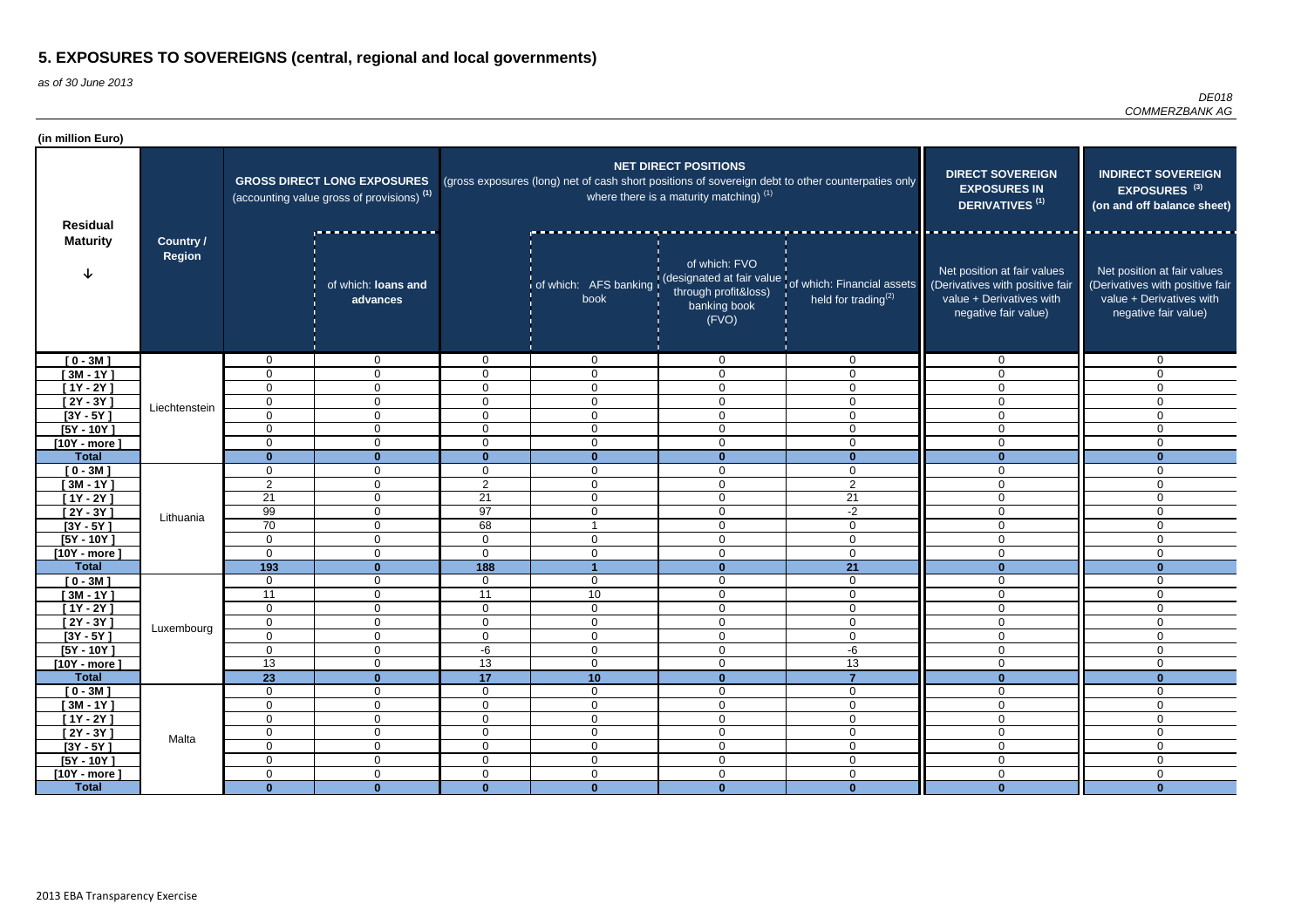| (in million Euro)          |                                   |                       |                                                                                             |                |                |                                                                          |                                                                                                               |                                                                                                                    |                                                                                                                    |
|----------------------------|-----------------------------------|-----------------------|---------------------------------------------------------------------------------------------|----------------|----------------|--------------------------------------------------------------------------|---------------------------------------------------------------------------------------------------------------|--------------------------------------------------------------------------------------------------------------------|--------------------------------------------------------------------------------------------------------------------|
| <b>Residual</b>            |                                   |                       | <b>GROSS DIRECT LONG EXPOSURES</b><br>(accounting value gross of provisions) <sup>(1)</sup> |                |                | <b>NET DIRECT POSITIONS</b><br>where there is a maturity matching) $(1)$ | (gross exposures (long) net of cash short positions of sovereign debt to other counterpaties only             | <b>DIRECT SOVEREIGN</b><br><b>EXPOSURES IN</b><br><b>DERIVATIVES<sup>(1)</sup></b>                                 | <b>INDIRECT SOVEREIGN</b><br>EXPOSURES <sup>(3)</sup><br>(on and off balance sheet)                                |
| <b>Maturity</b>            | <b>Country /</b><br><b>Region</b> |                       | of which: <b>Joans and</b><br>advances                                                      |                | book           | of which: FVO<br>through profit&loss)<br>banking book<br>(FVO)           | of which: AFS banking (designated at fair value of which: Financial assets<br>held for trading <sup>(2)</sup> | Net position at fair values<br>(Derivatives with positive fair<br>value + Derivatives with<br>negative fair value) | Net position at fair values<br>(Derivatives with positive fair<br>value + Derivatives with<br>negative fair value) |
| $[0 - 3M]$                 |                                   | $\Omega$              | $\mathbf 0$                                                                                 | $\Omega$       | $\Omega$       | $\mathbf 0$                                                              | $\Omega$                                                                                                      | $\Omega$                                                                                                           | $\Omega$                                                                                                           |
| $[3M - 1Y]$                |                                   | $\mathbf 0$           | $\mathbf 0$                                                                                 | 0              | 0              | $\mathbf 0$                                                              | $\Omega$                                                                                                      | $\overline{0}$                                                                                                     | $\Omega$                                                                                                           |
| $[1Y - 2Y]$                |                                   | $\mathbf 0$           | $\mathbf 0$                                                                                 | $\Omega$       | $\Omega$       | $\mathbf 0$                                                              | $\Omega$                                                                                                      | $\overline{0}$                                                                                                     | $\Omega$                                                                                                           |
| $[2Y - 3Y]$                | Liechtenstein                     | $\mathbf 0$           | $\mathbf 0$                                                                                 | $\overline{0}$ | $\mathbf 0$    | $\mathbf 0$                                                              | $\mathbf 0$                                                                                                   | $\mathbf 0$                                                                                                        | $\Omega$                                                                                                           |
| $[3Y - 5Y]$                |                                   | $\mathbf 0$           | $\mathbf 0$                                                                                 | 0              | $\mathbf 0$    | $\mathbf 0$                                                              | $\Omega$                                                                                                      | $\mathbf 0$                                                                                                        | $\Omega$                                                                                                           |
| $[5Y - 10Y]$               |                                   | 0                     | $\mathbf 0$                                                                                 | 0              | $\mathbf 0$    | $\overline{0}$                                                           | $\mathbf{0}$                                                                                                  | $\mathbf 0$                                                                                                        | $\Omega$                                                                                                           |
| $[10Y - more]$             |                                   | $\mathbf 0$           | $\mathbf 0$                                                                                 | $\Omega$       | $\mathbf 0$    | $\overline{0}$                                                           | $\mathbf 0$                                                                                                   | $\overline{0}$                                                                                                     | $\Omega$                                                                                                           |
| <b>Total</b>               |                                   | $\mathbf{0}$          | $\bf{0}$                                                                                    | $\Omega$       | $\bf{0}$       | $\mathbf{0}$                                                             | $\bf{0}$                                                                                                      | $\Omega$                                                                                                           | $\bf{0}$                                                                                                           |
| $[0 - 3M]$                 |                                   | 0                     | 0                                                                                           | $\mathbf{0}$   | 0              | $\overline{0}$                                                           | $\mathbf 0$                                                                                                   | $\mathbf 0$                                                                                                        | $\mathbf{0}$                                                                                                       |
| $[3M - 1Y]$                |                                   | $\overline{2}$        | $\mathbf{0}$                                                                                | $\overline{2}$ | $\mathbf{0}$   | $\mathbf 0$                                                              | $\overline{2}$                                                                                                | $\mathbf 0$                                                                                                        | $\Omega$                                                                                                           |
| $[1Y - 2Y]$                |                                   | $\overline{21}$<br>99 | $\mathbf 0$<br>$\Omega$                                                                     | 21<br>97       | $\overline{0}$ | $\mathbf 0$<br>$\mathbf 0$                                               | 21<br>$-2$                                                                                                    | $\mathbf 0$<br>$\overline{0}$                                                                                      | $\mathbf 0$                                                                                                        |
| $[2Y - 3Y]$<br>$[3Y - 5Y]$ | Lithuania                         | $\overline{70}$       | $\Omega$                                                                                    | 68             | $\Omega$<br>-1 | $\mathbf 0$                                                              | $\mathbf 0$                                                                                                   | $\mathbf 0$                                                                                                        | $\mathbf 0$<br>$\mathbf 0$                                                                                         |
| $[5Y - 10Y]$               |                                   | $\mathbf 0$           | 0                                                                                           | $\mathbf 0$    | $\mathbf 0$    | $\mathbf 0$                                                              | $\mathbf 0$                                                                                                   | $\mathbf 0$                                                                                                        | $\mathbf 0$                                                                                                        |
| $[10Y - more]$             |                                   | $\mathbf 0$           | $\Omega$                                                                                    | 0              | $\Omega$       | $\overline{0}$                                                           | $\Omega$                                                                                                      | $\mathbf 0$                                                                                                        | $\Omega$                                                                                                           |
| <b>Total</b>               |                                   | $\overline{193}$      | $\mathbf{0}$                                                                                | 188            | -4             | $\mathbf{0}$                                                             | 21                                                                                                            | $\mathbf{0}$                                                                                                       | $\bf{0}$                                                                                                           |
| $[0 - 3M]$                 |                                   | $\mathbf 0$           | 0                                                                                           | $\Omega$       | 0              | $\overline{0}$                                                           | $\mathbf 0$                                                                                                   | $\mathbf 0$                                                                                                        | $\Omega$                                                                                                           |
| $[3M - 1Y]$                |                                   | 11                    | 0                                                                                           | 11             | 10             | $\overline{0}$                                                           | $\Omega$                                                                                                      | $\mathbf 0$                                                                                                        | $\Omega$                                                                                                           |
| [1Y - 2Y ]                 |                                   | 0                     | 0                                                                                           | 0              | $\Omega$       | $\overline{0}$                                                           | $\Omega$                                                                                                      | $\Omega$                                                                                                           | $\overline{0}$                                                                                                     |
| $[2Y - 3Y]$                | Luxembourg                        | $\pmb{0}$             | 0                                                                                           | $\mathbf 0$    | 0              | $\mathbf 0$                                                              | $\mathbf 0$                                                                                                   | $\mathbf 0$                                                                                                        | $\overline{0}$                                                                                                     |
| $[3Y - 5Y]$                |                                   | $\mathbf 0$           | $\overline{0}$                                                                              | $\overline{0}$ | $\mathbf 0$    | $\mathbf 0$                                                              | $\mathbf 0$                                                                                                   | $\mathbf 0$                                                                                                        | $\mathbf 0$                                                                                                        |
| $[5Y - 10Y]$               |                                   | $\overline{0}$        | $\overline{0}$                                                                              | -6             | $\overline{0}$ | $\mathbf 0$                                                              | -6                                                                                                            | $\overline{0}$                                                                                                     | $\mathbf 0$                                                                                                        |
| [10Y - more]               |                                   | 13                    | $\overline{0}$                                                                              | 13             | $\overline{0}$ | $\overline{0}$                                                           | 13                                                                                                            | $\mathbf 0$                                                                                                        | $\overline{0}$                                                                                                     |
| <b>Total</b>               |                                   | $\overline{23}$       | $\mathbf{0}$                                                                                | 17             | 10             | $\mathbf{0}$                                                             | $\overline{7}$                                                                                                | $\overline{\mathbf{0}}$                                                                                            | $\mathbf{0}$                                                                                                       |
| $[0 - 3M]$                 |                                   | $\mathbf 0$           | $\overline{0}$                                                                              | $\overline{0}$ | $\overline{0}$ | $\boldsymbol{0}$                                                         | $\mathbf 0$                                                                                                   | $\mathbf 0$                                                                                                        | $\mathbf 0$                                                                                                        |
| $[3M - 1Y]$                |                                   | $\mathbf 0$           | $\mathbf 0$                                                                                 | 0              | $\overline{0}$ | $\mathbf 0$                                                              | $\mathbf 0$                                                                                                   | $\mathbf 0$                                                                                                        | $\overline{0}$                                                                                                     |
| $[1Y - 2Y]$                |                                   | $\overline{0}$        | $\mathbf 0$                                                                                 | $\overline{0}$ | $\mathbf 0$    | $\overline{0}$                                                           | $\mathbf 0$                                                                                                   | $\mathbf 0$                                                                                                        | $\overline{0}$                                                                                                     |
| $[2Y - 3Y]$                | Malta                             | $\overline{0}$        | $\overline{0}$                                                                              | $\overline{0}$ | $\mathbf 0$    | $\mathbf 0$                                                              | $\mathbf 0$                                                                                                   | $\mathbf 0$                                                                                                        | $\overline{0}$                                                                                                     |
| $[3Y - 5Y]$                |                                   | $\overline{0}$        | $\overline{0}$                                                                              | $\overline{0}$ | $\overline{0}$ | $\overline{0}$                                                           | $\mathbf 0$                                                                                                   | $\mathbf 0$                                                                                                        | $\overline{0}$                                                                                                     |
| $[5Y - 10Y]$               |                                   | $\overline{0}$        | $\overline{0}$                                                                              | $\overline{0}$ | $\overline{0}$ | $\boldsymbol{0}$                                                         | $\mathbf 0$                                                                                                   | $\mathbf 0$                                                                                                        | $\overline{0}$                                                                                                     |
| $[10Y - more]$             |                                   | $\pmb{0}$             | $\overline{0}$                                                                              | 0              | $\overline{0}$ | $\boldsymbol{0}$                                                         | $\mathbf 0$                                                                                                   | $\mathsf{O}\xspace$                                                                                                | $\boldsymbol{0}$                                                                                                   |
| <b>Total</b>               |                                   | $\mathbf{0}$          | $\mathbf{0}$                                                                                | $\mathbf{0}$   | $\mathbf{0}$   | $\mathbf{0}$                                                             | $\mathbf{0}$                                                                                                  | $\mathbf{0}$                                                                                                       | $\mathbf{0}$                                                                                                       |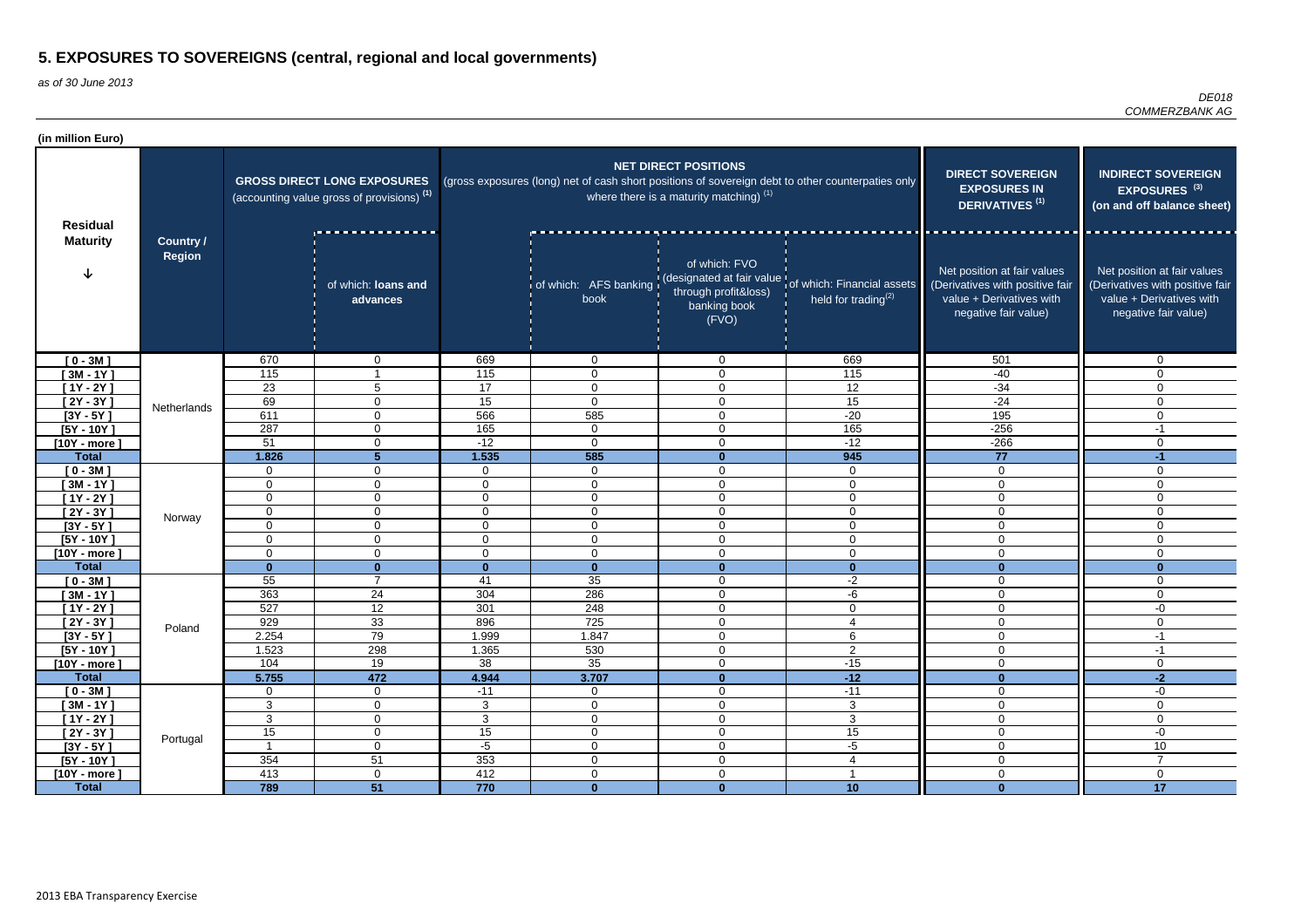| <b>NET DIRECT POSITIONS</b><br><b>DIRECT SOVEREIGN</b><br><b>INDIRECT SOVEREIGN</b><br>(gross exposures (long) net of cash short positions of sovereign debt to other counterpaties only<br><b>GROSS DIRECT LONG EXPOSURES</b><br><b>EXPOSURES IN</b><br>EXPOSURES <sup>(3)</sup><br>where there is a maturity matching) $(1)$<br>(accounting value gross of provisions) <sup>(1)</sup><br><b>DERIVATIVES<sup>(1)</sup></b><br>(on and off balance sheet)<br><b>Residual</b><br>________________<br><b>Maturity</b><br><b>Country /</b><br><b>Region</b><br>of which: FVO<br>Net position at fair values<br>Net position at fair values<br>of which: AFS banking (designated at fair value of which: Financial assets<br>of which: loans and<br>(Derivatives with positive fair<br>(Derivatives with positive fair<br>through profit&loss)<br>held for trading <sup>(2)</sup><br>value + Derivatives with<br>value + Derivatives with<br>book<br>advances<br>banking book<br>negative fair value)<br>negative fair value)<br>(FVO)<br>669<br>$10 - 3M1$<br>670<br>669<br>501<br>$\overline{0}$<br>0<br>$\overline{0}$<br>$\overline{0}$<br>115<br>115<br>$[3M - 1Y]$<br>115<br>$\mathbf 0$<br>$\overline{0}$<br>$-40$<br>$\Omega$<br>23<br>17<br>12<br>$[1Y - 2Y]$<br>$-34$<br>$5\phantom{.0}$<br>$\overline{0}$<br>$\overline{0}$<br>$\mathbf 0$<br>69<br>15<br>15<br>$-24$<br>$\mathbf 0$<br>$\overline{0}$<br>$[2Y - 3Y]$<br>0<br>$\Omega$<br>Netherlands<br>$[3Y - 5Y]$<br>611<br>566<br>$-20$<br>195<br>585<br>$\mathbf 0$<br>$\mathbf 0$<br>$\mathbf 0$<br>165<br>$-256$<br>287<br>165<br>$[5Y - 10Y]$<br>$\mathbf 0$<br>$\mathbf 0$<br>$\overline{0}$<br>$-1$<br>51<br>$-12$<br>$-12$<br>$\mathbf 0$<br>$\mathbf 0$<br>$-266$<br>$\mathbf 0$<br>0<br>$[10Y - more]$<br>585<br>945<br>77<br><b>Total</b><br>1.826<br>5<br>1.535<br>$-1$<br>$\mathbf{0}$<br>$[0 - 3M]$<br>$\overline{0}$<br>$\mathbf 0$<br>0<br>$\mathbf{0}$<br>0<br>$\overline{0}$<br>$\overline{0}$<br>0<br>$\mathbf 0$<br>$\mathbf 0$<br>$[3M - 1Y]$<br>$\mathbf 0$<br>0<br>$\mathbf 0$<br>$\mathbf 0$<br>$\mathbf 0$<br>$\Omega$<br>$\mathbf 0$<br>$\mathbf 0$<br>$\mathbf 0$<br>$\overline{0}$<br>$[1Y - 2Y]$<br>0<br>$\mathbf 0$<br>$\Omega$<br>$\Omega$<br>$\mathbf 0$<br>$\overline{0}$<br>$\mathbf 0$<br>$\overline{0}$<br>$[2Y - 3Y]$<br>$\mathbf 0$<br>$\Omega$<br>$\mathbf 0$<br>$\mathbf 0$<br>Norway<br>$[3Y - 5Y]$<br>$\mathbf 0$<br>$\overline{0}$<br>$\mathbf 0$<br>$\overline{0}$<br>$\mathbf 0$<br>$\overline{0}$<br>$\Omega$<br>$\overline{0}$<br>$\mathbf 0$<br>$[5Y - 10Y]$<br>$\overline{0}$<br>$\overline{0}$<br>0<br>$\mathbf 0$<br>$\Omega$<br>$\mathbf 0$<br>$\mathbf 0$<br>$[10Y - more]$<br>0<br>0<br>$\mathbf 0$<br>$\overline{0}$<br>$\mathbf 0$<br>$\mathbf 0$<br>$\mathbf 0$<br>$\Omega$<br><b>Total</b><br>$\mathbf{0}$<br>$\mathbf{0}$<br>$\mathbf{0}$<br>$\mathbf{0}$<br>$\mathbf{0}$<br>$\mathbf{0}$<br>$\mathbf{0}$<br>U<br>55<br>35<br>$-2$<br>$\overline{7}$<br>41<br>$\overline{0}$<br>$\mathbf 0$<br>$[0 - 3M]$<br>$\mathbf 0$<br>24<br>363<br>304<br>286<br>$\mathbf 0$<br>-6<br>$\mathbf 0$<br>$\overline{0}$<br>$[3M - 1Y]$<br>527<br>12<br>301<br>248<br>$[1Y - 2Y]$<br>$\mathbf 0$<br>0<br>-0<br>$\Omega$<br>33<br>896<br>725<br>$[2Y - 3Y]$<br>929<br>$\mathbf 0$<br>$\mathbf 0$<br>$\mathbf 0$<br>Poland<br>79<br>1.999<br>1.847<br>$\mathbf 0$<br>6<br>$\mathbf 0$<br>2.254<br>$-1$<br>$[3Y - 5Y]$<br>298<br>530<br>$\mathbf 0$<br>$\overline{2}$<br>$\overline{0}$<br>1.523<br>1.365<br>$-1$<br>$[5Y - 10Y]$<br>19<br>35<br>$-15$<br>104<br>38<br>$\mathsf 0$<br>$\mathbf 0$<br>$\overline{0}$<br>$[10Y - more]$<br>$-12$<br>472<br>$\mathbf 0$<br>$-2$<br>5.755<br>4.944<br>3.707<br><b>Total</b><br>$\mathbf{0}$<br>$-11$<br>$-11$<br>$\overline{0}$<br>$-0$<br>$\mathbf 0$<br>$\overline{0}$<br>$[0 - 3M]$<br>$\mathbf 0$<br>$\mathbf 0$<br>3<br>$\overline{0}$<br>3<br>$\mathbf 0$<br>$\overline{0}$<br>$\overline{0}$<br>3<br>$\overline{0}$<br>$[3M - 1Y]$<br>$\mathbf{3}$<br>3<br>$\mathbf 0$<br>$\overline{0}$<br>$\overline{0}$<br>3<br>$\overline{0}$<br>$[1Y - 2Y]$<br>$\mathbf 0$<br>15<br>15<br>$\boldsymbol{0}$<br>15<br>$\overline{0}$<br>$\overline{0}$<br>$-0$<br>$[2Y - 3Y]$<br>$\mathbf 0$<br>Portugal<br>$-5$<br>$-5$<br>$\overline{0}$<br>10<br>$\overline{1}$<br>$\overline{0}$<br>$\overline{0}$<br>$\overline{0}$<br>$[3Y - 5Y]$<br>353<br>354<br>51<br>$\overline{7}$<br>$\overline{0}$<br>$\overline{0}$<br>$\overline{0}$<br>$[5Y - 10Y]$<br>4<br>413<br>412<br>$\boldsymbol{0}$<br>$\mathbf 0$<br>$\overline{0}$<br>$\overline{0}$<br>$\overline{0}$<br>$[10Y - more]$<br>-1<br>17<br>51<br>$\overline{\mathbf{0}}$<br>789<br>770<br><b>Total</b><br>10<br>$\mathbf{0}$<br>$\mathbf{0}$ | (in million Euro) |  |  |  |  |  |
|---------------------------------------------------------------------------------------------------------------------------------------------------------------------------------------------------------------------------------------------------------------------------------------------------------------------------------------------------------------------------------------------------------------------------------------------------------------------------------------------------------------------------------------------------------------------------------------------------------------------------------------------------------------------------------------------------------------------------------------------------------------------------------------------------------------------------------------------------------------------------------------------------------------------------------------------------------------------------------------------------------------------------------------------------------------------------------------------------------------------------------------------------------------------------------------------------------------------------------------------------------------------------------------------------------------------------------------------------------------------------------------------------------------------------------------------------------------------------------------------------------------------------------------------------------------------------------------------------------------------------------------------------------------------------------------------------------------------------------------------------------------------------------------------------------------------------------------------------------------------------------------------------------------------------------------------------------------------------------------------------------------------------------------------------------------------------------------------------------------------------------------------------------------------------------------------------------------------------------------------------------------------------------------------------------------------------------------------------------------------------------------------------------------------------------------------------------------------------------------------------------------------------------------------------------------------------------------------------------------------------------------------------------------------------------------------------------------------------------------------------------------------------------------------------------------------------------------------------------------------------------------------------------------------------------------------------------------------------------------------------------------------------------------------------------------------------------------------------------------------------------------------------------------------------------------------------------------------------------------------------------------------------------------------------------------------------------------------------------------------------------------------------------------------------------------------------------------------------------------------------------------------------------------------------------------------------------------------------------------------------------------------------------------------------------------------------------------------------------------------------------------------------------------------------------------------------------------------------------------------------------------------------------------------------------------------------------------------------------------------------------------------------------------------------------------------------------------------------------------------------------------------------------------------------------------------------------------------------------------------------------------------------------------------------------------------------------------------------------------------------------------------------------------------------------------------------------------------------------------------------------------------------------------------------------------------------------------------------------------------------------------------------------------------------------------------------------------------------------------------|-------------------|--|--|--|--|--|
|                                                                                                                                                                                                                                                                                                                                                                                                                                                                                                                                                                                                                                                                                                                                                                                                                                                                                                                                                                                                                                                                                                                                                                                                                                                                                                                                                                                                                                                                                                                                                                                                                                                                                                                                                                                                                                                                                                                                                                                                                                                                                                                                                                                                                                                                                                                                                                                                                                                                                                                                                                                                                                                                                                                                                                                                                                                                                                                                                                                                                                                                                                                                                                                                                                                                                                                                                                                                                                                                                                                                                                                                                                                                                                                                                                                                                                                                                                                                                                                                                                                                                                                                                                                                                                                                                                                                                                                                                                                                                                                                                                                                                                                                                                                                             |                   |  |  |  |  |  |
|                                                                                                                                                                                                                                                                                                                                                                                                                                                                                                                                                                                                                                                                                                                                                                                                                                                                                                                                                                                                                                                                                                                                                                                                                                                                                                                                                                                                                                                                                                                                                                                                                                                                                                                                                                                                                                                                                                                                                                                                                                                                                                                                                                                                                                                                                                                                                                                                                                                                                                                                                                                                                                                                                                                                                                                                                                                                                                                                                                                                                                                                                                                                                                                                                                                                                                                                                                                                                                                                                                                                                                                                                                                                                                                                                                                                                                                                                                                                                                                                                                                                                                                                                                                                                                                                                                                                                                                                                                                                                                                                                                                                                                                                                                                                             |                   |  |  |  |  |  |
|                                                                                                                                                                                                                                                                                                                                                                                                                                                                                                                                                                                                                                                                                                                                                                                                                                                                                                                                                                                                                                                                                                                                                                                                                                                                                                                                                                                                                                                                                                                                                                                                                                                                                                                                                                                                                                                                                                                                                                                                                                                                                                                                                                                                                                                                                                                                                                                                                                                                                                                                                                                                                                                                                                                                                                                                                                                                                                                                                                                                                                                                                                                                                                                                                                                                                                                                                                                                                                                                                                                                                                                                                                                                                                                                                                                                                                                                                                                                                                                                                                                                                                                                                                                                                                                                                                                                                                                                                                                                                                                                                                                                                                                                                                                                             |                   |  |  |  |  |  |
|                                                                                                                                                                                                                                                                                                                                                                                                                                                                                                                                                                                                                                                                                                                                                                                                                                                                                                                                                                                                                                                                                                                                                                                                                                                                                                                                                                                                                                                                                                                                                                                                                                                                                                                                                                                                                                                                                                                                                                                                                                                                                                                                                                                                                                                                                                                                                                                                                                                                                                                                                                                                                                                                                                                                                                                                                                                                                                                                                                                                                                                                                                                                                                                                                                                                                                                                                                                                                                                                                                                                                                                                                                                                                                                                                                                                                                                                                                                                                                                                                                                                                                                                                                                                                                                                                                                                                                                                                                                                                                                                                                                                                                                                                                                                             |                   |  |  |  |  |  |
|                                                                                                                                                                                                                                                                                                                                                                                                                                                                                                                                                                                                                                                                                                                                                                                                                                                                                                                                                                                                                                                                                                                                                                                                                                                                                                                                                                                                                                                                                                                                                                                                                                                                                                                                                                                                                                                                                                                                                                                                                                                                                                                                                                                                                                                                                                                                                                                                                                                                                                                                                                                                                                                                                                                                                                                                                                                                                                                                                                                                                                                                                                                                                                                                                                                                                                                                                                                                                                                                                                                                                                                                                                                                                                                                                                                                                                                                                                                                                                                                                                                                                                                                                                                                                                                                                                                                                                                                                                                                                                                                                                                                                                                                                                                                             |                   |  |  |  |  |  |
|                                                                                                                                                                                                                                                                                                                                                                                                                                                                                                                                                                                                                                                                                                                                                                                                                                                                                                                                                                                                                                                                                                                                                                                                                                                                                                                                                                                                                                                                                                                                                                                                                                                                                                                                                                                                                                                                                                                                                                                                                                                                                                                                                                                                                                                                                                                                                                                                                                                                                                                                                                                                                                                                                                                                                                                                                                                                                                                                                                                                                                                                                                                                                                                                                                                                                                                                                                                                                                                                                                                                                                                                                                                                                                                                                                                                                                                                                                                                                                                                                                                                                                                                                                                                                                                                                                                                                                                                                                                                                                                                                                                                                                                                                                                                             |                   |  |  |  |  |  |
|                                                                                                                                                                                                                                                                                                                                                                                                                                                                                                                                                                                                                                                                                                                                                                                                                                                                                                                                                                                                                                                                                                                                                                                                                                                                                                                                                                                                                                                                                                                                                                                                                                                                                                                                                                                                                                                                                                                                                                                                                                                                                                                                                                                                                                                                                                                                                                                                                                                                                                                                                                                                                                                                                                                                                                                                                                                                                                                                                                                                                                                                                                                                                                                                                                                                                                                                                                                                                                                                                                                                                                                                                                                                                                                                                                                                                                                                                                                                                                                                                                                                                                                                                                                                                                                                                                                                                                                                                                                                                                                                                                                                                                                                                                                                             |                   |  |  |  |  |  |
|                                                                                                                                                                                                                                                                                                                                                                                                                                                                                                                                                                                                                                                                                                                                                                                                                                                                                                                                                                                                                                                                                                                                                                                                                                                                                                                                                                                                                                                                                                                                                                                                                                                                                                                                                                                                                                                                                                                                                                                                                                                                                                                                                                                                                                                                                                                                                                                                                                                                                                                                                                                                                                                                                                                                                                                                                                                                                                                                                                                                                                                                                                                                                                                                                                                                                                                                                                                                                                                                                                                                                                                                                                                                                                                                                                                                                                                                                                                                                                                                                                                                                                                                                                                                                                                                                                                                                                                                                                                                                                                                                                                                                                                                                                                                             |                   |  |  |  |  |  |
|                                                                                                                                                                                                                                                                                                                                                                                                                                                                                                                                                                                                                                                                                                                                                                                                                                                                                                                                                                                                                                                                                                                                                                                                                                                                                                                                                                                                                                                                                                                                                                                                                                                                                                                                                                                                                                                                                                                                                                                                                                                                                                                                                                                                                                                                                                                                                                                                                                                                                                                                                                                                                                                                                                                                                                                                                                                                                                                                                                                                                                                                                                                                                                                                                                                                                                                                                                                                                                                                                                                                                                                                                                                                                                                                                                                                                                                                                                                                                                                                                                                                                                                                                                                                                                                                                                                                                                                                                                                                                                                                                                                                                                                                                                                                             |                   |  |  |  |  |  |
|                                                                                                                                                                                                                                                                                                                                                                                                                                                                                                                                                                                                                                                                                                                                                                                                                                                                                                                                                                                                                                                                                                                                                                                                                                                                                                                                                                                                                                                                                                                                                                                                                                                                                                                                                                                                                                                                                                                                                                                                                                                                                                                                                                                                                                                                                                                                                                                                                                                                                                                                                                                                                                                                                                                                                                                                                                                                                                                                                                                                                                                                                                                                                                                                                                                                                                                                                                                                                                                                                                                                                                                                                                                                                                                                                                                                                                                                                                                                                                                                                                                                                                                                                                                                                                                                                                                                                                                                                                                                                                                                                                                                                                                                                                                                             |                   |  |  |  |  |  |
|                                                                                                                                                                                                                                                                                                                                                                                                                                                                                                                                                                                                                                                                                                                                                                                                                                                                                                                                                                                                                                                                                                                                                                                                                                                                                                                                                                                                                                                                                                                                                                                                                                                                                                                                                                                                                                                                                                                                                                                                                                                                                                                                                                                                                                                                                                                                                                                                                                                                                                                                                                                                                                                                                                                                                                                                                                                                                                                                                                                                                                                                                                                                                                                                                                                                                                                                                                                                                                                                                                                                                                                                                                                                                                                                                                                                                                                                                                                                                                                                                                                                                                                                                                                                                                                                                                                                                                                                                                                                                                                                                                                                                                                                                                                                             |                   |  |  |  |  |  |
|                                                                                                                                                                                                                                                                                                                                                                                                                                                                                                                                                                                                                                                                                                                                                                                                                                                                                                                                                                                                                                                                                                                                                                                                                                                                                                                                                                                                                                                                                                                                                                                                                                                                                                                                                                                                                                                                                                                                                                                                                                                                                                                                                                                                                                                                                                                                                                                                                                                                                                                                                                                                                                                                                                                                                                                                                                                                                                                                                                                                                                                                                                                                                                                                                                                                                                                                                                                                                                                                                                                                                                                                                                                                                                                                                                                                                                                                                                                                                                                                                                                                                                                                                                                                                                                                                                                                                                                                                                                                                                                                                                                                                                                                                                                                             |                   |  |  |  |  |  |
|                                                                                                                                                                                                                                                                                                                                                                                                                                                                                                                                                                                                                                                                                                                                                                                                                                                                                                                                                                                                                                                                                                                                                                                                                                                                                                                                                                                                                                                                                                                                                                                                                                                                                                                                                                                                                                                                                                                                                                                                                                                                                                                                                                                                                                                                                                                                                                                                                                                                                                                                                                                                                                                                                                                                                                                                                                                                                                                                                                                                                                                                                                                                                                                                                                                                                                                                                                                                                                                                                                                                                                                                                                                                                                                                                                                                                                                                                                                                                                                                                                                                                                                                                                                                                                                                                                                                                                                                                                                                                                                                                                                                                                                                                                                                             |                   |  |  |  |  |  |
|                                                                                                                                                                                                                                                                                                                                                                                                                                                                                                                                                                                                                                                                                                                                                                                                                                                                                                                                                                                                                                                                                                                                                                                                                                                                                                                                                                                                                                                                                                                                                                                                                                                                                                                                                                                                                                                                                                                                                                                                                                                                                                                                                                                                                                                                                                                                                                                                                                                                                                                                                                                                                                                                                                                                                                                                                                                                                                                                                                                                                                                                                                                                                                                                                                                                                                                                                                                                                                                                                                                                                                                                                                                                                                                                                                                                                                                                                                                                                                                                                                                                                                                                                                                                                                                                                                                                                                                                                                                                                                                                                                                                                                                                                                                                             |                   |  |  |  |  |  |
|                                                                                                                                                                                                                                                                                                                                                                                                                                                                                                                                                                                                                                                                                                                                                                                                                                                                                                                                                                                                                                                                                                                                                                                                                                                                                                                                                                                                                                                                                                                                                                                                                                                                                                                                                                                                                                                                                                                                                                                                                                                                                                                                                                                                                                                                                                                                                                                                                                                                                                                                                                                                                                                                                                                                                                                                                                                                                                                                                                                                                                                                                                                                                                                                                                                                                                                                                                                                                                                                                                                                                                                                                                                                                                                                                                                                                                                                                                                                                                                                                                                                                                                                                                                                                                                                                                                                                                                                                                                                                                                                                                                                                                                                                                                                             |                   |  |  |  |  |  |
|                                                                                                                                                                                                                                                                                                                                                                                                                                                                                                                                                                                                                                                                                                                                                                                                                                                                                                                                                                                                                                                                                                                                                                                                                                                                                                                                                                                                                                                                                                                                                                                                                                                                                                                                                                                                                                                                                                                                                                                                                                                                                                                                                                                                                                                                                                                                                                                                                                                                                                                                                                                                                                                                                                                                                                                                                                                                                                                                                                                                                                                                                                                                                                                                                                                                                                                                                                                                                                                                                                                                                                                                                                                                                                                                                                                                                                                                                                                                                                                                                                                                                                                                                                                                                                                                                                                                                                                                                                                                                                                                                                                                                                                                                                                                             |                   |  |  |  |  |  |
|                                                                                                                                                                                                                                                                                                                                                                                                                                                                                                                                                                                                                                                                                                                                                                                                                                                                                                                                                                                                                                                                                                                                                                                                                                                                                                                                                                                                                                                                                                                                                                                                                                                                                                                                                                                                                                                                                                                                                                                                                                                                                                                                                                                                                                                                                                                                                                                                                                                                                                                                                                                                                                                                                                                                                                                                                                                                                                                                                                                                                                                                                                                                                                                                                                                                                                                                                                                                                                                                                                                                                                                                                                                                                                                                                                                                                                                                                                                                                                                                                                                                                                                                                                                                                                                                                                                                                                                                                                                                                                                                                                                                                                                                                                                                             |                   |  |  |  |  |  |
|                                                                                                                                                                                                                                                                                                                                                                                                                                                                                                                                                                                                                                                                                                                                                                                                                                                                                                                                                                                                                                                                                                                                                                                                                                                                                                                                                                                                                                                                                                                                                                                                                                                                                                                                                                                                                                                                                                                                                                                                                                                                                                                                                                                                                                                                                                                                                                                                                                                                                                                                                                                                                                                                                                                                                                                                                                                                                                                                                                                                                                                                                                                                                                                                                                                                                                                                                                                                                                                                                                                                                                                                                                                                                                                                                                                                                                                                                                                                                                                                                                                                                                                                                                                                                                                                                                                                                                                                                                                                                                                                                                                                                                                                                                                                             |                   |  |  |  |  |  |
|                                                                                                                                                                                                                                                                                                                                                                                                                                                                                                                                                                                                                                                                                                                                                                                                                                                                                                                                                                                                                                                                                                                                                                                                                                                                                                                                                                                                                                                                                                                                                                                                                                                                                                                                                                                                                                                                                                                                                                                                                                                                                                                                                                                                                                                                                                                                                                                                                                                                                                                                                                                                                                                                                                                                                                                                                                                                                                                                                                                                                                                                                                                                                                                                                                                                                                                                                                                                                                                                                                                                                                                                                                                                                                                                                                                                                                                                                                                                                                                                                                                                                                                                                                                                                                                                                                                                                                                                                                                                                                                                                                                                                                                                                                                                             |                   |  |  |  |  |  |
|                                                                                                                                                                                                                                                                                                                                                                                                                                                                                                                                                                                                                                                                                                                                                                                                                                                                                                                                                                                                                                                                                                                                                                                                                                                                                                                                                                                                                                                                                                                                                                                                                                                                                                                                                                                                                                                                                                                                                                                                                                                                                                                                                                                                                                                                                                                                                                                                                                                                                                                                                                                                                                                                                                                                                                                                                                                                                                                                                                                                                                                                                                                                                                                                                                                                                                                                                                                                                                                                                                                                                                                                                                                                                                                                                                                                                                                                                                                                                                                                                                                                                                                                                                                                                                                                                                                                                                                                                                                                                                                                                                                                                                                                                                                                             |                   |  |  |  |  |  |
|                                                                                                                                                                                                                                                                                                                                                                                                                                                                                                                                                                                                                                                                                                                                                                                                                                                                                                                                                                                                                                                                                                                                                                                                                                                                                                                                                                                                                                                                                                                                                                                                                                                                                                                                                                                                                                                                                                                                                                                                                                                                                                                                                                                                                                                                                                                                                                                                                                                                                                                                                                                                                                                                                                                                                                                                                                                                                                                                                                                                                                                                                                                                                                                                                                                                                                                                                                                                                                                                                                                                                                                                                                                                                                                                                                                                                                                                                                                                                                                                                                                                                                                                                                                                                                                                                                                                                                                                                                                                                                                                                                                                                                                                                                                                             |                   |  |  |  |  |  |
|                                                                                                                                                                                                                                                                                                                                                                                                                                                                                                                                                                                                                                                                                                                                                                                                                                                                                                                                                                                                                                                                                                                                                                                                                                                                                                                                                                                                                                                                                                                                                                                                                                                                                                                                                                                                                                                                                                                                                                                                                                                                                                                                                                                                                                                                                                                                                                                                                                                                                                                                                                                                                                                                                                                                                                                                                                                                                                                                                                                                                                                                                                                                                                                                                                                                                                                                                                                                                                                                                                                                                                                                                                                                                                                                                                                                                                                                                                                                                                                                                                                                                                                                                                                                                                                                                                                                                                                                                                                                                                                                                                                                                                                                                                                                             |                   |  |  |  |  |  |
|                                                                                                                                                                                                                                                                                                                                                                                                                                                                                                                                                                                                                                                                                                                                                                                                                                                                                                                                                                                                                                                                                                                                                                                                                                                                                                                                                                                                                                                                                                                                                                                                                                                                                                                                                                                                                                                                                                                                                                                                                                                                                                                                                                                                                                                                                                                                                                                                                                                                                                                                                                                                                                                                                                                                                                                                                                                                                                                                                                                                                                                                                                                                                                                                                                                                                                                                                                                                                                                                                                                                                                                                                                                                                                                                                                                                                                                                                                                                                                                                                                                                                                                                                                                                                                                                                                                                                                                                                                                                                                                                                                                                                                                                                                                                             |                   |  |  |  |  |  |
|                                                                                                                                                                                                                                                                                                                                                                                                                                                                                                                                                                                                                                                                                                                                                                                                                                                                                                                                                                                                                                                                                                                                                                                                                                                                                                                                                                                                                                                                                                                                                                                                                                                                                                                                                                                                                                                                                                                                                                                                                                                                                                                                                                                                                                                                                                                                                                                                                                                                                                                                                                                                                                                                                                                                                                                                                                                                                                                                                                                                                                                                                                                                                                                                                                                                                                                                                                                                                                                                                                                                                                                                                                                                                                                                                                                                                                                                                                                                                                                                                                                                                                                                                                                                                                                                                                                                                                                                                                                                                                                                                                                                                                                                                                                                             |                   |  |  |  |  |  |
|                                                                                                                                                                                                                                                                                                                                                                                                                                                                                                                                                                                                                                                                                                                                                                                                                                                                                                                                                                                                                                                                                                                                                                                                                                                                                                                                                                                                                                                                                                                                                                                                                                                                                                                                                                                                                                                                                                                                                                                                                                                                                                                                                                                                                                                                                                                                                                                                                                                                                                                                                                                                                                                                                                                                                                                                                                                                                                                                                                                                                                                                                                                                                                                                                                                                                                                                                                                                                                                                                                                                                                                                                                                                                                                                                                                                                                                                                                                                                                                                                                                                                                                                                                                                                                                                                                                                                                                                                                                                                                                                                                                                                                                                                                                                             |                   |  |  |  |  |  |
|                                                                                                                                                                                                                                                                                                                                                                                                                                                                                                                                                                                                                                                                                                                                                                                                                                                                                                                                                                                                                                                                                                                                                                                                                                                                                                                                                                                                                                                                                                                                                                                                                                                                                                                                                                                                                                                                                                                                                                                                                                                                                                                                                                                                                                                                                                                                                                                                                                                                                                                                                                                                                                                                                                                                                                                                                                                                                                                                                                                                                                                                                                                                                                                                                                                                                                                                                                                                                                                                                                                                                                                                                                                                                                                                                                                                                                                                                                                                                                                                                                                                                                                                                                                                                                                                                                                                                                                                                                                                                                                                                                                                                                                                                                                                             |                   |  |  |  |  |  |
|                                                                                                                                                                                                                                                                                                                                                                                                                                                                                                                                                                                                                                                                                                                                                                                                                                                                                                                                                                                                                                                                                                                                                                                                                                                                                                                                                                                                                                                                                                                                                                                                                                                                                                                                                                                                                                                                                                                                                                                                                                                                                                                                                                                                                                                                                                                                                                                                                                                                                                                                                                                                                                                                                                                                                                                                                                                                                                                                                                                                                                                                                                                                                                                                                                                                                                                                                                                                                                                                                                                                                                                                                                                                                                                                                                                                                                                                                                                                                                                                                                                                                                                                                                                                                                                                                                                                                                                                                                                                                                                                                                                                                                                                                                                                             |                   |  |  |  |  |  |
|                                                                                                                                                                                                                                                                                                                                                                                                                                                                                                                                                                                                                                                                                                                                                                                                                                                                                                                                                                                                                                                                                                                                                                                                                                                                                                                                                                                                                                                                                                                                                                                                                                                                                                                                                                                                                                                                                                                                                                                                                                                                                                                                                                                                                                                                                                                                                                                                                                                                                                                                                                                                                                                                                                                                                                                                                                                                                                                                                                                                                                                                                                                                                                                                                                                                                                                                                                                                                                                                                                                                                                                                                                                                                                                                                                                                                                                                                                                                                                                                                                                                                                                                                                                                                                                                                                                                                                                                                                                                                                                                                                                                                                                                                                                                             |                   |  |  |  |  |  |
|                                                                                                                                                                                                                                                                                                                                                                                                                                                                                                                                                                                                                                                                                                                                                                                                                                                                                                                                                                                                                                                                                                                                                                                                                                                                                                                                                                                                                                                                                                                                                                                                                                                                                                                                                                                                                                                                                                                                                                                                                                                                                                                                                                                                                                                                                                                                                                                                                                                                                                                                                                                                                                                                                                                                                                                                                                                                                                                                                                                                                                                                                                                                                                                                                                                                                                                                                                                                                                                                                                                                                                                                                                                                                                                                                                                                                                                                                                                                                                                                                                                                                                                                                                                                                                                                                                                                                                                                                                                                                                                                                                                                                                                                                                                                             |                   |  |  |  |  |  |
|                                                                                                                                                                                                                                                                                                                                                                                                                                                                                                                                                                                                                                                                                                                                                                                                                                                                                                                                                                                                                                                                                                                                                                                                                                                                                                                                                                                                                                                                                                                                                                                                                                                                                                                                                                                                                                                                                                                                                                                                                                                                                                                                                                                                                                                                                                                                                                                                                                                                                                                                                                                                                                                                                                                                                                                                                                                                                                                                                                                                                                                                                                                                                                                                                                                                                                                                                                                                                                                                                                                                                                                                                                                                                                                                                                                                                                                                                                                                                                                                                                                                                                                                                                                                                                                                                                                                                                                                                                                                                                                                                                                                                                                                                                                                             |                   |  |  |  |  |  |
|                                                                                                                                                                                                                                                                                                                                                                                                                                                                                                                                                                                                                                                                                                                                                                                                                                                                                                                                                                                                                                                                                                                                                                                                                                                                                                                                                                                                                                                                                                                                                                                                                                                                                                                                                                                                                                                                                                                                                                                                                                                                                                                                                                                                                                                                                                                                                                                                                                                                                                                                                                                                                                                                                                                                                                                                                                                                                                                                                                                                                                                                                                                                                                                                                                                                                                                                                                                                                                                                                                                                                                                                                                                                                                                                                                                                                                                                                                                                                                                                                                                                                                                                                                                                                                                                                                                                                                                                                                                                                                                                                                                                                                                                                                                                             |                   |  |  |  |  |  |
|                                                                                                                                                                                                                                                                                                                                                                                                                                                                                                                                                                                                                                                                                                                                                                                                                                                                                                                                                                                                                                                                                                                                                                                                                                                                                                                                                                                                                                                                                                                                                                                                                                                                                                                                                                                                                                                                                                                                                                                                                                                                                                                                                                                                                                                                                                                                                                                                                                                                                                                                                                                                                                                                                                                                                                                                                                                                                                                                                                                                                                                                                                                                                                                                                                                                                                                                                                                                                                                                                                                                                                                                                                                                                                                                                                                                                                                                                                                                                                                                                                                                                                                                                                                                                                                                                                                                                                                                                                                                                                                                                                                                                                                                                                                                             |                   |  |  |  |  |  |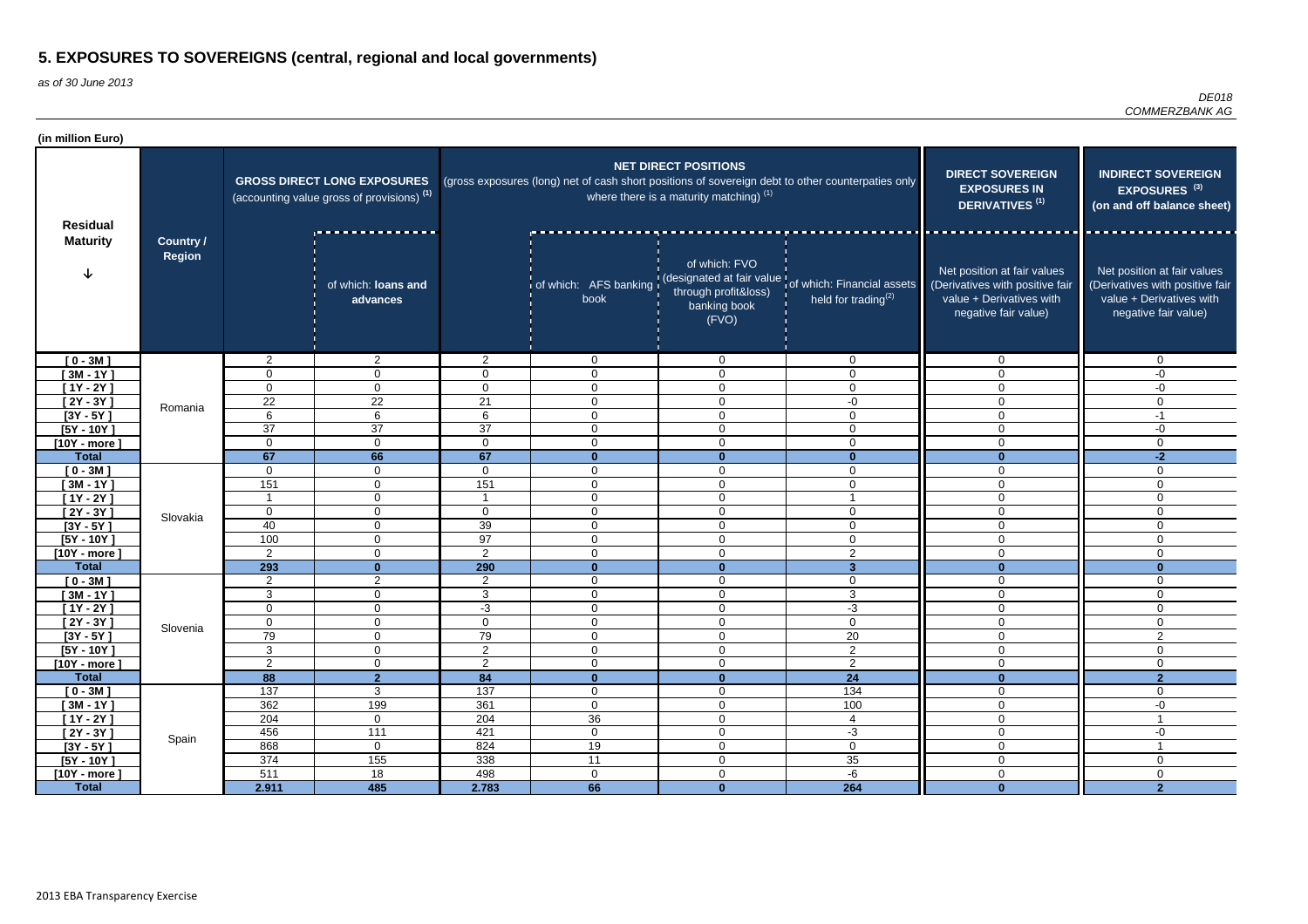| (in million Euro)          |                                   |                         |                                                                                             |                 |                                                                                                   |                                                                          |                                                                                                      |                                                                                                                    |                                                                                                                    |
|----------------------------|-----------------------------------|-------------------------|---------------------------------------------------------------------------------------------|-----------------|---------------------------------------------------------------------------------------------------|--------------------------------------------------------------------------|------------------------------------------------------------------------------------------------------|--------------------------------------------------------------------------------------------------------------------|--------------------------------------------------------------------------------------------------------------------|
| <b>Residual</b>            |                                   |                         | <b>GROSS DIRECT LONG EXPOSURES</b><br>(accounting value gross of provisions) <sup>(1)</sup> |                 | (gross exposures (long) net of cash short positions of sovereign debt to other counterpaties only | <b>NET DIRECT POSITIONS</b><br>where there is a maturity matching) $(1)$ | <b>DIRECT SOVEREIGN</b><br><b>EXPOSURES IN</b><br><b>DERIVATIVES<sup>(1)</sup></b>                   | <b>INDIRECT SOVEREIGN</b><br>EXPOSURES <sup>(3)</sup><br>(on and off balance sheet)                                |                                                                                                                    |
| <b>Maturity</b>            | <b>Country /</b><br><b>Region</b> |                         | of which: loans and<br>advances                                                             |                 | book                                                                                              | of which: FVO<br>through profit&loss)<br>banking book<br>(FVO)           | of which: AFS banking (designated at fair value of which: Financial assets<br>held for trading $(2)$ | Net position at fair values<br>(Derivatives with positive fair<br>value + Derivatives with<br>negative fair value) | Net position at fair values<br>(Derivatives with positive fair<br>value + Derivatives with<br>negative fair value) |
| $[0 - 3M]$                 |                                   | 2                       | $\overline{2}$                                                                              | $\overline{2}$  | $\Omega$                                                                                          | $\mathbf 0$                                                              | $\Omega$                                                                                             | 0                                                                                                                  | $\mathbf 0$                                                                                                        |
| $[3M - 1Y]$                |                                   | 0                       | $\mathbf 0$                                                                                 | $\Omega$        | $\Omega$                                                                                          | $\mathbf 0$                                                              | $\overline{0}$                                                                                       | $\mathbf 0$                                                                                                        | -0                                                                                                                 |
| $[1Y - 2Y]$                |                                   | $\mathbf{0}$            | $\mathbf{0}$                                                                                | $\Omega$        | $\overline{0}$                                                                                    | $\mathbf 0$                                                              | $\Omega$                                                                                             | $\mathbf 0$                                                                                                        | $-0$                                                                                                               |
| $[2Y - 3Y]$                | Romania                           | 22                      | $\overline{22}$                                                                             | 21              | $\mathbf 0$                                                                                       | $\overline{0}$                                                           | -0                                                                                                   | $\mathbf 0$                                                                                                        | $\overline{0}$                                                                                                     |
| $[3Y - 5Y]$                |                                   | 6                       | $6\phantom{1}$                                                                              | 6               | $\mathbf 0$                                                                                       | $\mathbf 0$                                                              | $\overline{0}$                                                                                       | $\mathbf 0$                                                                                                        | $-1$                                                                                                               |
| $[5Y - 10Y]$               |                                   | 37                      | $\overline{37}$                                                                             | $\overline{37}$ | $\mathbf 0$                                                                                       | $\overline{0}$                                                           | 0                                                                                                    | $\mathbf 0$                                                                                                        | -0                                                                                                                 |
| $[10Y - more]$             |                                   | $\mathbf 0$             | $\mathbf 0$                                                                                 | 0               | $\mathbf 0$                                                                                       | $\mathbf 0$                                                              | $\mathbf 0$                                                                                          | $\mathbf 0$                                                                                                        | $\overline{0}$                                                                                                     |
| <b>Total</b>               |                                   | 67                      | 66                                                                                          | 67<br>0         | $\mathbf{0}$                                                                                      | $\Omega$                                                                 | $\mathbf{0}$<br>$\Omega$                                                                             | $\bf{0}$<br>$\mathbf 0$                                                                                            | $-2$                                                                                                               |
| $[0 - 3M]$<br>$[3M - 1Y]$  |                                   | 0<br>151                | $\mathbf{0}$<br>$\mathbf{0}$                                                                | 151             | $\overline{0}$<br>$\mathbf{0}$                                                                    | $\mathbf 0$<br>$\overline{0}$                                            | $\Omega$                                                                                             | $\mathbf 0$                                                                                                        | 0<br>$\mathbf 0$                                                                                                   |
| $[1Y - 2Y]$                |                                   | $\overline{\mathbf{1}}$ | $\mathbf{0}$                                                                                |                 | $\mathbf 0$                                                                                       | $\overline{0}$                                                           |                                                                                                      | $\mathbf 0$                                                                                                        | $\overline{0}$                                                                                                     |
| $[2Y - 3Y]$                |                                   | $\mathbf 0$             | 0                                                                                           | $\Omega$        | $\mathbf 0$                                                                                       | $\mathbf 0$                                                              | $\Omega$                                                                                             | $\mathbf 0$                                                                                                        | $\overline{0}$                                                                                                     |
| $[3Y - 5Y]$                | Slovakia                          | 40                      | $\mathbf{0}$                                                                                | 39              | $\mathbf 0$                                                                                       | $\mathbf 0$                                                              | $\mathbf 0$                                                                                          | $\mathbf 0$                                                                                                        | $\overline{0}$                                                                                                     |
| $[5Y - 10Y]$               |                                   | 100                     | $\mathbf{0}$                                                                                | 97              | $\mathbf 0$                                                                                       | $\overline{0}$                                                           | $\mathbf 0$                                                                                          | $\mathbf 0$                                                                                                        | $\mathbf 0$                                                                                                        |
| $[10Y - more]$             |                                   | 2                       | $\Omega$                                                                                    | $\overline{2}$  | $\Omega$                                                                                          | $\overline{0}$                                                           | $\overline{2}$                                                                                       | $\mathbf 0$                                                                                                        | $\overline{0}$                                                                                                     |
| <b>Total</b>               |                                   | 293                     | $\mathbf{0}$                                                                                | 290             | $\mathbf{0}$                                                                                      | $\mathbf{0}$                                                             | $\overline{3}$                                                                                       | $\mathbf{0}$                                                                                                       | $\bf{0}$                                                                                                           |
| $[0 - 3M]$                 |                                   | 2                       | $\overline{2}$                                                                              | $\overline{2}$  | 0                                                                                                 | $\mathbf 0$                                                              | $\mathbf 0$                                                                                          | 0                                                                                                                  | 0                                                                                                                  |
| $[3M - 1Y]$                |                                   | 3                       | 0                                                                                           | 3               | $\Omega$                                                                                          | $\mathbf 0$                                                              | 3                                                                                                    | 0                                                                                                                  | 0                                                                                                                  |
| [1Y - 2Y ]                 |                                   | $\mathbf{0}$            | 0                                                                                           | $-3$            | $\Omega$                                                                                          | $\mathbf 0$                                                              | $-3$                                                                                                 | $\mathbf 0$                                                                                                        | 0                                                                                                                  |
| $[2Y - 3Y]$                | Slovenia                          | $\mathbf 0$             | $\overline{0}$                                                                              | 0               | 0                                                                                                 | $\overline{0}$                                                           | 0                                                                                                    | $\mathbf 0$                                                                                                        | 0                                                                                                                  |
| $[3Y - 5Y]$                |                                   | 79                      | $\overline{0}$                                                                              | 79              | $\overline{0}$                                                                                    | $\mathbf 0$                                                              | 20                                                                                                   | $\mathbf 0$                                                                                                        | $\overline{2}$                                                                                                     |
| $[5Y - 10Y]$               |                                   | 3                       | $\overline{0}$                                                                              | $\overline{2}$  | $\overline{0}$                                                                                    | $\overline{0}$                                                           | $2^{\circ}$                                                                                          | $\overline{0}$                                                                                                     | $\overline{0}$                                                                                                     |
| $[10Y - more]$             |                                   | 2                       | $\overline{0}$                                                                              | $\overline{2}$  | $\overline{0}$                                                                                    | $\overline{0}$                                                           | $\overline{2}$                                                                                       | $\overline{0}$                                                                                                     | $\overline{0}$                                                                                                     |
| <b>Total</b>               |                                   | $\overline{88}$         | $\overline{2}$                                                                              | 84              | $\mathbf{0}$                                                                                      | $\mathbf{0}$                                                             | 24                                                                                                   | $\overline{\mathbf{0}}$                                                                                            | $\overline{2}$                                                                                                     |
| $[0 - 3M]$                 |                                   | 137                     | $\overline{3}$                                                                              | 137             | $\overline{0}$                                                                                    | $\overline{0}$                                                           | $\overline{134}$                                                                                     | $\mathbf 0$                                                                                                        | $\overline{0}$                                                                                                     |
| $[3M - 1Y]$<br>$[1Y - 2Y]$ |                                   | 362<br>204              | 199<br>$\overline{0}$                                                                       | 361<br>204      | $\overline{0}$<br>36                                                                              | $\overline{0}$<br>$\overline{0}$                                         | 100<br>4                                                                                             | $\overline{0}$<br>$\overline{0}$                                                                                   | $-0$                                                                                                               |
| $[2Y - 3Y]$                |                                   | 456                     | 111                                                                                         | 421             | $\overline{0}$                                                                                    | $\overline{0}$                                                           | $-3$                                                                                                 | $\mathbf 0$                                                                                                        | $-0$                                                                                                               |
| $[3Y - 5Y]$                | Spain                             | 868                     | $\overline{0}$                                                                              | 824             | 19                                                                                                | $\overline{0}$                                                           | $\overline{0}$                                                                                       | $\mathbf 0$                                                                                                        |                                                                                                                    |
| $[5Y - 10Y]$               |                                   | 374                     | 155                                                                                         | 338             | 11                                                                                                | $\mathbf 0$                                                              | 35                                                                                                   | $\mathbf 0$                                                                                                        | $\overline{0}$                                                                                                     |
| $[10Y - more]$             |                                   | 511                     | 18                                                                                          | 498             | $\overline{0}$                                                                                    | $\mathbf 0$                                                              | -6                                                                                                   | $\mathsf{O}\xspace$                                                                                                | $\mathbf 0$                                                                                                        |
| <b>Total</b>               |                                   | 2.911                   | 485                                                                                         | 2.783           | 66                                                                                                | $\mathbf{0}$                                                             | 264                                                                                                  | $\mathbf 0$                                                                                                        | 2 <sup>1</sup>                                                                                                     |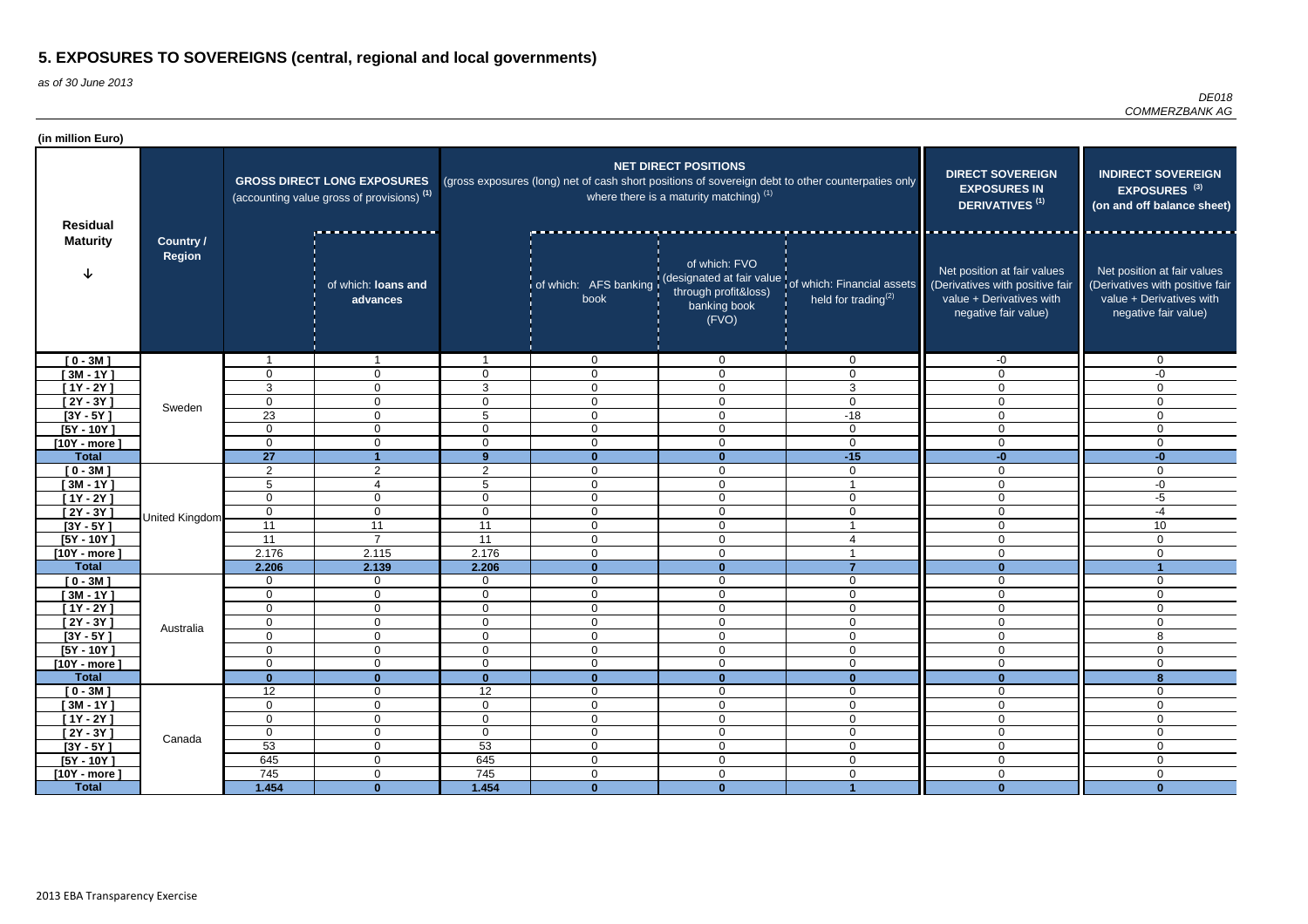| (in million Euro)              |                                   |                 |                                                                                             |                |                                                                                                   |                                                                          |                                                                                                               |                                                                                                                    |                                                                                                                    |
|--------------------------------|-----------------------------------|-----------------|---------------------------------------------------------------------------------------------|----------------|---------------------------------------------------------------------------------------------------|--------------------------------------------------------------------------|---------------------------------------------------------------------------------------------------------------|--------------------------------------------------------------------------------------------------------------------|--------------------------------------------------------------------------------------------------------------------|
| <b>Residual</b>                |                                   |                 | <b>GROSS DIRECT LONG EXPOSURES</b><br>(accounting value gross of provisions) <sup>(1)</sup> |                | (gross exposures (long) net of cash short positions of sovereign debt to other counterpaties only | <b>NET DIRECT POSITIONS</b><br>where there is a maturity matching) $(1)$ | <b>DIRECT SOVEREIGN</b><br><b>EXPOSURES IN</b><br><b>DERIVATIVES<sup>(1)</sup></b>                            | <b>INDIRECT SOVEREIGN</b><br>EXPOSURES <sup>(3)</sup><br>(on and off balance sheet)                                |                                                                                                                    |
| <b>Maturity</b>                | <b>Country /</b><br><b>Region</b> |                 | of which: loans and<br>advances                                                             |                | book                                                                                              | of which: FVO<br>through profit&loss)<br>banking book<br>(FVO)           | of which: AFS banking (designated at fair value of which: Financial assets<br>held for trading <sup>(2)</sup> | Net position at fair values<br>(Derivatives with positive fair<br>value + Derivatives with<br>negative fair value) | Net position at fair values<br>(Derivatives with positive fair<br>value + Derivatives with<br>negative fair value) |
| $[0 - 3M]$                     |                                   |                 |                                                                                             |                | $\Omega$                                                                                          | $\mathbf{0}$                                                             | $\Omega$                                                                                                      | -0                                                                                                                 | 0                                                                                                                  |
| $[3M - 1Y]$                    |                                   | 0               | $\overline{0}$                                                                              | $\Omega$       | $\Omega$                                                                                          | $\mathbf 0$                                                              | $\overline{0}$                                                                                                | $\mathbf 0$                                                                                                        | -0                                                                                                                 |
| $[1Y - 2Y]$                    |                                   | 3               | $\mathbf 0$                                                                                 | 3              | $\Omega$                                                                                          | $\mathbf 0$                                                              | 3                                                                                                             | $\mathbf{0}$                                                                                                       | $\mathbf{0}$                                                                                                       |
| $[2Y - 3Y]$                    | Sweden                            | $\mathbf 0$     | $\overline{0}$                                                                              | $\overline{0}$ | $\mathbf 0$                                                                                       | $\mathbf 0$                                                              | $\mathbf 0$                                                                                                   | $\mathbf 0$                                                                                                        | $\Omega$                                                                                                           |
| $[3Y - 5Y]$                    |                                   | 23              | $\mathbf 0$                                                                                 | 5              | $\Omega$                                                                                          | $\overline{0}$                                                           | $-18$                                                                                                         | $\mathbf{0}$                                                                                                       | 0                                                                                                                  |
| $[5Y - 10Y]$                   |                                   | $\mathbf 0$     | $\mathbf 0$                                                                                 | 0              | $\mathbf 0$                                                                                       | $\mathbf 0$                                                              | $\mathbf 0$                                                                                                   | 0                                                                                                                  | $\Omega$                                                                                                           |
| $[10Y - more]$                 |                                   | $\mathbf 0$     | $\mathbf 0$                                                                                 | 0              | $\mathbf 0$                                                                                       | $\mathbf 0$                                                              | $\mathbf 0$                                                                                                   | $\mathbf 0$                                                                                                        | 0                                                                                                                  |
| <b>Total</b>                   |                                   | 27              |                                                                                             | 9 <sup>°</sup> | $\bf{0}$                                                                                          | -0                                                                       | $-15$                                                                                                         | -0                                                                                                                 | $-0$                                                                                                               |
| $[0 - 3M]$                     |                                   | $\overline{2}$  | 2                                                                                           | $\overline{2}$ | 0                                                                                                 | $\mathbf 0$                                                              | $\Omega$                                                                                                      | $\mathbf{0}$                                                                                                       | 0                                                                                                                  |
| $[3M - 1Y]$                    |                                   | 5               | 4                                                                                           | 5              | $\Omega$                                                                                          | $\mathbf 0$                                                              |                                                                                                               | $\mathbf{0}$                                                                                                       | -0                                                                                                                 |
| $[1Y - 2Y]$                    |                                   | $\mathbf 0$     | $\mathbf 0$                                                                                 | $\mathbf 0$    | $\mathbf 0$                                                                                       | $\overline{0}$                                                           | $\mathbf{0}$                                                                                                  | 0                                                                                                                  | $-5$                                                                                                               |
| $[2Y - 3Y]$                    | United Kingdom                    | $\mathbf 0$     | $\mathbf 0$                                                                                 | $\mathbf 0$    | $\Omega$                                                                                          | $\overline{0}$                                                           | $\Omega$                                                                                                      | $\mathbf 0$                                                                                                        | $-4$                                                                                                               |
| $[3Y - 5Y]$                    |                                   | $\overline{11}$ | 11                                                                                          | 11             | $\mathbf 0$                                                                                       | $\mathbf 0$                                                              |                                                                                                               | $\mathbf 0$                                                                                                        | 10                                                                                                                 |
| $[5Y - 10Y]$                   |                                   | 11              | $\overline{7}$                                                                              | 11<br>2.176    | $\mathbf 0$                                                                                       | $\mathbf 0$                                                              | $\Delta$                                                                                                      | 0                                                                                                                  | $\mathbf 0$                                                                                                        |
| $[10Y - more]$<br><b>Total</b> |                                   | 2.176<br>2.206  | 2.115<br>2.139                                                                              | 2.206          | $\Omega$<br>$\mathbf{0}$                                                                          | $\mathbf 0$<br>$\Omega$                                                  | 7                                                                                                             | $\mathbf{0}$<br>$\Omega$                                                                                           | 0                                                                                                                  |
| $[0 - 3M]$                     |                                   | $\mathbf 0$     | $\mathbf 0$                                                                                 | $\mathbf 0$    | 0                                                                                                 | $\mathbf 0$                                                              | $\mathbf 0$                                                                                                   | $\Omega$                                                                                                           | 0                                                                                                                  |
| $[3M - 1Y]$                    |                                   | $\overline{0}$  | 0                                                                                           | $\Omega$       | $\Omega$                                                                                          | $\mathbf 0$                                                              | $\Omega$                                                                                                      | $\mathbf{0}$                                                                                                       | 0                                                                                                                  |
| [1Y - 2Y ]                     |                                   | 0               | 0                                                                                           | 0              | $\mathbf{0}$                                                                                      | $\Omega$                                                                 | $\Omega$                                                                                                      | $\Omega$                                                                                                           | $\mathbf{0}$                                                                                                       |
| $[2Y - 3Y]$                    |                                   | $\mathbf 0$     | $\mathbf 0$                                                                                 | $\overline{0}$ | $\mathbf 0$                                                                                       | $\overline{0}$                                                           | 0                                                                                                             | $\overline{0}$                                                                                                     | 0                                                                                                                  |
| $[3Y - 5Y]$                    | Australia                         | $\mathbf 0$     | $\overline{0}$                                                                              | $\mathbf 0$    | $\mathbf 0$                                                                                       | $\overline{0}$                                                           | $\mathbf 0$                                                                                                   | $\mathbf 0$                                                                                                        | 8                                                                                                                  |
| $[5Y - 10Y]$                   |                                   | $\mathbf 0$     | $\overline{0}$                                                                              | $\overline{0}$ | $\overline{0}$                                                                                    | $\overline{0}$                                                           | $\mathbf 0$                                                                                                   | $\pmb{0}$                                                                                                          | $\overline{0}$                                                                                                     |
| [10Y - more]                   |                                   | $\mathbf 0$     | $\overline{0}$                                                                              | $\overline{0}$ | $\overline{0}$                                                                                    | $\overline{0}$                                                           | $\mathbf 0$                                                                                                   | $\pmb{0}$                                                                                                          | 0                                                                                                                  |
| <b>Total</b>                   |                                   | $\mathbf{0}$    | $\mathbf{0}$                                                                                | $\mathbf{0}$   | $\mathbf{0}$                                                                                      | $\mathbf{0}$                                                             | $\mathbf{0}$                                                                                                  | $\mathbf{0}$                                                                                                       | 8                                                                                                                  |
| $[0 - 3M]$                     |                                   | $\overline{12}$ | $\mathbf 0$                                                                                 | 12             | $\overline{0}$                                                                                    | $\overline{0}$                                                           | $\overline{0}$                                                                                                | $\mathbf 0$                                                                                                        | $\mathbf 0$                                                                                                        |
| $[3M - 1Y]$                    |                                   | $\mathbf 0$     | $\overline{0}$                                                                              | $\mathbf 0$    | $\overline{0}$                                                                                    | $\overline{0}$                                                           | $\mathbf 0$                                                                                                   | $\mathbf 0$                                                                                                        | 0                                                                                                                  |
| $[1Y - 2Y]$                    |                                   | $\mathbf 0$     | $\overline{0}$                                                                              | $\mathbf 0$    | $\overline{0}$                                                                                    | $\overline{0}$                                                           | $\overline{0}$                                                                                                | $\overline{0}$                                                                                                     | 0                                                                                                                  |
| $[2Y - 3Y]$                    | Canada                            | $\mathbf 0$     | $\overline{0}$                                                                              | $\overline{0}$ | $\overline{0}$                                                                                    | $\overline{0}$                                                           | $\overline{0}$                                                                                                | $\overline{0}$                                                                                                     | $\overline{0}$                                                                                                     |
| $[3Y - 5Y]$                    |                                   | 53              | $\overline{0}$                                                                              | 53             | $\overline{0}$                                                                                    | $\overline{0}$                                                           | $\overline{0}$                                                                                                | $\overline{0}$                                                                                                     | $\overline{0}$                                                                                                     |
| $[5Y - 10Y]$                   |                                   | 645             | $\mathbf 0$                                                                                 | 645            | $\overline{0}$                                                                                    | $\overline{0}$                                                           | $\overline{0}$                                                                                                | $\pmb{0}$                                                                                                          | $\overline{0}$                                                                                                     |
| $[10Y - more]$                 |                                   | 745             | $\overline{0}$                                                                              | 745            | $\overline{0}$                                                                                    | $\mathbf 0$                                                              | $\mathbf 0$                                                                                                   | $\pmb{0}$                                                                                                          | $\mathbf 0$                                                                                                        |
| <b>Total</b>                   |                                   | 1.454           | $\mathbf{0}$                                                                                | 1.454          | $\mathbf{0}$                                                                                      | $\bf{0}$                                                                 |                                                                                                               | $\mathbf{0}$                                                                                                       | $\bf{0}$                                                                                                           |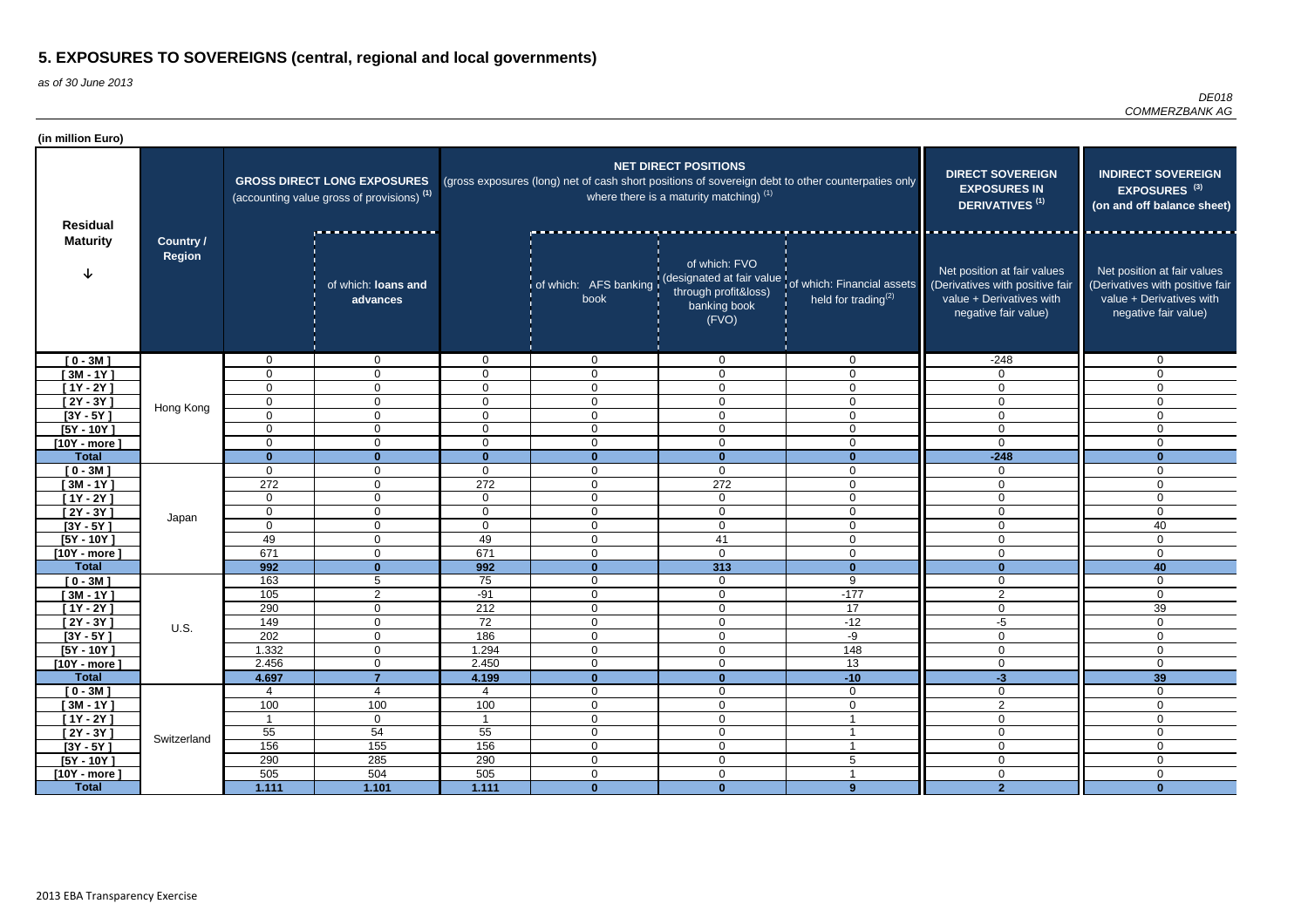| (in million Euro)              |                                   |                         |                                                                                             |                          |                             |                                                                          |                                                                                                               |                                                                                                                    |                                                                                                                    |
|--------------------------------|-----------------------------------|-------------------------|---------------------------------------------------------------------------------------------|--------------------------|-----------------------------|--------------------------------------------------------------------------|---------------------------------------------------------------------------------------------------------------|--------------------------------------------------------------------------------------------------------------------|--------------------------------------------------------------------------------------------------------------------|
| <b>Residual</b>                |                                   |                         | <b>GROSS DIRECT LONG EXPOSURES</b><br>(accounting value gross of provisions) <sup>(1)</sup> |                          |                             | <b>NET DIRECT POSITIONS</b><br>where there is a maturity matching) $(1)$ | (gross exposures (long) net of cash short positions of sovereign debt to other counterpaties only             | <b>DIRECT SOVEREIGN</b><br><b>EXPOSURES IN</b><br><b>DERIVATIVES<sup>(1)</sup></b>                                 | <b>INDIRECT SOVEREIGN</b><br>EXPOSURES <sup>(3)</sup><br>(on and off balance sheet)                                |
| <b>Maturity</b>                | <b>Country /</b><br><b>Region</b> |                         | of which: loans and<br>advances                                                             |                          | book                        | of which: FVO<br>through profit&loss)<br>banking book<br>(FVO)           | of which: AFS banking (designated at fair value of which: Financial assets<br>held for trading <sup>(2)</sup> | Net position at fair values<br>(Derivatives with positive fair<br>value + Derivatives with<br>negative fair value) | Net position at fair values<br>(Derivatives with positive fair<br>value + Derivatives with<br>negative fair value) |
| $[0 - 3M]$                     |                                   | $\Omega$                | 0                                                                                           | $\Omega$                 | $\overline{0}$              | $\mathbf 0$                                                              | $\Omega$                                                                                                      | $-248$                                                                                                             | $\mathbf 0$                                                                                                        |
| $[3M - 1Y]$                    |                                   | $\mathbf 0$             | $\overline{0}$                                                                              | $\Omega$                 | $\mathbf 0$                 | $\mathbf 0$                                                              | $\Omega$                                                                                                      | $\Omega$                                                                                                           | $\Omega$                                                                                                           |
| $[1Y - 2Y]$                    |                                   | $\mathbf 0$             | $\overline{0}$                                                                              | $\Omega$                 | $\Omega$                    | $\overline{0}$                                                           | $\Omega$                                                                                                      | $\Omega$                                                                                                           | $\Omega$                                                                                                           |
| $[2Y - 3Y]$                    | Hong Kong                         | $\mathbf 0$             | $\overline{0}$                                                                              | 0                        | $\mathbf 0$                 | $\mathbf 0$                                                              | 0                                                                                                             | $\mathbf 0$                                                                                                        | $\mathbf 0$                                                                                                        |
| $[3Y - 5Y]$                    |                                   | $\mathbf 0$             | $\mathbf 0$                                                                                 | 0                        | $\mathbf{0}$                | $\mathbf 0$                                                              | $\overline{0}$                                                                                                | $\mathbf 0$                                                                                                        | $\mathbf 0$                                                                                                        |
| $[5Y - 10Y]$                   |                                   | $\mathbf 0$             | $\mathbf 0$                                                                                 | $\Omega$                 | 0                           | $\mathbf 0$                                                              | 0                                                                                                             | $\mathbf 0$                                                                                                        | $\Omega$                                                                                                           |
| $[10Y - more]$<br><b>Total</b> |                                   | 0                       | $\mathbf 0$                                                                                 | $\Omega$<br><sup>n</sup> | 0                           | $\mathbf 0$                                                              | $\Omega$                                                                                                      | $\Omega$                                                                                                           | $\Omega$                                                                                                           |
|                                |                                   | $\bf{0}$<br>$\mathbf 0$ | $\bf{0}$<br>0                                                                               | 0                        | $\bf{0}$<br>0               | $\mathbf{0}$<br>$\overline{0}$                                           | $\bf{0}$<br>0                                                                                                 | $-248$<br>$\mathbf 0$                                                                                              | $\bf{0}$<br>$\Omega$                                                                                               |
| $[0 - 3M]$<br>$[3M - 1Y]$      |                                   | 272                     | 0                                                                                           | 272                      | 0                           | 272                                                                      | $\Omega$                                                                                                      | $\mathbf{0}$                                                                                                       | $\Omega$                                                                                                           |
| $[1Y - 2Y]$                    |                                   | $\overline{0}$          | $\mathbf 0$                                                                                 | 0                        | $\overline{0}$              | $\overline{0}$                                                           | $\mathbf 0$                                                                                                   | $\Omega$                                                                                                           | $\Omega$                                                                                                           |
| $[2Y - 3Y]$                    |                                   | $\mathbf 0$             | $\overline{0}$                                                                              | $\Omega$                 | $\overline{0}$              | $\mathbf 0$                                                              | $\mathbf 0$                                                                                                   | $\mathbf 0$                                                                                                        | $\mathbf 0$                                                                                                        |
| $[3Y - 5Y]$                    | Japan                             | $\mathbf 0$             | 0                                                                                           | 0                        | $\mathbf 0$                 | $\mathbf 0$                                                              | $\mathbf 0$                                                                                                   | $\mathbf 0$                                                                                                        | 40                                                                                                                 |
| $[5Y - 10Y]$                   |                                   | 49                      | $\mathbf 0$                                                                                 | 49                       | $\mathbf 0$                 | 41                                                                       | $\mathbf 0$                                                                                                   | $\mathbf 0$                                                                                                        | $\mathbf 0$                                                                                                        |
| $[10Y - more]$                 |                                   | 671                     | $\overline{0}$                                                                              | 671                      | $\Omega$                    | $\overline{0}$                                                           | $\Omega$                                                                                                      | $\mathbf{0}$                                                                                                       | $\Omega$                                                                                                           |
| <b>Total</b>                   |                                   | 992                     | $\mathbf{0}$                                                                                | 992                      | $\bf{0}$                    | 313                                                                      | $\mathbf{0}$                                                                                                  | $\mathbf{0}$                                                                                                       | 40                                                                                                                 |
| $[0 - 3M]$                     |                                   | 163                     | 5                                                                                           | 75                       | 0                           | $\mathbf 0$                                                              | 9                                                                                                             | 0                                                                                                                  | $\Omega$                                                                                                           |
| $[3M - 1Y]$                    |                                   | 105                     | $\overline{2}$                                                                              | $-91$                    | 0                           | $\mathbf 0$                                                              | $-177$                                                                                                        | $\overline{2}$                                                                                                     | $\Omega$                                                                                                           |
| [1Y - 2Y ]                     |                                   | 290                     | $\mathbf 0$                                                                                 | 212                      | $\Omega$                    | $\mathbf 0$                                                              | 17                                                                                                            | $\mathbf{0}$                                                                                                       | 39                                                                                                                 |
| $[2Y - 3Y]$                    | <b>U.S.</b>                       | 149                     | $\mathbf 0$                                                                                 | $\overline{72}$          | 0                           | $\mathbf 0$                                                              | $-12$                                                                                                         | $\mathbf{r}$<br>-ပ                                                                                                 | $\mathbf 0$                                                                                                        |
| $[3Y - 5Y]$                    |                                   | 202                     | $\mathbf 0$                                                                                 | 186                      | $\mathbf 0$                 | $\mathbf 0$                                                              | -9                                                                                                            | $\overline{0}$                                                                                                     | $\mathbf 0$                                                                                                        |
| $[5Y - 10Y]$                   |                                   | 1.332                   | $\overline{0}$                                                                              | 1.294                    | $\overline{0}$              | $\mathbf 0$                                                              | 148                                                                                                           | $\mathbf 0$                                                                                                        | $\overline{0}$                                                                                                     |
| [10Y - more]                   |                                   | 2.456                   | $\overline{0}$                                                                              | 2.450                    | $\overline{0}$              | $\mathbf 0$                                                              | 13                                                                                                            | $\overline{0}$                                                                                                     | $\mathbf 0$                                                                                                        |
| <b>Total</b>                   |                                   | 4.697<br>4              | $\overline{7}$<br>$\overline{4}$                                                            | 4.199<br>4               | $\mathbf{0}$<br>$\mathbf 0$ | $\mathbf{0}$<br>$\mathbf 0$                                              | $-10$<br>$\overline{0}$                                                                                       | $-3$<br>$\overline{0}$                                                                                             | 39<br>$\mathbf 0$                                                                                                  |
| $[0 - 3M]$<br>$[3M - 1Y]$      |                                   | 100                     | 100                                                                                         | 100                      | $\mathbf 0$                 | $\mathbf 0$                                                              | $\overline{0}$                                                                                                | $\overline{2}$                                                                                                     | $\mathbf 0$                                                                                                        |
| $[1Y - 2Y]$                    |                                   | $\overline{1}$          | $\overline{0}$                                                                              |                          | $\mathbf 0$                 | $\mathbf 0$                                                              |                                                                                                               | $\overline{0}$                                                                                                     | $\mathbf 0$                                                                                                        |
| $[2Y - 3Y]$                    |                                   | 55                      | 54                                                                                          | 55                       | $\mathbf 0$                 | $\mathbf 0$                                                              |                                                                                                               | $\overline{0}$                                                                                                     | $\mathbf 0$                                                                                                        |
| $[3Y - 5Y]$                    | Switzerland                       | 156                     | 155                                                                                         | 156                      | $\overline{0}$              | $\boldsymbol{0}$                                                         |                                                                                                               | $\mathbf 0$                                                                                                        | $\mathbf 0$                                                                                                        |
| $[5Y - 10Y]$                   |                                   | 290                     | 285                                                                                         | 290                      | $\overline{0}$              | $\mathbf 0$                                                              | 5                                                                                                             | $\mathbf 0$                                                                                                        | $\mathbf 0$                                                                                                        |
| $[10Y - more]$                 |                                   | 505                     | 504                                                                                         | 505                      | $\overline{0}$              | $\boldsymbol{0}$                                                         |                                                                                                               | $\overline{0}$                                                                                                     | $\mathbf 0$                                                                                                        |
| <b>Total</b>                   |                                   | 1.111                   | 1.101                                                                                       | 1.111                    | $\mathbf{0}$                | $\mathbf{0}$                                                             | 9 <sup>°</sup>                                                                                                | 2 <sup>1</sup>                                                                                                     | $\mathbf{0}$                                                                                                       |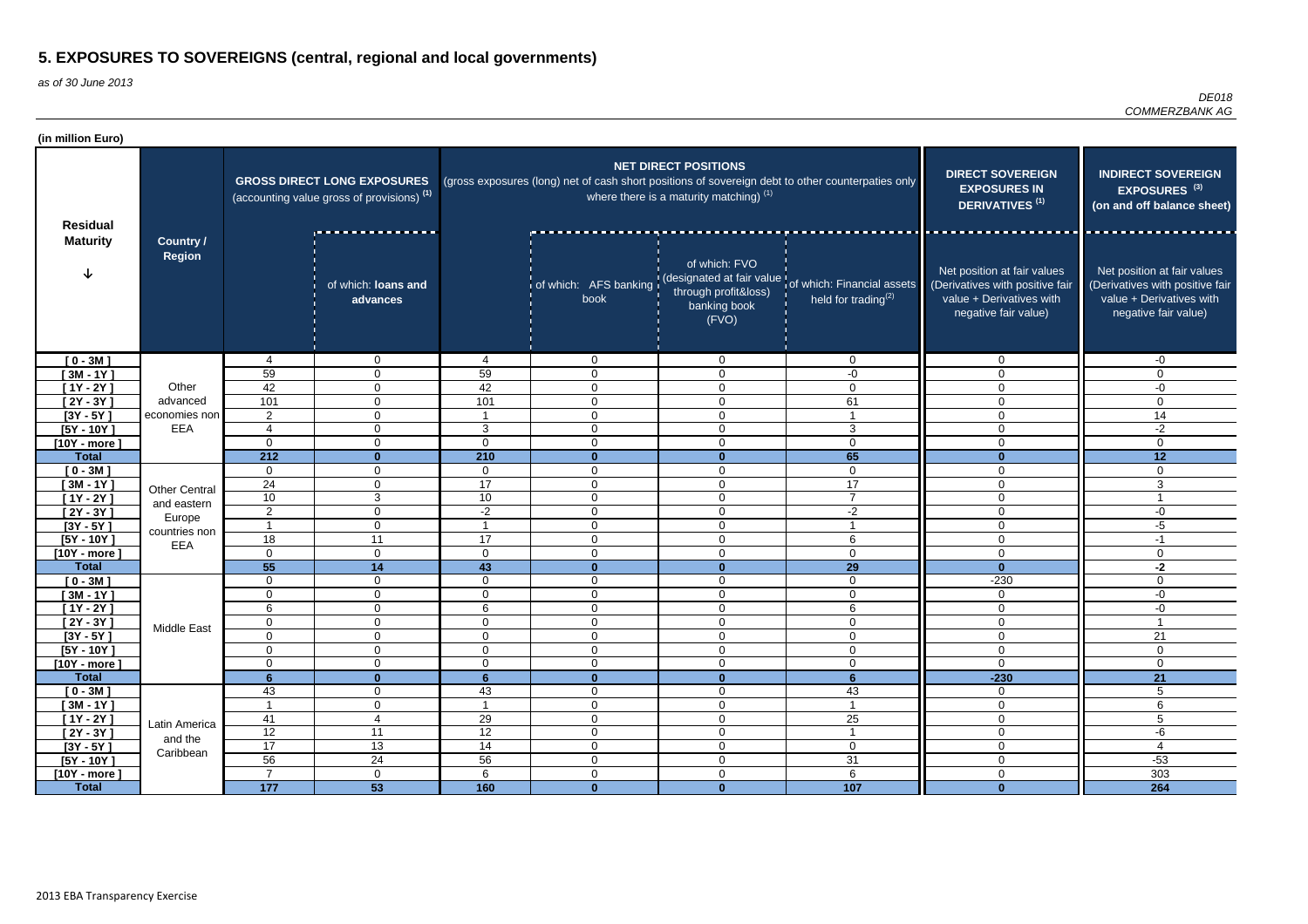| (in million Euro)              |                                   |                                  |                                                                                             |                 |                             |                                                                          |                                                                                                               |                                                                                                                    |                                                                                                                    |
|--------------------------------|-----------------------------------|----------------------------------|---------------------------------------------------------------------------------------------|-----------------|-----------------------------|--------------------------------------------------------------------------|---------------------------------------------------------------------------------------------------------------|--------------------------------------------------------------------------------------------------------------------|--------------------------------------------------------------------------------------------------------------------|
| <b>Residual</b>                |                                   |                                  | <b>GROSS DIRECT LONG EXPOSURES</b><br>(accounting value gross of provisions) <sup>(1)</sup> |                 |                             | <b>NET DIRECT POSITIONS</b><br>where there is a maturity matching) $(1)$ | (gross exposures (long) net of cash short positions of sovereign debt to other counterpaties only             | <b>DIRECT SOVEREIGN</b><br><b>EXPOSURES IN</b><br><b>DERIVATIVES<sup>(1)</sup></b>                                 | <b>INDIRECT SOVEREIGN</b><br>EXPOSURES <sup>(3)</sup><br>(on and off balance sheet)                                |
| <b>Maturity</b>                | <b>Country /</b><br><b>Region</b> |                                  | .<br>of which: loans and<br>advances                                                        |                 | book                        | of which: FVO<br>through profit&loss)<br>banking book<br>(FVO)           | of which: AFS banking (designated at fair value of which: Financial assets<br>held for trading <sup>(2)</sup> | Net position at fair values<br>(Derivatives with positive fair<br>value + Derivatives with<br>negative fair value) | Net position at fair values<br>(Derivatives with positive fair<br>value + Derivatives with<br>negative fair value) |
| $[0 - 3M]$                     |                                   | 4                                | $\mathbf 0$                                                                                 | 4               | $\overline{0}$              | $\overline{0}$                                                           | $\overline{0}$                                                                                                | $\Omega$                                                                                                           | -0                                                                                                                 |
| $[3M - 1Y]$                    |                                   | 59                               | $\overline{0}$                                                                              | 59              | $\mathbf 0$                 | $\overline{0}$                                                           | -0                                                                                                            | $\Omega$                                                                                                           | $\Omega$                                                                                                           |
| $[1Y - 2Y]$                    | Other                             | 42                               | $\overline{0}$                                                                              | 42              | $\mathbf 0$                 | $\mathbf 0$                                                              | $\mathbf 0$                                                                                                   | $\Omega$                                                                                                           | $-0$                                                                                                               |
| $[2Y - 3Y]$                    | advanced                          | 101                              | $\overline{0}$                                                                              | 101             | $\mathbf 0$                 | $\mathbf 0$                                                              | 61                                                                                                            | $\Omega$                                                                                                           | $\mathbf 0$                                                                                                        |
| $[3Y - 5Y]$                    | economies non                     | 2                                | $\overline{0}$                                                                              |                 | $\mathbf 0$                 | $\mathbf 0$                                                              |                                                                                                               | $\mathbf 0$                                                                                                        | 14                                                                                                                 |
| $[5Y - 10Y]$                   | EEA                               | 4                                | $\overline{0}$                                                                              | $\mathbf{3}$    | $\mathbf 0$                 | $\mathbf 0$                                                              | 3                                                                                                             | $\mathbf 0$                                                                                                        | $-2$                                                                                                               |
| $[10Y - more]$                 |                                   | $\Omega$                         | $\overline{0}$                                                                              | $\mathbf 0$     | $\mathbf 0$                 | $\overline{0}$                                                           | $\mathbf 0$                                                                                                   | $\mathbf 0$                                                                                                        | $\mathbf{0}$                                                                                                       |
| <b>Total</b>                   |                                   | 212                              | $\mathbf{0}$                                                                                | 210             | $\mathbf{0}$                | $\mathbf{0}$                                                             | 65                                                                                                            | $\Omega$                                                                                                           | 12                                                                                                                 |
| $[0 - 3M]$                     |                                   | $\mathbf{0}$                     | $\mathbf 0$                                                                                 | $\mathbf 0$     | $\overline{0}$              | $\mathbf 0$                                                              | $\mathbf 0$                                                                                                   | $\Omega$                                                                                                           | $\Omega$                                                                                                           |
| $[3M - 1Y]$                    | <b>Other Central</b>              | 24                               | 0                                                                                           | 17              | $\overline{0}$              | $\overline{0}$                                                           | 17<br>$\overline{7}$                                                                                          | $\Omega$                                                                                                           | 3                                                                                                                  |
| $[1Y - 2Y]$                    | and eastern                       | 10                               | 3                                                                                           | 10 <sup>°</sup> | $\mathbf 0$                 | $\overline{0}$                                                           |                                                                                                               | $\Omega$                                                                                                           |                                                                                                                    |
| $[2Y - 3Y]$                    | Europe                            | $\overline{2}$<br>$\overline{ }$ | $\overline{0}$                                                                              | $-2$            | $\mathbf 0$                 | $\mathbf 0$                                                              | $-2$                                                                                                          | $\mathbf 0$                                                                                                        | $-0$                                                                                                               |
| $[3Y - 5Y]$                    | countries non                     |                                  | $\mathbf 0$                                                                                 |                 | $\mathbf 0$                 | $\mathbf 0$                                                              |                                                                                                               | $\overline{0}$                                                                                                     | $-5$                                                                                                               |
| $[5Y - 10Y]$                   | EEA                               | 18<br>$\Omega$                   | 11                                                                                          | 17<br>$\Omega$  | $\mathbf 0$                 | $\mathbf 0$                                                              | 6                                                                                                             | $\mathbf 0$                                                                                                        | $-1$                                                                                                               |
| $[10Y - more]$<br><b>Total</b> |                                   | $\overline{55}$                  | $\overline{0}$<br>14                                                                        | 43              | $\mathbf 0$<br>$\mathbf{0}$ | $\mathbf 0$<br>$\bf{0}$                                                  | $\overline{0}$<br>29                                                                                          | $\mathbf 0$<br>$\mathbf{0}$                                                                                        | $\overline{0}$<br>$-2$                                                                                             |
| $[0 - 3M]$                     |                                   | 0                                | $\overline{0}$                                                                              | $\Omega$        | $\overline{0}$              | $\mathbf 0$                                                              | $\mathbf 0$                                                                                                   | $-230$                                                                                                             | $\mathbf 0$                                                                                                        |
| $[3M - 1Y]$                    |                                   | $\Omega$                         | $\overline{0}$                                                                              | $\mathbf 0$     | $\overline{0}$              | $\mathbf 0$                                                              | $\mathbf 0$                                                                                                   | $\mathbf 0$                                                                                                        | $-0$                                                                                                               |
| $[1Y - 2Y]$                    |                                   | 6                                | $\mathbf 0$                                                                                 | 6               | $\overline{0}$              | $\mathbf 0$                                                              | 6                                                                                                             | $\Omega$                                                                                                           | $-0$                                                                                                               |
| $[2Y - 3Y]$                    |                                   | $\overline{0}$                   | $\overline{0}$                                                                              | $\overline{0}$  | $\mathbf 0$                 | $\mathbf 0$                                                              | $\mathbf 0$                                                                                                   | $\mathbf 0$                                                                                                        | $\overline{\mathbf{1}}$                                                                                            |
| $[3Y - 5Y]$                    | Middle East                       | 0                                | $\overline{0}$                                                                              | $\mathbf 0$     | $\mathbf 0$                 | $\overline{0}$                                                           | $\mathbf 0$                                                                                                   | $\mathbf 0$                                                                                                        | $\overline{21}$                                                                                                    |
| $[5Y - 10Y]$                   |                                   | $\mathbf 0$                      | $\overline{0}$                                                                              | $\mathbf 0$     | $\mathbf 0$                 | $\mathbf 0$                                                              | $\mathbf 0$                                                                                                   | $\mathbf 0$                                                                                                        | $\mathbf 0$                                                                                                        |
| $[10Y - more]$                 |                                   | 0                                | $\overline{0}$                                                                              | $\mathbf 0$     | $\mathbf 0$                 | $\mathbf 0$                                                              | $\mathbf 0$                                                                                                   | $\mathbf 0$                                                                                                        | 0                                                                                                                  |
| <b>Total</b>                   |                                   | 6 <sup>1</sup>                   | $\mathbf{0}$                                                                                | 6               | $\mathbf{0}$                | $\mathbf{0}$                                                             | 6                                                                                                             | $-230$                                                                                                             | 21                                                                                                                 |
| $[0 - 3M]$                     |                                   | 43                               | $\mathbf 0$                                                                                 | 43              | $\mathbf 0$                 | $\mathbf 0$                                                              | 43                                                                                                            | $\overline{0}$                                                                                                     | $5\phantom{.0}$                                                                                                    |
| $[3M - 1Y]$                    |                                   | $\overline{\phantom{0}}$         | $\overline{0}$                                                                              |                 | $\mathbf 0$                 | $\mathbf 0$                                                              | $\overline{\mathbf{1}}$                                                                                       | $\mathbf 0$                                                                                                        | 6                                                                                                                  |
| $[1Y - 2Y]$                    | Latin America                     | 41                               | $\overline{4}$                                                                              | 29              | $\mathbf 0$                 | $\mathbf 0$                                                              | 25                                                                                                            | $\mathbf 0$                                                                                                        | 5                                                                                                                  |
| $[2Y - 3Y]$                    | and the                           | $\overline{12}$                  | 11                                                                                          | $\overline{12}$ | $\boldsymbol{0}$            | $\mathbf 0$                                                              | $\overline{\mathbf{1}}$                                                                                       | $\mathbf 0$                                                                                                        | $-6$                                                                                                               |
| $[3Y - 5Y]$                    | Caribbean                         | $\overline{17}$                  | 13                                                                                          | 14              | $\overline{0}$              | $\mathbf 0$                                                              | $\overline{0}$                                                                                                | $\overline{0}$                                                                                                     | 4                                                                                                                  |
| $[5Y - 10Y]$                   |                                   | 56                               | 24                                                                                          | $\overline{56}$ | $\mathbf 0$                 | $\mathbf 0$                                                              | 31                                                                                                            | $\mathbf 0$                                                                                                        | $-53$                                                                                                              |
| $[10Y - more]$                 |                                   | $\overline{7}$                   | $\mathbf 0$                                                                                 | $6\phantom{.}6$ | $\mathbf 0$                 | $\mathbf 0$                                                              | $6\phantom{1}6$                                                                                               | $\mathbf 0$                                                                                                        | 303                                                                                                                |
| <b>Total</b>                   |                                   | 177                              | 53                                                                                          | 160             | $\mathbf{0}$                | $\mathbf{0}$                                                             | 107                                                                                                           | $\mathbf{0}$                                                                                                       | 264                                                                                                                |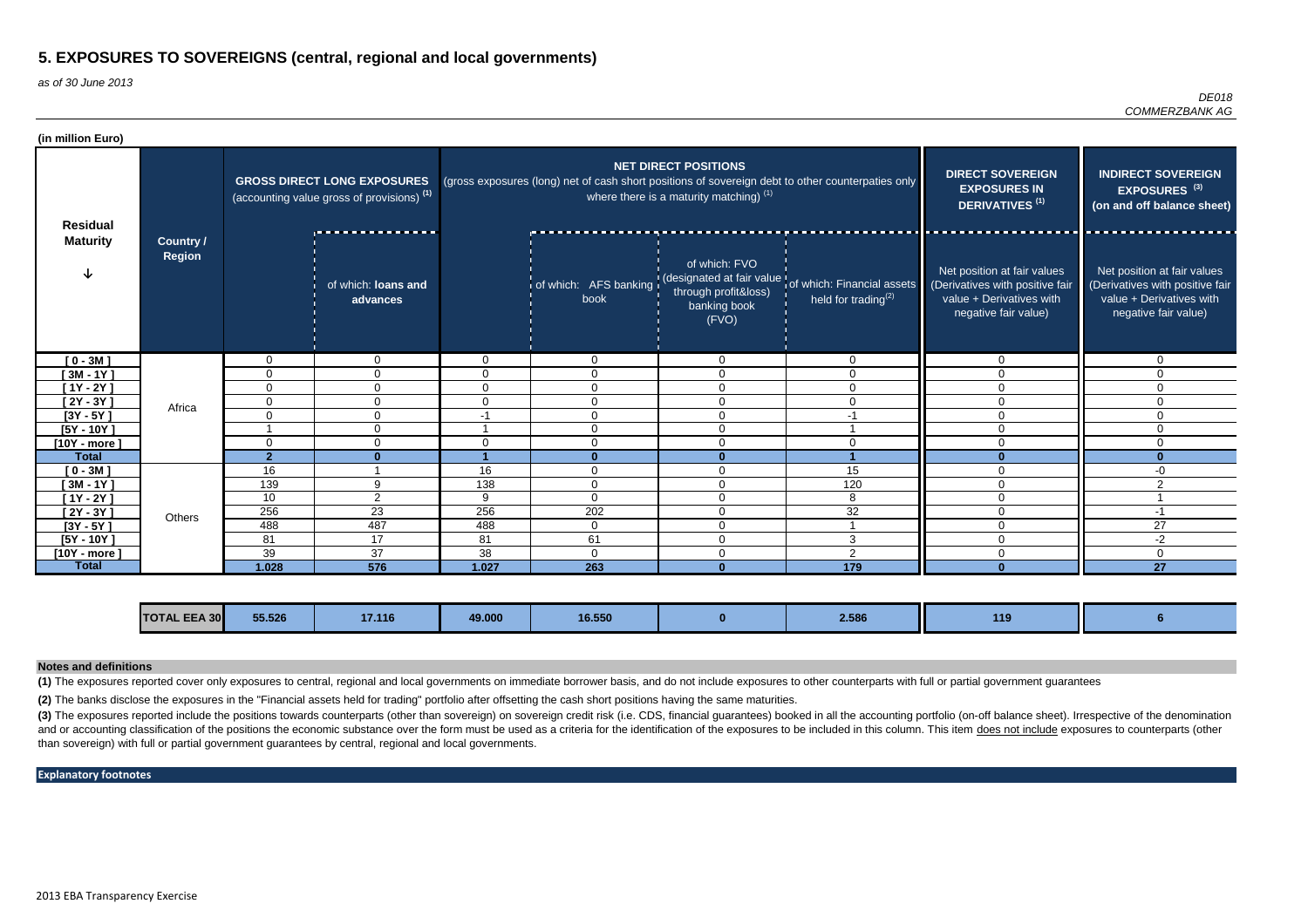as of 30 June 2013

*DE018 COMMERZBANK AG*

| (in million Euro) |                            |                                                                                  |                                 |                                                                                                                                                                               |                               |                                                                |                                                                                |                                                                                                                    |                                                                                                                    |
|-------------------|----------------------------|----------------------------------------------------------------------------------|---------------------------------|-------------------------------------------------------------------------------------------------------------------------------------------------------------------------------|-------------------------------|----------------------------------------------------------------|--------------------------------------------------------------------------------|--------------------------------------------------------------------------------------------------------------------|--------------------------------------------------------------------------------------------------------------------|
| <b>Residual</b>   |                            | <b>GROSS DIRECT LONG EXPOSURES</b><br>(accounting value gross of provisions) (1) |                                 | <b>NET DIRECT POSITIONS</b><br>(gross exposures (long) net of cash short positions of sovereign debt to other counterpaties only<br>where there is a maturity matching) $(1)$ |                               |                                                                |                                                                                | <b>DIRECT SOVEREIGN</b><br><b>EXPOSURES IN</b><br>DERIVATIVES <sup>(1)</sup>                                       | <b>INDIRECT SOVEREIGN</b><br>EXPOSURES <sup>(3)</sup><br>(on and off balance sheet)                                |
| <b>Maturity</b>   | Country /<br><b>Region</b> |                                                                                  | of which: loans and<br>advances |                                                                                                                                                                               | of which: AFS banking<br>book | of which: FVO<br>through profit&loss)<br>banking book<br>(FVO) | (designated at fair value of which: Financial assets<br>held for trading $(2)$ | Net position at fair values<br>(Derivatives with positive fair<br>value + Derivatives with<br>negative fair value) | Net position at fair values<br>(Derivatives with positive fair<br>value + Derivatives with<br>negative fair value) |
| $[0 - 3M]$        |                            | $\Omega$                                                                         | $\Omega$                        | $\Omega$                                                                                                                                                                      | $\overline{0}$                | $\mathbf 0$                                                    | $\overline{0}$                                                                 | $\mathbf 0$                                                                                                        | $\overline{0}$                                                                                                     |
| $[3M - 1Y]$       |                            | $\mathbf{0}$                                                                     | $\Omega$                        | $\overline{0}$                                                                                                                                                                | $\Omega$                      | $\Omega$                                                       | $\overline{0}$                                                                 | $\Omega$                                                                                                           | 0                                                                                                                  |
| $[1Y - 2Y]$       |                            | $\mathbf 0$                                                                      | $\Omega$                        | $\overline{0}$                                                                                                                                                                | $\Omega$                      | $\mathbf 0$                                                    | $\Omega$                                                                       | $\Omega$                                                                                                           | $\Omega$                                                                                                           |
| $[2Y - 3Y]$       | Africa                     | 0                                                                                | 0                               | $\overline{0}$                                                                                                                                                                | $\mathbf{0}$                  | $\mathbf 0$                                                    | $\Omega$                                                                       | $\Omega$                                                                                                           | $\Omega$                                                                                                           |
| $[3Y - 5Y]$       |                            | $\Omega$                                                                         | $\Omega$                        | -1                                                                                                                                                                            | $\Omega$                      | $\Omega$                                                       | -1                                                                             | $\Omega$                                                                                                           | $\Omega$                                                                                                           |
| $[5Y - 10Y]$      |                            |                                                                                  | $\Omega$                        |                                                                                                                                                                               | $\Omega$                      | $\mathbf 0$                                                    |                                                                                | $\mathbf{0}$                                                                                                       | $\Omega$                                                                                                           |
| $[10Y - more]$    |                            | $\mathbf{0}$                                                                     | $\Omega$                        | $\Omega$                                                                                                                                                                      | $\Omega$                      | $\Omega$                                                       | $\Omega$                                                                       | $\Omega$                                                                                                           | $\Omega$                                                                                                           |
| <b>Total</b>      |                            | $\overline{2}$                                                                   | $\mathbf{0}$                    |                                                                                                                                                                               | $\mathbf{0}$                  |                                                                |                                                                                |                                                                                                                    |                                                                                                                    |
| $[0 - 3M]$        |                            | 16                                                                               |                                 | 16                                                                                                                                                                            | $\Omega$                      | $\Omega$                                                       | 15                                                                             | $\Omega$                                                                                                           | -0                                                                                                                 |
| $[3M - 1Y]$       |                            | 139                                                                              | 9                               | 138                                                                                                                                                                           | $\mathbf 0$                   | $\mathbf 0$                                                    | 120                                                                            | $\mathbf{0}$                                                                                                       | $\overline{2}$                                                                                                     |
| [1Y - 2Y ]        |                            | 10                                                                               | $\overline{2}$                  | 9                                                                                                                                                                             | $\Omega$                      | $\mathbf 0$                                                    | 8                                                                              | $\Omega$                                                                                                           |                                                                                                                    |
| $[2Y - 3Y]$       | Others                     | 256                                                                              | 23                              | 256                                                                                                                                                                           | 202                           | $\overline{0}$                                                 | 32                                                                             | $\Omega$                                                                                                           | $-1$                                                                                                               |
| $[3Y - 5Y]$       |                            | 488                                                                              | 487                             | 488                                                                                                                                                                           | $\overline{0}$                | $\overline{0}$                                                 |                                                                                | $\mathbf{0}$                                                                                                       | 27                                                                                                                 |
| $[5Y - 10Y]$      |                            | 81                                                                               | 17                              | 81                                                                                                                                                                            | 61                            | $\mathbf 0$                                                    | 3                                                                              | $\mathbf{0}$                                                                                                       | $-2$                                                                                                               |
| $[10Y - more]$    |                            | 39                                                                               | 37                              | 38                                                                                                                                                                            | $\Omega$                      | $\mathbf{0}$                                                   | $\overline{2}$                                                                 | $\Omega$                                                                                                           | 0                                                                                                                  |
| <b>Total</b>      |                            | 1.028                                                                            | 576                             | 1.027                                                                                                                                                                         | 263                           |                                                                | $\frac{1}{179}$                                                                |                                                                                                                    | $\overline{27}$                                                                                                    |

(3) The exposures reported include the positions towards counterparts (other than sovereign) on sovereign credit risk (i.e. CDS, financial guarantees) booked in all the accounting portfolio (on-off balance sheet). Irrespec and or accounting classification of the positions the economic substance over the form must be used as a criteria for the identification of the exposures to be included in this column. This item does not include exposures than sovereign) with full or partial government guarantees by central, regional and local governments.

| <b>TOTAL EEA 30</b> | 55.526 | 17.116 | 49.000 | 16.550 |  | 2.586 | 110 |  |
|---------------------|--------|--------|--------|--------|--|-------|-----|--|
|---------------------|--------|--------|--------|--------|--|-------|-----|--|

**(1)** The exposures reported cover only exposures to central, regional and local governments on immediate borrower basis, and do not include exposures to other counterparts with full or partial government guarantees

#### **Notes and definitions**

#### **Explanatory footnotes**

**(2)** The banks disclose the exposures in the "Financial assets held for trading" portfolio after offsetting the cash short positions having the same maturities.